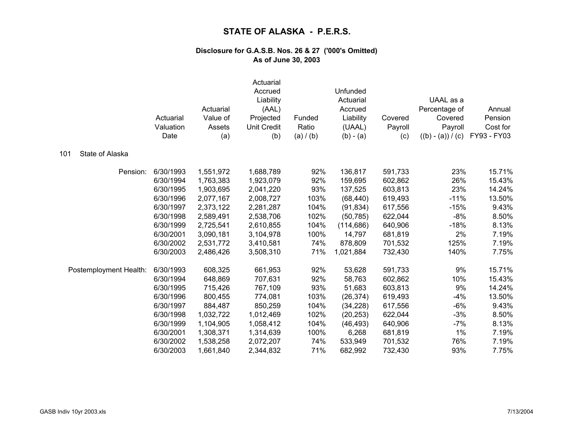|                        | Actuarial<br>Valuation<br>Date | Actuarial<br>Value of<br>Assets<br>(a) | Actuarial<br>Accrued<br>Liability<br>(AAL)<br>Projected<br><b>Unit Credit</b><br>(b) | Funded<br>Ratio<br>(a) / (b) | Unfunded<br>Actuarial<br>Accrued<br>Liability<br>(UAAL)<br>$(b) - (a)$ | Covered<br>Payroll<br>(c) | UAAL as a<br>Percentage of<br>Covered<br>Payroll<br>$((b) - (a)) / (c)$ | Annual<br>Pension<br>Cost for<br>FY93 - FY03 |
|------------------------|--------------------------------|----------------------------------------|--------------------------------------------------------------------------------------|------------------------------|------------------------------------------------------------------------|---------------------------|-------------------------------------------------------------------------|----------------------------------------------|
| State of Alaska<br>101 |                                |                                        |                                                                                      |                              |                                                                        |                           |                                                                         |                                              |
| Pension:               | 6/30/1993                      | 1,551,972                              | 1,688,789                                                                            | 92%                          | 136,817                                                                | 591,733                   | 23%                                                                     | 15.71%                                       |
|                        | 6/30/1994                      | 1,763,383                              | 1,923,079                                                                            | 92%                          | 159,695                                                                | 602,862                   | 26%                                                                     | 15.43%                                       |
|                        | 6/30/1995                      | 1,903,695                              | 2,041,220                                                                            | 93%                          | 137,525                                                                | 603,813                   | 23%                                                                     | 14.24%                                       |
|                        | 6/30/1996                      | 2,077,167                              | 2,008,727                                                                            | 103%                         | (68, 440)                                                              | 619,493                   | $-11%$                                                                  | 13.50%                                       |
|                        | 6/30/1997                      | 2,373,122                              | 2,281,287                                                                            | 104%                         | (91, 834)                                                              | 617,556                   | $-15%$                                                                  | 9.43%                                        |
|                        | 6/30/1998                      | 2,589,491                              | 2,538,706                                                                            | 102%                         | (50, 785)                                                              | 622,044                   | $-8%$                                                                   | 8.50%                                        |
|                        | 6/30/1999                      | 2,725,541                              | 2,610,855                                                                            | 104%                         | (114, 686)                                                             | 640,906                   | $-18%$                                                                  | 8.13%                                        |
|                        | 6/30/2001                      | 3,090,181                              | 3,104,978                                                                            | 100%                         | 14,797                                                                 | 681,819                   | 2%                                                                      | 7.19%                                        |
|                        | 6/30/2002                      | 2,531,772                              | 3,410,581                                                                            | 74%                          | 878,809                                                                | 701,532                   | 125%                                                                    | 7.19%                                        |
|                        | 6/30/2003                      | 2,486,426                              | 3,508,310                                                                            | 71%                          | 1,021,884                                                              | 732,430                   | 140%                                                                    | 7.75%                                        |
| Postemployment Health: | 6/30/1993                      | 608,325                                | 661,953                                                                              | 92%                          | 53,628                                                                 | 591,733                   | 9%                                                                      | 15.71%                                       |
|                        | 6/30/1994                      | 648,869                                | 707,631                                                                              | 92%                          | 58,763                                                                 | 602,862                   | 10%                                                                     | 15.43%                                       |
|                        | 6/30/1995                      | 715,426                                | 767,109                                                                              | 93%                          | 51,683                                                                 | 603,813                   | 9%                                                                      | 14.24%                                       |
|                        | 6/30/1996                      | 800,455                                | 774,081                                                                              | 103%                         | (26, 374)                                                              | 619,493                   | $-4%$                                                                   | 13.50%                                       |
|                        | 6/30/1997                      | 884,487                                | 850,259                                                                              | 104%                         | (34, 228)                                                              | 617,556                   | $-6%$                                                                   | 9.43%                                        |
|                        | 6/30/1998                      | 1,032,722                              | 1,012,469                                                                            | 102%                         | (20, 253)                                                              | 622,044                   | $-3%$                                                                   | 8.50%                                        |
|                        | 6/30/1999                      | 1,104,905                              | 1,058,412                                                                            | 104%                         | (46, 493)                                                              | 640,906                   | $-7%$                                                                   | 8.13%                                        |
|                        | 6/30/2001                      | 1,308,371                              | 1,314,639                                                                            | 100%                         | 6,268                                                                  | 681,819                   | $1\%$                                                                   | 7.19%                                        |
|                        | 6/30/2002                      | 1,538,258                              | 2,072,207                                                                            | 74%                          | 533,949                                                                | 701,532                   | 76%                                                                     | 7.19%                                        |
|                        | 6/30/2003                      | 1,661,840                              | 2,344,832                                                                            | 71%                          | 682,992                                                                | 732,430                   | 93%                                                                     | 7.75%                                        |
|                        |                                |                                        |                                                                                      |                              |                                                                        |                           |                                                                         |                                              |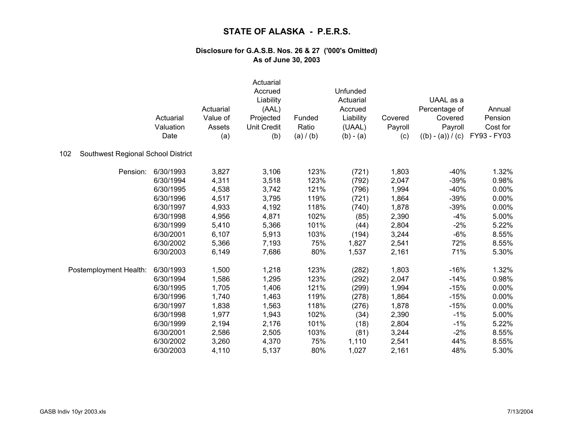|                                           | Actuarial<br>Valuation<br>Date | Actuarial<br>Value of<br>Assets<br>(a) | Actuarial<br>Accrued<br>Liability<br>(AAL)<br>Projected<br><b>Unit Credit</b><br>(b) | Funded<br>Ratio<br>(a) / (b) | Unfunded<br>Actuarial<br>Accrued<br>Liability<br>(UAAL)<br>$(b) - (a)$ | Covered<br>Payroll<br>(c) | UAAL as a<br>Percentage of<br>Covered<br>Payroll<br>$((b) - (a)) / (c)$ | Annual<br>Pension<br>Cost for<br>FY93 - FY03 |
|-------------------------------------------|--------------------------------|----------------------------------------|--------------------------------------------------------------------------------------|------------------------------|------------------------------------------------------------------------|---------------------------|-------------------------------------------------------------------------|----------------------------------------------|
| Southwest Regional School District<br>102 |                                |                                        |                                                                                      |                              |                                                                        |                           |                                                                         |                                              |
| Pension:                                  | 6/30/1993                      | 3,827                                  | 3,106                                                                                | 123%                         | (721)                                                                  | 1,803                     | $-40%$                                                                  | 1.32%                                        |
|                                           | 6/30/1994                      | 4,311                                  | 3,518                                                                                | 123%                         | (792)                                                                  | 2,047                     | $-39%$                                                                  | 0.98%                                        |
|                                           | 6/30/1995                      | 4,538                                  | 3,742                                                                                | 121%                         | (796)                                                                  | 1,994                     | $-40%$                                                                  | 0.00%                                        |
|                                           | 6/30/1996                      | 4,517                                  | 3,795                                                                                | 119%                         | (721)                                                                  | 1,864                     | $-39%$                                                                  | 0.00%                                        |
|                                           | 6/30/1997                      | 4,933                                  | 4,192                                                                                | 118%                         | (740)                                                                  | 1,878                     | $-39%$                                                                  | 0.00%                                        |
|                                           | 6/30/1998                      | 4,956                                  | 4,871                                                                                | 102%                         | (85)                                                                   | 2,390                     | $-4%$                                                                   | 5.00%                                        |
|                                           | 6/30/1999                      | 5,410                                  | 5,366                                                                                | 101%                         | (44)                                                                   | 2,804                     | $-2%$                                                                   | 5.22%                                        |
|                                           | 6/30/2001                      | 6,107                                  | 5,913                                                                                | 103%                         | (194)                                                                  | 3,244                     | $-6%$                                                                   | 8.55%                                        |
|                                           | 6/30/2002                      | 5,366                                  | 7,193                                                                                | 75%                          | 1,827                                                                  | 2,541                     | 72%                                                                     | 8.55%                                        |
|                                           | 6/30/2003                      | 6,149                                  | 7,686                                                                                | 80%                          | 1,537                                                                  | 2,161                     | 71%                                                                     | 5.30%                                        |
| Postemployment Health:                    | 6/30/1993                      | 1,500                                  | 1,218                                                                                | 123%                         | (282)                                                                  | 1,803                     | $-16%$                                                                  | 1.32%                                        |
|                                           | 6/30/1994                      | 1,586                                  | 1,295                                                                                | 123%                         | (292)                                                                  | 2,047                     | $-14%$                                                                  | 0.98%                                        |
|                                           | 6/30/1995                      | 1,705                                  | 1,406                                                                                | 121%                         | (299)                                                                  | 1,994                     | $-15%$                                                                  | 0.00%                                        |
|                                           | 6/30/1996                      | 1,740                                  | 1,463                                                                                | 119%                         | (278)                                                                  | 1,864                     | $-15%$                                                                  | 0.00%                                        |
|                                           | 6/30/1997                      | 1,838                                  | 1,563                                                                                | 118%                         | (276)                                                                  | 1,878                     | $-15%$                                                                  | 0.00%                                        |
|                                           | 6/30/1998                      | 1,977                                  | 1,943                                                                                | 102%                         | (34)                                                                   | 2,390                     | $-1%$                                                                   | 5.00%                                        |
|                                           | 6/30/1999                      | 2,194                                  | 2,176                                                                                | 101%                         | (18)                                                                   | 2,804                     | $-1%$                                                                   | 5.22%                                        |
|                                           | 6/30/2001                      | 2,586                                  | 2,505                                                                                | 103%                         | (81)                                                                   | 3,244                     | $-2%$                                                                   | 8.55%                                        |
|                                           | 6/30/2002                      | 3,260                                  | 4,370                                                                                | 75%                          | 1,110                                                                  | 2,541                     | 44%                                                                     | 8.55%                                        |
|                                           | 6/30/2003                      | 4,110                                  | 5,137                                                                                | 80%                          | 1,027                                                                  | 2,161                     | 48%                                                                     | 5.30%                                        |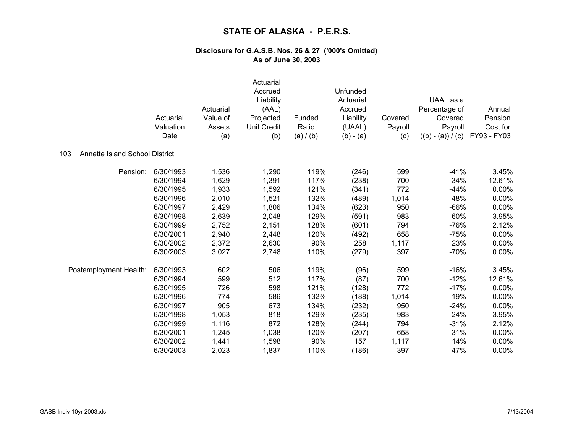|                                              | Actuarial<br>Valuation<br>Date | Actuarial<br>Value of<br>Assets<br>(a) | Actuarial<br>Accrued<br>Liability<br>(AAL)<br>Projected<br><b>Unit Credit</b><br>(b) | Funded<br>Ratio<br>(a) / (b) | Unfunded<br>Actuarial<br>Accrued<br>Liability<br>(UAAL)<br>$(b) - (a)$ | Covered<br>Payroll<br>(c) | UAAL as a<br>Percentage of<br>Covered<br>Payroll<br>$((b) - (a)) / (c)$ | Annual<br>Pension<br>Cost for<br>FY93 - FY03 |
|----------------------------------------------|--------------------------------|----------------------------------------|--------------------------------------------------------------------------------------|------------------------------|------------------------------------------------------------------------|---------------------------|-------------------------------------------------------------------------|----------------------------------------------|
| 103<br><b>Annette Island School District</b> |                                |                                        |                                                                                      |                              |                                                                        |                           |                                                                         |                                              |
| Pension:                                     | 6/30/1993                      | 1,536                                  | 1,290                                                                                | 119%                         | (246)                                                                  | 599                       | $-41%$                                                                  | 3.45%                                        |
|                                              | 6/30/1994                      | 1,629                                  | 1,391                                                                                | 117%                         | (238)                                                                  | 700                       | $-34%$                                                                  | 12.61%                                       |
|                                              | 6/30/1995                      | 1,933                                  | 1,592                                                                                | 121%                         | (341)                                                                  | 772                       | $-44%$                                                                  | 0.00%                                        |
|                                              | 6/30/1996                      | 2,010                                  | 1,521                                                                                | 132%                         | (489)                                                                  | 1,014                     | $-48%$                                                                  | 0.00%                                        |
|                                              | 6/30/1997                      | 2,429                                  | 1,806                                                                                | 134%                         | (623)                                                                  | 950                       | $-66%$                                                                  | 0.00%                                        |
|                                              | 6/30/1998                      | 2,639                                  | 2,048                                                                                | 129%                         | (591)                                                                  | 983                       | $-60%$                                                                  | 3.95%                                        |
|                                              | 6/30/1999                      | 2,752                                  | 2,151                                                                                | 128%                         | (601)                                                                  | 794                       | $-76%$                                                                  | 2.12%                                        |
|                                              | 6/30/2001                      | 2,940                                  | 2,448                                                                                | 120%                         | (492)                                                                  | 658                       | $-75%$                                                                  | 0.00%                                        |
|                                              | 6/30/2002                      | 2,372                                  | 2,630                                                                                | 90%                          | 258                                                                    | 1,117                     | 23%                                                                     | 0.00%                                        |
|                                              | 6/30/2003                      | 3,027                                  | 2,748                                                                                | 110%                         | (279)                                                                  | 397                       | $-70%$                                                                  | 0.00%                                        |
| Postemployment Health:                       | 6/30/1993                      | 602                                    | 506                                                                                  | 119%                         | (96)                                                                   | 599                       | $-16%$                                                                  | 3.45%                                        |
|                                              | 6/30/1994                      | 599                                    | 512                                                                                  | 117%                         | (87)                                                                   | 700                       | $-12%$                                                                  | 12.61%                                       |
|                                              | 6/30/1995                      | 726                                    | 598                                                                                  | 121%                         | (128)                                                                  | 772                       | $-17%$                                                                  | 0.00%                                        |
|                                              | 6/30/1996                      | 774                                    | 586                                                                                  | 132%                         | (188)                                                                  | 1,014                     | $-19%$                                                                  | 0.00%                                        |
|                                              | 6/30/1997                      | 905                                    | 673                                                                                  | 134%                         | (232)                                                                  | 950                       | $-24%$                                                                  | 0.00%                                        |
|                                              | 6/30/1998                      | 1,053                                  | 818                                                                                  | 129%                         | (235)                                                                  | 983                       | $-24%$                                                                  | 3.95%                                        |
|                                              | 6/30/1999                      | 1,116                                  | 872                                                                                  | 128%                         | (244)                                                                  | 794                       | $-31%$                                                                  | 2.12%                                        |
|                                              | 6/30/2001                      | 1,245                                  | 1,038                                                                                | 120%                         | (207)                                                                  | 658                       | $-31%$                                                                  | 0.00%                                        |
|                                              | 6/30/2002                      | 1,441                                  | 1,598                                                                                | 90%                          | 157                                                                    | 1,117                     | 14%                                                                     | 0.00%                                        |
|                                              | 6/30/2003                      | 2,023                                  | 1,837                                                                                | 110%                         | (186)                                                                  | 397                       | $-47%$                                                                  | 0.00%                                        |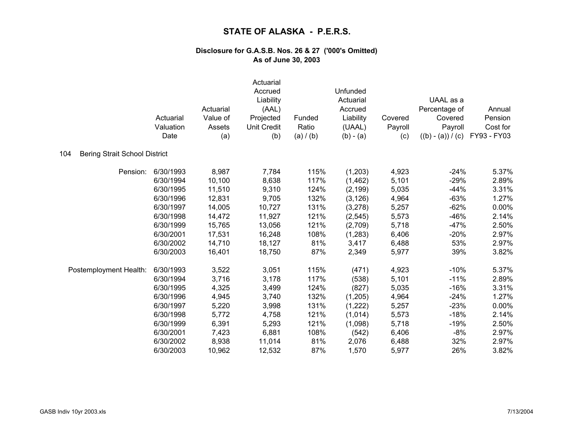|                                             | Actuarial<br>Valuation<br>Date | Actuarial<br>Value of<br>Assets<br>(a) | Actuarial<br>Accrued<br>Liability<br>(AAL)<br>Projected<br><b>Unit Credit</b><br>(b) | Funded<br>Ratio<br>(a) / (b) | Unfunded<br>Actuarial<br>Accrued<br>Liability<br>(UAAL)<br>$(b) - (a)$ | Covered<br>Payroll<br>(c) | UAAL as a<br>Percentage of<br>Covered<br>Payroll<br>$((b) - (a)) / (c)$ | Annual<br>Pension<br>Cost for<br>FY93 - FY03 |
|---------------------------------------------|--------------------------------|----------------------------------------|--------------------------------------------------------------------------------------|------------------------------|------------------------------------------------------------------------|---------------------------|-------------------------------------------------------------------------|----------------------------------------------|
| 104<br><b>Bering Strait School District</b> |                                |                                        |                                                                                      |                              |                                                                        |                           |                                                                         |                                              |
| Pension:                                    | 6/30/1993                      | 8,987                                  | 7,784                                                                                | 115%                         | (1,203)                                                                | 4,923                     | $-24%$                                                                  | 5.37%                                        |
|                                             | 6/30/1994                      | 10,100                                 | 8,638                                                                                | 117%                         | (1, 462)                                                               | 5,101                     | $-29%$                                                                  | 2.89%                                        |
|                                             | 6/30/1995                      | 11,510                                 | 9,310                                                                                | 124%                         | (2, 199)                                                               | 5,035                     | $-44%$                                                                  | 3.31%                                        |
|                                             | 6/30/1996                      | 12,831                                 | 9,705                                                                                | 132%                         | (3, 126)                                                               | 4,964                     | $-63%$                                                                  | 1.27%                                        |
|                                             | 6/30/1997                      | 14,005                                 | 10,727                                                                               | 131%                         | (3, 278)                                                               | 5,257                     | $-62%$                                                                  | 0.00%                                        |
|                                             | 6/30/1998                      | 14,472                                 | 11,927                                                                               | 121%                         | (2, 545)                                                               | 5,573                     | $-46%$                                                                  | 2.14%                                        |
|                                             | 6/30/1999                      | 15,765                                 | 13,056                                                                               | 121%                         | (2,709)                                                                | 5,718                     | $-47%$                                                                  | 2.50%                                        |
|                                             | 6/30/2001                      | 17,531                                 | 16,248                                                                               | 108%                         | (1, 283)                                                               | 6,406                     | $-20%$                                                                  | 2.97%                                        |
|                                             | 6/30/2002                      | 14,710                                 | 18,127                                                                               | 81%                          | 3,417                                                                  | 6,488                     | 53%                                                                     | 2.97%                                        |
|                                             | 6/30/2003                      | 16,401                                 | 18,750                                                                               | 87%                          | 2,349                                                                  | 5,977                     | 39%                                                                     | 3.82%                                        |
| Postemployment Health:                      | 6/30/1993                      | 3,522                                  | 3,051                                                                                | 115%                         | (471)                                                                  | 4,923                     | $-10%$                                                                  | 5.37%                                        |
|                                             | 6/30/1994                      | 3,716                                  | 3,178                                                                                | 117%                         | (538)                                                                  | 5,101                     | $-11%$                                                                  | 2.89%                                        |
|                                             | 6/30/1995                      | 4,325                                  | 3,499                                                                                | 124%                         | (827)                                                                  | 5,035                     | $-16%$                                                                  | 3.31%                                        |
|                                             | 6/30/1996                      | 4,945                                  | 3,740                                                                                | 132%                         | (1,205)                                                                | 4,964                     | $-24%$                                                                  | 1.27%                                        |
|                                             | 6/30/1997                      | 5,220                                  | 3,998                                                                                | 131%                         | (1, 222)                                                               | 5,257                     | $-23%$                                                                  | 0.00%                                        |
|                                             | 6/30/1998                      | 5,772                                  | 4,758                                                                                | 121%                         | (1,014)                                                                | 5,573                     | $-18%$                                                                  | 2.14%                                        |
|                                             | 6/30/1999                      | 6,391                                  | 5,293                                                                                | 121%                         | (1,098)                                                                | 5,718                     | $-19%$                                                                  | 2.50%                                        |
|                                             | 6/30/2001                      | 7,423                                  | 6,881                                                                                | 108%                         | (542)                                                                  | 6,406                     | $-8%$                                                                   | 2.97%                                        |
|                                             | 6/30/2002                      | 8,938                                  | 11,014                                                                               | 81%                          | 2,076                                                                  | 6,488                     | 32%                                                                     | 2.97%                                        |
|                                             | 6/30/2003                      | 10,962                                 | 12,532                                                                               | 87%                          | 1,570                                                                  | 5,977                     | 26%                                                                     | 3.82%                                        |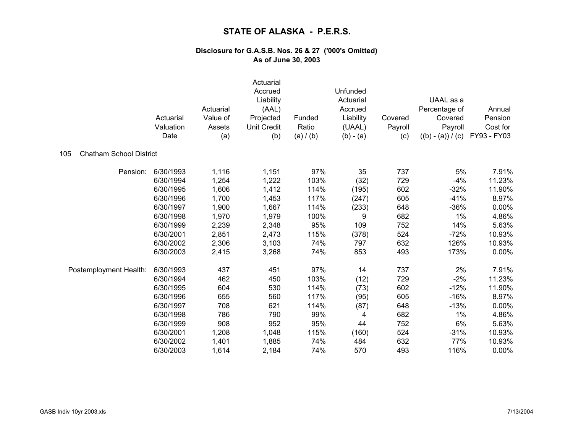|                                       | Actuarial<br>Valuation<br>Date | Actuarial<br>Value of<br>Assets<br>(a) | Actuarial<br>Accrued<br>Liability<br>(AAL)<br>Projected<br>Unit Credit<br>(b) | Funded<br>Ratio<br>(a) / (b) | Unfunded<br>Actuarial<br>Accrued<br>Liability<br>(UAAL)<br>$(b) - (a)$ | Covered<br>Payroll<br>(c) | UAAL as a<br>Percentage of<br>Covered<br>Payroll<br>$((b) - (a)) / (c)$ | Annual<br>Pension<br>Cost for<br>FY93 - FY03 |
|---------------------------------------|--------------------------------|----------------------------------------|-------------------------------------------------------------------------------|------------------------------|------------------------------------------------------------------------|---------------------------|-------------------------------------------------------------------------|----------------------------------------------|
| <b>Chatham School District</b><br>105 |                                |                                        |                                                                               |                              |                                                                        |                           |                                                                         |                                              |
| Pension:                              | 6/30/1993                      | 1,116                                  | 1,151                                                                         | 97%                          | 35                                                                     | 737                       | 5%                                                                      | 7.91%                                        |
|                                       | 6/30/1994                      | 1,254                                  | 1,222                                                                         | 103%                         | (32)                                                                   | 729                       | $-4%$                                                                   | 11.23%                                       |
|                                       | 6/30/1995                      | 1,606                                  | 1,412                                                                         | 114%                         | (195)                                                                  | 602                       | $-32%$                                                                  | 11.90%                                       |
|                                       | 6/30/1996                      | 1,700                                  | 1,453                                                                         | 117%                         | (247)                                                                  | 605                       | $-41%$                                                                  | 8.97%                                        |
|                                       | 6/30/1997                      | 1,900                                  | 1,667                                                                         | 114%                         | (233)                                                                  | 648                       | $-36%$                                                                  | 0.00%                                        |
|                                       | 6/30/1998                      | 1,970                                  | 1,979                                                                         | 100%                         | 9                                                                      | 682                       | 1%                                                                      | 4.86%                                        |
|                                       | 6/30/1999                      | 2,239                                  | 2,348                                                                         | 95%                          | 109                                                                    | 752                       | 14%                                                                     | 5.63%                                        |
|                                       | 6/30/2001                      | 2,851                                  | 2,473                                                                         | 115%                         | (378)                                                                  | 524                       | $-72%$                                                                  | 10.93%                                       |
|                                       | 6/30/2002                      | 2,306                                  | 3,103                                                                         | 74%                          | 797                                                                    | 632                       | 126%                                                                    | 10.93%                                       |
|                                       | 6/30/2003                      | 2,415                                  | 3,268                                                                         | 74%                          | 853                                                                    | 493                       | 173%                                                                    | 0.00%                                        |
| Postemployment Health:                | 6/30/1993                      | 437                                    | 451                                                                           | 97%                          | 14                                                                     | 737                       | 2%                                                                      | 7.91%                                        |
|                                       | 6/30/1994                      | 462                                    | 450                                                                           | 103%                         | (12)                                                                   | 729                       | $-2%$                                                                   | 11.23%                                       |
|                                       | 6/30/1995                      | 604                                    | 530                                                                           | 114%                         | (73)                                                                   | 602                       | $-12%$                                                                  | 11.90%                                       |
|                                       | 6/30/1996                      | 655                                    | 560                                                                           | 117%                         | (95)                                                                   | 605                       | $-16%$                                                                  | 8.97%                                        |
|                                       | 6/30/1997                      | 708                                    | 621                                                                           | 114%                         | (87)                                                                   | 648                       | $-13%$                                                                  | 0.00%                                        |
|                                       | 6/30/1998                      | 786                                    | 790                                                                           | 99%                          | 4                                                                      | 682                       | 1%                                                                      | 4.86%                                        |
|                                       | 6/30/1999                      | 908                                    | 952                                                                           | 95%                          | 44                                                                     | 752                       | 6%                                                                      | 5.63%                                        |
|                                       | 6/30/2001                      | 1,208                                  | 1,048                                                                         | 115%                         | (160)                                                                  | 524                       | $-31%$                                                                  | 10.93%                                       |
|                                       | 6/30/2002                      | 1,401                                  | 1,885                                                                         | 74%                          | 484                                                                    | 632                       | 77%                                                                     | 10.93%                                       |
|                                       | 6/30/2003                      | 1,614                                  | 2,184                                                                         | 74%                          | 570                                                                    | 493                       | 116%                                                                    | 0.00%                                        |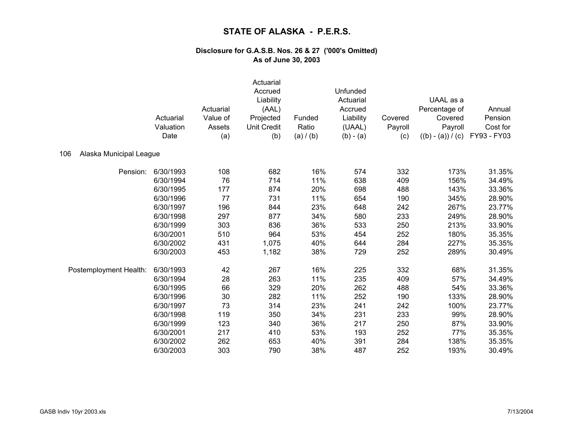|                                | Actuarial<br>Valuation<br>Date | Actuarial<br>Value of<br>Assets<br>(a) | Actuarial<br>Accrued<br>Liability<br>(AAL)<br>Projected<br><b>Unit Credit</b><br>(b) | Funded<br>Ratio<br>(a) / (b) | Unfunded<br>Actuarial<br>Accrued<br>Liability<br>(UAAL)<br>$(b) - (a)$ | Covered<br>Payroll<br>(c) | UAAL as a<br>Percentage of<br>Covered<br>Payroll<br>$((b) - (a)) / (c)$ | Annual<br>Pension<br>Cost for<br>FY93 - FY03 |
|--------------------------------|--------------------------------|----------------------------------------|--------------------------------------------------------------------------------------|------------------------------|------------------------------------------------------------------------|---------------------------|-------------------------------------------------------------------------|----------------------------------------------|
| 106<br>Alaska Municipal League |                                |                                        |                                                                                      |                              |                                                                        |                           |                                                                         |                                              |
| Pension:                       | 6/30/1993                      | 108                                    | 682                                                                                  | 16%                          | 574                                                                    | 332                       | 173%                                                                    | 31.35%                                       |
|                                | 6/30/1994                      | 76                                     | 714                                                                                  | 11%                          | 638                                                                    | 409                       | 156%                                                                    | 34.49%                                       |
|                                | 6/30/1995                      | 177                                    | 874                                                                                  | 20%                          | 698                                                                    | 488                       | 143%                                                                    | 33.36%                                       |
|                                | 6/30/1996                      | 77                                     | 731                                                                                  | 11%                          | 654                                                                    | 190                       | 345%                                                                    | 28.90%                                       |
|                                | 6/30/1997                      | 196                                    | 844                                                                                  | 23%                          | 648                                                                    | 242                       | 267%                                                                    | 23.77%                                       |
|                                | 6/30/1998                      | 297                                    | 877                                                                                  | 34%                          | 580                                                                    | 233                       | 249%                                                                    | 28.90%                                       |
|                                | 6/30/1999                      | 303                                    | 836                                                                                  | 36%                          | 533                                                                    | 250                       | 213%                                                                    | 33.90%                                       |
|                                | 6/30/2001                      | 510                                    | 964                                                                                  | 53%                          | 454                                                                    | 252                       | 180%                                                                    | 35.35%                                       |
|                                | 6/30/2002                      | 431                                    | 1,075                                                                                | 40%                          | 644                                                                    | 284                       | 227%                                                                    | 35.35%                                       |
|                                | 6/30/2003                      | 453                                    | 1,182                                                                                | 38%                          | 729                                                                    | 252                       | 289%                                                                    | 30.49%                                       |
| Postemployment Health:         | 6/30/1993                      | 42                                     | 267                                                                                  | 16%                          | 225                                                                    | 332                       | 68%                                                                     | 31.35%                                       |
|                                | 6/30/1994                      | 28                                     | 263                                                                                  | 11%                          | 235                                                                    | 409                       | 57%                                                                     | 34.49%                                       |
|                                | 6/30/1995                      | 66                                     | 329                                                                                  | 20%                          | 262                                                                    | 488                       | 54%                                                                     | 33.36%                                       |
|                                | 6/30/1996                      | 30                                     | 282                                                                                  | 11%                          | 252                                                                    | 190                       | 133%                                                                    | 28.90%                                       |
|                                | 6/30/1997                      | 73                                     | 314                                                                                  | 23%                          | 241                                                                    | 242                       | 100%                                                                    | 23.77%                                       |
|                                | 6/30/1998                      | 119                                    | 350                                                                                  | 34%                          | 231                                                                    | 233                       | 99%                                                                     | 28.90%                                       |
|                                | 6/30/1999                      | 123                                    | 340                                                                                  | 36%                          | 217                                                                    | 250                       | 87%                                                                     | 33.90%                                       |
|                                | 6/30/2001                      | 217                                    | 410                                                                                  | 53%                          | 193                                                                    | 252                       | 77%                                                                     | 35.35%                                       |
|                                | 6/30/2002                      | 262                                    | 653                                                                                  | 40%                          | 391                                                                    | 284                       | 138%                                                                    | 35.35%                                       |
|                                | 6/30/2003                      | 303                                    | 790                                                                                  | 38%                          | 487                                                                    | 252                       | 193%                                                                    | 30.49%                                       |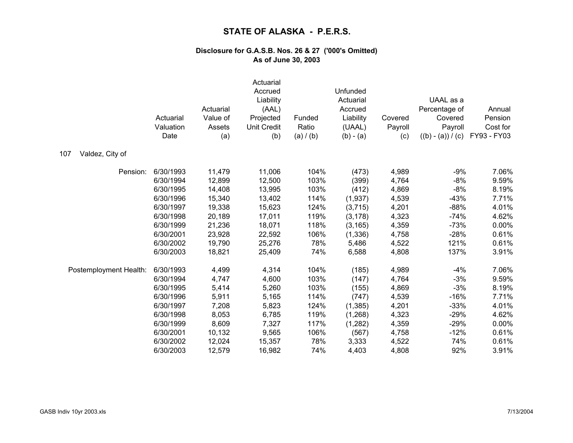|                        | Actuarial<br>Valuation<br>Date | Actuarial<br>Value of<br>Assets<br>(a) | Actuarial<br>Accrued<br>Liability<br>(AAL)<br>Projected<br><b>Unit Credit</b><br>(b) | Funded<br>Ratio<br>(a) / (b) | Unfunded<br>Actuarial<br>Accrued<br>Liability<br>(UAAL)<br>$(b) - (a)$ | Covered<br>Payroll<br>(c) | UAAL as a<br>Percentage of<br>Covered<br>Payroll<br>$((b) - (a)) / (c)$ | Annual<br>Pension<br>Cost for<br>FY93 - FY03 |
|------------------------|--------------------------------|----------------------------------------|--------------------------------------------------------------------------------------|------------------------------|------------------------------------------------------------------------|---------------------------|-------------------------------------------------------------------------|----------------------------------------------|
| Valdez, City of<br>107 |                                |                                        |                                                                                      |                              |                                                                        |                           |                                                                         |                                              |
| Pension:               | 6/30/1993                      | 11,479                                 | 11,006                                                                               | 104%                         | (473)                                                                  | 4,989                     | $-9%$                                                                   | 7.06%                                        |
|                        | 6/30/1994                      | 12,899                                 | 12,500                                                                               | 103%                         | (399)                                                                  | 4,764                     | $-8%$                                                                   | 9.59%                                        |
|                        | 6/30/1995                      | 14,408                                 | 13,995                                                                               | 103%                         | (412)                                                                  | 4,869                     | $-8%$                                                                   | 8.19%                                        |
|                        | 6/30/1996                      | 15,340                                 | 13,402                                                                               | 114%                         | (1,937)                                                                | 4,539                     | $-43%$                                                                  | 7.71%                                        |
|                        | 6/30/1997                      | 19,338                                 | 15,623                                                                               | 124%                         | (3,715)                                                                | 4,201                     | $-88%$                                                                  | 4.01%                                        |
|                        | 6/30/1998                      | 20,189                                 | 17,011                                                                               | 119%                         | (3, 178)                                                               | 4,323                     | $-74%$                                                                  | 4.62%                                        |
|                        | 6/30/1999                      | 21,236                                 | 18,071                                                                               | 118%                         | (3, 165)                                                               | 4,359                     | $-73%$                                                                  | 0.00%                                        |
|                        | 6/30/2001                      | 23,928                                 | 22,592                                                                               | 106%                         | (1, 336)                                                               | 4,758                     | $-28%$                                                                  | 0.61%                                        |
|                        | 6/30/2002                      | 19,790                                 | 25,276                                                                               | 78%                          | 5,486                                                                  | 4,522                     | 121%                                                                    | 0.61%                                        |
|                        | 6/30/2003                      | 18,821                                 | 25,409                                                                               | 74%                          | 6,588                                                                  | 4,808                     | 137%                                                                    | 3.91%                                        |
| Postemployment Health: | 6/30/1993                      | 4,499                                  | 4,314                                                                                | 104%                         | (185)                                                                  | 4,989                     | $-4%$                                                                   | 7.06%                                        |
|                        | 6/30/1994                      | 4,747                                  | 4,600                                                                                | 103%                         | (147)                                                                  | 4,764                     | $-3%$                                                                   | 9.59%                                        |
|                        | 6/30/1995                      | 5,414                                  | 5,260                                                                                | 103%                         | (155)                                                                  | 4,869                     | $-3%$                                                                   | 8.19%                                        |
|                        | 6/30/1996                      | 5,911                                  | 5,165                                                                                | 114%                         | (747)                                                                  | 4,539                     | $-16%$                                                                  | 7.71%                                        |
|                        | 6/30/1997                      | 7,208                                  | 5,823                                                                                | 124%                         | (1, 385)                                                               | 4,201                     | $-33%$                                                                  | 4.01%                                        |
|                        | 6/30/1998                      | 8,053                                  | 6,785                                                                                | 119%                         | (1, 268)                                                               | 4,323                     | $-29%$                                                                  | 4.62%                                        |
|                        | 6/30/1999                      | 8,609                                  | 7,327                                                                                | 117%                         | (1,282)                                                                | 4,359                     | $-29%$                                                                  | 0.00%                                        |
|                        | 6/30/2001                      | 10,132                                 | 9,565                                                                                | 106%                         | (567)                                                                  | 4,758                     | $-12%$                                                                  | 0.61%                                        |
|                        | 6/30/2002                      | 12,024                                 | 15,357                                                                               | 78%                          | 3,333                                                                  | 4,522                     | 74%                                                                     | 0.61%                                        |
|                        | 6/30/2003                      | 12,579                                 | 16,982                                                                               | 74%                          | 4,403                                                                  | 4,808                     | 92%                                                                     | 3.91%                                        |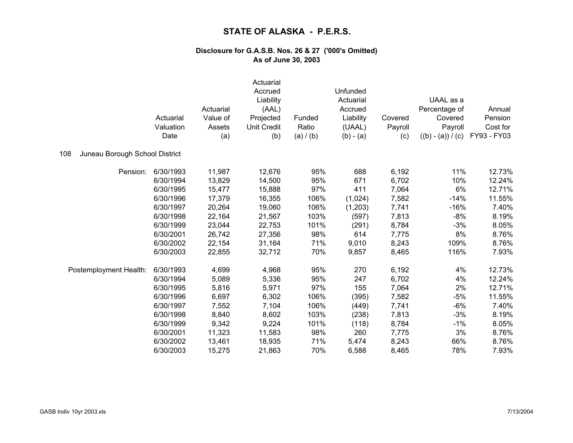|                                       | Actuarial<br>Valuation<br>Date | Actuarial<br>Value of<br>Assets<br>(a) | Actuarial<br>Accrued<br>Liability<br>(AAL)<br>Projected<br>Unit Credit<br>(b) | Funded<br>Ratio<br>(a) / (b) | Unfunded<br>Actuarial<br>Accrued<br>Liability<br>(UAAL)<br>$(b) - (a)$ | Covered<br>Payroll<br>(c) | UAAL as a<br>Percentage of<br>Covered<br>Payroll<br>$((b) - (a)) / (c)$ | Annual<br>Pension<br>Cost for<br>FY93 - FY03 |
|---------------------------------------|--------------------------------|----------------------------------------|-------------------------------------------------------------------------------|------------------------------|------------------------------------------------------------------------|---------------------------|-------------------------------------------------------------------------|----------------------------------------------|
| Juneau Borough School District<br>108 |                                |                                        |                                                                               |                              |                                                                        |                           |                                                                         |                                              |
| Pension:                              | 6/30/1993                      | 11,987                                 | 12,676                                                                        | 95%                          | 688                                                                    | 6,192                     | 11%                                                                     | 12.73%                                       |
|                                       | 6/30/1994                      | 13,829                                 | 14,500                                                                        | 95%                          | 671                                                                    | 6,702                     | 10%                                                                     | 12.24%                                       |
|                                       | 6/30/1995                      | 15,477                                 | 15,888                                                                        | 97%                          | 411                                                                    | 7,064                     | 6%                                                                      | 12.71%                                       |
|                                       | 6/30/1996                      | 17,379                                 | 16,355                                                                        | 106%                         | (1,024)                                                                | 7,582                     | $-14%$                                                                  | 11.55%                                       |
|                                       | 6/30/1997                      | 20,264                                 | 19,060                                                                        | 106%                         | (1,203)                                                                | 7,741                     | $-16%$                                                                  | 7.40%                                        |
|                                       | 6/30/1998                      | 22,164                                 | 21,567                                                                        | 103%                         | (597)                                                                  | 7,813                     | $-8%$                                                                   | 8.19%                                        |
|                                       | 6/30/1999                      | 23,044                                 | 22,753                                                                        | 101%                         | (291)                                                                  | 8,784                     | $-3%$                                                                   | 8.05%                                        |
|                                       | 6/30/2001                      | 26,742                                 | 27,356                                                                        | 98%                          | 614                                                                    | 7,775                     | 8%                                                                      | 8.76%                                        |
|                                       | 6/30/2002                      | 22,154                                 | 31,164                                                                        | 71%                          | 9,010                                                                  | 8,243                     | 109%                                                                    | 8.76%                                        |
|                                       | 6/30/2003                      | 22,855                                 | 32,712                                                                        | 70%                          | 9,857                                                                  | 8,465                     | 116%                                                                    | 7.93%                                        |
| Postemployment Health:                | 6/30/1993                      | 4,699                                  | 4,968                                                                         | 95%                          | 270                                                                    | 6,192                     | 4%                                                                      | 12.73%                                       |
|                                       | 6/30/1994                      | 5,089                                  | 5,336                                                                         | 95%                          | 247                                                                    | 6,702                     | 4%                                                                      | 12.24%                                       |
|                                       | 6/30/1995                      | 5,816                                  | 5,971                                                                         | 97%                          | 155                                                                    | 7,064                     | 2%                                                                      | 12.71%                                       |
|                                       | 6/30/1996                      | 6,697                                  | 6,302                                                                         | 106%                         | (395)                                                                  | 7,582                     | $-5%$                                                                   | 11.55%                                       |
|                                       | 6/30/1997                      | 7,552                                  | 7,104                                                                         | 106%                         | (449)                                                                  | 7,741                     | $-6%$                                                                   | 7.40%                                        |
|                                       | 6/30/1998                      | 8,840                                  | 8,602                                                                         | 103%                         | (238)                                                                  | 7,813                     | $-3%$                                                                   | 8.19%                                        |
|                                       | 6/30/1999                      | 9,342                                  | 9,224                                                                         | 101%                         | (118)                                                                  | 8,784                     | $-1%$                                                                   | 8.05%                                        |
|                                       | 6/30/2001                      | 11,323                                 | 11,583                                                                        | 98%                          | 260                                                                    | 7,775                     | 3%                                                                      | 8.76%                                        |
|                                       | 6/30/2002                      | 13,461                                 | 18,935                                                                        | 71%                          | 5,474                                                                  | 8,243                     | 66%                                                                     | 8.76%                                        |
|                                       | 6/30/2003                      | 15,275                                 | 21,863                                                                        | 70%                          | 6,588                                                                  | 8,465                     | 78%                                                                     | 7.93%                                        |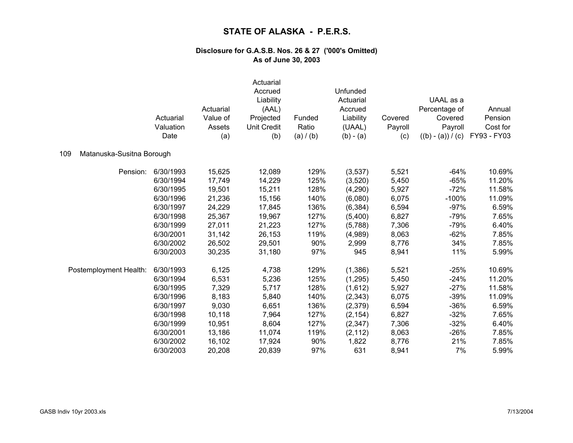|                                  | Actuarial<br>Valuation | Actuarial<br>Value of<br>Assets | Actuarial<br>Accrued<br>Liability<br>(AAL)<br>Projected<br><b>Unit Credit</b> | Funded<br>Ratio | Unfunded<br>Actuarial<br>Accrued<br>Liability<br>(UAAL) | Covered<br>Payroll | UAAL as a<br>Percentage of<br>Covered<br>Payroll | Annual<br>Pension<br>Cost for |
|----------------------------------|------------------------|---------------------------------|-------------------------------------------------------------------------------|-----------------|---------------------------------------------------------|--------------------|--------------------------------------------------|-------------------------------|
|                                  | Date                   | (a)                             | (b)                                                                           | (a) / (b)       | $(b) - (a)$                                             | (c)                | $((b) - (a)) / (c)$                              | FY93 - FY03                   |
| 109<br>Matanuska-Susitna Borough |                        |                                 |                                                                               |                 |                                                         |                    |                                                  |                               |
| Pension:                         | 6/30/1993              | 15,625                          | 12,089                                                                        | 129%            | (3,537)                                                 | 5,521              | $-64%$                                           | 10.69%                        |
|                                  | 6/30/1994              | 17,749                          | 14,229                                                                        | 125%            | (3,520)                                                 | 5,450              | $-65%$                                           | 11.20%                        |
|                                  | 6/30/1995              | 19,501                          | 15,211                                                                        | 128%            | (4,290)                                                 | 5,927              | $-72%$                                           | 11.58%                        |
|                                  | 6/30/1996              | 21,236                          | 15,156                                                                        | 140%            | (6,080)                                                 | 6,075              | $-100%$                                          | 11.09%                        |
|                                  | 6/30/1997              | 24,229                          | 17,845                                                                        | 136%            | (6, 384)                                                | 6,594              | $-97%$                                           | 6.59%                         |
|                                  | 6/30/1998              | 25,367                          | 19,967                                                                        | 127%            | (5,400)                                                 | 6,827              | $-79%$                                           | 7.65%                         |
|                                  | 6/30/1999              | 27,011                          | 21,223                                                                        | 127%            | (5,788)                                                 | 7,306              | $-79%$                                           | 6.40%                         |
|                                  | 6/30/2001              | 31,142                          | 26,153                                                                        | 119%            | (4,989)                                                 | 8,063              | $-62%$                                           | 7.85%                         |
|                                  | 6/30/2002              | 26,502                          | 29,501                                                                        | 90%             | 2,999                                                   | 8,776              | 34%                                              | 7.85%                         |
|                                  | 6/30/2003              | 30,235                          | 31,180                                                                        | 97%             | 945                                                     | 8,941              | 11%                                              | 5.99%                         |
| Postemployment Health:           | 6/30/1993              | 6,125                           | 4,738                                                                         | 129%            | (1, 386)                                                | 5,521              | $-25%$                                           | 10.69%                        |
|                                  | 6/30/1994              | 6,531                           | 5,236                                                                         | 125%            | (1,295)                                                 | 5,450              | $-24%$                                           | 11.20%                        |
|                                  | 6/30/1995              | 7,329                           | 5,717                                                                         | 128%            | (1,612)                                                 | 5,927              | $-27%$                                           | 11.58%                        |
|                                  | 6/30/1996              | 8,183                           | 5,840                                                                         | 140%            | (2, 343)                                                | 6,075              | $-39%$                                           | 11.09%                        |
|                                  | 6/30/1997              | 9,030                           | 6,651                                                                         | 136%            | (2,379)                                                 | 6,594              | $-36%$                                           | 6.59%                         |
|                                  | 6/30/1998              | 10,118                          | 7,964                                                                         | 127%            | (2, 154)                                                | 6,827              | $-32%$                                           | 7.65%                         |
|                                  | 6/30/1999              | 10,951                          | 8,604                                                                         | 127%            | (2, 347)                                                | 7,306              | $-32%$                                           | 6.40%                         |
|                                  | 6/30/2001              | 13,186                          | 11,074                                                                        | 119%            | (2, 112)                                                | 8,063              | $-26%$                                           | 7.85%                         |
|                                  | 6/30/2002              | 16,102                          | 17,924                                                                        | 90%             | 1,822                                                   | 8,776              | 21%                                              | 7.85%                         |
|                                  | 6/30/2003              | 20,208                          | 20,839                                                                        | 97%             | 631                                                     | 8,941              | 7%                                               | 5.99%                         |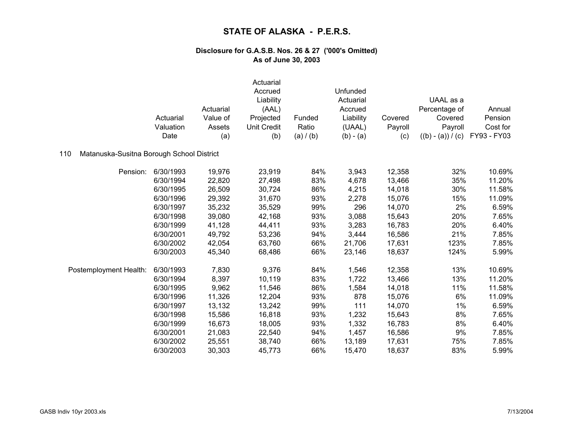|                                                  | Actuarial<br>Valuation<br>Date | Actuarial<br>Value of<br>Assets<br>(a) | Actuarial<br>Accrued<br>Liability<br>(AAL)<br>Projected<br><b>Unit Credit</b><br>(b) | Funded<br>Ratio<br>(a) / (b) | Unfunded<br>Actuarial<br>Accrued<br>Liability<br>(UAAL)<br>$(b) - (a)$ | Covered<br>Payroll<br>(c) | UAAL as a<br>Percentage of<br>Covered<br>Payroll<br>$((b) - (a)) / (c)$ | Annual<br>Pension<br>Cost for<br>FY93 - FY03 |
|--------------------------------------------------|--------------------------------|----------------------------------------|--------------------------------------------------------------------------------------|------------------------------|------------------------------------------------------------------------|---------------------------|-------------------------------------------------------------------------|----------------------------------------------|
| Matanuska-Susitna Borough School District<br>110 |                                |                                        |                                                                                      |                              |                                                                        |                           |                                                                         |                                              |
| Pension:                                         | 6/30/1993                      | 19,976                                 | 23,919                                                                               | 84%                          | 3,943                                                                  | 12,358                    | 32%                                                                     | 10.69%                                       |
|                                                  | 6/30/1994                      | 22,820                                 | 27,498                                                                               | 83%                          | 4,678                                                                  | 13,466                    | 35%                                                                     | 11.20%                                       |
|                                                  | 6/30/1995                      | 26,509                                 | 30,724                                                                               | 86%                          | 4,215                                                                  | 14,018                    | 30%                                                                     | 11.58%                                       |
|                                                  | 6/30/1996                      | 29,392                                 | 31,670                                                                               | 93%                          | 2,278                                                                  | 15,076                    | 15%                                                                     | 11.09%                                       |
|                                                  | 6/30/1997                      | 35,232                                 | 35,529                                                                               | 99%                          | 296                                                                    | 14,070                    | 2%                                                                      | 6.59%                                        |
|                                                  | 6/30/1998                      | 39,080                                 | 42,168                                                                               | 93%                          | 3,088                                                                  | 15,643                    | 20%                                                                     | 7.65%                                        |
|                                                  | 6/30/1999                      | 41,128                                 | 44,411                                                                               | 93%                          | 3,283                                                                  | 16,783                    | 20%                                                                     | 6.40%                                        |
|                                                  | 6/30/2001                      | 49,792                                 | 53,236                                                                               | 94%                          | 3,444                                                                  | 16,586                    | 21%                                                                     | 7.85%                                        |
|                                                  | 6/30/2002                      | 42,054                                 | 63,760                                                                               | 66%                          | 21,706                                                                 | 17,631                    | 123%                                                                    | 7.85%                                        |
|                                                  | 6/30/2003                      | 45,340                                 | 68,486                                                                               | 66%                          | 23,146                                                                 | 18,637                    | 124%                                                                    | 5.99%                                        |
| Postemployment Health:                           | 6/30/1993                      | 7,830                                  | 9,376                                                                                | 84%                          | 1,546                                                                  | 12,358                    | 13%                                                                     | 10.69%                                       |
|                                                  | 6/30/1994                      | 8,397                                  | 10,119                                                                               | 83%                          | 1,722                                                                  | 13,466                    | 13%                                                                     | 11.20%                                       |
|                                                  | 6/30/1995                      | 9,962                                  | 11,546                                                                               | 86%                          | 1,584                                                                  | 14,018                    | 11%                                                                     | 11.58%                                       |
|                                                  | 6/30/1996                      | 11,326                                 | 12,204                                                                               | 93%                          | 878                                                                    | 15,076                    | 6%                                                                      | 11.09%                                       |
|                                                  | 6/30/1997                      | 13,132                                 | 13,242                                                                               | 99%                          | 111                                                                    | 14,070                    | $1\%$                                                                   | 6.59%                                        |
|                                                  | 6/30/1998                      | 15,586                                 | 16,818                                                                               | 93%                          | 1,232                                                                  | 15,643                    | 8%                                                                      | 7.65%                                        |
|                                                  | 6/30/1999                      | 16,673                                 | 18,005                                                                               | 93%                          | 1,332                                                                  | 16,783                    | 8%                                                                      | 6.40%                                        |
|                                                  | 6/30/2001                      | 21,083                                 | 22,540                                                                               | 94%                          | 1,457                                                                  | 16,586                    | 9%                                                                      | 7.85%                                        |
|                                                  | 6/30/2002                      | 25,551                                 | 38,740                                                                               | 66%                          | 13,189                                                                 | 17,631                    | 75%                                                                     | 7.85%                                        |
|                                                  | 6/30/2003                      | 30,303                                 | 45,773                                                                               | 66%                          | 15,470                                                                 | 18,637                    | 83%                                                                     | 5.99%                                        |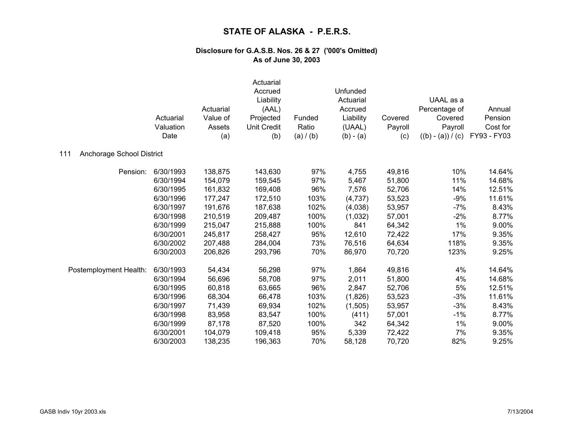|                                  | Actuarial<br>Valuation<br>Date | Actuarial<br>Value of<br>Assets<br>(a) | Actuarial<br>Accrued<br>Liability<br>(AAL)<br>Projected<br><b>Unit Credit</b><br>(b) | Funded<br>Ratio<br>(a) / (b) | Unfunded<br>Actuarial<br>Accrued<br>Liability<br>(UAAL)<br>$(b) - (a)$ | Covered<br>Payroll<br>(c) | UAAL as a<br>Percentage of<br>Covered<br>Payroll<br>$((b) - (a)) / (c)$ | Annual<br>Pension<br>Cost for<br>FY93 - FY03 |
|----------------------------------|--------------------------------|----------------------------------------|--------------------------------------------------------------------------------------|------------------------------|------------------------------------------------------------------------|---------------------------|-------------------------------------------------------------------------|----------------------------------------------|
| 111<br>Anchorage School District |                                |                                        |                                                                                      |                              |                                                                        |                           |                                                                         |                                              |
| Pension:                         | 6/30/1993                      | 138,875                                | 143,630                                                                              | 97%                          | 4,755                                                                  | 49,816                    | 10%                                                                     | 14.64%                                       |
|                                  | 6/30/1994                      | 154,079                                | 159,545                                                                              | 97%                          | 5,467                                                                  | 51,800                    | 11%                                                                     | 14.68%                                       |
|                                  | 6/30/1995                      | 161,832                                | 169,408                                                                              | 96%                          | 7,576                                                                  | 52,706                    | 14%                                                                     | 12.51%                                       |
|                                  | 6/30/1996                      | 177,247                                | 172,510                                                                              | 103%                         | (4,737)                                                                | 53,523                    | $-9%$                                                                   | 11.61%                                       |
|                                  | 6/30/1997                      | 191,676                                | 187,638                                                                              | 102%                         | (4,038)                                                                | 53,957                    | $-7%$                                                                   | 8.43%                                        |
|                                  | 6/30/1998                      | 210,519                                | 209,487                                                                              | 100%                         | (1,032)                                                                | 57,001                    | $-2%$                                                                   | 8.77%                                        |
|                                  | 6/30/1999                      | 215,047                                | 215,888                                                                              | 100%                         | 841                                                                    | 64,342                    | 1%                                                                      | 9.00%                                        |
|                                  | 6/30/2001                      | 245,817                                | 258,427                                                                              | 95%                          | 12,610                                                                 | 72,422                    | 17%                                                                     | 9.35%                                        |
|                                  | 6/30/2002                      | 207,488                                | 284,004                                                                              | 73%                          | 76,516                                                                 | 64,634                    | 118%                                                                    | 9.35%                                        |
|                                  | 6/30/2003                      | 206,826                                | 293,796                                                                              | 70%                          | 86,970                                                                 | 70,720                    | 123%                                                                    | 9.25%                                        |
| Postemployment Health:           | 6/30/1993                      | 54,434                                 | 56,298                                                                               | 97%                          | 1,864                                                                  | 49,816                    | 4%                                                                      | 14.64%                                       |
|                                  | 6/30/1994                      | 56,696                                 | 58,708                                                                               | 97%                          | 2,011                                                                  | 51,800                    | 4%                                                                      | 14.68%                                       |
|                                  | 6/30/1995                      | 60,818                                 | 63,665                                                                               | 96%                          | 2,847                                                                  | 52,706                    | 5%                                                                      | 12.51%                                       |
|                                  | 6/30/1996                      | 68,304                                 | 66,478                                                                               | 103%                         | (1,826)                                                                | 53,523                    | $-3%$                                                                   | 11.61%                                       |
|                                  | 6/30/1997                      | 71,439                                 | 69,934                                                                               | 102%                         | (1,505)                                                                | 53,957                    | $-3%$                                                                   | 8.43%                                        |
|                                  | 6/30/1998                      | 83,958                                 | 83,547                                                                               | 100%                         | (411)                                                                  | 57,001                    | $-1%$                                                                   | 8.77%                                        |
|                                  | 6/30/1999                      | 87,178                                 | 87,520                                                                               | 100%                         | 342                                                                    | 64,342                    | 1%                                                                      | 9.00%                                        |
|                                  | 6/30/2001                      | 104,079                                | 109,418                                                                              | 95%                          | 5,339                                                                  | 72,422                    | 7%                                                                      | 9.35%                                        |
|                                  | 6/30/2003                      | 138,235                                | 196,363                                                                              | 70%                          | 58,128                                                                 | 70,720                    | 82%                                                                     | 9.25%                                        |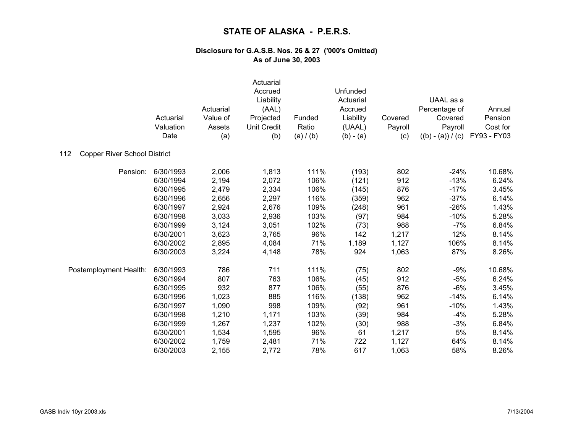|                                            | Actuarial<br>Valuation<br>Date | Actuarial<br>Value of<br>Assets<br>(a) | Actuarial<br>Accrued<br>Liability<br>(AAL)<br>Projected<br><b>Unit Credit</b><br>(b) | Funded<br>Ratio<br>(a) / (b) | Unfunded<br>Actuarial<br>Accrued<br>Liability<br>(UAAL)<br>$(b) - (a)$ | Covered<br>Payroll<br>(c) | UAAL as a<br>Percentage of<br>Covered<br>Payroll<br>$((b) - (a)) / (c)$ | Annual<br>Pension<br>Cost for<br>FY93 - FY03 |
|--------------------------------------------|--------------------------------|----------------------------------------|--------------------------------------------------------------------------------------|------------------------------|------------------------------------------------------------------------|---------------------------|-------------------------------------------------------------------------|----------------------------------------------|
| <b>Copper River School District</b><br>112 |                                |                                        |                                                                                      |                              |                                                                        |                           |                                                                         |                                              |
| Pension:                                   | 6/30/1993                      | 2,006                                  | 1,813                                                                                | 111%                         | (193)                                                                  | 802                       | $-24%$                                                                  | 10.68%                                       |
|                                            | 6/30/1994                      | 2,194                                  | 2,072                                                                                | 106%                         | (121)                                                                  | 912                       | $-13%$                                                                  | 6.24%                                        |
|                                            | 6/30/1995                      | 2,479                                  | 2,334                                                                                | 106%                         | (145)                                                                  | 876                       | $-17%$                                                                  | 3.45%                                        |
|                                            | 6/30/1996                      | 2,656                                  | 2,297                                                                                | 116%                         | (359)                                                                  | 962                       | $-37%$                                                                  | 6.14%                                        |
|                                            | 6/30/1997                      | 2,924                                  | 2,676                                                                                | 109%                         | (248)                                                                  | 961                       | $-26%$                                                                  | 1.43%                                        |
|                                            | 6/30/1998                      | 3,033                                  | 2,936                                                                                | 103%                         | (97)                                                                   | 984                       | $-10%$                                                                  | 5.28%                                        |
|                                            | 6/30/1999                      | 3,124                                  | 3,051                                                                                | 102%                         | (73)                                                                   | 988                       | $-7%$                                                                   | 6.84%                                        |
|                                            | 6/30/2001                      | 3,623                                  | 3,765                                                                                | 96%                          | 142                                                                    | 1,217                     | 12%                                                                     | 8.14%                                        |
|                                            | 6/30/2002                      | 2,895                                  | 4,084                                                                                | 71%                          | 1,189                                                                  | 1,127                     | 106%                                                                    | 8.14%                                        |
|                                            | 6/30/2003                      | 3,224                                  | 4,148                                                                                | 78%                          | 924                                                                    | 1,063                     | 87%                                                                     | 8.26%                                        |
| Postemployment Health:                     | 6/30/1993                      | 786                                    | 711                                                                                  | 111%                         | (75)                                                                   | 802                       | $-9%$                                                                   | 10.68%                                       |
|                                            | 6/30/1994                      | 807                                    | 763                                                                                  | 106%                         | (45)                                                                   | 912                       | $-5%$                                                                   | 6.24%                                        |
|                                            | 6/30/1995                      | 932                                    | 877                                                                                  | 106%                         | (55)                                                                   | 876                       | $-6%$                                                                   | 3.45%                                        |
|                                            | 6/30/1996                      | 1,023                                  | 885                                                                                  | 116%                         | (138)                                                                  | 962                       | $-14%$                                                                  | 6.14%                                        |
|                                            | 6/30/1997                      | 1,090                                  | 998                                                                                  | 109%                         | (92)                                                                   | 961                       | $-10%$                                                                  | 1.43%                                        |
|                                            | 6/30/1998                      | 1,210                                  | 1,171                                                                                | 103%                         | (39)                                                                   | 984                       | $-4%$                                                                   | 5.28%                                        |
|                                            | 6/30/1999                      | 1,267                                  | 1,237                                                                                | 102%                         | (30)                                                                   | 988                       | $-3%$                                                                   | 6.84%                                        |
|                                            | 6/30/2001                      | 1,534                                  | 1,595                                                                                | 96%                          | 61                                                                     | 1,217                     | $5%$                                                                    | 8.14%                                        |
|                                            | 6/30/2002                      | 1,759                                  | 2,481                                                                                | 71%                          | 722                                                                    | 1,127                     | 64%                                                                     | 8.14%                                        |
|                                            | 6/30/2003                      | 2,155                                  | 2,772                                                                                | 78%                          | 617                                                                    | 1,063                     | 58%                                                                     | 8.26%                                        |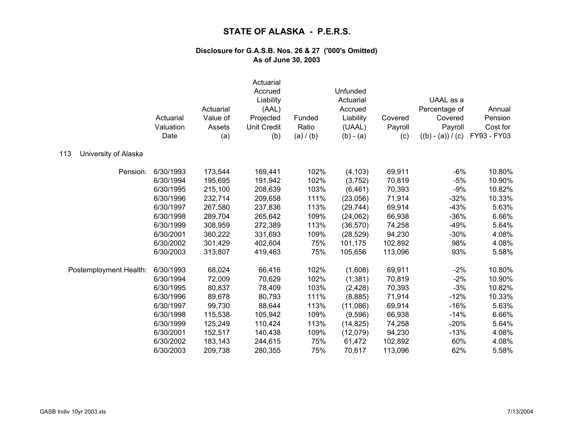|                             | Actuarial<br>Valuation<br>Date | Actuarial<br>Value of<br>Assets<br>(a) | Actuarial<br>Accrued<br>Liability<br>(AAL)<br>Projected<br><b>Unit Credit</b><br>(b) | Funded<br>Ratio<br>(a) / (b) | Unfunded<br>Actuarial<br>Accrued<br>Liability<br>(UAAL)<br>$(b) - (a)$ | Covered<br>Payroll<br>(c) | UAAL as a<br>Percentage of<br>Covered<br>Payroll<br>$((b) - (a)) / (c)$ | Annual<br>Pension<br>Cost for<br>FY93 - FY03 |
|-----------------------------|--------------------------------|----------------------------------------|--------------------------------------------------------------------------------------|------------------------------|------------------------------------------------------------------------|---------------------------|-------------------------------------------------------------------------|----------------------------------------------|
| 113<br>University of Alaska |                                |                                        |                                                                                      |                              |                                                                        |                           |                                                                         |                                              |
| Pension:                    | 6/30/1993                      | 173,544                                | 169,441                                                                              | 102%                         | (4, 103)                                                               | 69,911                    | $-6%$                                                                   | 10.80%                                       |
|                             | 6/30/1994                      | 195,695                                | 191,942                                                                              | 102%                         | (3,752)                                                                | 70,819                    | $-5%$                                                                   | 10.90%                                       |
|                             | 6/30/1995                      | 215,100                                | 208,639                                                                              | 103%                         | (6, 461)                                                               | 70,393                    | $-9%$                                                                   | 10.82%                                       |
|                             | 6/30/1996                      | 232,714                                | 209,658                                                                              | 111%                         | (23,056)                                                               | 71,914                    | $-32%$                                                                  | 10.33%                                       |
|                             | 6/30/1997                      | 267,580                                | 237,836                                                                              | 113%                         | (29, 744)                                                              | 69,914                    | $-43%$                                                                  | 5.63%                                        |
|                             | 6/30/1998                      | 289,704                                | 265,642                                                                              | 109%                         | (24,062)                                                               | 66,938                    | $-36%$                                                                  | 6.66%                                        |
|                             | 6/30/1999                      | 308,959                                | 272,389                                                                              | 113%                         | (36, 570)                                                              | 74,258                    | $-49%$                                                                  | 5.64%                                        |
|                             | 6/30/2001                      | 360,222                                | 331,693                                                                              | 109%                         | (28, 529)                                                              | 94,230                    | $-30%$                                                                  | 4.08%                                        |
|                             | 6/30/2002                      | 301,429                                | 402,604                                                                              | 75%                          | 101,175                                                                | 102,892                   | 98%                                                                     | 4.08%                                        |
|                             | 6/30/2003                      | 313,807                                | 419,463                                                                              | 75%                          | 105,656                                                                | 113,096                   | 93%                                                                     | 5.58%                                        |
| Postemployment Health:      | 6/30/1993                      | 68,024                                 | 66,416                                                                               | 102%                         | (1,608)                                                                | 69,911                    | $-2%$                                                                   | 10.80%                                       |
|                             | 6/30/1994                      | 72,009                                 | 70,629                                                                               | 102%                         | (1, 381)                                                               | 70,819                    | $-2%$                                                                   | 10.90%                                       |
|                             | 6/30/1995                      | 80,837                                 | 78,409                                                                               | 103%                         | (2, 428)                                                               | 70,393                    | $-3%$                                                                   | 10.82%                                       |
|                             | 6/30/1996                      | 89,678                                 | 80,793                                                                               | 111%                         | (8,885)                                                                | 71,914                    | $-12%$                                                                  | 10.33%                                       |
|                             | 6/30/1997                      | 99,730                                 | 88,644                                                                               | 113%                         | (11,086)                                                               | 69,914                    | $-16%$                                                                  | 5.63%                                        |
|                             | 6/30/1998                      | 115,538                                | 105,942                                                                              | 109%                         | (9,596)                                                                | 66,938                    | $-14%$                                                                  | 6.66%                                        |
|                             | 6/30/1999                      | 125,249                                | 110,424                                                                              | 113%                         | (14, 825)                                                              | 74,258                    | $-20%$                                                                  | 5.64%                                        |
|                             | 6/30/2001                      | 152,517                                | 140,438                                                                              | 109%                         | (12,079)                                                               | 94,230                    | $-13%$                                                                  | 4.08%                                        |
|                             | 6/30/2002                      | 183,143                                | 244,615                                                                              | 75%                          | 61,472                                                                 | 102,892                   | 60%                                                                     | 4.08%                                        |
|                             | 6/30/2003                      | 209,738                                | 280,355                                                                              | 75%                          | 70,617                                                                 | 113,096                   | 62%                                                                     | 5.58%                                        |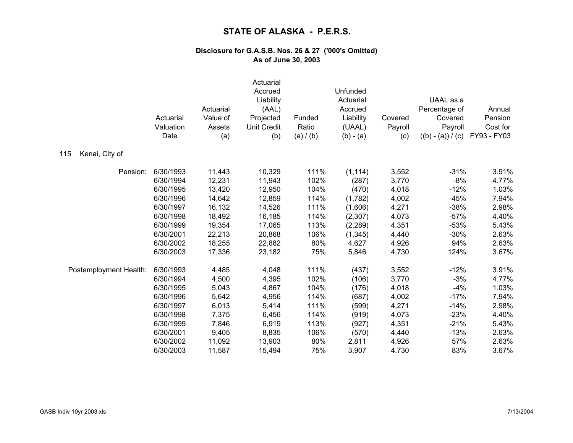|                        | Actuarial<br>Valuation<br>Date | Actuarial<br>Value of<br>Assets<br>(a) | Actuarial<br>Accrued<br>Liability<br>(AAL)<br>Projected<br><b>Unit Credit</b><br>(b) | Funded<br>Ratio<br>(a) / (b) | Unfunded<br>Actuarial<br>Accrued<br>Liability<br>(UAAL)<br>$(b) - (a)$ | Covered<br>Payroll<br>(c) | UAAL as a<br>Percentage of<br>Covered<br>Payroll<br>$((b) - (a)) / (c)$ | Annual<br>Pension<br>Cost for<br>FY93 - FY03 |
|------------------------|--------------------------------|----------------------------------------|--------------------------------------------------------------------------------------|------------------------------|------------------------------------------------------------------------|---------------------------|-------------------------------------------------------------------------|----------------------------------------------|
| Kenai, City of<br>115  |                                |                                        |                                                                                      |                              |                                                                        |                           |                                                                         |                                              |
| Pension:               | 6/30/1993                      | 11,443                                 | 10,329                                                                               | 111%                         | (1, 114)                                                               | 3,552                     | $-31%$                                                                  | 3.91%                                        |
|                        | 6/30/1994                      | 12,231                                 | 11,943                                                                               | 102%                         | (287)                                                                  | 3,770                     | $-8%$                                                                   | 4.77%                                        |
|                        | 6/30/1995                      | 13,420                                 | 12,950                                                                               | 104%                         | (470)                                                                  | 4,018                     | $-12%$                                                                  | 1.03%                                        |
|                        | 6/30/1996                      | 14,642                                 | 12,859                                                                               | 114%                         | (1,782)                                                                | 4,002                     | $-45%$                                                                  | 7.94%                                        |
|                        | 6/30/1997                      | 16,132                                 | 14,526                                                                               | 111%                         | (1,606)                                                                | 4,271                     | $-38%$                                                                  | 2.98%                                        |
|                        | 6/30/1998                      | 18,492                                 | 16,185                                                                               | 114%                         | (2,307)                                                                | 4,073                     | $-57%$                                                                  | 4.40%                                        |
|                        | 6/30/1999                      | 19,354                                 | 17,065                                                                               | 113%                         | (2, 289)                                                               | 4,351                     | $-53%$                                                                  | 5.43%                                        |
|                        | 6/30/2001                      | 22,213                                 | 20,868                                                                               | 106%                         | (1, 345)                                                               | 4,440                     | $-30%$                                                                  | 2.63%                                        |
|                        | 6/30/2002                      | 18,255                                 | 22,882                                                                               | 80%                          | 4,627                                                                  | 4,926                     | 94%                                                                     | 2.63%                                        |
|                        | 6/30/2003                      | 17,336                                 | 23,182                                                                               | 75%                          | 5,846                                                                  | 4,730                     | 124%                                                                    | 3.67%                                        |
| Postemployment Health: | 6/30/1993                      | 4,485                                  | 4,048                                                                                | 111%                         | (437)                                                                  | 3,552                     | $-12%$                                                                  | 3.91%                                        |
|                        | 6/30/1994                      | 4,500                                  | 4,395                                                                                | 102%                         | (106)                                                                  | 3,770                     | $-3%$                                                                   | 4.77%                                        |
|                        | 6/30/1995                      | 5,043                                  | 4,867                                                                                | 104%                         | (176)                                                                  | 4,018                     | $-4%$                                                                   | 1.03%                                        |
|                        | 6/30/1996                      | 5,642                                  | 4,956                                                                                | 114%                         | (687)                                                                  | 4,002                     | $-17%$                                                                  | 7.94%                                        |
|                        | 6/30/1997                      | 6,013                                  | 5,414                                                                                | 111%                         | (599)                                                                  | 4,271                     | $-14%$                                                                  | 2.98%                                        |
|                        | 6/30/1998                      | 7,375                                  | 6,456                                                                                | 114%                         | (919)                                                                  | 4,073                     | $-23%$                                                                  | 4.40%                                        |
|                        | 6/30/1999                      | 7,846                                  | 6,919                                                                                | 113%                         | (927)                                                                  | 4,351                     | $-21%$                                                                  | 5.43%                                        |
|                        | 6/30/2001                      | 9,405                                  | 8,835                                                                                | 106%                         | (570)                                                                  | 4,440                     | $-13%$                                                                  | 2.63%                                        |
|                        | 6/30/2002                      | 11,092                                 | 13,903                                                                               | 80%                          | 2,811                                                                  | 4,926                     | 57%                                                                     | 2.63%                                        |
|                        | 6/30/2003                      | 11,587                                 | 15,494                                                                               | 75%                          | 3,907                                                                  | 4,730                     | 83%                                                                     | 3.67%                                        |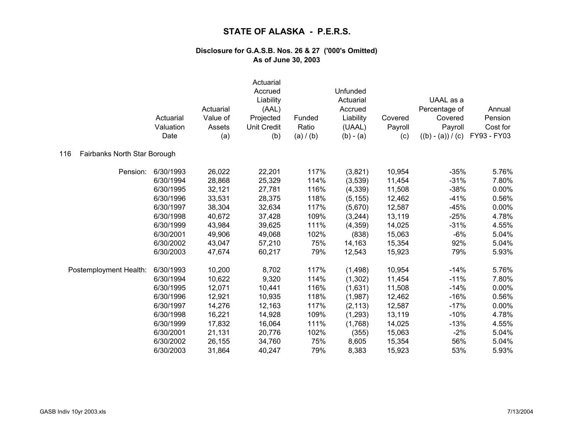|                                     | Actuarial<br>Valuation<br>Date | Actuarial<br>Value of<br>Assets<br>(a) | Actuarial<br>Accrued<br>Liability<br>(AAL)<br>Projected<br><b>Unit Credit</b><br>(b) | Funded<br>Ratio<br>(a) / (b) | Unfunded<br>Actuarial<br>Accrued<br>Liability<br>(UAAL)<br>$(b) - (a)$ | Covered<br>Payroll<br>(c) | UAAL as a<br>Percentage of<br>Covered<br>Payroll<br>$((b) - (a)) / (c)$ | Annual<br>Pension<br>Cost for<br>FY93 - FY03 |
|-------------------------------------|--------------------------------|----------------------------------------|--------------------------------------------------------------------------------------|------------------------------|------------------------------------------------------------------------|---------------------------|-------------------------------------------------------------------------|----------------------------------------------|
| Fairbanks North Star Borough<br>116 |                                |                                        |                                                                                      |                              |                                                                        |                           |                                                                         |                                              |
| Pension:                            | 6/30/1993                      | 26,022                                 | 22,201                                                                               | 117%                         | (3,821)                                                                | 10,954                    | $-35%$                                                                  | 5.76%                                        |
|                                     | 6/30/1994                      | 28,868                                 | 25,329                                                                               | 114%                         | (3,539)                                                                | 11,454                    | $-31%$                                                                  | 7.80%                                        |
|                                     | 6/30/1995                      | 32,121                                 | 27,781                                                                               | 116%                         | (4,339)                                                                | 11,508                    | $-38%$                                                                  | 0.00%                                        |
|                                     | 6/30/1996                      | 33,531                                 | 28,375                                                                               | 118%                         | (5, 155)                                                               | 12,462                    | $-41%$                                                                  | 0.56%                                        |
|                                     | 6/30/1997                      | 38,304                                 | 32,634                                                                               | 117%                         | (5,670)                                                                | 12,587                    | $-45%$                                                                  | 0.00%                                        |
|                                     | 6/30/1998                      | 40,672                                 | 37,428                                                                               | 109%                         | (3,244)                                                                | 13,119                    | $-25%$                                                                  | 4.78%                                        |
|                                     | 6/30/1999                      | 43,984                                 | 39,625                                                                               | 111%                         | (4,359)                                                                | 14,025                    | $-31%$                                                                  | 4.55%                                        |
|                                     | 6/30/2001                      | 49,906                                 | 49,068                                                                               | 102%                         | (838)                                                                  | 15,063                    | $-6%$                                                                   | 5.04%                                        |
|                                     | 6/30/2002                      | 43,047                                 | 57,210                                                                               | 75%                          | 14,163                                                                 | 15,354                    | 92%                                                                     | 5.04%                                        |
|                                     | 6/30/2003                      | 47,674                                 | 60,217                                                                               | 79%                          | 12,543                                                                 | 15,923                    | 79%                                                                     | 5.93%                                        |
| Postemployment Health:              | 6/30/1993                      | 10,200                                 | 8,702                                                                                | 117%                         | (1, 498)                                                               | 10,954                    | $-14%$                                                                  | 5.76%                                        |
|                                     | 6/30/1994                      | 10,622                                 | 9,320                                                                                | 114%                         | (1,302)                                                                | 11,454                    | $-11%$                                                                  | 7.80%                                        |
|                                     | 6/30/1995                      | 12,071                                 | 10,441                                                                               | 116%                         | (1,631)                                                                | 11,508                    | $-14%$                                                                  | 0.00%                                        |
|                                     | 6/30/1996                      | 12,921                                 | 10,935                                                                               | 118%                         | (1,987)                                                                | 12,462                    | $-16%$                                                                  | 0.56%                                        |
|                                     | 6/30/1997                      | 14,276                                 | 12,163                                                                               | 117%                         | (2, 113)                                                               | 12,587                    | $-17%$                                                                  | 0.00%                                        |
|                                     | 6/30/1998                      | 16,221                                 | 14,928                                                                               | 109%                         | (1, 293)                                                               | 13,119                    | $-10%$                                                                  | 4.78%                                        |
|                                     | 6/30/1999                      | 17,832                                 | 16,064                                                                               | 111%                         | (1,768)                                                                | 14,025                    | $-13%$                                                                  | 4.55%                                        |
|                                     | 6/30/2001                      | 21,131                                 | 20,776                                                                               | 102%                         | (355)                                                                  | 15,063                    | $-2%$                                                                   | 5.04%                                        |
|                                     | 6/30/2002                      | 26,155                                 | 34,760                                                                               | 75%                          | 8,605                                                                  | 15,354                    | 56%                                                                     | 5.04%                                        |
|                                     | 6/30/2003                      | 31,864                                 | 40,247                                                                               | 79%                          | 8,383                                                                  | 15,923                    | 53%                                                                     | 5.93%                                        |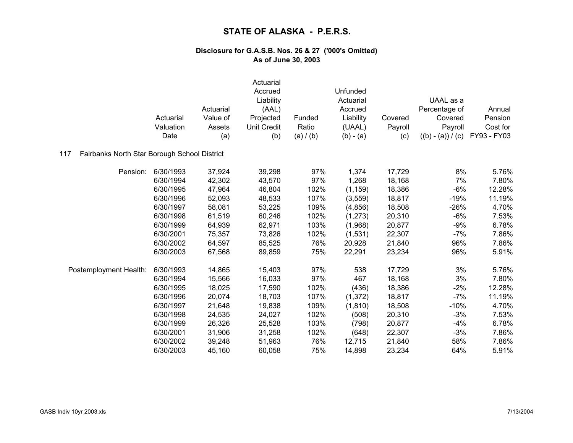|                                                     |           |           | Actuarial<br>Accrued<br>Liability |           | Unfunded<br>Actuarial |         | UAAL as a           |             |
|-----------------------------------------------------|-----------|-----------|-----------------------------------|-----------|-----------------------|---------|---------------------|-------------|
|                                                     |           | Actuarial | (AAL)                             |           | Accrued               |         | Percentage of       | Annual      |
|                                                     | Actuarial | Value of  | Projected                         | Funded    | Liability             | Covered | Covered             | Pension     |
|                                                     | Valuation | Assets    | <b>Unit Credit</b>                | Ratio     | (UAAL)                | Payroll | Payroll             | Cost for    |
|                                                     | Date      | (a)       | (b)                               | (a) / (b) | $(b) - (a)$           | (c)     | $((b) - (a)) / (c)$ | FY93 - FY03 |
| Fairbanks North Star Borough School District<br>117 |           |           |                                   |           |                       |         |                     |             |
| Pension:                                            | 6/30/1993 | 37,924    | 39,298                            | 97%       | 1,374                 | 17,729  | 8%                  | 5.76%       |
|                                                     | 6/30/1994 | 42,302    | 43,570                            | 97%       | 1,268                 | 18,168  | 7%                  | 7.80%       |
|                                                     | 6/30/1995 | 47,964    | 46,804                            | 102%      | (1, 159)              | 18,386  | $-6%$               | 12.28%      |
|                                                     | 6/30/1996 | 52,093    | 48,533                            | 107%      | (3, 559)              | 18,817  | $-19%$              | 11.19%      |
|                                                     | 6/30/1997 | 58,081    | 53,225                            | 109%      | (4, 856)              | 18,508  | $-26%$              | 4.70%       |
|                                                     | 6/30/1998 | 61,519    | 60,246                            | 102%      | (1, 273)              | 20,310  | $-6%$               | 7.53%       |
|                                                     | 6/30/1999 | 64,939    | 62,971                            | 103%      | (1,968)               | 20,877  | $-9%$               | 6.78%       |
|                                                     | 6/30/2001 | 75,357    | 73,826                            | 102%      | (1,531)               | 22,307  | $-7%$               | 7.86%       |
|                                                     | 6/30/2002 | 64,597    | 85,525                            | 76%       | 20,928                | 21,840  | 96%                 | 7.86%       |
|                                                     | 6/30/2003 | 67,568    | 89,859                            | 75%       | 22,291                | 23,234  | 96%                 | 5.91%       |
| Postemployment Health:                              | 6/30/1993 | 14,865    | 15,403                            | 97%       | 538                   | 17,729  | 3%                  | 5.76%       |
|                                                     | 6/30/1994 | 15,566    | 16,033                            | 97%       | 467                   | 18,168  | 3%                  | 7.80%       |
|                                                     | 6/30/1995 | 18,025    | 17,590                            | 102%      | (436)                 | 18,386  | $-2%$               | 12.28%      |
|                                                     | 6/30/1996 | 20,074    | 18,703                            | 107%      | (1, 372)              | 18,817  | $-7%$               | 11.19%      |
|                                                     | 6/30/1997 | 21,648    | 19,838                            | 109%      | (1, 810)              | 18,508  | $-10%$              | 4.70%       |
|                                                     | 6/30/1998 | 24,535    | 24,027                            | 102%      | (508)                 | 20,310  | $-3%$               | 7.53%       |
|                                                     | 6/30/1999 | 26,326    | 25,528                            | 103%      | (798)                 | 20,877  | $-4%$               | 6.78%       |
|                                                     | 6/30/2001 | 31,906    | 31,258                            | 102%      | (648)                 | 22,307  | $-3%$               | 7.86%       |
|                                                     | 6/30/2002 | 39,248    | 51,963                            | 76%       | 12,715                | 21,840  | 58%                 | 7.86%       |
|                                                     | 6/30/2003 | 45,160    | 60,058                            | 75%       | 14,898                | 23,234  | 64%                 | 5.91%       |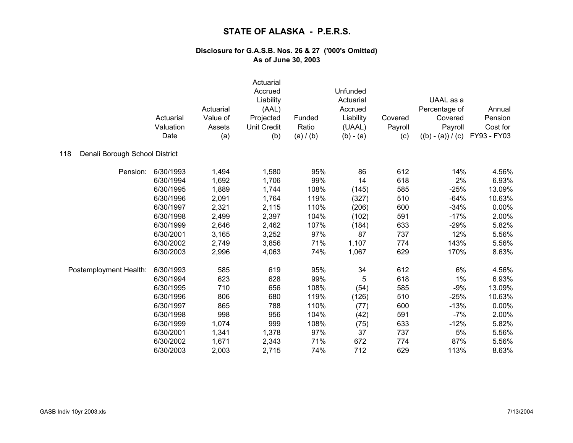|                                       | Actuarial<br>Valuation<br>Date | Actuarial<br>Value of<br>Assets<br>(a) | Actuarial<br>Accrued<br>Liability<br>(AAL)<br>Projected<br><b>Unit Credit</b><br>(b) | Funded<br>Ratio<br>(a) / (b) | Unfunded<br>Actuarial<br>Accrued<br>Liability<br>(UAAL)<br>$(b) - (a)$ | Covered<br>Payroll<br>(c) | UAAL as a<br>Percentage of<br>Covered<br>Payroll<br>$((b) - (a)) / (c)$ | Annual<br>Pension<br>Cost for<br>FY93 - FY03 |
|---------------------------------------|--------------------------------|----------------------------------------|--------------------------------------------------------------------------------------|------------------------------|------------------------------------------------------------------------|---------------------------|-------------------------------------------------------------------------|----------------------------------------------|
| Denali Borough School District<br>118 |                                |                                        |                                                                                      |                              |                                                                        |                           |                                                                         |                                              |
| Pension:                              | 6/30/1993                      | 1,494                                  | 1,580                                                                                | 95%                          | 86                                                                     | 612                       | 14%                                                                     | 4.56%                                        |
|                                       | 6/30/1994                      | 1,692                                  | 1,706                                                                                | 99%                          | 14                                                                     | 618                       | 2%                                                                      | 6.93%                                        |
|                                       | 6/30/1995                      | 1,889                                  | 1,744                                                                                | 108%                         | (145)                                                                  | 585                       | $-25%$                                                                  | 13.09%                                       |
|                                       | 6/30/1996                      | 2,091                                  | 1,764                                                                                | 119%                         | (327)                                                                  | 510                       | $-64%$                                                                  | 10.63%                                       |
|                                       | 6/30/1997                      | 2,321                                  | 2,115                                                                                | 110%                         | (206)                                                                  | 600                       | $-34%$                                                                  | 0.00%                                        |
|                                       | 6/30/1998                      | 2,499                                  | 2,397                                                                                | 104%                         | (102)                                                                  | 591                       | $-17%$                                                                  | 2.00%                                        |
|                                       | 6/30/1999                      | 2,646                                  | 2,462                                                                                | 107%                         | (184)                                                                  | 633                       | $-29%$                                                                  | 5.82%                                        |
|                                       | 6/30/2001                      | 3,165                                  | 3,252                                                                                | 97%                          | 87                                                                     | 737                       | 12%                                                                     | 5.56%                                        |
|                                       | 6/30/2002                      | 2,749                                  | 3,856                                                                                | 71%                          | 1,107                                                                  | 774                       | 143%                                                                    | 5.56%                                        |
|                                       | 6/30/2003                      | 2,996                                  | 4,063                                                                                | 74%                          | 1,067                                                                  | 629                       | 170%                                                                    | 8.63%                                        |
| Postemployment Health:                | 6/30/1993                      | 585                                    | 619                                                                                  | 95%                          | 34                                                                     | 612                       | 6%                                                                      | 4.56%                                        |
|                                       | 6/30/1994                      | 623                                    | 628                                                                                  | 99%                          | 5                                                                      | 618                       | 1%                                                                      | 6.93%                                        |
|                                       | 6/30/1995                      | 710                                    | 656                                                                                  | 108%                         | (54)                                                                   | 585                       | $-9%$                                                                   | 13.09%                                       |
|                                       | 6/30/1996                      | 806                                    | 680                                                                                  | 119%                         | (126)                                                                  | 510                       | $-25%$                                                                  | 10.63%                                       |
|                                       | 6/30/1997                      | 865                                    | 788                                                                                  | 110%                         | (77)                                                                   | 600                       | $-13%$                                                                  | 0.00%                                        |
|                                       | 6/30/1998                      | 998                                    | 956                                                                                  | 104%                         | (42)                                                                   | 591                       | $-7%$                                                                   | 2.00%                                        |
|                                       | 6/30/1999                      | 1,074                                  | 999                                                                                  | 108%                         | (75)                                                                   | 633                       | $-12%$                                                                  | 5.82%                                        |
|                                       | 6/30/2001                      | 1,341                                  | 1,378                                                                                | 97%                          | 37                                                                     | 737                       | 5%                                                                      | 5.56%                                        |
|                                       | 6/30/2002                      | 1,671                                  | 2,343                                                                                | 71%                          | 672                                                                    | 774                       | 87%                                                                     | 5.56%                                        |
|                                       | 6/30/2003                      | 2,003                                  | 2,715                                                                                | 74%                          | 712                                                                    | 629                       | 113%                                                                    | 8.63%                                        |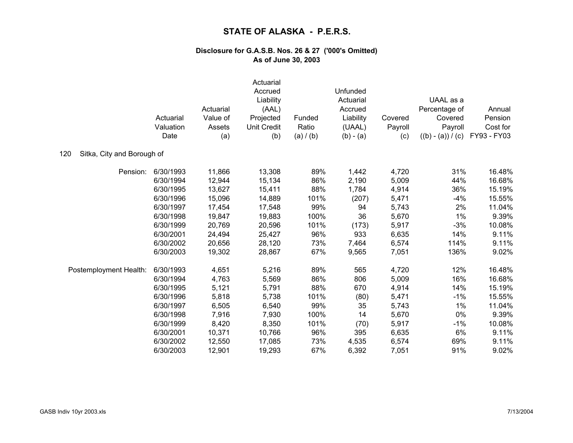|                                   | Actuarial<br>Valuation<br>Date | Actuarial<br>Value of<br>Assets<br>(a) | Actuarial<br>Accrued<br>Liability<br>(AAL)<br>Projected<br><b>Unit Credit</b><br>(b) | Funded<br>Ratio<br>(a) / (b) | Unfunded<br>Actuarial<br>Accrued<br>Liability<br>(UAAL)<br>$(b) - (a)$ | Covered<br>Payroll<br>(c) | UAAL as a<br>Percentage of<br>Covered<br>Payroll<br>$((b) - (a)) / (c)$ | Annual<br>Pension<br>Cost for<br>FY93 - FY03 |
|-----------------------------------|--------------------------------|----------------------------------------|--------------------------------------------------------------------------------------|------------------------------|------------------------------------------------------------------------|---------------------------|-------------------------------------------------------------------------|----------------------------------------------|
| Sitka, City and Borough of<br>120 |                                |                                        |                                                                                      |                              |                                                                        |                           |                                                                         |                                              |
| Pension:                          | 6/30/1993                      | 11,866                                 | 13,308                                                                               | 89%                          | 1,442                                                                  | 4,720                     | 31%                                                                     | 16.48%                                       |
|                                   | 6/30/1994                      | 12,944                                 | 15,134                                                                               | 86%                          | 2,190                                                                  | 5,009                     | 44%                                                                     | 16.68%                                       |
|                                   | 6/30/1995                      | 13,627                                 | 15,411                                                                               | 88%                          | 1,784                                                                  | 4,914                     | 36%                                                                     | 15.19%                                       |
|                                   | 6/30/1996                      | 15,096                                 | 14,889                                                                               | 101%                         | (207)                                                                  | 5,471                     | $-4%$                                                                   | 15.55%                                       |
|                                   | 6/30/1997                      | 17,454                                 | 17,548                                                                               | 99%                          | 94                                                                     | 5,743                     | 2%                                                                      | 11.04%                                       |
|                                   | 6/30/1998                      | 19,847                                 | 19,883                                                                               | 100%                         | 36                                                                     | 5,670                     | 1%                                                                      | 9.39%                                        |
|                                   | 6/30/1999                      | 20,769                                 | 20,596                                                                               | 101%                         | (173)                                                                  | 5,917                     | $-3%$                                                                   | 10.08%                                       |
|                                   | 6/30/2001                      | 24,494                                 | 25,427                                                                               | 96%                          | 933                                                                    | 6,635                     | 14%                                                                     | 9.11%                                        |
|                                   | 6/30/2002                      | 20,656                                 | 28,120                                                                               | 73%                          | 7,464                                                                  | 6,574                     | 114%                                                                    | 9.11%                                        |
|                                   | 6/30/2003                      | 19,302                                 | 28,867                                                                               | 67%                          | 9,565                                                                  | 7,051                     | 136%                                                                    | 9.02%                                        |
| Postemployment Health:            | 6/30/1993                      | 4,651                                  | 5,216                                                                                | 89%                          | 565                                                                    | 4,720                     | 12%                                                                     | 16.48%                                       |
|                                   | 6/30/1994                      | 4,763                                  | 5,569                                                                                | 86%                          | 806                                                                    | 5,009                     | 16%                                                                     | 16.68%                                       |
|                                   | 6/30/1995                      | 5,121                                  | 5,791                                                                                | 88%                          | 670                                                                    | 4,914                     | 14%                                                                     | 15.19%                                       |
|                                   | 6/30/1996                      | 5,818                                  | 5,738                                                                                | 101%                         | (80)                                                                   | 5,471                     | $-1%$                                                                   | 15.55%                                       |
|                                   | 6/30/1997                      | 6,505                                  | 6,540                                                                                | 99%                          | 35                                                                     | 5,743                     | 1%                                                                      | 11.04%                                       |
|                                   | 6/30/1998                      | 7,916                                  | 7,930                                                                                | 100%                         | 14                                                                     | 5,670                     | 0%                                                                      | 9.39%                                        |
|                                   | 6/30/1999                      | 8,420                                  | 8,350                                                                                | 101%                         | (70)                                                                   | 5,917                     | $-1%$                                                                   | 10.08%                                       |
|                                   | 6/30/2001                      | 10,371                                 | 10,766                                                                               | 96%                          | 395                                                                    | 6,635                     | 6%                                                                      | 9.11%                                        |
|                                   | 6/30/2002                      | 12,550                                 | 17,085                                                                               | 73%                          | 4,535                                                                  | 6,574                     | 69%                                                                     | 9.11%                                        |
|                                   | 6/30/2003                      | 12,901                                 | 19,293                                                                               | 67%                          | 6,392                                                                  | 7,051                     | 91%                                                                     | 9.02%                                        |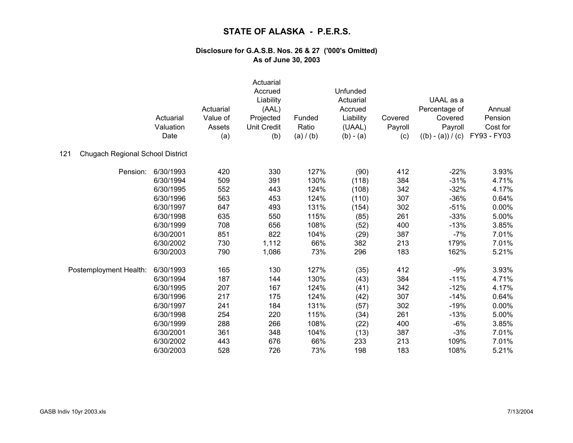|                                                | Actuarial<br>Valuation<br>Date | Actuarial<br>Value of<br>Assets<br>(a) | Actuarial<br>Accrued<br>Liability<br>(AAL)<br>Projected<br><b>Unit Credit</b><br>(b) | Funded<br>Ratio<br>(a) / (b) | Unfunded<br>Actuarial<br>Accrued<br>Liability<br>(UAAL)<br>$(b) - (a)$ | Covered<br>Payroll<br>(c) | UAAL as a<br>Percentage of<br>Covered<br>Payroll<br>$((b) - (a)) / (c)$ | Annual<br>Pension<br>Cost for<br>FY93 - FY03 |
|------------------------------------------------|--------------------------------|----------------------------------------|--------------------------------------------------------------------------------------|------------------------------|------------------------------------------------------------------------|---------------------------|-------------------------------------------------------------------------|----------------------------------------------|
| <b>Chugach Regional School District</b><br>121 |                                |                                        |                                                                                      |                              |                                                                        |                           |                                                                         |                                              |
| Pension:                                       | 6/30/1993                      | 420                                    | 330                                                                                  | 127%                         | (90)                                                                   | 412                       | $-22%$                                                                  | 3.93%                                        |
|                                                | 6/30/1994                      | 509                                    | 391                                                                                  | 130%                         | (118)                                                                  | 384                       | $-31%$                                                                  | 4.71%                                        |
|                                                | 6/30/1995                      | 552                                    | 443                                                                                  | 124%                         | (108)                                                                  | 342                       | $-32%$                                                                  | 4.17%                                        |
|                                                | 6/30/1996                      | 563                                    | 453                                                                                  | 124%                         | (110)                                                                  | 307                       | $-36%$                                                                  | 0.64%                                        |
|                                                | 6/30/1997                      | 647                                    | 493                                                                                  | 131%                         | (154)                                                                  | 302                       | $-51%$                                                                  | 0.00%                                        |
|                                                | 6/30/1998                      | 635                                    | 550                                                                                  | 115%                         | (85)                                                                   | 261                       | $-33%$                                                                  | 5.00%                                        |
|                                                | 6/30/1999                      | 708                                    | 656                                                                                  | 108%                         | (52)                                                                   | 400                       | $-13%$                                                                  | 3.85%                                        |
|                                                | 6/30/2001                      | 851                                    | 822                                                                                  | 104%                         | (29)                                                                   | 387                       | $-7%$                                                                   | 7.01%                                        |
|                                                | 6/30/2002                      | 730                                    | 1,112                                                                                | 66%                          | 382                                                                    | 213                       | 179%                                                                    | 7.01%                                        |
|                                                | 6/30/2003                      | 790                                    | 1,086                                                                                | 73%                          | 296                                                                    | 183                       | 162%                                                                    | 5.21%                                        |
| Postemployment Health:                         | 6/30/1993                      | 165                                    | 130                                                                                  | 127%                         | (35)                                                                   | 412                       | $-9%$                                                                   | 3.93%                                        |
|                                                | 6/30/1994                      | 187                                    | 144                                                                                  | 130%                         | (43)                                                                   | 384                       | $-11%$                                                                  | 4.71%                                        |
|                                                | 6/30/1995                      | 207                                    | 167                                                                                  | 124%                         | (41)                                                                   | 342                       | $-12%$                                                                  | 4.17%                                        |
|                                                | 6/30/1996                      | 217                                    | 175                                                                                  | 124%                         | (42)                                                                   | 307                       | $-14%$                                                                  | 0.64%                                        |
|                                                | 6/30/1997                      | 241                                    | 184                                                                                  | 131%                         | (57)                                                                   | 302                       | $-19%$                                                                  | 0.00%                                        |
|                                                | 6/30/1998                      | 254                                    | 220                                                                                  | 115%                         | (34)                                                                   | 261                       | $-13%$                                                                  | 5.00%                                        |
|                                                | 6/30/1999                      | 288                                    | 266                                                                                  | 108%                         | (22)                                                                   | 400                       | $-6%$                                                                   | 3.85%                                        |
|                                                | 6/30/2001                      | 361                                    | 348                                                                                  | 104%                         | (13)                                                                   | 387                       | $-3%$                                                                   | 7.01%                                        |
|                                                | 6/30/2002                      | 443                                    | 676                                                                                  | 66%                          | 233                                                                    | 213                       | 109%                                                                    | 7.01%                                        |
|                                                | 6/30/2003                      | 528                                    | 726                                                                                  | 73%                          | 198                                                                    | 183                       | 108%                                                                    | 5.21%                                        |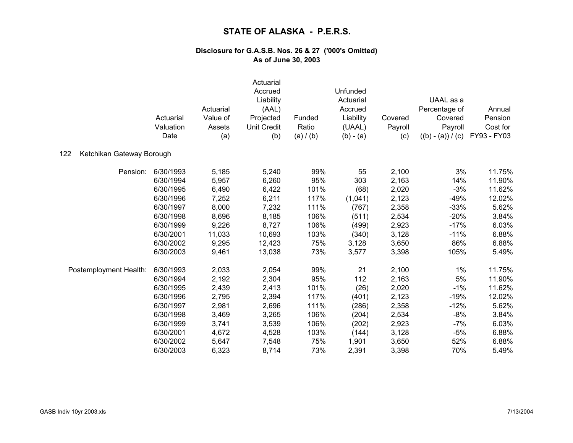|                                  | Actuarial<br>Valuation<br>Date | Actuarial<br>Value of<br>Assets<br>(a) | Actuarial<br>Accrued<br>Liability<br>(AAL)<br>Projected<br>Unit Credit<br>(b) | Funded<br>Ratio<br>(a) / (b) | Unfunded<br>Actuarial<br>Accrued<br>Liability<br>(UAAL)<br>$(b) - (a)$ | Covered<br>Payroll<br>(c) | UAAL as a<br>Percentage of<br>Covered<br>Payroll<br>$((b) - (a)) / (c)$ | Annual<br>Pension<br>Cost for<br>FY93 - FY03 |
|----------------------------------|--------------------------------|----------------------------------------|-------------------------------------------------------------------------------|------------------------------|------------------------------------------------------------------------|---------------------------|-------------------------------------------------------------------------|----------------------------------------------|
| Ketchikan Gateway Borough<br>122 |                                |                                        |                                                                               |                              |                                                                        |                           |                                                                         |                                              |
| Pension:                         | 6/30/1993                      | 5,185                                  | 5,240                                                                         | 99%                          | 55                                                                     | 2,100                     | 3%                                                                      | 11.75%                                       |
|                                  | 6/30/1994                      | 5,957                                  | 6,260                                                                         | 95%                          | 303                                                                    | 2,163                     | 14%                                                                     | 11.90%                                       |
|                                  | 6/30/1995                      | 6,490                                  | 6,422                                                                         | 101%                         | (68)                                                                   | 2,020                     | $-3%$                                                                   | 11.62%                                       |
|                                  | 6/30/1996                      | 7,252                                  | 6,211                                                                         | 117%                         | (1,041)                                                                | 2,123                     | $-49%$                                                                  | 12.02%                                       |
|                                  | 6/30/1997                      | 8,000                                  | 7,232                                                                         | 111%                         | (767)                                                                  | 2,358                     | $-33%$                                                                  | 5.62%                                        |
|                                  | 6/30/1998                      | 8,696                                  | 8,185                                                                         | 106%                         | (511)                                                                  | 2,534                     | $-20%$                                                                  | 3.84%                                        |
|                                  | 6/30/1999                      | 9,226                                  | 8,727                                                                         | 106%                         | (499)                                                                  | 2,923                     | $-17%$                                                                  | 6.03%                                        |
|                                  | 6/30/2001                      | 11,033                                 | 10,693                                                                        | 103%                         | (340)                                                                  | 3,128                     | $-11%$                                                                  | 6.88%                                        |
|                                  | 6/30/2002                      | 9,295                                  | 12,423                                                                        | 75%                          | 3,128                                                                  | 3,650                     | 86%                                                                     | 6.88%                                        |
|                                  | 6/30/2003                      | 9,461                                  | 13,038                                                                        | 73%                          | 3,577                                                                  | 3,398                     | 105%                                                                    | 5.49%                                        |
| Postemployment Health:           | 6/30/1993                      | 2,033                                  | 2,054                                                                         | 99%                          | 21                                                                     | 2,100                     | 1%                                                                      | 11.75%                                       |
|                                  | 6/30/1994                      | 2,192                                  | 2,304                                                                         | 95%                          | 112                                                                    | 2,163                     | 5%                                                                      | 11.90%                                       |
|                                  | 6/30/1995                      | 2,439                                  | 2,413                                                                         | 101%                         | (26)                                                                   | 2,020                     | $-1%$                                                                   | 11.62%                                       |
|                                  | 6/30/1996                      | 2,795                                  | 2,394                                                                         | 117%                         | (401)                                                                  | 2,123                     | $-19%$                                                                  | 12.02%                                       |
|                                  | 6/30/1997                      | 2,981                                  | 2,696                                                                         | 111%                         | (286)                                                                  | 2,358                     | $-12%$                                                                  | 5.62%                                        |
|                                  | 6/30/1998                      | 3,469                                  | 3,265                                                                         | 106%                         | (204)                                                                  | 2,534                     | $-8%$                                                                   | 3.84%                                        |
|                                  | 6/30/1999                      | 3,741                                  | 3,539                                                                         | 106%                         | (202)                                                                  | 2,923                     | $-7%$                                                                   | 6.03%                                        |
|                                  | 6/30/2001                      | 4,672                                  | 4,528                                                                         | 103%                         | (144)                                                                  | 3,128                     | $-5%$                                                                   | 6.88%                                        |
|                                  | 6/30/2002                      | 5,647                                  | 7,548                                                                         | 75%                          | 1,901                                                                  | 3,650                     | 52%                                                                     | 6.88%                                        |
|                                  | 6/30/2003                      | 6,323                                  | 8,714                                                                         | 73%                          | 2,391                                                                  | 3,398                     | 70%                                                                     | 5.49%                                        |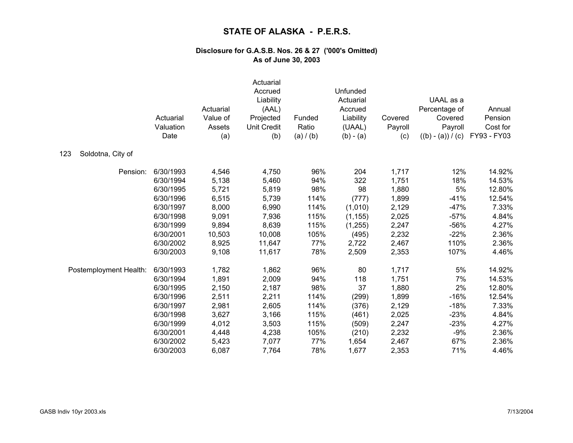|                          | Actuarial<br>Valuation<br>Date | Actuarial<br>Value of<br>Assets<br>(a) | Actuarial<br>Accrued<br>Liability<br>(AAL)<br>Projected<br><b>Unit Credit</b><br>(b) | Funded<br>Ratio<br>(a) / (b) | Unfunded<br>Actuarial<br>Accrued<br>Liability<br>(UAAL)<br>$(b) - (a)$ | Covered<br>Payroll<br>(c) | UAAL as a<br>Percentage of<br>Covered<br>Payroll<br>$((b) - (a)) / (c)$ | Annual<br>Pension<br>Cost for<br>FY93 - FY03 |
|--------------------------|--------------------------------|----------------------------------------|--------------------------------------------------------------------------------------|------------------------------|------------------------------------------------------------------------|---------------------------|-------------------------------------------------------------------------|----------------------------------------------|
| 123<br>Soldotna, City of |                                |                                        |                                                                                      |                              |                                                                        |                           |                                                                         |                                              |
| Pension:                 | 6/30/1993                      | 4,546                                  | 4,750                                                                                | 96%                          | 204                                                                    | 1,717                     | 12%                                                                     | 14.92%                                       |
|                          | 6/30/1994                      | 5,138                                  | 5,460                                                                                | 94%                          | 322                                                                    | 1,751                     | 18%                                                                     | 14.53%                                       |
|                          | 6/30/1995                      | 5,721                                  | 5,819                                                                                | 98%                          | 98                                                                     | 1,880                     | 5%                                                                      | 12.80%                                       |
|                          | 6/30/1996                      | 6,515                                  | 5,739                                                                                | 114%                         | (777)                                                                  | 1,899                     | $-41%$                                                                  | 12.54%                                       |
|                          | 6/30/1997                      | 8,000                                  | 6,990                                                                                | 114%                         | (1,010)                                                                | 2,129                     | $-47%$                                                                  | 7.33%                                        |
|                          | 6/30/1998                      | 9,091                                  | 7,936                                                                                | 115%                         | (1, 155)                                                               | 2,025                     | $-57%$                                                                  | 4.84%                                        |
|                          | 6/30/1999                      | 9,894                                  | 8,639                                                                                | 115%                         | (1, 255)                                                               | 2,247                     | $-56%$                                                                  | 4.27%                                        |
|                          | 6/30/2001                      | 10,503                                 | 10,008                                                                               | 105%                         | (495)                                                                  | 2,232                     | $-22%$                                                                  | 2.36%                                        |
|                          | 6/30/2002                      | 8,925                                  | 11,647                                                                               | 77%                          | 2,722                                                                  | 2,467                     | 110%                                                                    | 2.36%                                        |
|                          | 6/30/2003                      | 9,108                                  | 11,617                                                                               | 78%                          | 2,509                                                                  | 2,353                     | 107%                                                                    | 4.46%                                        |
| Postemployment Health:   | 6/30/1993                      | 1,782                                  | 1,862                                                                                | 96%                          | 80                                                                     | 1,717                     | 5%                                                                      | 14.92%                                       |
|                          | 6/30/1994                      | 1,891                                  | 2,009                                                                                | 94%                          | 118                                                                    | 1,751                     | 7%                                                                      | 14.53%                                       |
|                          | 6/30/1995                      | 2,150                                  | 2,187                                                                                | 98%                          | 37                                                                     | 1,880                     | 2%                                                                      | 12.80%                                       |
|                          | 6/30/1996                      | 2,511                                  | 2,211                                                                                | 114%                         | (299)                                                                  | 1,899                     | $-16%$                                                                  | 12.54%                                       |
|                          | 6/30/1997                      | 2,981                                  | 2,605                                                                                | 114%                         | (376)                                                                  | 2,129                     | $-18%$                                                                  | 7.33%                                        |
|                          | 6/30/1998                      | 3,627                                  | 3,166                                                                                | 115%                         | (461)                                                                  | 2,025                     | $-23%$                                                                  | 4.84%                                        |
|                          | 6/30/1999                      | 4,012                                  | 3,503                                                                                | 115%                         | (509)                                                                  | 2,247                     | $-23%$                                                                  | 4.27%                                        |
|                          | 6/30/2001                      | 4,448                                  | 4,238                                                                                | 105%                         | (210)                                                                  | 2,232                     | $-9%$                                                                   | 2.36%                                        |
|                          | 6/30/2002                      | 5,423                                  | 7,077                                                                                | 77%                          | 1,654                                                                  | 2,467                     | 67%                                                                     | 2.36%                                        |
|                          | 6/30/2003                      | 6,087                                  | 7,764                                                                                | 78%                          | 1,677                                                                  | 2,353                     | 71%                                                                     | 4.46%                                        |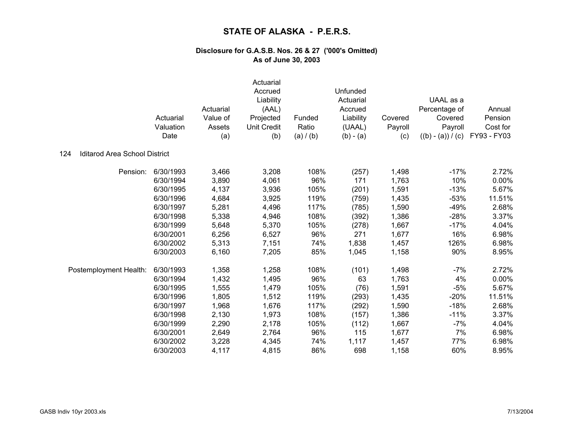|                                             | Actuarial<br>Valuation<br>Date | Actuarial<br>Value of<br>Assets<br>(a) | Actuarial<br>Accrued<br>Liability<br>(AAL)<br>Projected<br><b>Unit Credit</b><br>(b) | Funded<br>Ratio<br>(a) / (b) | Unfunded<br>Actuarial<br>Accrued<br>Liability<br>(UAAL)<br>$(b) - (a)$ | Covered<br>Payroll<br>(c) | UAAL as a<br>Percentage of<br>Covered<br>Payroll<br>$((b) - (a)) / (c)$ | Annual<br>Pension<br>Cost for<br>FY93 - FY03 |
|---------------------------------------------|--------------------------------|----------------------------------------|--------------------------------------------------------------------------------------|------------------------------|------------------------------------------------------------------------|---------------------------|-------------------------------------------------------------------------|----------------------------------------------|
| <b>Iditarod Area School District</b><br>124 |                                |                                        |                                                                                      |                              |                                                                        |                           |                                                                         |                                              |
| Pension:                                    | 6/30/1993                      | 3,466                                  | 3,208                                                                                | 108%                         | (257)                                                                  | 1,498                     | $-17%$                                                                  | 2.72%                                        |
|                                             | 6/30/1994                      | 3,890                                  | 4,061                                                                                | 96%                          | 171                                                                    | 1,763                     | 10%                                                                     | 0.00%                                        |
|                                             | 6/30/1995                      | 4,137                                  | 3,936                                                                                | 105%                         | (201)                                                                  | 1,591                     | $-13%$                                                                  | 5.67%                                        |
|                                             | 6/30/1996                      | 4,684                                  | 3,925                                                                                | 119%                         | (759)                                                                  | 1,435                     | $-53%$                                                                  | 11.51%                                       |
|                                             | 6/30/1997                      | 5,281                                  | 4,496                                                                                | 117%                         | (785)                                                                  | 1,590                     | $-49%$                                                                  | 2.68%                                        |
|                                             | 6/30/1998                      | 5,338                                  | 4,946                                                                                | 108%                         | (392)                                                                  | 1,386                     | $-28%$                                                                  | 3.37%                                        |
|                                             | 6/30/1999                      | 5,648                                  | 5,370                                                                                | 105%                         | (278)                                                                  | 1,667                     | $-17%$                                                                  | 4.04%                                        |
|                                             | 6/30/2001                      | 6,256                                  | 6,527                                                                                | 96%                          | 271                                                                    | 1,677                     | 16%                                                                     | 6.98%                                        |
|                                             | 6/30/2002                      | 5,313                                  | 7,151                                                                                | 74%                          | 1,838                                                                  | 1,457                     | 126%                                                                    | 6.98%                                        |
|                                             | 6/30/2003                      | 6,160                                  | 7,205                                                                                | 85%                          | 1,045                                                                  | 1,158                     | 90%                                                                     | 8.95%                                        |
| Postemployment Health:                      | 6/30/1993                      | 1,358                                  | 1,258                                                                                | 108%                         | (101)                                                                  | 1,498                     | $-7%$                                                                   | 2.72%                                        |
|                                             | 6/30/1994                      | 1,432                                  | 1,495                                                                                | 96%                          | 63                                                                     | 1,763                     | 4%                                                                      | 0.00%                                        |
|                                             | 6/30/1995                      | 1,555                                  | 1,479                                                                                | 105%                         | (76)                                                                   | 1,591                     | $-5%$                                                                   | 5.67%                                        |
|                                             | 6/30/1996                      | 1,805                                  | 1,512                                                                                | 119%                         | (293)                                                                  | 1,435                     | $-20%$                                                                  | 11.51%                                       |
|                                             | 6/30/1997                      | 1,968                                  | 1,676                                                                                | 117%                         | (292)                                                                  | 1,590                     | $-18%$                                                                  | 2.68%                                        |
|                                             | 6/30/1998                      | 2,130                                  | 1,973                                                                                | 108%                         | (157)                                                                  | 1,386                     | $-11%$                                                                  | 3.37%                                        |
|                                             | 6/30/1999                      | 2,290                                  | 2,178                                                                                | 105%                         | (112)                                                                  | 1,667                     | $-7%$                                                                   | 4.04%                                        |
|                                             | 6/30/2001                      | 2,649                                  | 2,764                                                                                | 96%                          | 115                                                                    | 1,677                     | 7%                                                                      | 6.98%                                        |
|                                             | 6/30/2002                      | 3,228                                  | 4,345                                                                                | 74%                          | 1,117                                                                  | 1,457                     | 77%                                                                     | 6.98%                                        |
|                                             | 6/30/2003                      | 4,117                                  | 4,815                                                                                | 86%                          | 698                                                                    | 1,158                     | 60%                                                                     | 8.95%                                        |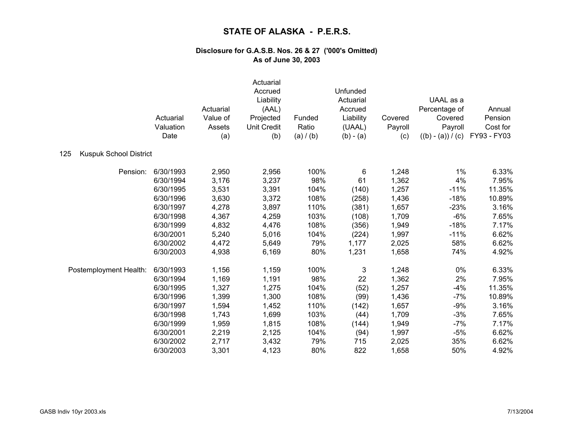|                                      | Actuarial<br>Valuation<br>Date | Actuarial<br>Value of<br>Assets<br>(a) | Actuarial<br>Accrued<br>Liability<br>(AAL)<br>Projected<br><b>Unit Credit</b><br>(b) | Funded<br>Ratio<br>(a) / (b) | Unfunded<br>Actuarial<br>Accrued<br>Liability<br>(UAAL)<br>$(b) - (a)$ | Covered<br>Payroll<br>(c) | UAAL as a<br>Percentage of<br>Covered<br>Payroll<br>$((b) - (a)) / (c)$ | Annual<br>Pension<br>Cost for<br>FY93 - FY03 |
|--------------------------------------|--------------------------------|----------------------------------------|--------------------------------------------------------------------------------------|------------------------------|------------------------------------------------------------------------|---------------------------|-------------------------------------------------------------------------|----------------------------------------------|
| 125<br><b>Kuspuk School District</b> |                                |                                        |                                                                                      |                              |                                                                        |                           |                                                                         |                                              |
| Pension:                             | 6/30/1993                      | 2,950                                  | 2,956                                                                                | 100%                         | 6                                                                      | 1,248                     | 1%                                                                      | 6.33%                                        |
|                                      | 6/30/1994                      | 3,176                                  | 3,237                                                                                | 98%                          | 61                                                                     | 1,362                     | 4%                                                                      | 7.95%                                        |
|                                      | 6/30/1995                      | 3,531                                  | 3,391                                                                                | 104%                         | (140)                                                                  | 1,257                     | $-11%$                                                                  | 11.35%                                       |
|                                      | 6/30/1996                      | 3,630                                  | 3,372                                                                                | 108%                         | (258)                                                                  | 1,436                     | $-18%$                                                                  | 10.89%                                       |
|                                      | 6/30/1997                      | 4,278                                  | 3,897                                                                                | 110%                         | (381)                                                                  | 1,657                     | $-23%$                                                                  | 3.16%                                        |
|                                      | 6/30/1998                      | 4,367                                  | 4,259                                                                                | 103%                         | (108)                                                                  | 1,709                     | $-6%$                                                                   | 7.65%                                        |
|                                      | 6/30/1999                      | 4,832                                  | 4,476                                                                                | 108%                         | (356)                                                                  | 1,949                     | $-18%$                                                                  | 7.17%                                        |
|                                      | 6/30/2001                      | 5,240                                  | 5,016                                                                                | 104%                         | (224)                                                                  | 1,997                     | $-11%$                                                                  | 6.62%                                        |
|                                      | 6/30/2002                      | 4,472                                  | 5,649                                                                                | 79%                          | 1,177                                                                  | 2,025                     | 58%                                                                     | 6.62%                                        |
|                                      | 6/30/2003                      | 4,938                                  | 6,169                                                                                | 80%                          | 1,231                                                                  | 1,658                     | 74%                                                                     | 4.92%                                        |
| Postemployment Health:               | 6/30/1993                      | 1,156                                  | 1,159                                                                                | 100%                         | 3                                                                      | 1,248                     | 0%                                                                      | 6.33%                                        |
|                                      | 6/30/1994                      | 1,169                                  | 1,191                                                                                | 98%                          | 22                                                                     | 1,362                     | 2%                                                                      | 7.95%                                        |
|                                      | 6/30/1995                      | 1,327                                  | 1,275                                                                                | 104%                         | (52)                                                                   | 1,257                     | $-4%$                                                                   | 11.35%                                       |
|                                      | 6/30/1996                      | 1,399                                  | 1,300                                                                                | 108%                         | (99)                                                                   | 1,436                     | $-7%$                                                                   | 10.89%                                       |
|                                      | 6/30/1997                      | 1,594                                  | 1,452                                                                                | 110%                         | (142)                                                                  | 1,657                     | $-9%$                                                                   | 3.16%                                        |
|                                      | 6/30/1998                      | 1,743                                  | 1,699                                                                                | 103%                         | (44)                                                                   | 1,709                     | $-3%$                                                                   | 7.65%                                        |
|                                      | 6/30/1999                      | 1,959                                  | 1,815                                                                                | 108%                         | (144)                                                                  | 1,949                     | $-7%$                                                                   | 7.17%                                        |
|                                      | 6/30/2001                      | 2,219                                  | 2,125                                                                                | 104%                         | (94)                                                                   | 1,997                     | $-5%$                                                                   | 6.62%                                        |
|                                      | 6/30/2002                      | 2,717                                  | 3,432                                                                                | 79%                          | 715                                                                    | 2,025                     | 35%                                                                     | 6.62%                                        |
|                                      | 6/30/2003                      | 3,301                                  | 4,123                                                                                | 80%                          | 822                                                                    | 1,658                     | 50%                                                                     | 4.92%                                        |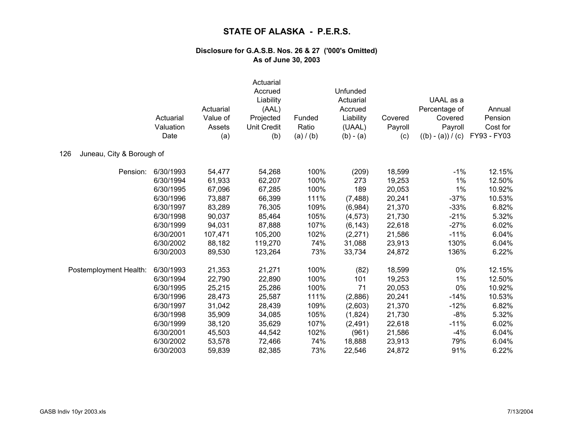|                                  | Actuarial<br>Valuation<br>Date | Actuarial<br>Value of<br>Assets<br>(a) | Actuarial<br>Accrued<br>Liability<br>(AAL)<br>Projected<br>Unit Credit<br>(b) | Funded<br>Ratio<br>(a) / (b) | Unfunded<br>Actuarial<br>Accrued<br>Liability<br>(UAAL)<br>$(b) - (a)$ | Covered<br>Payroll<br>(c) | UAAL as a<br>Percentage of<br>Covered<br>Payroll<br>$((b) - (a)) / (c)$ | Annual<br>Pension<br>Cost for<br>FY93 - FY03 |
|----------------------------------|--------------------------------|----------------------------------------|-------------------------------------------------------------------------------|------------------------------|------------------------------------------------------------------------|---------------------------|-------------------------------------------------------------------------|----------------------------------------------|
| Juneau, City & Borough of<br>126 |                                |                                        |                                                                               |                              |                                                                        |                           |                                                                         |                                              |
| Pension:                         | 6/30/1993                      | 54,477                                 | 54,268                                                                        | 100%                         | (209)                                                                  | 18,599                    | $-1%$                                                                   | 12.15%                                       |
|                                  | 6/30/1994                      | 61,933                                 | 62,207                                                                        | 100%                         | 273                                                                    | 19,253                    | 1%                                                                      | 12.50%                                       |
|                                  | 6/30/1995                      | 67,096                                 | 67,285                                                                        | 100%                         | 189                                                                    | 20,053                    | 1%                                                                      | 10.92%                                       |
|                                  | 6/30/1996                      | 73,887                                 | 66,399                                                                        | 111%                         | (7, 488)                                                               | 20,241                    | $-37%$                                                                  | 10.53%                                       |
|                                  | 6/30/1997                      | 83,289                                 | 76,305                                                                        | 109%                         | (6,984)                                                                | 21,370                    | $-33%$                                                                  | 6.82%                                        |
|                                  | 6/30/1998                      | 90,037                                 | 85,464                                                                        | 105%                         | (4, 573)                                                               | 21,730                    | $-21%$                                                                  | 5.32%                                        |
|                                  | 6/30/1999                      | 94,031                                 | 87,888                                                                        | 107%                         | (6, 143)                                                               | 22,618                    | $-27%$                                                                  | 6.02%                                        |
|                                  | 6/30/2001                      | 107,471                                | 105,200                                                                       | 102%                         | (2, 271)                                                               | 21,586                    | $-11%$                                                                  | 6.04%                                        |
|                                  | 6/30/2002                      | 88,182                                 | 119,270                                                                       | 74%                          | 31,088                                                                 | 23,913                    | 130%                                                                    | 6.04%                                        |
|                                  | 6/30/2003                      | 89,530                                 | 123,264                                                                       | 73%                          | 33,734                                                                 | 24,872                    | 136%                                                                    | 6.22%                                        |
| Postemployment Health:           | 6/30/1993                      | 21,353                                 | 21,271                                                                        | 100%                         | (82)                                                                   | 18,599                    | 0%                                                                      | 12.15%                                       |
|                                  | 6/30/1994                      | 22,790                                 | 22,890                                                                        | 100%                         | 101                                                                    | 19,253                    | 1%                                                                      | 12.50%                                       |
|                                  | 6/30/1995                      | 25,215                                 | 25,286                                                                        | 100%                         | 71                                                                     | 20,053                    | 0%                                                                      | 10.92%                                       |
|                                  | 6/30/1996                      | 28,473                                 | 25,587                                                                        | 111%                         | (2,886)                                                                | 20,241                    | $-14%$                                                                  | 10.53%                                       |
|                                  | 6/30/1997                      | 31,042                                 | 28,439                                                                        | 109%                         | (2,603)                                                                | 21,370                    | $-12%$                                                                  | 6.82%                                        |
|                                  | 6/30/1998                      | 35,909                                 | 34,085                                                                        | 105%                         | (1,824)                                                                | 21,730                    | $-8%$                                                                   | 5.32%                                        |
|                                  | 6/30/1999                      | 38,120                                 | 35,629                                                                        | 107%                         | (2,491)                                                                | 22,618                    | $-11%$                                                                  | 6.02%                                        |
|                                  | 6/30/2001                      | 45,503                                 | 44,542                                                                        | 102%                         | (961)                                                                  | 21,586                    | $-4%$                                                                   | 6.04%                                        |
|                                  | 6/30/2002                      | 53,578                                 | 72,466                                                                        | 74%                          | 18,888                                                                 | 23,913                    | 79%                                                                     | 6.04%                                        |
|                                  | 6/30/2003                      | 59,839                                 | 82,385                                                                        | 73%                          | 22,546                                                                 | 24,872                    | 91%                                                                     | 6.22%                                        |
|                                  |                                |                                        |                                                                               |                              |                                                                        |                           |                                                                         |                                              |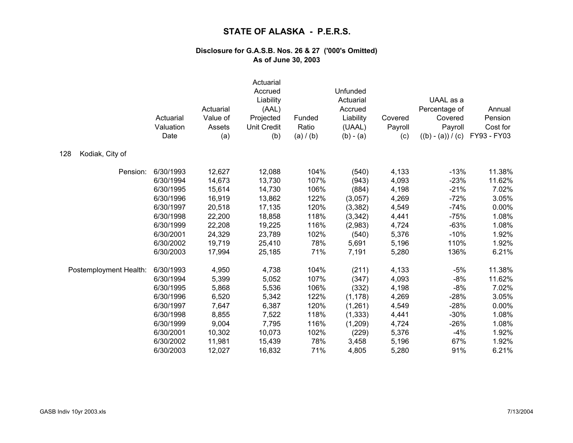|                        | Actuarial<br>Valuation<br>Date | Actuarial<br>Value of<br>Assets<br>(a) | Actuarial<br>Accrued<br>Liability<br>(AAL)<br>Projected<br><b>Unit Credit</b><br>(b) | Funded<br>Ratio<br>(a) / (b) | Unfunded<br>Actuarial<br>Accrued<br>Liability<br>(UAAL)<br>$(b) - (a)$ | Covered<br>Payroll<br>(c) | UAAL as a<br>Percentage of<br>Covered<br>Payroll<br>$((b) - (a)) / (c)$ | Annual<br>Pension<br>Cost for<br>FY93 - FY03 |
|------------------------|--------------------------------|----------------------------------------|--------------------------------------------------------------------------------------|------------------------------|------------------------------------------------------------------------|---------------------------|-------------------------------------------------------------------------|----------------------------------------------|
| 128<br>Kodiak, City of |                                |                                        |                                                                                      |                              |                                                                        |                           |                                                                         |                                              |
| Pension:               | 6/30/1993                      | 12,627                                 | 12,088                                                                               | 104%                         | (540)                                                                  | 4,133                     | $-13%$                                                                  | 11.38%                                       |
|                        | 6/30/1994                      | 14,673                                 | 13,730                                                                               | 107%                         | (943)                                                                  | 4,093                     | $-23%$                                                                  | 11.62%                                       |
|                        | 6/30/1995                      | 15,614                                 | 14,730                                                                               | 106%                         | (884)                                                                  | 4,198                     | $-21%$                                                                  | 7.02%                                        |
|                        | 6/30/1996                      | 16,919                                 | 13,862                                                                               | 122%                         | (3,057)                                                                | 4,269                     | $-72%$                                                                  | 3.05%                                        |
|                        | 6/30/1997                      | 20,518                                 | 17,135                                                                               | 120%                         | (3, 382)                                                               | 4,549                     | $-74%$                                                                  | 0.00%                                        |
|                        | 6/30/1998                      | 22,200                                 | 18,858                                                                               | 118%                         | (3,342)                                                                | 4,441                     | $-75%$                                                                  | 1.08%                                        |
|                        | 6/30/1999                      | 22,208                                 | 19,225                                                                               | 116%                         | (2,983)                                                                | 4,724                     | $-63%$                                                                  | 1.08%                                        |
|                        | 6/30/2001                      | 24,329                                 | 23,789                                                                               | 102%                         | (540)                                                                  | 5,376                     | $-10%$                                                                  | 1.92%                                        |
|                        | 6/30/2002                      | 19,719                                 | 25,410                                                                               | 78%                          | 5,691                                                                  | 5,196                     | 110%                                                                    | 1.92%                                        |
|                        | 6/30/2003                      | 17,994                                 | 25,185                                                                               | 71%                          | 7,191                                                                  | 5,280                     | 136%                                                                    | 6.21%                                        |
| Postemployment Health: | 6/30/1993                      | 4,950                                  | 4,738                                                                                | 104%                         | (211)                                                                  | 4,133                     | $-5%$                                                                   | 11.38%                                       |
|                        | 6/30/1994                      | 5,399                                  | 5,052                                                                                | 107%                         | (347)                                                                  | 4,093                     | $-8%$                                                                   | 11.62%                                       |
|                        | 6/30/1995                      | 5,868                                  | 5,536                                                                                | 106%                         | (332)                                                                  | 4,198                     | $-8%$                                                                   | 7.02%                                        |
|                        | 6/30/1996                      | 6,520                                  | 5,342                                                                                | 122%                         | (1, 178)                                                               | 4,269                     | $-28%$                                                                  | 3.05%                                        |
|                        | 6/30/1997                      | 7,647                                  | 6,387                                                                                | 120%                         | (1,261)                                                                | 4,549                     | $-28%$                                                                  | 0.00%                                        |
|                        | 6/30/1998                      | 8,855                                  | 7,522                                                                                | 118%                         | (1, 333)                                                               | 4,441                     | $-30%$                                                                  | 1.08%                                        |
|                        | 6/30/1999                      | 9,004                                  | 7,795                                                                                | 116%                         | (1,209)                                                                | 4,724                     | $-26%$                                                                  | 1.08%                                        |
|                        | 6/30/2001                      | 10,302                                 | 10,073                                                                               | 102%                         | (229)                                                                  | 5,376                     | $-4%$                                                                   | 1.92%                                        |
|                        | 6/30/2002                      | 11,981                                 | 15,439                                                                               | 78%                          | 3,458                                                                  | 5,196                     | 67%                                                                     | 1.92%                                        |
|                        | 6/30/2003                      | 12,027                                 | 16,832                                                                               | 71%                          | 4,805                                                                  | 5,280                     | 91%                                                                     | 6.21%                                        |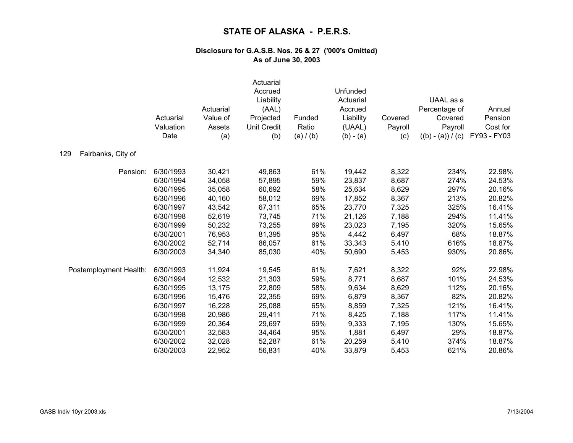|                           | Actuarial<br>Valuation<br>Date | Actuarial<br>Value of<br>Assets<br>(a) | Actuarial<br>Accrued<br>Liability<br>(AAL)<br>Projected<br><b>Unit Credit</b><br>(b) | Funded<br>Ratio<br>(a) / (b) | Unfunded<br>Actuarial<br>Accrued<br>Liability<br>(UAAL)<br>$(b) - (a)$ | Covered<br>Payroll<br>(c) | UAAL as a<br>Percentage of<br>Covered<br>Payroll<br>$((b) - (a)) / (c)$ | Annual<br>Pension<br>Cost for<br>FY93 - FY03 |
|---------------------------|--------------------------------|----------------------------------------|--------------------------------------------------------------------------------------|------------------------------|------------------------------------------------------------------------|---------------------------|-------------------------------------------------------------------------|----------------------------------------------|
| 129<br>Fairbanks, City of |                                |                                        |                                                                                      |                              |                                                                        |                           |                                                                         |                                              |
| Pension:                  | 6/30/1993                      | 30,421                                 | 49,863                                                                               | 61%                          | 19,442                                                                 | 8,322                     | 234%                                                                    | 22.98%                                       |
|                           | 6/30/1994                      | 34,058                                 | 57,895                                                                               | 59%                          | 23,837                                                                 | 8,687                     | 274%                                                                    | 24.53%                                       |
|                           | 6/30/1995                      | 35,058                                 | 60,692                                                                               | 58%                          | 25,634                                                                 | 8,629                     | 297%                                                                    | 20.16%                                       |
|                           | 6/30/1996                      | 40,160                                 | 58,012                                                                               | 69%                          | 17,852                                                                 | 8,367                     | 213%                                                                    | 20.82%                                       |
|                           | 6/30/1997                      | 43,542                                 | 67,311                                                                               | 65%                          | 23,770                                                                 | 7,325                     | 325%                                                                    | 16.41%                                       |
|                           | 6/30/1998                      | 52,619                                 | 73,745                                                                               | 71%                          | 21,126                                                                 | 7,188                     | 294%                                                                    | 11.41%                                       |
|                           | 6/30/1999                      | 50,232                                 | 73,255                                                                               | 69%                          | 23,023                                                                 | 7,195                     | 320%                                                                    | 15.65%                                       |
|                           | 6/30/2001                      | 76,953                                 | 81,395                                                                               | 95%                          | 4,442                                                                  | 6,497                     | 68%                                                                     | 18.87%                                       |
|                           | 6/30/2002                      | 52,714                                 | 86,057                                                                               | 61%                          | 33,343                                                                 | 5,410                     | 616%                                                                    | 18.87%                                       |
|                           | 6/30/2003                      | 34,340                                 | 85,030                                                                               | 40%                          | 50,690                                                                 | 5,453                     | 930%                                                                    | 20.86%                                       |
| Postemployment Health:    | 6/30/1993                      | 11,924                                 | 19,545                                                                               | 61%                          | 7,621                                                                  | 8,322                     | 92%                                                                     | 22.98%                                       |
|                           | 6/30/1994                      | 12,532                                 | 21,303                                                                               | 59%                          | 8,771                                                                  | 8,687                     | 101%                                                                    | 24.53%                                       |
|                           | 6/30/1995                      | 13,175                                 | 22,809                                                                               | 58%                          | 9,634                                                                  | 8,629                     | 112%                                                                    | 20.16%                                       |
|                           | 6/30/1996                      | 15,476                                 | 22,355                                                                               | 69%                          | 6,879                                                                  | 8,367                     | 82%                                                                     | 20.82%                                       |
|                           | 6/30/1997                      | 16,228                                 | 25,088                                                                               | 65%                          | 8,859                                                                  | 7,325                     | 121%                                                                    | 16.41%                                       |
|                           | 6/30/1998                      | 20,986                                 | 29,411                                                                               | 71%                          | 8,425                                                                  | 7,188                     | 117%                                                                    | 11.41%                                       |
|                           | 6/30/1999                      | 20,364                                 | 29,697                                                                               | 69%                          | 9,333                                                                  | 7,195                     | 130%                                                                    | 15.65%                                       |
|                           | 6/30/2001                      | 32,583                                 | 34,464                                                                               | 95%                          | 1,881                                                                  | 6,497                     | 29%                                                                     | 18.87%                                       |
|                           | 6/30/2002                      | 32,028                                 | 52,287                                                                               | 61%                          | 20,259                                                                 | 5,410                     | 374%                                                                    | 18.87%                                       |
|                           | 6/30/2003                      | 22,952                                 | 56,831                                                                               | 40%                          | 33,879                                                                 | 5,453                     | 621%                                                                    | 20.86%                                       |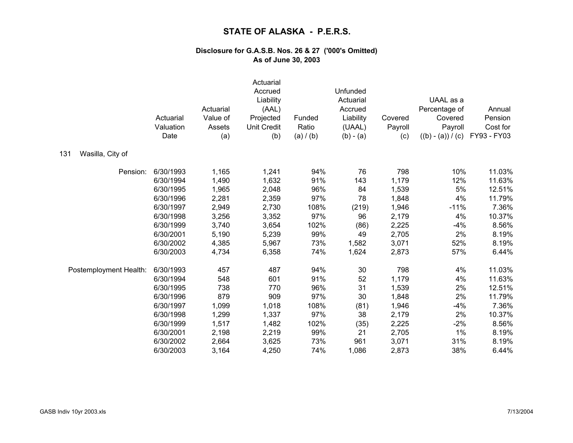|                         | Actuarial<br>Valuation<br>Date | Actuarial<br>Value of<br>Assets<br>(a) | Actuarial<br>Accrued<br>Liability<br>(AAL)<br>Projected<br><b>Unit Credit</b><br>(b) | Funded<br>Ratio<br>(a) / (b) | Unfunded<br>Actuarial<br>Accrued<br>Liability<br>(UAAL)<br>$(b) - (a)$ | Covered<br>Payroll<br>(c) | UAAL as a<br>Percentage of<br>Covered<br>Payroll<br>$((b) - (a)) / (c)$ | Annual<br>Pension<br>Cost for<br>FY93 - FY03 |
|-------------------------|--------------------------------|----------------------------------------|--------------------------------------------------------------------------------------|------------------------------|------------------------------------------------------------------------|---------------------------|-------------------------------------------------------------------------|----------------------------------------------|
| Wasilla, City of<br>131 |                                |                                        |                                                                                      |                              |                                                                        |                           |                                                                         |                                              |
| Pension:                | 6/30/1993                      | 1,165                                  | 1,241                                                                                | 94%                          | 76                                                                     | 798                       | 10%                                                                     | 11.03%                                       |
|                         | 6/30/1994                      | 1,490                                  | 1,632                                                                                | 91%                          | 143                                                                    | 1,179                     | 12%                                                                     | 11.63%                                       |
|                         | 6/30/1995                      | 1,965                                  | 2,048                                                                                | 96%                          | 84                                                                     | 1,539                     | 5%                                                                      | 12.51%                                       |
|                         | 6/30/1996                      | 2,281                                  | 2,359                                                                                | 97%                          | 78                                                                     | 1,848                     | 4%                                                                      | 11.79%                                       |
|                         | 6/30/1997                      | 2,949                                  | 2,730                                                                                | 108%                         | (219)                                                                  | 1,946                     | $-11%$                                                                  | 7.36%                                        |
|                         | 6/30/1998                      | 3,256                                  | 3,352                                                                                | 97%                          | 96                                                                     | 2,179                     | 4%                                                                      | 10.37%                                       |
|                         | 6/30/1999                      | 3,740                                  | 3,654                                                                                | 102%                         | (86)                                                                   | 2,225                     | $-4%$                                                                   | 8.56%                                        |
|                         | 6/30/2001                      | 5,190                                  | 5,239                                                                                | 99%                          | 49                                                                     | 2,705                     | 2%                                                                      | 8.19%                                        |
|                         | 6/30/2002                      | 4,385                                  | 5,967                                                                                | 73%                          | 1,582                                                                  | 3,071                     | 52%                                                                     | 8.19%                                        |
|                         | 6/30/2003                      | 4,734                                  | 6,358                                                                                | 74%                          | 1,624                                                                  | 2,873                     | 57%                                                                     | 6.44%                                        |
| Postemployment Health:  | 6/30/1993                      | 457                                    | 487                                                                                  | 94%                          | 30                                                                     | 798                       | 4%                                                                      | 11.03%                                       |
|                         | 6/30/1994                      | 548                                    | 601                                                                                  | 91%                          | 52                                                                     | 1,179                     | 4%                                                                      | 11.63%                                       |
|                         | 6/30/1995                      | 738                                    | 770                                                                                  | 96%                          | 31                                                                     | 1,539                     | 2%                                                                      | 12.51%                                       |
|                         | 6/30/1996                      | 879                                    | 909                                                                                  | 97%                          | 30                                                                     | 1,848                     | 2%                                                                      | 11.79%                                       |
|                         | 6/30/1997                      | 1,099                                  | 1,018                                                                                | 108%                         | (81)                                                                   | 1,946                     | $-4%$                                                                   | 7.36%                                        |
|                         | 6/30/1998                      | 1,299                                  | 1,337                                                                                | 97%                          | 38                                                                     | 2,179                     | 2%                                                                      | 10.37%                                       |
|                         | 6/30/1999                      | 1,517                                  | 1,482                                                                                | 102%                         | (35)                                                                   | 2,225                     | $-2%$                                                                   | 8.56%                                        |
|                         | 6/30/2001                      | 2,198                                  | 2,219                                                                                | 99%                          | 21                                                                     | 2,705                     | 1%                                                                      | 8.19%                                        |
|                         | 6/30/2002                      | 2,664                                  | 3,625                                                                                | 73%                          | 961                                                                    | 3,071                     | 31%                                                                     | 8.19%                                        |
|                         | 6/30/2003                      | 3,164                                  | 4,250                                                                                | 74%                          | 1,086                                                                  | 2,873                     | 38%                                                                     | 6.44%                                        |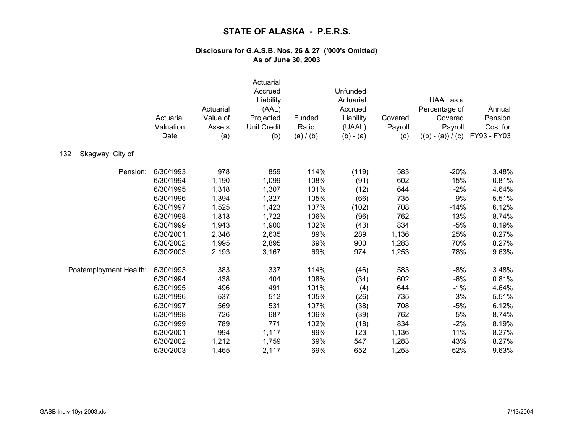|                         | Actuarial<br>Valuation<br>Date | Actuarial<br>Value of<br>Assets<br>(a) | Actuarial<br>Accrued<br>Liability<br>(AAL)<br>Projected<br><b>Unit Credit</b><br>(b) | Funded<br>Ratio<br>(a) / (b) | Unfunded<br>Actuarial<br>Accrued<br>Liability<br>(UAAL)<br>$(b) - (a)$ | Covered<br>Payroll<br>(c) | UAAL as a<br>Percentage of<br>Covered<br>Payroll<br>$((b) - (a)) / (c)$ | Annual<br>Pension<br>Cost for<br>FY93 - FY03 |
|-------------------------|--------------------------------|----------------------------------------|--------------------------------------------------------------------------------------|------------------------------|------------------------------------------------------------------------|---------------------------|-------------------------------------------------------------------------|----------------------------------------------|
| 132<br>Skagway, City of |                                |                                        |                                                                                      |                              |                                                                        |                           |                                                                         |                                              |
| Pension:                | 6/30/1993                      | 978                                    | 859                                                                                  | 114%                         | (119)                                                                  | 583                       | $-20%$                                                                  | 3.48%                                        |
|                         | 6/30/1994                      | 1,190                                  | 1,099                                                                                | 108%                         | (91)                                                                   | 602                       | $-15%$                                                                  | 0.81%                                        |
|                         | 6/30/1995                      | 1,318                                  | 1,307                                                                                | 101%                         | (12)                                                                   | 644                       | $-2%$                                                                   | 4.64%                                        |
|                         | 6/30/1996                      | 1,394                                  | 1,327                                                                                | 105%                         | (66)                                                                   | 735                       | $-9%$                                                                   | 5.51%                                        |
|                         | 6/30/1997                      | 1,525                                  | 1,423                                                                                | 107%                         | (102)                                                                  | 708                       | $-14%$                                                                  | 6.12%                                        |
|                         | 6/30/1998                      | 1,818                                  | 1,722                                                                                | 106%                         | (96)                                                                   | 762                       | $-13%$                                                                  | 8.74%                                        |
|                         | 6/30/1999                      | 1,943                                  | 1,900                                                                                | 102%                         | (43)                                                                   | 834                       | $-5%$                                                                   | 8.19%                                        |
|                         | 6/30/2001                      | 2,346                                  | 2,635                                                                                | 89%                          | 289                                                                    | 1,136                     | 25%                                                                     | 8.27%                                        |
|                         | 6/30/2002                      | 1,995                                  | 2,895                                                                                | 69%                          | 900                                                                    | 1,283                     | 70%                                                                     | 8.27%                                        |
|                         | 6/30/2003                      | 2,193                                  | 3,167                                                                                | 69%                          | 974                                                                    | 1,253                     | 78%                                                                     | 9.63%                                        |
| Postemployment Health:  | 6/30/1993                      | 383                                    | 337                                                                                  | 114%                         | (46)                                                                   | 583                       | $-8%$                                                                   | 3.48%                                        |
|                         | 6/30/1994                      | 438                                    | 404                                                                                  | 108%                         | (34)                                                                   | 602                       | $-6%$                                                                   | 0.81%                                        |
|                         | 6/30/1995                      | 496                                    | 491                                                                                  | 101%                         | (4)                                                                    | 644                       | $-1\%$                                                                  | 4.64%                                        |
|                         | 6/30/1996                      | 537                                    | 512                                                                                  | 105%                         | (26)                                                                   | 735                       | $-3%$                                                                   | 5.51%                                        |
|                         | 6/30/1997                      | 569                                    | 531                                                                                  | 107%                         | (38)                                                                   | 708                       | $-5%$                                                                   | 6.12%                                        |
|                         | 6/30/1998                      | 726                                    | 687                                                                                  | 106%                         | (39)                                                                   | 762                       | $-5%$                                                                   | 8.74%                                        |
|                         | 6/30/1999                      | 789                                    | 771                                                                                  | 102%                         | (18)                                                                   | 834                       | $-2%$                                                                   | 8.19%                                        |
|                         | 6/30/2001                      | 994                                    | 1,117                                                                                | 89%                          | 123                                                                    | 1,136                     | 11%                                                                     | 8.27%                                        |
|                         | 6/30/2002                      | 1,212                                  | 1,759                                                                                | 69%                          | 547                                                                    | 1,283                     | 43%                                                                     | 8.27%                                        |
|                         | 6/30/2003                      | 1,465                                  | 2,117                                                                                | 69%                          | 652                                                                    | 1,253                     | 52%                                                                     | 9.63%                                        |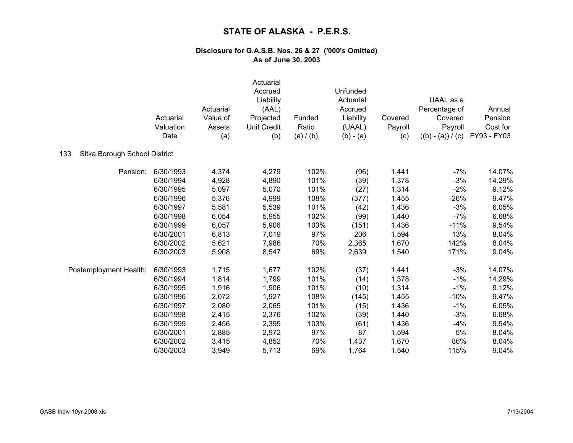|                                      | Actuarial<br>Valuation<br>Date | Actuarial<br>Value of<br>Assets<br>(a) | Actuarial<br>Accrued<br>Liability<br>(AAL)<br>Projected<br><b>Unit Credit</b><br>(b) | Funded<br>Ratio<br>(a) / (b) | Unfunded<br>Actuarial<br>Accrued<br>Liability<br>(UAAL)<br>$(b) - (a)$ | Covered<br>Payroll<br>(c) | UAAL as a<br>Percentage of<br>Covered<br>Payroll<br>$((b) - (a)) / (c)$ | Annual<br>Pension<br>Cost for<br>FY93 - FY03 |
|--------------------------------------|--------------------------------|----------------------------------------|--------------------------------------------------------------------------------------|------------------------------|------------------------------------------------------------------------|---------------------------|-------------------------------------------------------------------------|----------------------------------------------|
| 133<br>Sitka Borough School District |                                |                                        |                                                                                      |                              |                                                                        |                           |                                                                         |                                              |
| Pension:                             | 6/30/1993                      | 4,374                                  | 4,279                                                                                | 102%                         | (96)                                                                   | 1,441                     | $-7%$                                                                   | 14.07%                                       |
|                                      | 6/30/1994                      | 4,928                                  | 4,890                                                                                | 101%                         | (39)                                                                   | 1,378                     | $-3%$                                                                   | 14.29%                                       |
|                                      | 6/30/1995                      | 5,097                                  | 5,070                                                                                | 101%                         | (27)                                                                   | 1,314                     | $-2%$                                                                   | 9.12%                                        |
|                                      | 6/30/1996                      | 5,376                                  | 4,999                                                                                | 108%                         | (377)                                                                  | 1,455                     | $-26%$                                                                  | 9.47%                                        |
|                                      | 6/30/1997                      | 5,581                                  | 5,539                                                                                | 101%                         | (42)                                                                   | 1,436                     | $-3%$                                                                   | 6.05%                                        |
|                                      | 6/30/1998                      | 6,054                                  | 5,955                                                                                | 102%                         | (99)                                                                   | 1,440                     | $-7%$                                                                   | 6.68%                                        |
|                                      | 6/30/1999                      | 6,057                                  | 5,906                                                                                | 103%                         | (151)                                                                  | 1,436                     | $-11%$                                                                  | 9.54%                                        |
|                                      | 6/30/2001                      | 6,813                                  | 7,019                                                                                | 97%                          | 206                                                                    | 1,594                     | 13%                                                                     | 8.04%                                        |
|                                      | 6/30/2002                      | 5,621                                  | 7,986                                                                                | 70%                          | 2,365                                                                  | 1,670                     | 142%                                                                    | 8.04%                                        |
|                                      | 6/30/2003                      | 5,908                                  | 8,547                                                                                | 69%                          | 2,639                                                                  | 1,540                     | 171%                                                                    | 9.04%                                        |
| Postemployment Health:               | 6/30/1993                      | 1,715                                  | 1,677                                                                                | 102%                         | (37)                                                                   | 1,441                     | $-3%$                                                                   | 14.07%                                       |
|                                      | 6/30/1994                      | 1,814                                  | 1,799                                                                                | 101%                         | (14)                                                                   | 1,378                     | $-1%$                                                                   | 14.29%                                       |
|                                      | 6/30/1995                      | 1,916                                  | 1,906                                                                                | 101%                         | (10)                                                                   | 1,314                     | $-1%$                                                                   | 9.12%                                        |
|                                      | 6/30/1996                      | 2,072                                  | 1,927                                                                                | 108%                         | (145)                                                                  | 1,455                     | $-10%$                                                                  | 9.47%                                        |
|                                      | 6/30/1997                      | 2,080                                  | 2,065                                                                                | 101%                         | (15)                                                                   | 1,436                     | $-1%$                                                                   | 6.05%                                        |
|                                      | 6/30/1998                      | 2,415                                  | 2,376                                                                                | 102%                         | (39)                                                                   | 1,440                     | $-3%$                                                                   | 6.68%                                        |
|                                      | 6/30/1999                      | 2,456                                  | 2,395                                                                                | 103%                         | (61)                                                                   | 1,436                     | $-4%$                                                                   | 9.54%                                        |
|                                      | 6/30/2001                      | 2,885                                  | 2,972                                                                                | 97%                          | 87                                                                     | 1,594                     | 5%                                                                      | 8.04%                                        |
|                                      | 6/30/2002                      | 3,415                                  | 4,852                                                                                | 70%                          | 1,437                                                                  | 1,670                     | 86%                                                                     | 8.04%                                        |
|                                      | 6/30/2003                      | 3,949                                  | 5,713                                                                                | 69%                          | 1,764                                                                  | 1,540                     | 115%                                                                    | 9.04%                                        |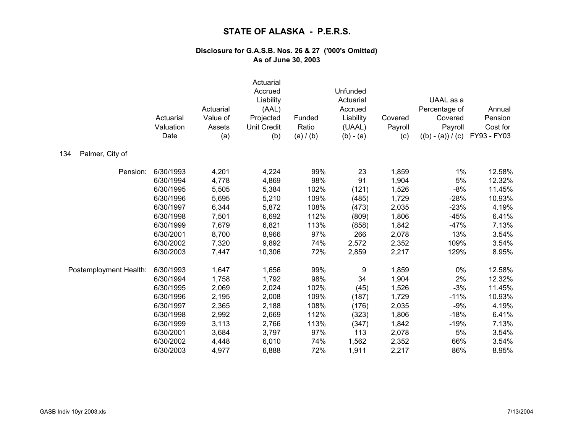|                        | Actuarial<br>Valuation<br>Date | Actuarial<br>Value of<br>Assets<br>(a) | Actuarial<br>Accrued<br>Liability<br>(AAL)<br>Projected<br><b>Unit Credit</b><br>(b) | Funded<br>Ratio<br>(a) / (b) | Unfunded<br>Actuarial<br>Accrued<br>Liability<br>(UAAL)<br>$(b) - (a)$ | Covered<br>Payroll<br>(c) | UAAL as a<br>Percentage of<br>Covered<br>Payroll<br>$((b) - (a)) / (c)$ | Annual<br>Pension<br>Cost for<br>FY93 - FY03 |
|------------------------|--------------------------------|----------------------------------------|--------------------------------------------------------------------------------------|------------------------------|------------------------------------------------------------------------|---------------------------|-------------------------------------------------------------------------|----------------------------------------------|
| 134<br>Palmer, City of |                                |                                        |                                                                                      |                              |                                                                        |                           |                                                                         |                                              |
| Pension:               | 6/30/1993                      | 4,201                                  | 4,224                                                                                | 99%                          | 23                                                                     | 1,859                     | $1\%$                                                                   | 12.58%                                       |
|                        | 6/30/1994                      | 4,778                                  | 4,869                                                                                | 98%                          | 91                                                                     | 1,904                     | $5\%$                                                                   | 12.32%                                       |
|                        | 6/30/1995                      | 5,505                                  | 5,384                                                                                | 102%                         | (121)                                                                  | 1,526                     | $-8%$                                                                   | 11.45%                                       |
|                        | 6/30/1996                      | 5,695                                  | 5,210                                                                                | 109%                         | (485)                                                                  | 1,729                     | $-28%$                                                                  | 10.93%                                       |
|                        | 6/30/1997                      | 6,344                                  | 5,872                                                                                | 108%                         | (473)                                                                  | 2,035                     | $-23%$                                                                  | 4.19%                                        |
|                        | 6/30/1998                      | 7,501                                  | 6,692                                                                                | 112%                         | (809)                                                                  | 1,806                     | $-45%$                                                                  | 6.41%                                        |
|                        | 6/30/1999                      | 7,679                                  | 6,821                                                                                | 113%                         | (858)                                                                  | 1,842                     | $-47%$                                                                  | 7.13%                                        |
|                        | 6/30/2001                      | 8,700                                  | 8,966                                                                                | 97%                          | 266                                                                    | 2,078                     | 13%                                                                     | 3.54%                                        |
|                        | 6/30/2002                      | 7,320                                  | 9,892                                                                                | 74%                          | 2,572                                                                  | 2,352                     | 109%                                                                    | 3.54%                                        |
|                        | 6/30/2003                      | 7,447                                  | 10,306                                                                               | 72%                          | 2,859                                                                  | 2,217                     | 129%                                                                    | 8.95%                                        |
| Postemployment Health: | 6/30/1993                      | 1,647                                  | 1,656                                                                                | 99%                          | 9                                                                      | 1,859                     | 0%                                                                      | 12.58%                                       |
|                        | 6/30/1994                      | 1,758                                  | 1,792                                                                                | 98%                          | 34                                                                     | 1,904                     | 2%                                                                      | 12.32%                                       |
|                        | 6/30/1995                      | 2,069                                  | 2,024                                                                                | 102%                         | (45)                                                                   | 1,526                     | $-3%$                                                                   | 11.45%                                       |
|                        | 6/30/1996                      | 2,195                                  | 2,008                                                                                | 109%                         | (187)                                                                  | 1,729                     | $-11%$                                                                  | 10.93%                                       |
|                        | 6/30/1997                      | 2,365                                  | 2,188                                                                                | 108%                         | (176)                                                                  | 2,035                     | $-9%$                                                                   | 4.19%                                        |
|                        | 6/30/1998                      | 2,992                                  | 2,669                                                                                | 112%                         | (323)                                                                  | 1,806                     | $-18%$                                                                  | 6.41%                                        |
|                        | 6/30/1999                      | 3,113                                  | 2,766                                                                                | 113%                         | (347)                                                                  | 1,842                     | $-19%$                                                                  | 7.13%                                        |
|                        | 6/30/2001                      | 3,684                                  | 3,797                                                                                | 97%                          | 113                                                                    | 2,078                     | 5%                                                                      | 3.54%                                        |
|                        | 6/30/2002                      | 4,448                                  | 6,010                                                                                | 74%                          | 1,562                                                                  | 2,352                     | 66%                                                                     | 3.54%                                        |
|                        | 6/30/2003                      | 4,977                                  | 6,888                                                                                | 72%                          | 1,911                                                                  | 2,217                     | 86%                                                                     | 8.95%                                        |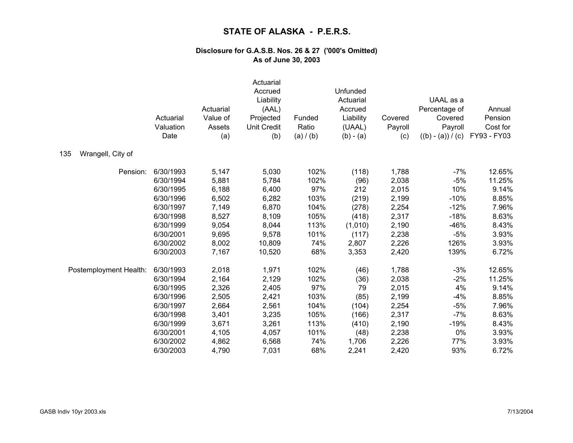|                          | Actuarial<br>Valuation<br>Date | Actuarial<br>Value of<br>Assets<br>(a) | Actuarial<br>Accrued<br>Liability<br>(AAL)<br>Projected<br><b>Unit Credit</b><br>(b) | Funded<br>Ratio<br>(a) / (b) | Unfunded<br>Actuarial<br>Accrued<br>Liability<br>(UAAL)<br>$(b) - (a)$ | Covered<br>Payroll<br>(c) | UAAL as a<br>Percentage of<br>Covered<br>Payroll<br>$((b) - (a)) / (c)$ | Annual<br>Pension<br>Cost for<br>FY93 - FY03 |
|--------------------------|--------------------------------|----------------------------------------|--------------------------------------------------------------------------------------|------------------------------|------------------------------------------------------------------------|---------------------------|-------------------------------------------------------------------------|----------------------------------------------|
| Wrangell, City of<br>135 |                                |                                        |                                                                                      |                              |                                                                        |                           |                                                                         |                                              |
| Pension:                 | 6/30/1993                      | 5,147                                  | 5,030                                                                                | 102%                         | (118)                                                                  | 1,788                     | $-7%$                                                                   | 12.65%                                       |
|                          | 6/30/1994                      | 5,881                                  | 5,784                                                                                | 102%                         | (96)                                                                   | 2,038                     | $-5%$                                                                   | 11.25%                                       |
|                          | 6/30/1995                      | 6,188                                  | 6,400                                                                                | 97%                          | 212                                                                    | 2,015                     | 10%                                                                     | 9.14%                                        |
|                          | 6/30/1996                      | 6,502                                  | 6,282                                                                                | 103%                         | (219)                                                                  | 2,199                     | $-10%$                                                                  | 8.85%                                        |
|                          | 6/30/1997                      | 7,149                                  | 6,870                                                                                | 104%                         | (278)                                                                  | 2,254                     | $-12%$                                                                  | 7.96%                                        |
|                          | 6/30/1998                      | 8,527                                  | 8,109                                                                                | 105%                         | (418)                                                                  | 2,317                     | $-18%$                                                                  | 8.63%                                        |
|                          | 6/30/1999                      | 9,054                                  | 8,044                                                                                | 113%                         | (1,010)                                                                | 2,190                     | $-46%$                                                                  | 8.43%                                        |
|                          | 6/30/2001                      | 9,695                                  | 9,578                                                                                | 101%                         | (117)                                                                  | 2,238                     | $-5%$                                                                   | 3.93%                                        |
|                          | 6/30/2002                      | 8,002                                  | 10,809                                                                               | 74%                          | 2,807                                                                  | 2,226                     | 126%                                                                    | 3.93%                                        |
|                          | 6/30/2003                      | 7,167                                  | 10,520                                                                               | 68%                          | 3,353                                                                  | 2,420                     | 139%                                                                    | 6.72%                                        |
| Postemployment Health:   | 6/30/1993                      | 2,018                                  | 1,971                                                                                | 102%                         | (46)                                                                   | 1,788                     | $-3%$                                                                   | 12.65%                                       |
|                          | 6/30/1994                      | 2,164                                  | 2,129                                                                                | 102%                         | (36)                                                                   | 2,038                     | $-2%$                                                                   | 11.25%                                       |
|                          | 6/30/1995                      | 2,326                                  | 2,405                                                                                | 97%                          | 79                                                                     | 2,015                     | 4%                                                                      | 9.14%                                        |
|                          | 6/30/1996                      | 2,505                                  | 2,421                                                                                | 103%                         | (85)                                                                   | 2,199                     | $-4%$                                                                   | 8.85%                                        |
|                          | 6/30/1997                      | 2,664                                  | 2,561                                                                                | 104%                         | (104)                                                                  | 2,254                     | $-5%$                                                                   | 7.96%                                        |
|                          | 6/30/1998                      | 3,401                                  | 3,235                                                                                | 105%                         | (166)                                                                  | 2,317                     | $-7%$                                                                   | 8.63%                                        |
|                          | 6/30/1999                      | 3,671                                  | 3,261                                                                                | 113%                         | (410)                                                                  | 2,190                     | $-19%$                                                                  | 8.43%                                        |
|                          | 6/30/2001                      | 4,105                                  | 4,057                                                                                | 101%                         | (48)                                                                   | 2,238                     | 0%                                                                      | 3.93%                                        |
|                          | 6/30/2002                      | 4,862                                  | 6,568                                                                                | 74%                          | 1,706                                                                  | 2,226                     | 77%                                                                     | 3.93%                                        |
|                          | 6/30/2003                      | 4,790                                  | 7,031                                                                                | 68%                          | 2,241                                                                  | 2,420                     | 93%                                                                     | 6.72%                                        |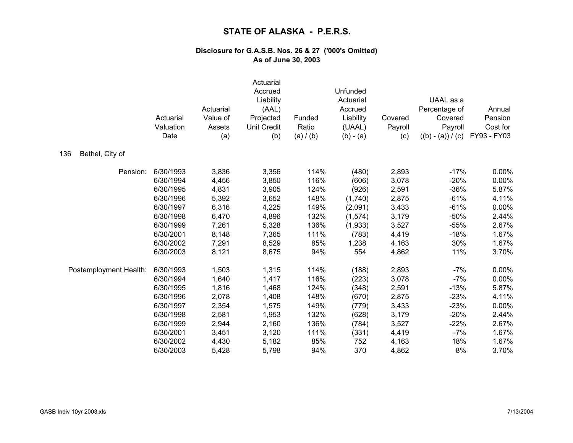|                        | Actuarial<br>Valuation<br>Date | Actuarial<br>Value of<br>Assets<br>(a) | Actuarial<br>Accrued<br>Liability<br>(AAL)<br>Projected<br><b>Unit Credit</b><br>(b) | Funded<br>Ratio<br>(a) / (b) | Unfunded<br>Actuarial<br>Accrued<br>Liability<br>(UAAL)<br>$(b) - (a)$ | Covered<br>Payroll<br>(c) | UAAL as a<br>Percentage of<br>Covered<br>Payroll<br>$((b) - (a)) / (c)$ | Annual<br>Pension<br>Cost for<br>FY93 - FY03 |
|------------------------|--------------------------------|----------------------------------------|--------------------------------------------------------------------------------------|------------------------------|------------------------------------------------------------------------|---------------------------|-------------------------------------------------------------------------|----------------------------------------------|
| 136<br>Bethel, City of |                                |                                        |                                                                                      |                              |                                                                        |                           |                                                                         |                                              |
| Pension:               | 6/30/1993                      | 3,836                                  | 3,356                                                                                | 114%                         | (480)                                                                  | 2,893                     | $-17%$                                                                  | 0.00%                                        |
|                        | 6/30/1994                      | 4,456                                  | 3,850                                                                                | 116%                         | (606)                                                                  | 3,078                     | $-20%$                                                                  | 0.00%                                        |
|                        | 6/30/1995                      | 4,831                                  | 3,905                                                                                | 124%                         | (926)                                                                  | 2,591                     | $-36%$                                                                  | 5.87%                                        |
|                        | 6/30/1996                      | 5,392                                  | 3,652                                                                                | 148%                         | (1,740)                                                                | 2,875                     | $-61%$                                                                  | 4.11%                                        |
|                        | 6/30/1997                      | 6,316                                  | 4,225                                                                                | 149%                         | (2,091)                                                                | 3,433                     | $-61%$                                                                  | 0.00%                                        |
|                        | 6/30/1998                      | 6,470                                  | 4,896                                                                                | 132%                         | (1,574)                                                                | 3,179                     | $-50%$                                                                  | 2.44%                                        |
|                        | 6/30/1999                      | 7,261                                  | 5,328                                                                                | 136%                         | (1,933)                                                                | 3,527                     | $-55%$                                                                  | 2.67%                                        |
|                        | 6/30/2001                      | 8,148                                  | 7,365                                                                                | 111%                         | (783)                                                                  | 4,419                     | $-18%$                                                                  | 1.67%                                        |
|                        | 6/30/2002                      | 7,291                                  | 8,529                                                                                | 85%                          | 1,238                                                                  | 4,163                     | 30%                                                                     | 1.67%                                        |
|                        | 6/30/2003                      | 8,121                                  | 8,675                                                                                | 94%                          | 554                                                                    | 4,862                     | 11%                                                                     | 3.70%                                        |
| Postemployment Health: | 6/30/1993                      | 1,503                                  | 1,315                                                                                | 114%                         | (188)                                                                  | 2,893                     | $-7%$                                                                   | 0.00%                                        |
|                        | 6/30/1994                      | 1,640                                  | 1,417                                                                                | 116%                         | (223)                                                                  | 3,078                     | $-7%$                                                                   | 0.00%                                        |
|                        | 6/30/1995                      | 1,816                                  | 1,468                                                                                | 124%                         | (348)                                                                  | 2,591                     | $-13%$                                                                  | 5.87%                                        |
|                        | 6/30/1996                      | 2,078                                  | 1,408                                                                                | 148%                         | (670)                                                                  | 2,875                     | $-23%$                                                                  | 4.11%                                        |
|                        | 6/30/1997                      | 2,354                                  | 1,575                                                                                | 149%                         | (779)                                                                  | 3,433                     | $-23%$                                                                  | 0.00%                                        |
|                        | 6/30/1998                      | 2,581                                  | 1,953                                                                                | 132%                         | (628)                                                                  | 3,179                     | $-20%$                                                                  | 2.44%                                        |
|                        | 6/30/1999                      | 2,944                                  | 2,160                                                                                | 136%                         | (784)                                                                  | 3,527                     | $-22%$                                                                  | 2.67%                                        |
|                        | 6/30/2001                      | 3,451                                  | 3,120                                                                                | 111%                         | (331)                                                                  | 4,419                     | $-7%$                                                                   | 1.67%                                        |
|                        | 6/30/2002                      | 4,430                                  | 5,182                                                                                | 85%                          | 752                                                                    | 4,163                     | 18%                                                                     | 1.67%                                        |
|                        | 6/30/2003                      | 5,428                                  | 5,798                                                                                | 94%                          | 370                                                                    | 4,862                     | 8%                                                                      | 3.70%                                        |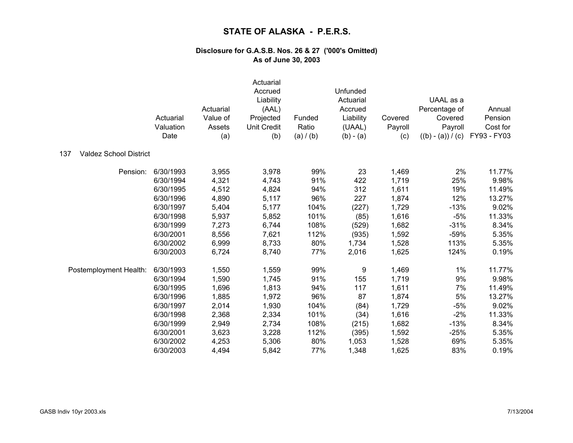|                                      | Actuarial<br>Valuation<br>Date | Actuarial<br>Value of<br>Assets<br>(a) | Actuarial<br>Accrued<br>Liability<br>(AAL)<br>Projected<br><b>Unit Credit</b><br>(b) | Funded<br>Ratio<br>(a) / (b) | Unfunded<br>Actuarial<br>Accrued<br>Liability<br>(UAAL)<br>$(b) - (a)$ | Covered<br>Payroll<br>(c) | UAAL as a<br>Percentage of<br>Covered<br>Payroll<br>$((b) - (a)) / (c)$ | Annual<br>Pension<br>Cost for<br>FY93 - FY03 |
|--------------------------------------|--------------------------------|----------------------------------------|--------------------------------------------------------------------------------------|------------------------------|------------------------------------------------------------------------|---------------------------|-------------------------------------------------------------------------|----------------------------------------------|
| 137<br><b>Valdez School District</b> |                                |                                        |                                                                                      |                              |                                                                        |                           |                                                                         |                                              |
| Pension:                             | 6/30/1993                      | 3,955                                  | 3,978                                                                                | 99%                          | 23                                                                     | 1,469                     | 2%                                                                      | 11.77%                                       |
|                                      | 6/30/1994                      | 4,321                                  | 4,743                                                                                | 91%                          | 422                                                                    | 1,719                     | 25%                                                                     | 9.98%                                        |
|                                      | 6/30/1995                      | 4,512                                  | 4,824                                                                                | 94%                          | 312                                                                    | 1,611                     | 19%                                                                     | 11.49%                                       |
|                                      | 6/30/1996                      | 4,890                                  | 5,117                                                                                | 96%                          | 227                                                                    | 1,874                     | 12%                                                                     | 13.27%                                       |
|                                      | 6/30/1997                      | 5,404                                  | 5,177                                                                                | 104%                         | (227)                                                                  | 1,729                     | $-13%$                                                                  | 9.02%                                        |
|                                      | 6/30/1998                      | 5,937                                  | 5,852                                                                                | 101%                         | (85)                                                                   | 1,616                     | $-5%$                                                                   | 11.33%                                       |
|                                      | 6/30/1999                      | 7,273                                  | 6,744                                                                                | 108%                         | (529)                                                                  | 1,682                     | $-31%$                                                                  | 8.34%                                        |
|                                      | 6/30/2001                      | 8,556                                  | 7,621                                                                                | 112%                         | (935)                                                                  | 1,592                     | $-59%$                                                                  | 5.35%                                        |
|                                      | 6/30/2002                      | 6,999                                  | 8,733                                                                                | 80%                          | 1,734                                                                  | 1,528                     | 113%                                                                    | 5.35%                                        |
|                                      | 6/30/2003                      | 6,724                                  | 8,740                                                                                | 77%                          | 2,016                                                                  | 1,625                     | 124%                                                                    | 0.19%                                        |
| Postemployment Health:               | 6/30/1993                      | 1,550                                  | 1,559                                                                                | 99%                          | 9                                                                      | 1,469                     | 1%                                                                      | 11.77%                                       |
|                                      | 6/30/1994                      | 1,590                                  | 1,745                                                                                | 91%                          | 155                                                                    | 1,719                     | 9%                                                                      | 9.98%                                        |
|                                      | 6/30/1995                      | 1,696                                  | 1,813                                                                                | 94%                          | 117                                                                    | 1,611                     | 7%                                                                      | 11.49%                                       |
|                                      | 6/30/1996                      | 1,885                                  | 1,972                                                                                | 96%                          | 87                                                                     | 1,874                     | 5%                                                                      | 13.27%                                       |
|                                      | 6/30/1997                      | 2,014                                  | 1,930                                                                                | 104%                         | (84)                                                                   | 1,729                     | $-5%$                                                                   | 9.02%                                        |
|                                      | 6/30/1998                      | 2,368                                  | 2,334                                                                                | 101%                         | (34)                                                                   | 1,616                     | $-2%$                                                                   | 11.33%                                       |
|                                      | 6/30/1999                      | 2,949                                  | 2,734                                                                                | 108%                         | (215)                                                                  | 1,682                     | $-13%$                                                                  | 8.34%                                        |
|                                      | 6/30/2001                      | 3,623                                  | 3,228                                                                                | 112%                         | (395)                                                                  | 1,592                     | $-25%$                                                                  | 5.35%                                        |
|                                      | 6/30/2002                      | 4,253                                  | 5,306                                                                                | 80%                          | 1,053                                                                  | 1,528                     | 69%                                                                     | 5.35%                                        |
|                                      | 6/30/2003                      | 4,494                                  | 5,842                                                                                | 77%                          | 1,348                                                                  | 1,625                     | 83%                                                                     | 0.19%                                        |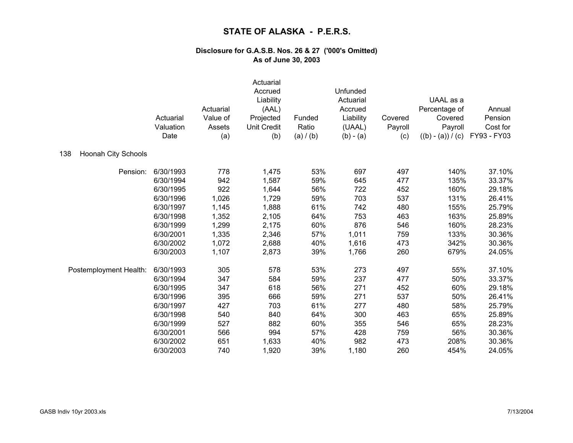|                                   | Actuarial<br>Valuation<br>Date | Actuarial<br>Value of<br>Assets<br>(a) | Actuarial<br>Accrued<br>Liability<br>(AAL)<br>Projected<br><b>Unit Credit</b><br>(b) | Funded<br>Ratio<br>(a) / (b) | Unfunded<br>Actuarial<br>Accrued<br>Liability<br>(UAAL)<br>$(b) - (a)$ | Covered<br>Payroll<br>(c) | UAAL as a<br>Percentage of<br>Covered<br>Payroll<br>$((b) - (a)) / (c)$ | Annual<br>Pension<br>Cost for<br>FY93 - FY03 |
|-----------------------------------|--------------------------------|----------------------------------------|--------------------------------------------------------------------------------------|------------------------------|------------------------------------------------------------------------|---------------------------|-------------------------------------------------------------------------|----------------------------------------------|
| <b>Hoonah City Schools</b><br>138 |                                |                                        |                                                                                      |                              |                                                                        |                           |                                                                         |                                              |
| Pension:                          | 6/30/1993                      | 778                                    | 1,475                                                                                | 53%                          | 697                                                                    | 497                       | 140%                                                                    | 37.10%                                       |
|                                   | 6/30/1994                      | 942                                    | 1,587                                                                                | 59%                          | 645                                                                    | 477                       | 135%                                                                    | 33.37%                                       |
|                                   | 6/30/1995                      | 922                                    | 1,644                                                                                | 56%                          | 722                                                                    | 452                       | 160%                                                                    | 29.18%                                       |
|                                   | 6/30/1996                      | 1,026                                  | 1,729                                                                                | 59%                          | 703                                                                    | 537                       | 131%                                                                    | 26.41%                                       |
|                                   | 6/30/1997                      | 1,145                                  | 1,888                                                                                | 61%                          | 742                                                                    | 480                       | 155%                                                                    | 25.79%                                       |
|                                   | 6/30/1998                      | 1,352                                  | 2,105                                                                                | 64%                          | 753                                                                    | 463                       | 163%                                                                    | 25.89%                                       |
|                                   | 6/30/1999                      | 1,299                                  | 2,175                                                                                | 60%                          | 876                                                                    | 546                       | 160%                                                                    | 28.23%                                       |
|                                   | 6/30/2001                      | 1,335                                  | 2,346                                                                                | 57%                          | 1,011                                                                  | 759                       | 133%                                                                    | 30.36%                                       |
|                                   | 6/30/2002                      | 1,072                                  | 2,688                                                                                | 40%                          | 1,616                                                                  | 473                       | 342%                                                                    | 30.36%                                       |
|                                   | 6/30/2003                      | 1,107                                  | 2,873                                                                                | 39%                          | 1,766                                                                  | 260                       | 679%                                                                    | 24.05%                                       |
| Postemployment Health:            | 6/30/1993                      | 305                                    | 578                                                                                  | 53%                          | 273                                                                    | 497                       | 55%                                                                     | 37.10%                                       |
|                                   | 6/30/1994                      | 347                                    | 584                                                                                  | 59%                          | 237                                                                    | 477                       | 50%                                                                     | 33.37%                                       |
|                                   | 6/30/1995                      | 347                                    | 618                                                                                  | 56%                          | 271                                                                    | 452                       | 60%                                                                     | 29.18%                                       |
|                                   | 6/30/1996                      | 395                                    | 666                                                                                  | 59%                          | 271                                                                    | 537                       | 50%                                                                     | 26.41%                                       |
|                                   | 6/30/1997                      | 427                                    | 703                                                                                  | 61%                          | 277                                                                    | 480                       | 58%                                                                     | 25.79%                                       |
|                                   | 6/30/1998                      | 540                                    | 840                                                                                  | 64%                          | 300                                                                    | 463                       | 65%                                                                     | 25.89%                                       |
|                                   | 6/30/1999                      | 527                                    | 882                                                                                  | 60%                          | 355                                                                    | 546                       | 65%                                                                     | 28.23%                                       |
|                                   | 6/30/2001                      | 566                                    | 994                                                                                  | 57%                          | 428                                                                    | 759                       | 56%                                                                     | 30.36%                                       |
|                                   | 6/30/2002                      | 651                                    | 1,633                                                                                | 40%                          | 982                                                                    | 473                       | 208%                                                                    | 30.36%                                       |
|                                   | 6/30/2003                      | 740                                    | 1,920                                                                                | 39%                          | 1,180                                                                  | 260                       | 454%                                                                    | 24.05%                                       |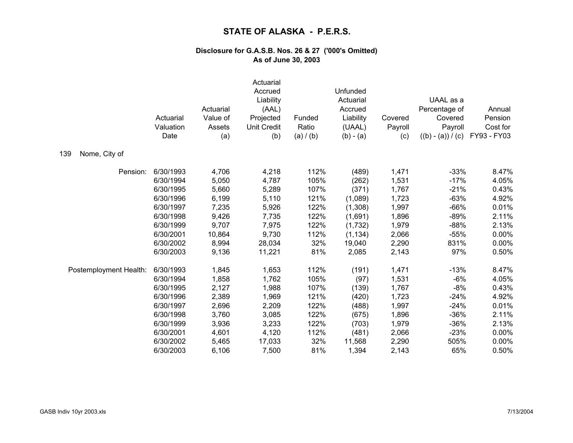|                        | Actuarial<br>Valuation<br>Date | Actuarial<br>Value of<br>Assets<br>(a) | Actuarial<br>Accrued<br>Liability<br>(AAL)<br>Projected<br><b>Unit Credit</b><br>(b) | Funded<br>Ratio<br>(a) / (b) | Unfunded<br>Actuarial<br>Accrued<br>Liability<br>(UAAL)<br>$(b) - (a)$ | Covered<br>Payroll<br>(c) | UAAL as a<br>Percentage of<br>Covered<br>Payroll<br>$((b) - (a)) / (c)$ | Annual<br>Pension<br>Cost for<br>FY93 - FY03 |
|------------------------|--------------------------------|----------------------------------------|--------------------------------------------------------------------------------------|------------------------------|------------------------------------------------------------------------|---------------------------|-------------------------------------------------------------------------|----------------------------------------------|
| 139<br>Nome, City of   |                                |                                        |                                                                                      |                              |                                                                        |                           |                                                                         |                                              |
| Pension:               | 6/30/1993                      | 4,706                                  | 4,218                                                                                | 112%                         | (489)                                                                  | 1,471                     | $-33%$                                                                  | 8.47%                                        |
|                        | 6/30/1994                      | 5,050                                  | 4,787                                                                                | 105%                         | (262)                                                                  | 1,531                     | $-17%$                                                                  | 4.05%                                        |
|                        | 6/30/1995                      | 5,660                                  | 5,289                                                                                | 107%                         | (371)                                                                  | 1,767                     | $-21%$                                                                  | 0.43%                                        |
|                        | 6/30/1996                      | 6,199                                  | 5,110                                                                                | 121%                         | (1,089)                                                                | 1,723                     | $-63%$                                                                  | 4.92%                                        |
|                        | 6/30/1997                      | 7,235                                  | 5,926                                                                                | 122%                         | (1,308)                                                                | 1,997                     | $-66%$                                                                  | 0.01%                                        |
|                        | 6/30/1998                      | 9,426                                  | 7,735                                                                                | 122%                         | (1,691)                                                                | 1,896                     | $-89%$                                                                  | 2.11%                                        |
|                        | 6/30/1999                      | 9,707                                  | 7,975                                                                                | 122%                         | (1,732)                                                                | 1,979                     | $-88%$                                                                  | 2.13%                                        |
|                        | 6/30/2001                      | 10,864                                 | 9,730                                                                                | 112%                         | (1, 134)                                                               | 2,066                     | $-55%$                                                                  | 0.00%                                        |
|                        | 6/30/2002                      | 8,994                                  | 28,034                                                                               | 32%                          | 19,040                                                                 | 2,290                     | 831%                                                                    | 0.00%                                        |
|                        | 6/30/2003                      | 9,136                                  | 11,221                                                                               | 81%                          | 2,085                                                                  | 2,143                     | 97%                                                                     | 0.50%                                        |
| Postemployment Health: | 6/30/1993                      | 1,845                                  | 1,653                                                                                | 112%                         | (191)                                                                  | 1,471                     | $-13%$                                                                  | 8.47%                                        |
|                        | 6/30/1994                      | 1,858                                  | 1,762                                                                                | 105%                         | (97)                                                                   | 1,531                     | $-6%$                                                                   | 4.05%                                        |
|                        | 6/30/1995                      | 2,127                                  | 1,988                                                                                | 107%                         | (139)                                                                  | 1,767                     | $-8%$                                                                   | 0.43%                                        |
|                        | 6/30/1996                      | 2,389                                  | 1,969                                                                                | 121%                         | (420)                                                                  | 1,723                     | $-24%$                                                                  | 4.92%                                        |
|                        | 6/30/1997                      | 2,696                                  | 2,209                                                                                | 122%                         | (488)                                                                  | 1,997                     | $-24%$                                                                  | 0.01%                                        |
|                        | 6/30/1998                      | 3,760                                  | 3,085                                                                                | 122%                         | (675)                                                                  | 1,896                     | $-36%$                                                                  | 2.11%                                        |
|                        | 6/30/1999                      | 3,936                                  | 3,233                                                                                | 122%                         | (703)                                                                  | 1,979                     | $-36%$                                                                  | 2.13%                                        |
|                        | 6/30/2001                      | 4,601                                  | 4,120                                                                                | 112%                         | (481)                                                                  | 2,066                     | $-23%$                                                                  | 0.00%                                        |
|                        | 6/30/2002                      | 5,465                                  | 17,033                                                                               | 32%                          | 11,568                                                                 | 2,290                     | 505%                                                                    | 0.00%                                        |
|                        | 6/30/2003                      | 6,106                                  | 7,500                                                                                | 81%                          | 1,394                                                                  | 2,143                     | 65%                                                                     | 0.50%                                        |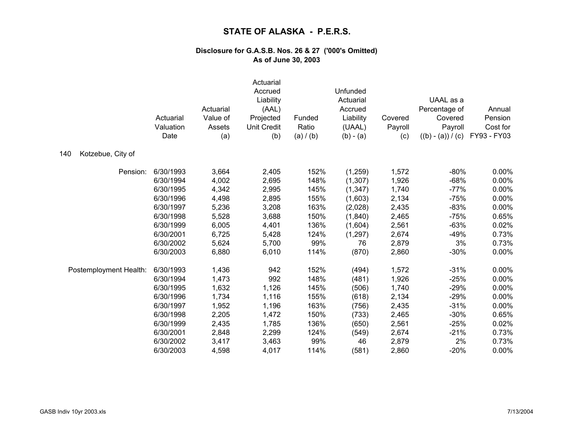|                          | Actuarial<br>Valuation<br>Date | Actuarial<br>Value of<br>Assets<br>(a) | Actuarial<br>Accrued<br>Liability<br>(AAL)<br>Projected<br>Unit Credit<br>(b) | Funded<br>Ratio<br>(a) / (b) | Unfunded<br>Actuarial<br>Accrued<br>Liability<br>(UAAL)<br>$(b) - (a)$ | Covered<br>Payroll<br>(c) | UAAL as a<br>Percentage of<br>Covered<br>Payroll<br>$((b) - (a)) / (c)$ | Annual<br>Pension<br>Cost for<br>FY93 - FY03 |
|--------------------------|--------------------------------|----------------------------------------|-------------------------------------------------------------------------------|------------------------------|------------------------------------------------------------------------|---------------------------|-------------------------------------------------------------------------|----------------------------------------------|
| Kotzebue, City of<br>140 |                                |                                        |                                                                               |                              |                                                                        |                           |                                                                         |                                              |
| Pension:                 | 6/30/1993                      | 3,664                                  | 2,405                                                                         | 152%                         | (1,259)                                                                | 1,572                     | $-80%$                                                                  | 0.00%                                        |
|                          | 6/30/1994                      | 4,002                                  | 2,695                                                                         | 148%                         | (1,307)                                                                | 1,926                     | $-68%$                                                                  | 0.00%                                        |
|                          | 6/30/1995                      | 4,342                                  | 2,995                                                                         | 145%                         | (1, 347)                                                               | 1,740                     | $-77%$                                                                  | 0.00%                                        |
|                          | 6/30/1996                      | 4,498                                  | 2,895                                                                         | 155%                         | (1,603)                                                                | 2,134                     | $-75%$                                                                  | 0.00%                                        |
|                          | 6/30/1997                      | 5,236                                  | 3,208                                                                         | 163%                         | (2,028)                                                                | 2,435                     | $-83%$                                                                  | 0.00%                                        |
|                          | 6/30/1998                      | 5,528                                  | 3,688                                                                         | 150%                         | (1, 840)                                                               | 2,465                     | $-75%$                                                                  | 0.65%                                        |
|                          | 6/30/1999                      | 6,005                                  | 4,401                                                                         | 136%                         | (1,604)                                                                | 2,561                     | $-63%$                                                                  | 0.02%                                        |
|                          | 6/30/2001                      | 6,725                                  | 5,428                                                                         | 124%                         | (1,297)                                                                | 2,674                     | $-49%$                                                                  | 0.73%                                        |
|                          | 6/30/2002                      | 5,624                                  | 5,700                                                                         | 99%                          | 76                                                                     | 2,879                     | 3%                                                                      | 0.73%                                        |
|                          | 6/30/2003                      | 6,880                                  | 6,010                                                                         | 114%                         | (870)                                                                  | 2,860                     | $-30%$                                                                  | 0.00%                                        |
| Postemployment Health:   | 6/30/1993                      | 1,436                                  | 942                                                                           | 152%                         | (494)                                                                  | 1,572                     | $-31%$                                                                  | 0.00%                                        |
|                          | 6/30/1994                      | 1,473                                  | 992                                                                           | 148%                         | (481)                                                                  | 1,926                     | $-25%$                                                                  | 0.00%                                        |
|                          | 6/30/1995                      | 1,632                                  | 1,126                                                                         | 145%                         | (506)                                                                  | 1,740                     | $-29%$                                                                  | 0.00%                                        |
|                          | 6/30/1996                      | 1,734                                  | 1,116                                                                         | 155%                         | (618)                                                                  | 2,134                     | $-29%$                                                                  | 0.00%                                        |
|                          | 6/30/1997                      | 1,952                                  | 1,196                                                                         | 163%                         | (756)                                                                  | 2,435                     | $-31%$                                                                  | 0.00%                                        |
|                          | 6/30/1998                      | 2,205                                  | 1,472                                                                         | 150%                         | (733)                                                                  | 2,465                     | $-30%$                                                                  | 0.65%                                        |
|                          | 6/30/1999                      | 2,435                                  | 1,785                                                                         | 136%                         | (650)                                                                  | 2,561                     | $-25%$                                                                  | 0.02%                                        |
|                          | 6/30/2001                      | 2,848                                  | 2,299                                                                         | 124%                         | (549)                                                                  | 2,674                     | $-21%$                                                                  | 0.73%                                        |
|                          | 6/30/2002                      | 3,417                                  | 3,463                                                                         | 99%                          | 46                                                                     | 2,879                     | 2%                                                                      | 0.73%                                        |
|                          | 6/30/2003                      | 4,598                                  | 4,017                                                                         | 114%                         | (581)                                                                  | 2,860                     | $-20%$                                                                  | 0.00%                                        |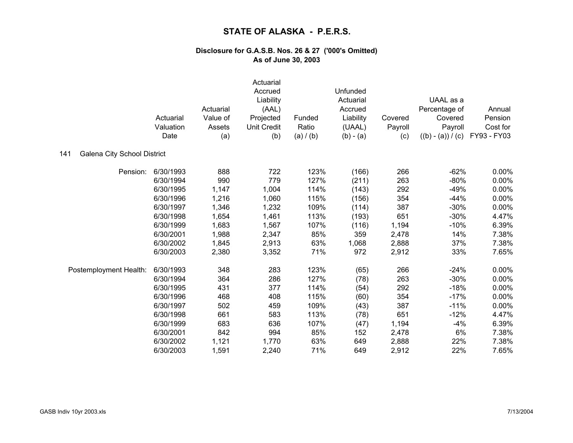|                                           | Actuarial<br>Valuation<br>Date | Actuarial<br>Value of<br>Assets<br>(a) | Actuarial<br>Accrued<br>Liability<br>(AAL)<br>Projected<br><b>Unit Credit</b><br>(b) | Funded<br>Ratio<br>(a) / (b) | Unfunded<br>Actuarial<br>Accrued<br>Liability<br>(UAAL)<br>$(b) - (a)$ | Covered<br>Payroll<br>(c) | UAAL as a<br>Percentage of<br>Covered<br>Payroll<br>$((b) - (a)) / (c)$ | Annual<br>Pension<br>Cost for<br>FY93 - FY03 |
|-------------------------------------------|--------------------------------|----------------------------------------|--------------------------------------------------------------------------------------|------------------------------|------------------------------------------------------------------------|---------------------------|-------------------------------------------------------------------------|----------------------------------------------|
| <b>Galena City School District</b><br>141 |                                |                                        |                                                                                      |                              |                                                                        |                           |                                                                         |                                              |
| Pension:                                  | 6/30/1993                      | 888                                    | 722                                                                                  | 123%                         | (166)                                                                  | 266                       | $-62%$                                                                  | $0.00\%$                                     |
|                                           | 6/30/1994                      | 990                                    | 779                                                                                  | 127%                         | (211)                                                                  | 263                       | $-80%$                                                                  | 0.00%                                        |
|                                           | 6/30/1995                      | 1,147                                  | 1,004                                                                                | 114%                         | (143)                                                                  | 292                       | $-49%$                                                                  | 0.00%                                        |
|                                           | 6/30/1996                      | 1,216                                  | 1,060                                                                                | 115%                         | (156)                                                                  | 354                       | $-44%$                                                                  | 0.00%                                        |
|                                           | 6/30/1997                      | 1,346                                  | 1,232                                                                                | 109%                         | (114)                                                                  | 387                       | $-30%$                                                                  | 0.00%                                        |
|                                           | 6/30/1998                      | 1,654                                  | 1,461                                                                                | 113%                         | (193)                                                                  | 651                       | $-30%$                                                                  | 4.47%                                        |
|                                           | 6/30/1999                      | 1,683                                  | 1,567                                                                                | 107%                         | (116)                                                                  | 1,194                     | $-10%$                                                                  | 6.39%                                        |
|                                           | 6/30/2001                      | 1,988                                  | 2,347                                                                                | 85%                          | 359                                                                    | 2,478                     | 14%                                                                     | 7.38%                                        |
|                                           | 6/30/2002                      | 1,845                                  | 2,913                                                                                | 63%                          | 1,068                                                                  | 2,888                     | 37%                                                                     | 7.38%                                        |
|                                           | 6/30/2003                      | 2,380                                  | 3,352                                                                                | 71%                          | 972                                                                    | 2,912                     | 33%                                                                     | 7.65%                                        |
| Postemployment Health:                    | 6/30/1993                      | 348                                    | 283                                                                                  | 123%                         | (65)                                                                   | 266                       | $-24%$                                                                  | 0.00%                                        |
|                                           | 6/30/1994                      | 364                                    | 286                                                                                  | 127%                         | (78)                                                                   | 263                       | $-30%$                                                                  | 0.00%                                        |
|                                           | 6/30/1995                      | 431                                    | 377                                                                                  | 114%                         | (54)                                                                   | 292                       | $-18%$                                                                  | 0.00%                                        |
|                                           | 6/30/1996                      | 468                                    | 408                                                                                  | 115%                         | (60)                                                                   | 354                       | $-17%$                                                                  | 0.00%                                        |
|                                           | 6/30/1997                      | 502                                    | 459                                                                                  | 109%                         | (43)                                                                   | 387                       | $-11%$                                                                  | 0.00%                                        |
|                                           | 6/30/1998                      | 661                                    | 583                                                                                  | 113%                         | (78)                                                                   | 651                       | $-12%$                                                                  | 4.47%                                        |
|                                           | 6/30/1999                      | 683                                    | 636                                                                                  | 107%                         | (47)                                                                   | 1,194                     | $-4%$                                                                   | 6.39%                                        |
|                                           | 6/30/2001                      | 842                                    | 994                                                                                  | 85%                          | 152                                                                    | 2,478                     | 6%                                                                      | 7.38%                                        |
|                                           | 6/30/2002                      | 1,121                                  | 1,770                                                                                | 63%                          | 649                                                                    | 2,888                     | 22%                                                                     | 7.38%                                        |
|                                           | 6/30/2003                      | 1,591                                  | 2,240                                                                                | 71%                          | 649                                                                    | 2,912                     | 22%                                                                     | 7.65%                                        |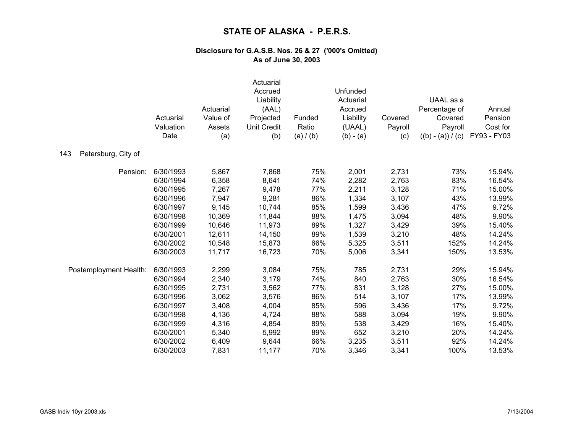|                            | Actuarial<br>Valuation<br>Date | Actuarial<br>Value of<br>Assets<br>(a) | Actuarial<br>Accrued<br>Liability<br>(AAL)<br>Projected<br><b>Unit Credit</b><br>(b) | Funded<br>Ratio<br>(a) / (b) | Unfunded<br>Actuarial<br>Accrued<br>Liability<br>(UAAL)<br>$(b) - (a)$ | Covered<br>Payroll<br>(c) | UAAL as a<br>Percentage of<br>Covered<br>Payroll<br>$((b) - (a)) / (c)$ | Annual<br>Pension<br>Cost for<br>FY93 - FY03 |
|----------------------------|--------------------------------|----------------------------------------|--------------------------------------------------------------------------------------|------------------------------|------------------------------------------------------------------------|---------------------------|-------------------------------------------------------------------------|----------------------------------------------|
| 143<br>Petersburg, City of |                                |                                        |                                                                                      |                              |                                                                        |                           |                                                                         |                                              |
| Pension:                   | 6/30/1993                      | 5,867                                  | 7,868                                                                                | 75%                          | 2,001                                                                  | 2,731                     | 73%                                                                     | 15.94%                                       |
|                            | 6/30/1994                      | 6,358                                  | 8,641                                                                                | 74%                          | 2,282                                                                  | 2,763                     | 83%                                                                     | 16.54%                                       |
|                            | 6/30/1995                      | 7,267                                  | 9,478                                                                                | 77%                          | 2,211                                                                  | 3,128                     | 71%                                                                     | 15.00%                                       |
|                            | 6/30/1996                      | 7,947                                  | 9,281                                                                                | 86%                          | 1,334                                                                  | 3,107                     | 43%                                                                     | 13.99%                                       |
|                            | 6/30/1997                      | 9,145                                  | 10,744                                                                               | 85%                          | 1,599                                                                  | 3,436                     | 47%                                                                     | 9.72%                                        |
|                            | 6/30/1998                      | 10,369                                 | 11,844                                                                               | 88%                          | 1,475                                                                  | 3,094                     | 48%                                                                     | 9.90%                                        |
|                            | 6/30/1999                      | 10,646                                 | 11,973                                                                               | 89%                          | 1,327                                                                  | 3,429                     | 39%                                                                     | 15.40%                                       |
|                            | 6/30/2001                      | 12,611                                 | 14,150                                                                               | 89%                          | 1,539                                                                  | 3,210                     | 48%                                                                     | 14.24%                                       |
|                            | 6/30/2002                      | 10,548                                 | 15,873                                                                               | 66%                          | 5,325                                                                  | 3,511                     | 152%                                                                    | 14.24%                                       |
|                            | 6/30/2003                      | 11,717                                 | 16,723                                                                               | 70%                          | 5,006                                                                  | 3,341                     | 150%                                                                    | 13.53%                                       |
| Postemployment Health:     | 6/30/1993                      | 2,299                                  | 3,084                                                                                | 75%                          | 785                                                                    | 2,731                     | 29%                                                                     | 15.94%                                       |
|                            | 6/30/1994                      | 2,340                                  | 3,179                                                                                | 74%                          | 840                                                                    | 2,763                     | 30%                                                                     | 16.54%                                       |
|                            | 6/30/1995                      | 2,731                                  | 3,562                                                                                | 77%                          | 831                                                                    | 3,128                     | 27%                                                                     | 15.00%                                       |
|                            | 6/30/1996                      | 3,062                                  | 3,576                                                                                | 86%                          | 514                                                                    | 3,107                     | 17%                                                                     | 13.99%                                       |
|                            | 6/30/1997                      | 3,408                                  | 4,004                                                                                | 85%                          | 596                                                                    | 3,436                     | 17%                                                                     | 9.72%                                        |
|                            | 6/30/1998                      | 4,136                                  | 4,724                                                                                | 88%                          | 588                                                                    | 3,094                     | 19%                                                                     | 9.90%                                        |
|                            | 6/30/1999                      | 4,316                                  | 4,854                                                                                | 89%                          | 538                                                                    | 3,429                     | 16%                                                                     | 15.40%                                       |
|                            | 6/30/2001                      | 5,340                                  | 5,992                                                                                | 89%                          | 652                                                                    | 3,210                     | 20%                                                                     | 14.24%                                       |
|                            | 6/30/2002                      | 6,409                                  | 9,644                                                                                | 66%                          | 3,235                                                                  | 3,511                     | 92%                                                                     | 14.24%                                       |
|                            | 6/30/2003                      | 7,831                                  | 11,177                                                                               | 70%                          | 3,346                                                                  | 3,341                     | 100%                                                                    | 13.53%                                       |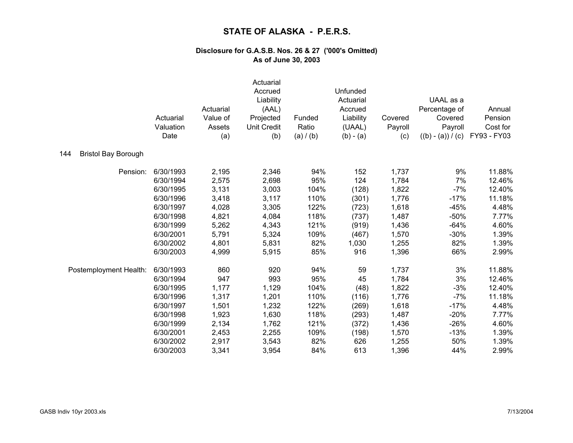|                                   | Actuarial<br>Valuation<br>Date | Actuarial<br>Value of<br>Assets<br>(a) | Actuarial<br>Accrued<br>Liability<br>(AAL)<br>Projected<br><b>Unit Credit</b><br>(b) | Funded<br>Ratio<br>(a) / (b) | Unfunded<br>Actuarial<br>Accrued<br>Liability<br>(UAAL)<br>$(b) - (a)$ | Covered<br>Payroll<br>(c) | UAAL as a<br>Percentage of<br>Covered<br>Payroll<br>$((b) - (a)) / (c)$ | Annual<br>Pension<br>Cost for<br>FY93 - FY03 |
|-----------------------------------|--------------------------------|----------------------------------------|--------------------------------------------------------------------------------------|------------------------------|------------------------------------------------------------------------|---------------------------|-------------------------------------------------------------------------|----------------------------------------------|
| <b>Bristol Bay Borough</b><br>144 |                                |                                        |                                                                                      |                              |                                                                        |                           |                                                                         |                                              |
| Pension:                          | 6/30/1993                      | 2,195                                  | 2,346                                                                                | 94%                          | 152                                                                    | 1,737                     | 9%                                                                      | 11.88%                                       |
|                                   | 6/30/1994                      | 2,575                                  | 2,698                                                                                | 95%                          | 124                                                                    | 1,784                     | 7%                                                                      | 12.46%                                       |
|                                   | 6/30/1995                      | 3,131                                  | 3,003                                                                                | 104%                         | (128)                                                                  | 1,822                     | $-7%$                                                                   | 12.40%                                       |
|                                   | 6/30/1996                      | 3,418                                  | 3,117                                                                                | 110%                         | (301)                                                                  | 1,776                     | $-17%$                                                                  | 11.18%                                       |
|                                   | 6/30/1997                      | 4,028                                  | 3,305                                                                                | 122%                         | (723)                                                                  | 1,618                     | $-45%$                                                                  | 4.48%                                        |
|                                   | 6/30/1998                      | 4,821                                  | 4,084                                                                                | 118%                         | (737)                                                                  | 1,487                     | $-50%$                                                                  | 7.77%                                        |
|                                   | 6/30/1999                      | 5,262                                  | 4,343                                                                                | 121%                         | (919)                                                                  | 1,436                     | $-64%$                                                                  | 4.60%                                        |
|                                   | 6/30/2001                      | 5,791                                  | 5,324                                                                                | 109%                         | (467)                                                                  | 1,570                     | $-30%$                                                                  | 1.39%                                        |
|                                   | 6/30/2002                      | 4,801                                  | 5,831                                                                                | 82%                          | 1,030                                                                  | 1,255                     | 82%                                                                     | 1.39%                                        |
|                                   | 6/30/2003                      | 4,999                                  | 5,915                                                                                | 85%                          | 916                                                                    | 1,396                     | 66%                                                                     | 2.99%                                        |
| Postemployment Health:            | 6/30/1993                      | 860                                    | 920                                                                                  | 94%                          | 59                                                                     | 1,737                     | 3%                                                                      | 11.88%                                       |
|                                   | 6/30/1994                      | 947                                    | 993                                                                                  | 95%                          | 45                                                                     | 1,784                     | 3%                                                                      | 12.46%                                       |
|                                   | 6/30/1995                      | 1,177                                  | 1,129                                                                                | 104%                         | (48)                                                                   | 1,822                     | $-3%$                                                                   | 12.40%                                       |
|                                   | 6/30/1996                      | 1,317                                  | 1,201                                                                                | 110%                         | (116)                                                                  | 1,776                     | $-7%$                                                                   | 11.18%                                       |
|                                   | 6/30/1997                      | 1,501                                  | 1,232                                                                                | 122%                         | (269)                                                                  | 1,618                     | $-17%$                                                                  | 4.48%                                        |
|                                   | 6/30/1998                      | 1,923                                  | 1,630                                                                                | 118%                         | (293)                                                                  | 1,487                     | $-20%$                                                                  | 7.77%                                        |
|                                   | 6/30/1999                      | 2,134                                  | 1,762                                                                                | 121%                         | (372)                                                                  | 1,436                     | $-26%$                                                                  | 4.60%                                        |
|                                   | 6/30/2001                      | 2,453                                  | 2,255                                                                                | 109%                         | (198)                                                                  | 1,570                     | $-13%$                                                                  | 1.39%                                        |
|                                   | 6/30/2002                      | 2,917                                  | 3,543                                                                                | 82%                          | 626                                                                    | 1,255                     | 50%                                                                     | 1.39%                                        |
|                                   | 6/30/2003                      | 3,341                                  | 3,954                                                                                | 84%                          | 613                                                                    | 1,396                     | 44%                                                                     | 2.99%                                        |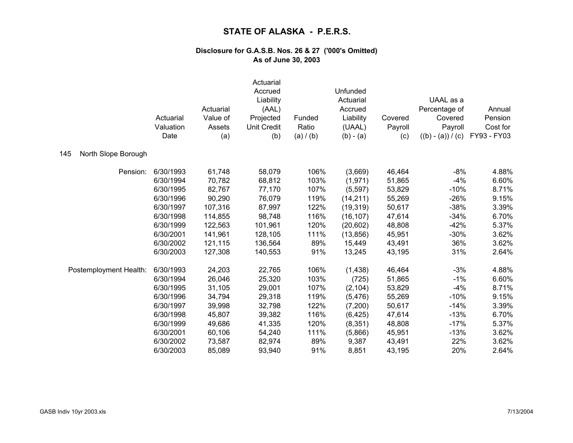|                            | Actuarial<br>Valuation<br>Date | Actuarial<br>Value of<br>Assets<br>(a) | Actuarial<br>Accrued<br>Liability<br>(AAL)<br>Projected<br><b>Unit Credit</b><br>(b) | Funded<br>Ratio<br>(a) / (b) | Unfunded<br>Actuarial<br>Accrued<br>Liability<br>(UAAL)<br>$(b) - (a)$ | Covered<br>Payroll<br>(c) | UAAL as a<br>Percentage of<br>Covered<br>Payroll<br>$((b) - (a)) / (c)$ | Annual<br>Pension<br>Cost for<br>FY93 - FY03 |
|----------------------------|--------------------------------|----------------------------------------|--------------------------------------------------------------------------------------|------------------------------|------------------------------------------------------------------------|---------------------------|-------------------------------------------------------------------------|----------------------------------------------|
| North Slope Borough<br>145 |                                |                                        |                                                                                      |                              |                                                                        |                           |                                                                         |                                              |
| Pension:                   | 6/30/1993                      | 61,748                                 | 58,079                                                                               | 106%                         | (3,669)                                                                | 46,464                    | $-8%$                                                                   | 4.88%                                        |
|                            | 6/30/1994                      | 70,782                                 | 68,812                                                                               | 103%                         | (1, 971)                                                               | 51,865                    | $-4%$                                                                   | 6.60%                                        |
|                            | 6/30/1995                      | 82,767                                 | 77,170                                                                               | 107%                         | (5,597)                                                                | 53,829                    | $-10%$                                                                  | 8.71%                                        |
|                            | 6/30/1996                      | 90,290                                 | 76,079                                                                               | 119%                         | (14, 211)                                                              | 55,269                    | $-26%$                                                                  | 9.15%                                        |
|                            | 6/30/1997                      | 107,316                                | 87,997                                                                               | 122%                         | (19, 319)                                                              | 50,617                    | $-38%$                                                                  | 3.39%                                        |
|                            | 6/30/1998                      | 114,855                                | 98,748                                                                               | 116%                         | (16, 107)                                                              | 47,614                    | $-34%$                                                                  | 6.70%                                        |
|                            | 6/30/1999                      | 122,563                                | 101,961                                                                              | 120%                         | (20, 602)                                                              | 48,808                    | $-42%$                                                                  | 5.37%                                        |
|                            | 6/30/2001                      | 141,961                                | 128,105                                                                              | 111%                         | (13, 856)                                                              | 45,951                    | $-30%$                                                                  | 3.62%                                        |
|                            | 6/30/2002                      | 121,115                                | 136,564                                                                              | 89%                          | 15,449                                                                 | 43,491                    | 36%                                                                     | 3.62%                                        |
|                            | 6/30/2003                      | 127,308                                | 140,553                                                                              | 91%                          | 13,245                                                                 | 43,195                    | 31%                                                                     | 2.64%                                        |
| Postemployment Health:     | 6/30/1993                      | 24,203                                 | 22,765                                                                               | 106%                         | (1, 438)                                                               | 46,464                    | $-3%$                                                                   | 4.88%                                        |
|                            | 6/30/1994                      | 26,046                                 | 25,320                                                                               | 103%                         | (725)                                                                  | 51,865                    | $-1%$                                                                   | 6.60%                                        |
|                            | 6/30/1995                      | 31,105                                 | 29,001                                                                               | 107%                         | (2, 104)                                                               | 53,829                    | $-4%$                                                                   | 8.71%                                        |
|                            | 6/30/1996                      | 34,794                                 | 29,318                                                                               | 119%                         | (5, 476)                                                               | 55,269                    | $-10%$                                                                  | 9.15%                                        |
|                            | 6/30/1997                      | 39,998                                 | 32,798                                                                               | 122%                         | (7,200)                                                                | 50,617                    | $-14%$                                                                  | 3.39%                                        |
|                            | 6/30/1998                      | 45,807                                 | 39,382                                                                               | 116%                         | (6, 425)                                                               | 47,614                    | $-13%$                                                                  | 6.70%                                        |
|                            | 6/30/1999                      | 49,686                                 | 41,335                                                                               | 120%                         | (8, 351)                                                               | 48,808                    | $-17%$                                                                  | 5.37%                                        |
|                            | 6/30/2001                      | 60,106                                 | 54,240                                                                               | 111%                         | (5,866)                                                                | 45,951                    | $-13%$                                                                  | 3.62%                                        |
|                            | 6/30/2002                      | 73,587                                 | 82,974                                                                               | 89%                          | 9,387                                                                  | 43,491                    | 22%                                                                     | 3.62%                                        |
|                            | 6/30/2003                      | 85,089                                 | 93,940                                                                               | 91%                          | 8,851                                                                  | 43,195                    | 20%                                                                     | 2.64%                                        |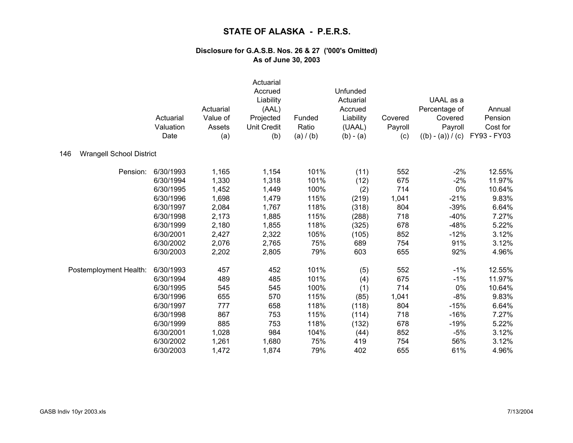|                                        | Actuarial<br>Valuation<br>Date | Actuarial<br>Value of<br>Assets<br>(a) | Actuarial<br>Accrued<br>Liability<br>(AAL)<br>Projected<br><b>Unit Credit</b><br>(b) | Funded<br>Ratio<br>(a) / (b) | Unfunded<br>Actuarial<br>Accrued<br>Liability<br>(UAAL)<br>$(b) - (a)$ | Covered<br>Payroll<br>(c) | UAAL as a<br>Percentage of<br>Covered<br>Payroll<br>$((b) - (a)) / (c)$ | Annual<br>Pension<br>Cost for<br>FY93 - FY03 |
|----------------------------------------|--------------------------------|----------------------------------------|--------------------------------------------------------------------------------------|------------------------------|------------------------------------------------------------------------|---------------------------|-------------------------------------------------------------------------|----------------------------------------------|
| <b>Wrangell School District</b><br>146 |                                |                                        |                                                                                      |                              |                                                                        |                           |                                                                         |                                              |
| Pension:                               | 6/30/1993                      | 1,165                                  | 1,154                                                                                | 101%                         | (11)                                                                   | 552                       | $-2%$                                                                   | 12.55%                                       |
|                                        | 6/30/1994                      | 1,330                                  | 1,318                                                                                | 101%                         | (12)                                                                   | 675                       | $-2%$                                                                   | 11.97%                                       |
|                                        | 6/30/1995                      | 1,452                                  | 1,449                                                                                | 100%                         | (2)                                                                    | 714                       | 0%                                                                      | 10.64%                                       |
|                                        | 6/30/1996                      | 1,698                                  | 1,479                                                                                | 115%                         | (219)                                                                  | 1,041                     | $-21%$                                                                  | 9.83%                                        |
|                                        | 6/30/1997                      | 2,084                                  | 1,767                                                                                | 118%                         | (318)                                                                  | 804                       | $-39%$                                                                  | 6.64%                                        |
|                                        | 6/30/1998                      | 2,173                                  | 1,885                                                                                | 115%                         | (288)                                                                  | 718                       | $-40%$                                                                  | 7.27%                                        |
|                                        | 6/30/1999                      | 2,180                                  | 1,855                                                                                | 118%                         | (325)                                                                  | 678                       | $-48%$                                                                  | 5.22%                                        |
|                                        | 6/30/2001                      | 2,427                                  | 2,322                                                                                | 105%                         | (105)                                                                  | 852                       | $-12%$                                                                  | 3.12%                                        |
|                                        | 6/30/2002                      | 2,076                                  | 2,765                                                                                | 75%                          | 689                                                                    | 754                       | 91%                                                                     | 3.12%                                        |
|                                        | 6/30/2003                      | 2,202                                  | 2,805                                                                                | 79%                          | 603                                                                    | 655                       | 92%                                                                     | 4.96%                                        |
| Postemployment Health:                 | 6/30/1993                      | 457                                    | 452                                                                                  | 101%                         | (5)                                                                    | 552                       | $-1%$                                                                   | 12.55%                                       |
|                                        | 6/30/1994                      | 489                                    | 485                                                                                  | 101%                         | (4)                                                                    | 675                       | $-1%$                                                                   | 11.97%                                       |
|                                        | 6/30/1995                      | 545                                    | 545                                                                                  | 100%                         | (1)                                                                    | 714                       | 0%                                                                      | 10.64%                                       |
|                                        | 6/30/1996                      | 655                                    | 570                                                                                  | 115%                         | (85)                                                                   | 1,041                     | $-8%$                                                                   | 9.83%                                        |
|                                        | 6/30/1997                      | 777                                    | 658                                                                                  | 118%                         | (118)                                                                  | 804                       | $-15%$                                                                  | 6.64%                                        |
|                                        | 6/30/1998                      | 867                                    | 753                                                                                  | 115%                         | (114)                                                                  | 718                       | $-16%$                                                                  | 7.27%                                        |
|                                        | 6/30/1999                      | 885                                    | 753                                                                                  | 118%                         | (132)                                                                  | 678                       | $-19%$                                                                  | 5.22%                                        |
|                                        | 6/30/2001                      | 1,028                                  | 984                                                                                  | 104%                         | (44)                                                                   | 852                       | $-5%$                                                                   | 3.12%                                        |
|                                        | 6/30/2002                      | 1,261                                  | 1,680                                                                                | 75%                          | 419                                                                    | 754                       | 56%                                                                     | 3.12%                                        |
|                                        | 6/30/2003                      | 1,472                                  | 1,874                                                                                | 79%                          | 402                                                                    | 655                       | 61%                                                                     | 4.96%                                        |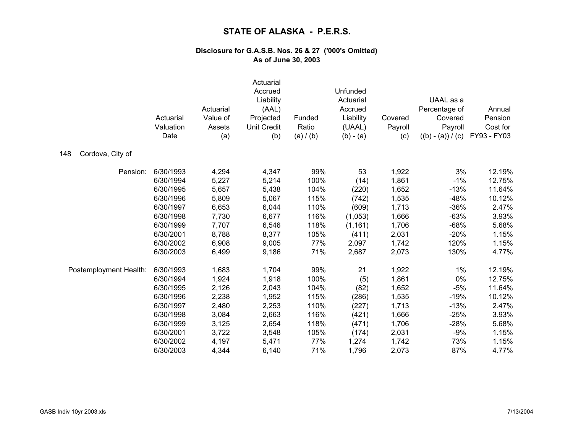|                         | Actuarial<br>Valuation<br>Date | Actuarial<br>Value of<br>Assets<br>(a) | Actuarial<br>Accrued<br>Liability<br>(AAL)<br>Projected<br><b>Unit Credit</b><br>(b) | Funded<br>Ratio<br>(a) / (b) | Unfunded<br>Actuarial<br>Accrued<br>Liability<br>(UAAL)<br>$(b) - (a)$ | Covered<br>Payroll<br>(c) | UAAL as a<br>Percentage of<br>Covered<br>Payroll<br>$((b) - (a)) / (c)$ | Annual<br>Pension<br>Cost for<br>FY93 - FY03 |
|-------------------------|--------------------------------|----------------------------------------|--------------------------------------------------------------------------------------|------------------------------|------------------------------------------------------------------------|---------------------------|-------------------------------------------------------------------------|----------------------------------------------|
| Cordova, City of<br>148 |                                |                                        |                                                                                      |                              |                                                                        |                           |                                                                         |                                              |
| Pension:                | 6/30/1993                      | 4,294                                  | 4,347                                                                                | 99%                          | 53                                                                     | 1,922                     | 3%                                                                      | 12.19%                                       |
|                         | 6/30/1994                      | 5,227                                  | 5,214                                                                                | 100%                         | (14)                                                                   | 1,861                     | $-1%$                                                                   | 12.75%                                       |
|                         | 6/30/1995                      | 5,657                                  | 5,438                                                                                | 104%                         | (220)                                                                  | 1,652                     | $-13%$                                                                  | 11.64%                                       |
|                         | 6/30/1996                      | 5,809                                  | 5,067                                                                                | 115%                         | (742)                                                                  | 1,535                     | $-48%$                                                                  | 10.12%                                       |
|                         | 6/30/1997                      | 6,653                                  | 6,044                                                                                | 110%                         | (609)                                                                  | 1,713                     | $-36%$                                                                  | 2.47%                                        |
|                         | 6/30/1998                      | 7,730                                  | 6,677                                                                                | 116%                         | (1,053)                                                                | 1,666                     | $-63%$                                                                  | 3.93%                                        |
|                         | 6/30/1999                      | 7,707                                  | 6,546                                                                                | 118%                         | (1, 161)                                                               | 1,706                     | $-68%$                                                                  | 5.68%                                        |
|                         | 6/30/2001                      | 8,788                                  | 8,377                                                                                | 105%                         | (411)                                                                  | 2,031                     | $-20%$                                                                  | 1.15%                                        |
|                         | 6/30/2002                      | 6,908                                  | 9,005                                                                                | 77%                          | 2,097                                                                  | 1,742                     | 120%                                                                    | 1.15%                                        |
|                         | 6/30/2003                      | 6,499                                  | 9,186                                                                                | 71%                          | 2,687                                                                  | 2,073                     | 130%                                                                    | 4.77%                                        |
| Postemployment Health:  | 6/30/1993                      | 1,683                                  | 1,704                                                                                | 99%                          | 21                                                                     | 1,922                     | 1%                                                                      | 12.19%                                       |
|                         | 6/30/1994                      | 1,924                                  | 1,918                                                                                | 100%                         | (5)                                                                    | 1,861                     | 0%                                                                      | 12.75%                                       |
|                         | 6/30/1995                      | 2,126                                  | 2,043                                                                                | 104%                         | (82)                                                                   | 1,652                     | $-5%$                                                                   | 11.64%                                       |
|                         | 6/30/1996                      | 2,238                                  | 1,952                                                                                | 115%                         | (286)                                                                  | 1,535                     | $-19%$                                                                  | 10.12%                                       |
|                         | 6/30/1997                      | 2,480                                  | 2,253                                                                                | 110%                         | (227)                                                                  | 1,713                     | $-13%$                                                                  | 2.47%                                        |
|                         | 6/30/1998                      | 3,084                                  | 2,663                                                                                | 116%                         | (421)                                                                  | 1,666                     | $-25%$                                                                  | 3.93%                                        |
|                         | 6/30/1999                      | 3,125                                  | 2,654                                                                                | 118%                         | (471)                                                                  | 1,706                     | $-28%$                                                                  | 5.68%                                        |
|                         | 6/30/2001                      | 3,722                                  | 3,548                                                                                | 105%                         | (174)                                                                  | 2,031                     | $-9%$                                                                   | 1.15%                                        |
|                         | 6/30/2002                      | 4,197                                  | 5,471                                                                                | 77%                          | 1,274                                                                  | 1,742                     | 73%                                                                     | 1.15%                                        |
|                         | 6/30/2003                      | 4,344                                  | 6,140                                                                                | 71%                          | 1,796                                                                  | 2,073                     | 87%                                                                     | 4.77%                                        |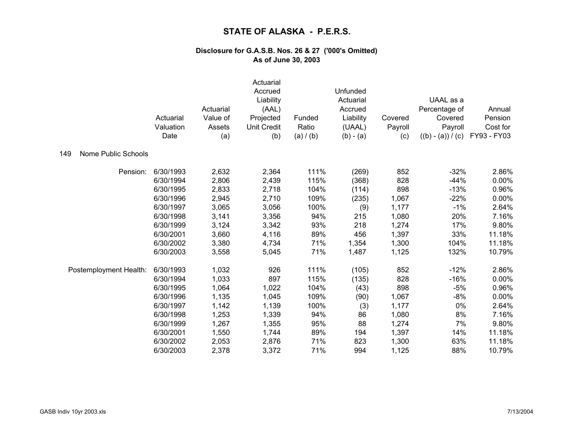|                                   | Actuarial<br>Valuation<br>Date | Actuarial<br>Value of<br>Assets<br>(a) | Actuarial<br>Accrued<br>Liability<br>(AAL)<br>Projected<br><b>Unit Credit</b><br>(b) | Funded<br>Ratio<br>(a) / (b) | Unfunded<br>Actuarial<br>Accrued<br>Liability<br>(UAAL)<br>$(b) - (a)$ | Covered<br>Payroll<br>(c) | UAAL as a<br>Percentage of<br>Covered<br>Payroll<br>$((b) - (a)) / (c)$ | Annual<br>Pension<br>Cost for<br>FY93 - FY03 |
|-----------------------------------|--------------------------------|----------------------------------------|--------------------------------------------------------------------------------------|------------------------------|------------------------------------------------------------------------|---------------------------|-------------------------------------------------------------------------|----------------------------------------------|
| <b>Nome Public Schools</b><br>149 |                                |                                        |                                                                                      |                              |                                                                        |                           |                                                                         |                                              |
| Pension:                          | 6/30/1993                      | 2,632                                  | 2,364                                                                                | 111%                         | (269)                                                                  | 852                       | $-32%$                                                                  | 2.86%                                        |
|                                   | 6/30/1994                      | 2,806                                  | 2,439                                                                                | 115%                         | (368)                                                                  | 828                       | $-44%$                                                                  | 0.00%                                        |
|                                   | 6/30/1995                      | 2,833                                  | 2,718                                                                                | 104%                         | (114)                                                                  | 898                       | $-13%$                                                                  | 0.96%                                        |
|                                   | 6/30/1996                      | 2,945                                  | 2,710                                                                                | 109%                         | (235)                                                                  | 1,067                     | $-22%$                                                                  | 0.00%                                        |
|                                   | 6/30/1997                      | 3,065                                  | 3,056                                                                                | 100%                         | (9)                                                                    | 1,177                     | $-1%$                                                                   | 2.64%                                        |
|                                   | 6/30/1998                      | 3,141                                  | 3,356                                                                                | 94%                          | 215                                                                    | 1,080                     | 20%                                                                     | 7.16%                                        |
|                                   | 6/30/1999                      | 3,124                                  | 3,342                                                                                | 93%                          | 218                                                                    | 1,274                     | 17%                                                                     | 9.80%                                        |
|                                   | 6/30/2001                      | 3,660                                  | 4,116                                                                                | 89%                          | 456                                                                    | 1,397                     | 33%                                                                     | 11.18%                                       |
|                                   | 6/30/2002                      | 3,380                                  | 4,734                                                                                | 71%                          | 1,354                                                                  | 1,300                     | 104%                                                                    | 11.18%                                       |
|                                   | 6/30/2003                      | 3,558                                  | 5,045                                                                                | 71%                          | 1,487                                                                  | 1,125                     | 132%                                                                    | 10.79%                                       |
| Postemployment Health:            | 6/30/1993                      | 1,032                                  | 926                                                                                  | 111%                         | (105)                                                                  | 852                       | $-12%$                                                                  | 2.86%                                        |
|                                   | 6/30/1994                      | 1,033                                  | 897                                                                                  | 115%                         | (135)                                                                  | 828                       | $-16%$                                                                  | 0.00%                                        |
|                                   | 6/30/1995                      | 1,064                                  | 1,022                                                                                | 104%                         | (43)                                                                   | 898                       | $-5%$                                                                   | 0.96%                                        |
|                                   | 6/30/1996                      | 1,135                                  | 1,045                                                                                | 109%                         | (90)                                                                   | 1,067                     | $-8%$                                                                   | 0.00%                                        |
|                                   | 6/30/1997                      | 1,142                                  | 1,139                                                                                | 100%                         | (3)                                                                    | 1,177                     | 0%                                                                      | 2.64%                                        |
|                                   | 6/30/1998                      | 1,253                                  | 1,339                                                                                | 94%                          | 86                                                                     | 1,080                     | 8%                                                                      | 7.16%                                        |
|                                   | 6/30/1999                      | 1,267                                  | 1,355                                                                                | 95%                          | 88                                                                     | 1,274                     | 7%                                                                      | 9.80%                                        |
|                                   | 6/30/2001                      | 1,550                                  | 1,744                                                                                | 89%                          | 194                                                                    | 1,397                     | 14%                                                                     | 11.18%                                       |
|                                   | 6/30/2002                      | 2,053                                  | 2,876                                                                                | 71%                          | 823                                                                    | 1,300                     | 63%                                                                     | 11.18%                                       |
|                                   | 6/30/2003                      | 2,378                                  | 3,372                                                                                | 71%                          | 994                                                                    | 1,125                     | 88%                                                                     | 10.79%                                       |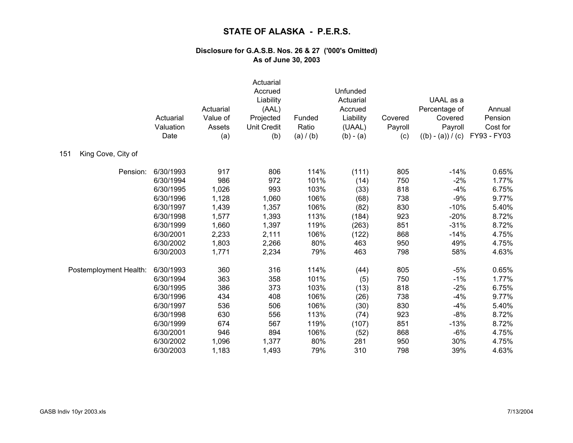|                           | Actuarial<br>Valuation<br>Date | Actuarial<br>Value of<br>Assets<br>(a) | Actuarial<br>Accrued<br>Liability<br>(AAL)<br>Projected<br><b>Unit Credit</b><br>(b) | Funded<br>Ratio<br>(a) / (b) | Unfunded<br>Actuarial<br>Accrued<br>Liability<br>(UAAL)<br>$(b) - (a)$ | Covered<br>Payroll<br>(c) | UAAL as a<br>Percentage of<br>Covered<br>Payroll<br>$((b) - (a)) / (c)$ | Annual<br>Pension<br>Cost for<br>FY93 - FY03 |
|---------------------------|--------------------------------|----------------------------------------|--------------------------------------------------------------------------------------|------------------------------|------------------------------------------------------------------------|---------------------------|-------------------------------------------------------------------------|----------------------------------------------|
| King Cove, City of<br>151 |                                |                                        |                                                                                      |                              |                                                                        |                           |                                                                         |                                              |
| Pension:                  | 6/30/1993                      | 917                                    | 806                                                                                  | 114%                         | (111)                                                                  | 805                       | $-14%$                                                                  | 0.65%                                        |
|                           | 6/30/1994                      | 986                                    | 972                                                                                  | 101%                         | (14)                                                                   | 750                       | $-2%$                                                                   | 1.77%                                        |
|                           | 6/30/1995                      | 1,026                                  | 993                                                                                  | 103%                         | (33)                                                                   | 818                       | $-4%$                                                                   | 6.75%                                        |
|                           | 6/30/1996                      | 1,128                                  | 1,060                                                                                | 106%                         | (68)                                                                   | 738                       | $-9%$                                                                   | 9.77%                                        |
|                           | 6/30/1997                      | 1,439                                  | 1,357                                                                                | 106%                         | (82)                                                                   | 830                       | $-10%$                                                                  | 5.40%                                        |
|                           | 6/30/1998                      | 1,577                                  | 1,393                                                                                | 113%                         | (184)                                                                  | 923                       | $-20%$                                                                  | 8.72%                                        |
|                           | 6/30/1999                      | 1,660                                  | 1,397                                                                                | 119%                         | (263)                                                                  | 851                       | $-31%$                                                                  | 8.72%                                        |
|                           | 6/30/2001                      | 2,233                                  | 2,111                                                                                | 106%                         | (122)                                                                  | 868                       | $-14%$                                                                  | 4.75%                                        |
|                           | 6/30/2002                      | 1,803                                  | 2,266                                                                                | 80%                          | 463                                                                    | 950                       | 49%                                                                     | 4.75%                                        |
|                           | 6/30/2003                      | 1,771                                  | 2,234                                                                                | 79%                          | 463                                                                    | 798                       | 58%                                                                     | 4.63%                                        |
| Postemployment Health:    | 6/30/1993                      | 360                                    | 316                                                                                  | 114%                         | (44)                                                                   | 805                       | $-5%$                                                                   | 0.65%                                        |
|                           | 6/30/1994                      | 363                                    | 358                                                                                  | 101%                         | (5)                                                                    | 750                       | $-1%$                                                                   | 1.77%                                        |
|                           | 6/30/1995                      | 386                                    | 373                                                                                  | 103%                         | (13)                                                                   | 818                       | $-2%$                                                                   | 6.75%                                        |
|                           | 6/30/1996                      | 434                                    | 408                                                                                  | 106%                         | (26)                                                                   | 738                       | $-4%$                                                                   | 9.77%                                        |
|                           | 6/30/1997                      | 536                                    | 506                                                                                  | 106%                         | (30)                                                                   | 830                       | $-4%$                                                                   | 5.40%                                        |
|                           | 6/30/1998                      | 630                                    | 556                                                                                  | 113%                         | (74)                                                                   | 923                       | $-8%$                                                                   | 8.72%                                        |
|                           | 6/30/1999                      | 674                                    | 567                                                                                  | 119%                         | (107)                                                                  | 851                       | $-13%$                                                                  | 8.72%                                        |
|                           | 6/30/2001                      | 946                                    | 894                                                                                  | 106%                         | (52)                                                                   | 868                       | $-6%$                                                                   | 4.75%                                        |
|                           | 6/30/2002                      | 1,096                                  | 1,377                                                                                | 80%                          | 281                                                                    | 950                       | 30%                                                                     | 4.75%                                        |
|                           | 6/30/2003                      | 1,183                                  | 1,493                                                                                | 79%                          | 310                                                                    | 798                       | 39%                                                                     | 4.63%                                        |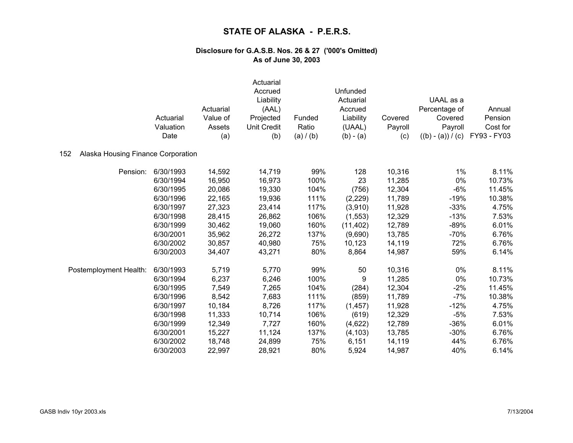|                                           | Actuarial<br>Valuation<br>Date | Actuarial<br>Value of<br>Assets<br>(a) | Actuarial<br>Accrued<br>Liability<br>(AAL)<br>Projected<br><b>Unit Credit</b><br>(b) | Funded<br>Ratio<br>(a) / (b) | Unfunded<br>Actuarial<br>Accrued<br>Liability<br>(UAAL)<br>$(b) - (a)$ | Covered<br>Payroll<br>(c) | UAAL as a<br>Percentage of<br>Covered<br>Payroll<br>$((b) - (a)) / (c)$ | Annual<br>Pension<br>Cost for<br>FY93 - FY03 |
|-------------------------------------------|--------------------------------|----------------------------------------|--------------------------------------------------------------------------------------|------------------------------|------------------------------------------------------------------------|---------------------------|-------------------------------------------------------------------------|----------------------------------------------|
| Alaska Housing Finance Corporation<br>152 |                                |                                        |                                                                                      |                              |                                                                        |                           |                                                                         |                                              |
|                                           |                                |                                        |                                                                                      |                              |                                                                        |                           |                                                                         |                                              |
| Pension:                                  | 6/30/1993                      | 14,592                                 | 14,719                                                                               | 99%                          | 128                                                                    | 10,316                    | 1%                                                                      | 8.11%                                        |
|                                           | 6/30/1994                      | 16,950                                 | 16,973                                                                               | 100%                         | 23                                                                     | 11,285                    | 0%                                                                      | 10.73%                                       |
|                                           | 6/30/1995                      | 20,086                                 | 19,330                                                                               | 104%                         | (756)                                                                  | 12,304                    | $-6%$                                                                   | 11.45%                                       |
|                                           | 6/30/1996                      | 22,165                                 | 19,936                                                                               | 111%                         | (2,229)                                                                | 11,789                    | $-19%$                                                                  | 10.38%                                       |
|                                           | 6/30/1997                      | 27,323                                 | 23,414                                                                               | 117%                         | (3,910)                                                                | 11,928                    | $-33%$                                                                  | 4.75%                                        |
|                                           | 6/30/1998                      | 28,415                                 | 26,862                                                                               | 106%                         | (1, 553)                                                               | 12,329                    | $-13%$                                                                  | 7.53%                                        |
|                                           | 6/30/1999                      | 30,462                                 | 19,060                                                                               | 160%                         | (11, 402)                                                              | 12,789                    | $-89%$                                                                  | 6.01%                                        |
|                                           | 6/30/2001                      | 35,962                                 | 26,272                                                                               | 137%                         | (9,690)                                                                | 13,785                    | $-70%$                                                                  | 6.76%                                        |
|                                           | 6/30/2002                      | 30,857                                 | 40,980                                                                               | 75%                          | 10,123                                                                 | 14,119                    | 72%                                                                     | 6.76%                                        |
|                                           | 6/30/2003                      | 34,407                                 | 43,271                                                                               | 80%                          | 8,864                                                                  | 14,987                    | 59%                                                                     | 6.14%                                        |
| Postemployment Health:                    | 6/30/1993                      | 5,719                                  | 5,770                                                                                | 99%                          | 50                                                                     | 10,316                    | 0%                                                                      | 8.11%                                        |
|                                           | 6/30/1994                      | 6,237                                  | 6,246                                                                                | 100%                         | 9                                                                      | 11,285                    | 0%                                                                      | 10.73%                                       |
|                                           | 6/30/1995                      | 7,549                                  | 7,265                                                                                | 104%                         | (284)                                                                  | 12,304                    | $-2%$                                                                   | 11.45%                                       |
|                                           | 6/30/1996                      | 8,542                                  | 7,683                                                                                | 111%                         | (859)                                                                  | 11,789                    | $-7%$                                                                   | 10.38%                                       |
|                                           | 6/30/1997                      | 10,184                                 | 8,726                                                                                | 117%                         | (1, 457)                                                               | 11,928                    | $-12%$                                                                  | 4.75%                                        |
|                                           | 6/30/1998                      | 11,333                                 | 10,714                                                                               | 106%                         | (619)                                                                  | 12,329                    | $-5%$                                                                   | 7.53%                                        |
|                                           | 6/30/1999                      | 12,349                                 | 7,727                                                                                | 160%                         | (4,622)                                                                | 12,789                    | $-36%$                                                                  | 6.01%                                        |
|                                           | 6/30/2001                      | 15,227                                 | 11,124                                                                               | 137%                         | (4, 103)                                                               | 13,785                    | $-30%$                                                                  | 6.76%                                        |
|                                           | 6/30/2002                      | 18,748                                 | 24,899                                                                               | 75%                          | 6,151                                                                  | 14,119                    | 44%                                                                     | 6.76%                                        |
|                                           | 6/30/2003                      | 22,997                                 | 28,921                                                                               | 80%                          | 5,924                                                                  | 14,987                    | 40%                                                                     | 6.14%                                        |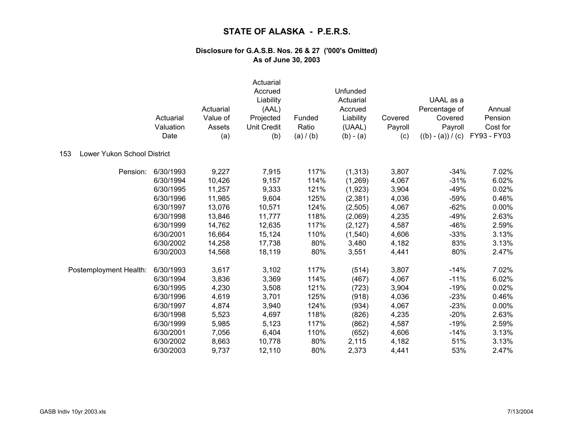|                                    | Actuarial<br>Valuation<br>Date | Actuarial<br>Value of<br>Assets<br>(a) | Actuarial<br>Accrued<br>Liability<br>(AAL)<br>Projected<br><b>Unit Credit</b><br>(b) | Funded<br>Ratio<br>(a) / (b) | Unfunded<br>Actuarial<br>Accrued<br>Liability<br>(UAAL)<br>$(b) - (a)$ | Covered<br>Payroll<br>(c) | UAAL as a<br>Percentage of<br>Covered<br>Payroll<br>$((b) - (a)) / (c)$ | Annual<br>Pension<br>Cost for<br>FY93 - FY03 |
|------------------------------------|--------------------------------|----------------------------------------|--------------------------------------------------------------------------------------|------------------------------|------------------------------------------------------------------------|---------------------------|-------------------------------------------------------------------------|----------------------------------------------|
| Lower Yukon School District<br>153 |                                |                                        |                                                                                      |                              |                                                                        |                           |                                                                         |                                              |
| Pension:                           | 6/30/1993                      | 9,227                                  | 7,915                                                                                | 117%                         | (1, 313)                                                               | 3,807                     | $-34%$                                                                  | 7.02%                                        |
|                                    | 6/30/1994                      | 10,426                                 | 9,157                                                                                | 114%                         | (1,269)                                                                | 4,067                     | $-31%$                                                                  | 6.02%                                        |
|                                    | 6/30/1995                      | 11,257                                 | 9,333                                                                                | 121%                         | (1,923)                                                                | 3,904                     | $-49%$                                                                  | 0.02%                                        |
|                                    | 6/30/1996                      | 11,985                                 | 9,604                                                                                | 125%                         | (2, 381)                                                               | 4,036                     | $-59%$                                                                  | 0.46%                                        |
|                                    | 6/30/1997                      | 13,076                                 | 10,571                                                                               | 124%                         | (2, 505)                                                               | 4,067                     | $-62%$                                                                  | 0.00%                                        |
|                                    | 6/30/1998                      | 13,846                                 | 11,777                                                                               | 118%                         | (2,069)                                                                | 4,235                     | $-49%$                                                                  | 2.63%                                        |
|                                    | 6/30/1999                      | 14,762                                 | 12,635                                                                               | 117%                         | (2, 127)                                                               | 4,587                     | $-46%$                                                                  | 2.59%                                        |
|                                    | 6/30/2001                      | 16,664                                 | 15,124                                                                               | 110%                         | (1,540)                                                                | 4,606                     | $-33%$                                                                  | 3.13%                                        |
|                                    | 6/30/2002                      | 14,258                                 | 17,738                                                                               | 80%                          | 3,480                                                                  | 4,182                     | 83%                                                                     | 3.13%                                        |
|                                    | 6/30/2003                      | 14,568                                 | 18,119                                                                               | 80%                          | 3,551                                                                  | 4,441                     | 80%                                                                     | 2.47%                                        |
| Postemployment Health:             | 6/30/1993                      | 3,617                                  | 3,102                                                                                | 117%                         | (514)                                                                  | 3,807                     | $-14%$                                                                  | 7.02%                                        |
|                                    | 6/30/1994                      | 3,836                                  | 3,369                                                                                | 114%                         | (467)                                                                  | 4,067                     | $-11%$                                                                  | 6.02%                                        |
|                                    | 6/30/1995                      | 4,230                                  | 3,508                                                                                | 121%                         | (723)                                                                  | 3,904                     | $-19%$                                                                  | 0.02%                                        |
|                                    | 6/30/1996                      | 4,619                                  | 3,701                                                                                | 125%                         | (918)                                                                  | 4,036                     | $-23%$                                                                  | 0.46%                                        |
|                                    | 6/30/1997                      | 4,874                                  | 3,940                                                                                | 124%                         | (934)                                                                  | 4,067                     | $-23%$                                                                  | 0.00%                                        |
|                                    | 6/30/1998                      | 5,523                                  | 4,697                                                                                | 118%                         | (826)                                                                  | 4,235                     | $-20%$                                                                  | 2.63%                                        |
|                                    | 6/30/1999                      | 5,985                                  | 5,123                                                                                | 117%                         | (862)                                                                  | 4,587                     | $-19%$                                                                  | 2.59%                                        |
|                                    | 6/30/2001                      | 7,056                                  | 6,404                                                                                | 110%                         | (652)                                                                  | 4,606                     | $-14%$                                                                  | 3.13%                                        |
|                                    | 6/30/2002                      | 8,663                                  | 10,778                                                                               | 80%                          | 2,115                                                                  | 4,182                     | 51%                                                                     | 3.13%                                        |
|                                    | 6/30/2003                      | 9,737                                  | 12,110                                                                               | 80%                          | 2,373                                                                  | 4,441                     | 53%                                                                     | 2.47%                                        |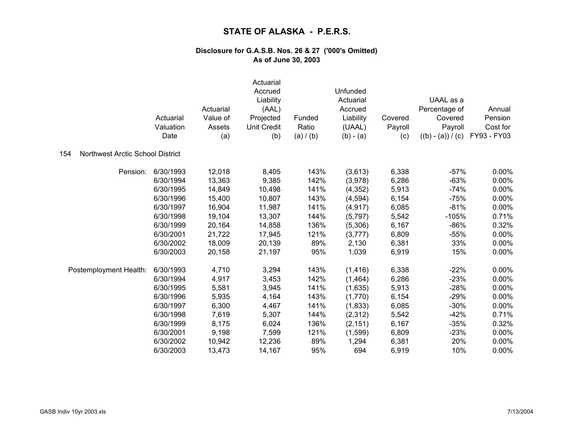|                                         | Actuarial<br>Valuation<br>Date | Actuarial<br>Value of<br>Assets<br>(a) | Actuarial<br>Accrued<br>Liability<br>(AAL)<br>Projected<br><b>Unit Credit</b><br>(b) | Funded<br>Ratio<br>(a) / (b) | Unfunded<br>Actuarial<br>Accrued<br>Liability<br>(UAAL)<br>$(b) - (a)$ | Covered<br>Payroll<br>(c) | UAAL as a<br>Percentage of<br>Covered<br>Payroll<br>$((b) - (a)) / (c)$ | Annual<br>Pension<br>Cost for<br>FY93 - FY03 |
|-----------------------------------------|--------------------------------|----------------------------------------|--------------------------------------------------------------------------------------|------------------------------|------------------------------------------------------------------------|---------------------------|-------------------------------------------------------------------------|----------------------------------------------|
| Northwest Arctic School District<br>154 |                                |                                        |                                                                                      |                              |                                                                        |                           |                                                                         |                                              |
| Pension:                                | 6/30/1993                      | 12,018                                 | 8,405                                                                                | 143%                         | (3,613)                                                                | 6,338                     | $-57%$                                                                  | 0.00%                                        |
|                                         | 6/30/1994                      | 13,363                                 | 9,385                                                                                | 142%                         | (3,978)                                                                | 6,286                     | $-63%$                                                                  | 0.00%                                        |
|                                         | 6/30/1995                      | 14,849                                 | 10,498                                                                               | 141%                         | (4, 352)                                                               | 5,913                     | $-74%$                                                                  | 0.00%                                        |
|                                         | 6/30/1996                      | 15,400                                 | 10,807                                                                               | 143%                         | (4, 594)                                                               | 6,154                     | $-75%$                                                                  | 0.00%                                        |
|                                         | 6/30/1997                      | 16,904                                 | 11,987                                                                               | 141%                         | (4, 917)                                                               | 6,085                     | $-81%$                                                                  | 0.00%                                        |
|                                         | 6/30/1998                      | 19,104                                 | 13,307                                                                               | 144%                         | (5,797)                                                                | 5,542                     | $-105%$                                                                 | 0.71%                                        |
|                                         | 6/30/1999                      | 20,164                                 | 14,858                                                                               | 136%                         | (5,306)                                                                | 6,167                     | $-86%$                                                                  | 0.32%                                        |
|                                         | 6/30/2001                      | 21,722                                 | 17,945                                                                               | 121%                         | (3,777)                                                                | 6,809                     | $-55%$                                                                  | 0.00%                                        |
|                                         | 6/30/2002                      | 18,009                                 | 20,139                                                                               | 89%                          | 2,130                                                                  | 6,381                     | 33%                                                                     | 0.00%                                        |
|                                         | 6/30/2003                      | 20,158                                 | 21,197                                                                               | 95%                          | 1,039                                                                  | 6,919                     | 15%                                                                     | 0.00%                                        |
| Postemployment Health:                  | 6/30/1993                      | 4,710                                  | 3,294                                                                                | 143%                         | (1, 416)                                                               | 6,338                     | $-22%$                                                                  | 0.00%                                        |
|                                         | 6/30/1994                      | 4,917                                  | 3,453                                                                                | 142%                         | (1,464)                                                                | 6,286                     | $-23%$                                                                  | 0.00%                                        |
|                                         | 6/30/1995                      | 5,581                                  | 3,945                                                                                | 141%                         | (1,635)                                                                | 5,913                     | $-28%$                                                                  | 0.00%                                        |
|                                         | 6/30/1996                      | 5,935                                  | 4,164                                                                                | 143%                         | (1,770)                                                                | 6,154                     | $-29%$                                                                  | 0.00%                                        |
|                                         | 6/30/1997                      | 6,300                                  | 4,467                                                                                | 141%                         | (1,833)                                                                | 6,085                     | $-30%$                                                                  | 0.00%                                        |
|                                         | 6/30/1998                      | 7,619                                  | 5,307                                                                                | 144%                         | (2, 312)                                                               | 5,542                     | $-42%$                                                                  | 0.71%                                        |
|                                         | 6/30/1999                      | 8,175                                  | 6,024                                                                                | 136%                         | (2, 151)                                                               | 6,167                     | $-35%$                                                                  | 0.32%                                        |
|                                         | 6/30/2001                      | 9,198                                  | 7,599                                                                                | 121%                         | (1, 599)                                                               | 6,809                     | $-23%$                                                                  | 0.00%                                        |
|                                         | 6/30/2002                      | 10,942                                 | 12,236                                                                               | 89%                          | 1,294                                                                  | 6,381                     | 20%                                                                     | 0.00%                                        |
|                                         | 6/30/2003                      | 13,473                                 | 14,167                                                                               | 95%                          | 694                                                                    | 6,919                     | 10%                                                                     | 0.00%                                        |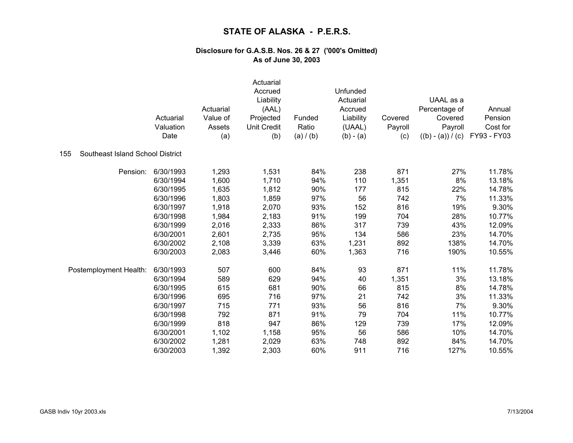|                                         | Actuarial<br>Valuation<br>Date | Actuarial<br>Value of<br>Assets<br>(a) | Actuarial<br>Accrued<br>Liability<br>(AAL)<br>Projected<br><b>Unit Credit</b><br>(b) | Funded<br>Ratio<br>(a) / (b) | Unfunded<br>Actuarial<br>Accrued<br>Liability<br>(UAAL)<br>$(b) - (a)$ | Covered<br>Payroll<br>(c) | UAAL as a<br>Percentage of<br>Covered<br>Payroll<br>$((b) - (a)) / (c)$ | Annual<br>Pension<br>Cost for<br>FY93 - FY03 |
|-----------------------------------------|--------------------------------|----------------------------------------|--------------------------------------------------------------------------------------|------------------------------|------------------------------------------------------------------------|---------------------------|-------------------------------------------------------------------------|----------------------------------------------|
| Southeast Island School District<br>155 |                                |                                        |                                                                                      |                              |                                                                        |                           |                                                                         |                                              |
| Pension:                                | 6/30/1993                      | 1,293                                  | 1,531                                                                                | 84%                          | 238                                                                    | 871                       | 27%                                                                     | 11.78%                                       |
|                                         | 6/30/1994                      | 1,600                                  | 1,710                                                                                | 94%                          | 110                                                                    | 1,351                     | 8%                                                                      | 13.18%                                       |
|                                         | 6/30/1995                      | 1,635                                  | 1,812                                                                                | 90%                          | 177                                                                    | 815                       | 22%                                                                     | 14.78%                                       |
|                                         | 6/30/1996                      | 1,803                                  | 1,859                                                                                | 97%                          | 56                                                                     | 742                       | 7%                                                                      | 11.33%                                       |
|                                         | 6/30/1997                      | 1,918                                  | 2,070                                                                                | 93%                          | 152                                                                    | 816                       | 19%                                                                     | 9.30%                                        |
|                                         | 6/30/1998                      | 1,984                                  | 2,183                                                                                | 91%                          | 199                                                                    | 704                       | 28%                                                                     | 10.77%                                       |
|                                         | 6/30/1999                      | 2,016                                  | 2,333                                                                                | 86%                          | 317                                                                    | 739                       | 43%                                                                     | 12.09%                                       |
|                                         | 6/30/2001                      | 2,601                                  | 2,735                                                                                | 95%                          | 134                                                                    | 586                       | 23%                                                                     | 14.70%                                       |
|                                         | 6/30/2002                      | 2,108                                  | 3,339                                                                                | 63%                          | 1,231                                                                  | 892                       | 138%                                                                    | 14.70%                                       |
|                                         | 6/30/2003                      | 2,083                                  | 3,446                                                                                | 60%                          | 1,363                                                                  | 716                       | 190%                                                                    | 10.55%                                       |
| Postemployment Health:                  | 6/30/1993                      | 507                                    | 600                                                                                  | 84%                          | 93                                                                     | 871                       | 11%                                                                     | 11.78%                                       |
|                                         | 6/30/1994                      | 589                                    | 629                                                                                  | 94%                          | 40                                                                     | 1,351                     | 3%                                                                      | 13.18%                                       |
|                                         | 6/30/1995                      | 615                                    | 681                                                                                  | 90%                          | 66                                                                     | 815                       | 8%                                                                      | 14.78%                                       |
|                                         | 6/30/1996                      | 695                                    | 716                                                                                  | 97%                          | 21                                                                     | 742                       | 3%                                                                      | 11.33%                                       |
|                                         | 6/30/1997                      | 715                                    | 771                                                                                  | 93%                          | 56                                                                     | 816                       | 7%                                                                      | 9.30%                                        |
|                                         | 6/30/1998                      | 792                                    | 871                                                                                  | 91%                          | 79                                                                     | 704                       | 11%                                                                     | 10.77%                                       |
|                                         | 6/30/1999                      | 818                                    | 947                                                                                  | 86%                          | 129                                                                    | 739                       | 17%                                                                     | 12.09%                                       |
|                                         | 6/30/2001                      | 1,102                                  | 1,158                                                                                | 95%                          | 56                                                                     | 586                       | 10%                                                                     | 14.70%                                       |
|                                         | 6/30/2002                      | 1,281                                  | 2,029                                                                                | 63%                          | 748                                                                    | 892                       | 84%                                                                     | 14.70%                                       |
|                                         | 6/30/2003                      | 1,392                                  | 2,303                                                                                | 60%                          | 911                                                                    | 716                       | 127%                                                                    | 10.55%                                       |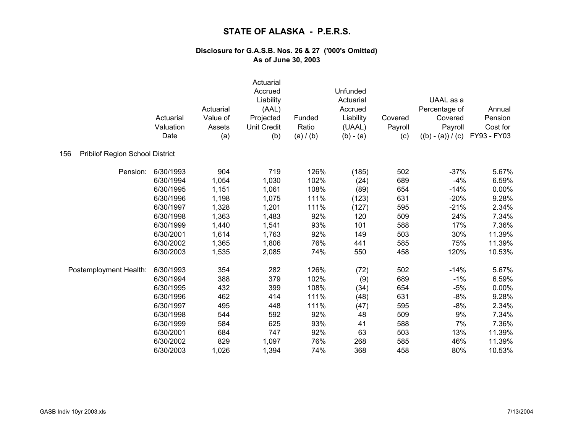|                                               | Actuarial<br>Valuation<br>Date | Actuarial<br>Value of<br>Assets<br>(a) | Actuarial<br>Accrued<br>Liability<br>(AAL)<br>Projected<br>Unit Credit<br>(b) | Funded<br>Ratio<br>(a) / (b) | Unfunded<br>Actuarial<br>Accrued<br>Liability<br>(UAAL)<br>$(b) - (a)$ | Covered<br>Payroll<br>(c) | UAAL as a<br>Percentage of<br>Covered<br>Payroll<br>$((b) - (a)) / (c)$ | Annual<br>Pension<br>Cost for<br>FY93 - FY03 |
|-----------------------------------------------|--------------------------------|----------------------------------------|-------------------------------------------------------------------------------|------------------------------|------------------------------------------------------------------------|---------------------------|-------------------------------------------------------------------------|----------------------------------------------|
| <b>Pribilof Region School District</b><br>156 |                                |                                        |                                                                               |                              |                                                                        |                           |                                                                         |                                              |
| Pension:                                      | 6/30/1993                      | 904                                    | 719                                                                           | 126%                         | (185)                                                                  | 502                       | $-37%$                                                                  | 5.67%                                        |
|                                               | 6/30/1994                      | 1,054                                  | 1,030                                                                         | 102%                         | (24)                                                                   | 689                       | $-4%$                                                                   | 6.59%                                        |
|                                               | 6/30/1995                      | 1,151                                  | 1,061                                                                         | 108%                         | (89)                                                                   | 654                       | $-14%$                                                                  | 0.00%                                        |
|                                               | 6/30/1996                      | 1,198                                  | 1,075                                                                         | 111%                         | (123)                                                                  | 631                       | $-20%$                                                                  | 9.28%                                        |
|                                               | 6/30/1997                      | 1,328                                  | 1,201                                                                         | 111%                         | (127)                                                                  | 595                       | $-21%$                                                                  | 2.34%                                        |
|                                               | 6/30/1998                      | 1,363                                  | 1,483                                                                         | 92%                          | 120                                                                    | 509                       | 24%                                                                     | 7.34%                                        |
|                                               | 6/30/1999                      | 1,440                                  | 1,541                                                                         | 93%                          | 101                                                                    | 588                       | 17%                                                                     | 7.36%                                        |
|                                               | 6/30/2001                      | 1,614                                  | 1,763                                                                         | 92%                          | 149                                                                    | 503                       | 30%                                                                     | 11.39%                                       |
|                                               | 6/30/2002                      | 1,365                                  | 1,806                                                                         | 76%                          | 441                                                                    | 585                       | 75%                                                                     | 11.39%                                       |
|                                               | 6/30/2003                      | 1,535                                  | 2,085                                                                         | 74%                          | 550                                                                    | 458                       | 120%                                                                    | 10.53%                                       |
| Postemployment Health:                        | 6/30/1993                      | 354                                    | 282                                                                           | 126%                         | (72)                                                                   | 502                       | $-14%$                                                                  | 5.67%                                        |
|                                               | 6/30/1994                      | 388                                    | 379                                                                           | 102%                         | (9)                                                                    | 689                       | $-1%$                                                                   | 6.59%                                        |
|                                               | 6/30/1995                      | 432                                    | 399                                                                           | 108%                         | (34)                                                                   | 654                       | $-5%$                                                                   | 0.00%                                        |
|                                               | 6/30/1996                      | 462                                    | 414                                                                           | 111%                         | (48)                                                                   | 631                       | $-8%$                                                                   | 9.28%                                        |
|                                               | 6/30/1997                      | 495                                    | 448                                                                           | 111%                         | (47)                                                                   | 595                       | $-8%$                                                                   | 2.34%                                        |
|                                               | 6/30/1998                      | 544                                    | 592                                                                           | 92%                          | 48                                                                     | 509                       | 9%                                                                      | 7.34%                                        |
|                                               | 6/30/1999                      | 584                                    | 625                                                                           | 93%                          | 41                                                                     | 588                       | 7%                                                                      | 7.36%                                        |
|                                               | 6/30/2001                      | 684                                    | 747                                                                           | 92%                          | 63                                                                     | 503                       | 13%                                                                     | 11.39%                                       |
|                                               | 6/30/2002                      | 829                                    | 1,097                                                                         | 76%                          | 268                                                                    | 585                       | 46%                                                                     | 11.39%                                       |
|                                               | 6/30/2003                      | 1,026                                  | 1,394                                                                         | 74%                          | 368                                                                    | 458                       | 80%                                                                     | 10.53%                                       |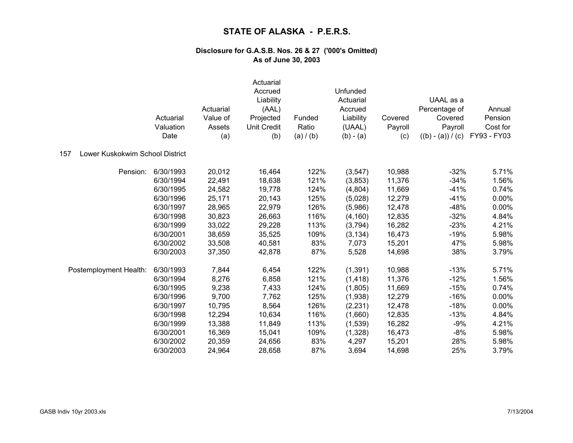|                                        | Actuarial<br>Valuation<br>Date | Actuarial<br>Value of<br>Assets<br>(a) | Actuarial<br>Accrued<br>Liability<br>(AAL)<br>Projected<br><b>Unit Credit</b><br>(b) | Funded<br>Ratio<br>(a) / (b) | Unfunded<br>Actuarial<br>Accrued<br>Liability<br>(UAAL)<br>$(b) - (a)$ | Covered<br>Payroll<br>(c) | UAAL as a<br>Percentage of<br>Covered<br>Payroll<br>$((b) - (a)) / (c)$ | Annual<br>Pension<br>Cost for<br>FY93 - FY03 |
|----------------------------------------|--------------------------------|----------------------------------------|--------------------------------------------------------------------------------------|------------------------------|------------------------------------------------------------------------|---------------------------|-------------------------------------------------------------------------|----------------------------------------------|
| Lower Kuskokwim School District<br>157 |                                |                                        |                                                                                      |                              |                                                                        |                           |                                                                         |                                              |
| Pension:                               | 6/30/1993                      | 20,012                                 | 16,464                                                                               | 122%                         | (3,547)                                                                | 10,988                    | $-32%$                                                                  | 5.71%                                        |
|                                        | 6/30/1994                      | 22,491                                 | 18,638                                                                               | 121%                         | (3,853)                                                                | 11,376                    | $-34%$                                                                  | 1.56%                                        |
|                                        | 6/30/1995                      | 24,582                                 | 19,778                                                                               | 124%                         | (4,804)                                                                | 11,669                    | $-41%$                                                                  | 0.74%                                        |
|                                        | 6/30/1996                      | 25,171                                 | 20,143                                                                               | 125%                         | (5,028)                                                                | 12,279                    | $-41%$                                                                  | 0.00%                                        |
|                                        | 6/30/1997                      | 28,965                                 | 22,979                                                                               | 126%                         | (5,986)                                                                | 12,478                    | $-48%$                                                                  | 0.00%                                        |
|                                        | 6/30/1998                      | 30,823                                 | 26,663                                                                               | 116%                         | (4, 160)                                                               | 12,835                    | $-32%$                                                                  | 4.84%                                        |
|                                        | 6/30/1999                      | 33,022                                 | 29,228                                                                               | 113%                         | (3,794)                                                                | 16,282                    | $-23%$                                                                  | 4.21%                                        |
|                                        | 6/30/2001                      | 38,659                                 | 35,525                                                                               | 109%                         | (3, 134)                                                               | 16,473                    | $-19%$                                                                  | 5.98%                                        |
|                                        | 6/30/2002                      | 33,508                                 | 40,581                                                                               | 83%                          | 7,073                                                                  | 15,201                    | 47%                                                                     | 5.98%                                        |
|                                        | 6/30/2003                      | 37,350                                 | 42,878                                                                               | 87%                          | 5,528                                                                  | 14,698                    | 38%                                                                     | 3.79%                                        |
| Postemployment Health:                 | 6/30/1993                      | 7,844                                  | 6,454                                                                                | 122%                         | (1, 391)                                                               | 10,988                    | $-13%$                                                                  | 5.71%                                        |
|                                        | 6/30/1994                      | 8,276                                  | 6,858                                                                                | 121%                         | (1, 418)                                                               | 11,376                    | $-12%$                                                                  | 1.56%                                        |
|                                        | 6/30/1995                      | 9,238                                  | 7,433                                                                                | 124%                         | (1,805)                                                                | 11,669                    | $-15%$                                                                  | 0.74%                                        |
|                                        | 6/30/1996                      | 9,700                                  | 7,762                                                                                | 125%                         | (1,938)                                                                | 12,279                    | $-16%$                                                                  | $0.00\%$                                     |
|                                        | 6/30/1997                      | 10,795                                 | 8,564                                                                                | 126%                         | (2, 231)                                                               | 12,478                    | $-18%$                                                                  | 0.00%                                        |
|                                        | 6/30/1998                      | 12,294                                 | 10,634                                                                               | 116%                         | (1,660)                                                                | 12,835                    | $-13%$                                                                  | 4.84%                                        |
|                                        | 6/30/1999                      | 13,388                                 | 11,849                                                                               | 113%                         | (1,539)                                                                | 16,282                    | $-9%$                                                                   | 4.21%                                        |
|                                        | 6/30/2001                      | 16,369                                 | 15,041                                                                               | 109%                         | (1, 328)                                                               | 16,473                    | $-8%$                                                                   | 5.98%                                        |
|                                        | 6/30/2002                      | 20,359                                 | 24,656                                                                               | 83%                          | 4,297                                                                  | 15,201                    | 28%                                                                     | 5.98%                                        |
|                                        | 6/30/2003                      | 24,964                                 | 28,658                                                                               | 87%                          | 3,694                                                                  | 14,698                    | 25%                                                                     | 3.79%                                        |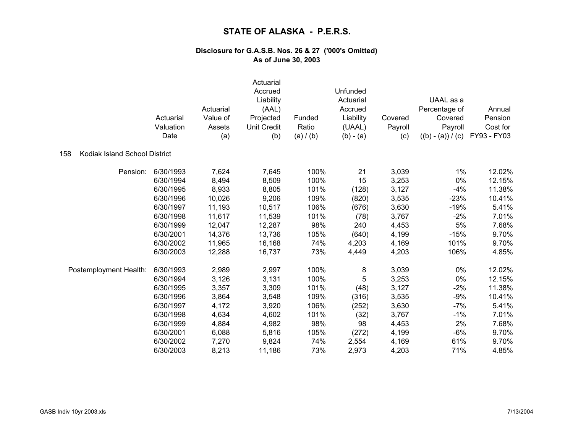|                                      | Actuarial<br>Valuation<br>Date | Actuarial<br>Value of<br>Assets<br>(a) | Actuarial<br>Accrued<br>Liability<br>(AAL)<br>Projected<br>Unit Credit<br>(b) | Funded<br>Ratio<br>(a) / (b) | Unfunded<br>Actuarial<br>Accrued<br>Liability<br>(UAAL)<br>$(b) - (a)$ | Covered<br>Payroll<br>(c) | UAAL as a<br>Percentage of<br>Covered<br>Payroll<br>$((b) - (a)) / (c)$ | Annual<br>Pension<br>Cost for<br>FY93 - FY03 |
|--------------------------------------|--------------------------------|----------------------------------------|-------------------------------------------------------------------------------|------------------------------|------------------------------------------------------------------------|---------------------------|-------------------------------------------------------------------------|----------------------------------------------|
| Kodiak Island School District<br>158 |                                |                                        |                                                                               |                              |                                                                        |                           |                                                                         |                                              |
| Pension:                             | 6/30/1993                      | 7,624                                  | 7,645                                                                         | 100%                         | 21                                                                     | 3,039                     | 1%                                                                      | 12.02%                                       |
|                                      | 6/30/1994                      | 8,494                                  | 8,509                                                                         | 100%                         | 15                                                                     | 3,253                     | 0%                                                                      | 12.15%                                       |
|                                      | 6/30/1995                      | 8,933                                  | 8,805                                                                         | 101%                         | (128)                                                                  | 3,127                     | $-4%$                                                                   | 11.38%                                       |
|                                      | 6/30/1996                      | 10,026                                 | 9,206                                                                         | 109%                         | (820)                                                                  | 3,535                     | $-23%$                                                                  | 10.41%                                       |
|                                      | 6/30/1997                      | 11,193                                 | 10,517                                                                        | 106%                         | (676)                                                                  | 3,630                     | $-19%$                                                                  | 5.41%                                        |
|                                      | 6/30/1998                      | 11,617                                 | 11,539                                                                        | 101%                         | (78)                                                                   | 3,767                     | $-2%$                                                                   | 7.01%                                        |
|                                      | 6/30/1999                      | 12,047                                 | 12,287                                                                        | 98%                          | 240                                                                    | 4,453                     | 5%                                                                      | 7.68%                                        |
|                                      | 6/30/2001                      | 14,376                                 | 13,736                                                                        | 105%                         | (640)                                                                  | 4,199                     | $-15%$                                                                  | 9.70%                                        |
|                                      | 6/30/2002                      | 11,965                                 | 16,168                                                                        | 74%                          | 4,203                                                                  | 4,169                     | 101%                                                                    | 9.70%                                        |
|                                      | 6/30/2003                      | 12,288                                 | 16,737                                                                        | 73%                          | 4,449                                                                  | 4,203                     | 106%                                                                    | 4.85%                                        |
| Postemployment Health:               | 6/30/1993                      | 2,989                                  | 2,997                                                                         | 100%                         | 8                                                                      | 3,039                     | 0%                                                                      | 12.02%                                       |
|                                      | 6/30/1994                      | 3,126                                  | 3,131                                                                         | 100%                         | 5                                                                      | 3,253                     | 0%                                                                      | 12.15%                                       |
|                                      | 6/30/1995                      | 3,357                                  | 3,309                                                                         | 101%                         | (48)                                                                   | 3,127                     | $-2%$                                                                   | 11.38%                                       |
|                                      | 6/30/1996                      | 3,864                                  | 3,548                                                                         | 109%                         | (316)                                                                  | 3,535                     | $-9%$                                                                   | 10.41%                                       |
|                                      | 6/30/1997                      | 4,172                                  | 3,920                                                                         | 106%                         | (252)                                                                  | 3,630                     | $-7%$                                                                   | 5.41%                                        |
|                                      | 6/30/1998                      | 4,634                                  | 4,602                                                                         | 101%                         | (32)                                                                   | 3,767                     | $-1%$                                                                   | 7.01%                                        |
|                                      | 6/30/1999                      | 4,884                                  | 4,982                                                                         | 98%                          | 98                                                                     | 4,453                     | 2%                                                                      | 7.68%                                        |
|                                      | 6/30/2001                      | 6,088                                  | 5,816                                                                         | 105%                         | (272)                                                                  | 4,199                     | $-6%$                                                                   | 9.70%                                        |
|                                      | 6/30/2002                      | 7,270                                  | 9,824                                                                         | 74%                          | 2,554                                                                  | 4,169                     | 61%                                                                     | 9.70%                                        |
|                                      | 6/30/2003                      | 8,213                                  | 11,186                                                                        | 73%                          | 2,973                                                                  | 4,203                     | 71%                                                                     | 4.85%                                        |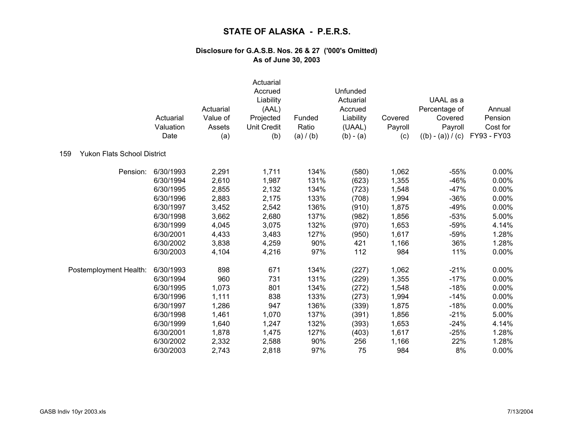|                                           | Actuarial<br>Valuation<br>Date | Actuarial<br>Value of<br>Assets<br>(a) | Actuarial<br>Accrued<br>Liability<br>(AAL)<br>Projected<br><b>Unit Credit</b><br>(b) | Funded<br>Ratio<br>(a) / (b) | Unfunded<br>Actuarial<br>Accrued<br>Liability<br>(UAAL)<br>$(b) - (a)$ | Covered<br>Payroll<br>(c) | UAAL as a<br>Percentage of<br>Covered<br>Payroll<br>$((b) - (a)) / (c)$ | Annual<br>Pension<br>Cost for<br>FY93 - FY03 |
|-------------------------------------------|--------------------------------|----------------------------------------|--------------------------------------------------------------------------------------|------------------------------|------------------------------------------------------------------------|---------------------------|-------------------------------------------------------------------------|----------------------------------------------|
| <b>Yukon Flats School District</b><br>159 |                                |                                        |                                                                                      |                              |                                                                        |                           |                                                                         |                                              |
| Pension:                                  | 6/30/1993                      | 2,291                                  | 1,711                                                                                | 134%                         | (580)                                                                  | 1,062                     | $-55%$                                                                  | 0.00%                                        |
|                                           | 6/30/1994                      | 2,610                                  | 1,987                                                                                | 131%                         | (623)                                                                  | 1,355                     | $-46%$                                                                  | 0.00%                                        |
|                                           | 6/30/1995                      | 2,855                                  | 2,132                                                                                | 134%                         | (723)                                                                  | 1,548                     | $-47%$                                                                  | 0.00%                                        |
|                                           | 6/30/1996                      | 2,883                                  | 2,175                                                                                | 133%                         | (708)                                                                  | 1,994                     | $-36%$                                                                  | 0.00%                                        |
|                                           | 6/30/1997                      | 3,452                                  | 2,542                                                                                | 136%                         | (910)                                                                  | 1,875                     | $-49%$                                                                  | 0.00%                                        |
|                                           | 6/30/1998                      | 3,662                                  | 2,680                                                                                | 137%                         | (982)                                                                  | 1,856                     | $-53%$                                                                  | 5.00%                                        |
|                                           | 6/30/1999                      | 4,045                                  | 3,075                                                                                | 132%                         | (970)                                                                  | 1,653                     | $-59%$                                                                  | 4.14%                                        |
|                                           | 6/30/2001                      | 4,433                                  | 3,483                                                                                | 127%                         | (950)                                                                  | 1,617                     | $-59%$                                                                  | 1.28%                                        |
|                                           | 6/30/2002                      | 3,838                                  | 4,259                                                                                | 90%                          | 421                                                                    | 1,166                     | 36%                                                                     | 1.28%                                        |
|                                           | 6/30/2003                      | 4,104                                  | 4,216                                                                                | 97%                          | 112                                                                    | 984                       | 11%                                                                     | 0.00%                                        |
| Postemployment Health:                    | 6/30/1993                      | 898                                    | 671                                                                                  | 134%                         | (227)                                                                  | 1,062                     | $-21%$                                                                  | 0.00%                                        |
|                                           | 6/30/1994                      | 960                                    | 731                                                                                  | 131%                         | (229)                                                                  | 1,355                     | $-17%$                                                                  | 0.00%                                        |
|                                           | 6/30/1995                      | 1,073                                  | 801                                                                                  | 134%                         | (272)                                                                  | 1,548                     | $-18%$                                                                  | 0.00%                                        |
|                                           | 6/30/1996                      | 1,111                                  | 838                                                                                  | 133%                         | (273)                                                                  | 1,994                     | $-14%$                                                                  | 0.00%                                        |
|                                           | 6/30/1997                      | 1,286                                  | 947                                                                                  | 136%                         | (339)                                                                  | 1,875                     | $-18%$                                                                  | 0.00%                                        |
|                                           | 6/30/1998                      | 1,461                                  | 1,070                                                                                | 137%                         | (391)                                                                  | 1,856                     | $-21%$                                                                  | 5.00%                                        |
|                                           | 6/30/1999                      | 1,640                                  | 1,247                                                                                | 132%                         | (393)                                                                  | 1,653                     | $-24%$                                                                  | 4.14%                                        |
|                                           | 6/30/2001                      | 1,878                                  | 1,475                                                                                | 127%                         | (403)                                                                  | 1,617                     | $-25%$                                                                  | 1.28%                                        |
|                                           | 6/30/2002                      | 2,332                                  | 2,588                                                                                | 90%                          | 256                                                                    | 1,166                     | 22%                                                                     | 1.28%                                        |
|                                           | 6/30/2003                      | 2,743                                  | 2,818                                                                                | 97%                          | 75                                                                     | 984                       | 8%                                                                      | 0.00%                                        |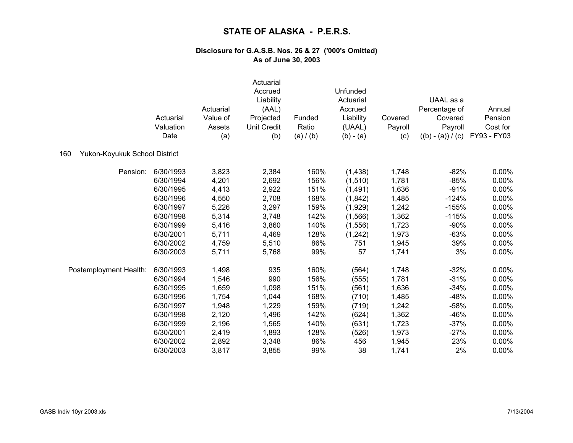|                                      | Actuarial<br>Valuation<br>Date | Actuarial<br>Value of<br>Assets | Actuarial<br>Accrued<br>Liability<br>(AAL)<br>Projected<br><b>Unit Credit</b> | Funded<br>Ratio<br>(a) / (b) | Unfunded<br>Actuarial<br>Accrued<br>Liability<br>(UAAL)<br>$(b) - (a)$ | Covered<br>Payroll<br>(c) | UAAL as a<br>Percentage of<br>Covered<br>Payroll<br>$((b) - (a)) / (c)$ | Annual<br>Pension<br>Cost for<br>FY93 - FY03 |
|--------------------------------------|--------------------------------|---------------------------------|-------------------------------------------------------------------------------|------------------------------|------------------------------------------------------------------------|---------------------------|-------------------------------------------------------------------------|----------------------------------------------|
|                                      |                                | (a)                             | (b)                                                                           |                              |                                                                        |                           |                                                                         |                                              |
| Yukon-Koyukuk School District<br>160 |                                |                                 |                                                                               |                              |                                                                        |                           |                                                                         |                                              |
| Pension:                             | 6/30/1993                      | 3,823                           | 2,384                                                                         | 160%                         | (1,438)                                                                | 1,748                     | $-82%$                                                                  | $0.00\%$                                     |
|                                      | 6/30/1994                      | 4,201                           | 2,692                                                                         | 156%                         | (1, 510)                                                               | 1,781                     | $-85%$                                                                  | 0.00%                                        |
|                                      | 6/30/1995                      | 4,413                           | 2,922                                                                         | 151%                         | (1, 491)                                                               | 1,636                     | $-91%$                                                                  | 0.00%                                        |
|                                      | 6/30/1996                      | 4,550                           | 2,708                                                                         | 168%                         | (1,842)                                                                | 1,485                     | $-124%$                                                                 | 0.00%                                        |
|                                      | 6/30/1997                      | 5,226                           | 3,297                                                                         | 159%                         | (1,929)                                                                | 1,242                     | $-155%$                                                                 | 0.00%                                        |
|                                      | 6/30/1998                      | 5,314                           | 3,748                                                                         | 142%                         | (1, 566)                                                               | 1,362                     | $-115%$                                                                 | 0.00%                                        |
|                                      | 6/30/1999                      | 5,416                           | 3,860                                                                         | 140%                         | (1, 556)                                                               | 1,723                     | $-90%$                                                                  | 0.00%                                        |
|                                      | 6/30/2001                      | 5,711                           | 4,469                                                                         | 128%                         | (1,242)                                                                | 1,973                     | $-63%$                                                                  | 0.00%                                        |
|                                      | 6/30/2002                      | 4,759                           | 5,510                                                                         | 86%                          | 751                                                                    | 1,945                     | 39%                                                                     | 0.00%                                        |
|                                      | 6/30/2003                      | 5,711                           | 5,768                                                                         | 99%                          | 57                                                                     | 1,741                     | 3%                                                                      | 0.00%                                        |
| Postemployment Health:               | 6/30/1993                      | 1,498                           | 935                                                                           | 160%                         | (564)                                                                  | 1,748                     | $-32%$                                                                  | 0.00%                                        |
|                                      | 6/30/1994                      | 1,546                           | 990                                                                           | 156%                         | (555)                                                                  | 1,781                     | $-31%$                                                                  | 0.00%                                        |
|                                      | 6/30/1995                      | 1,659                           | 1,098                                                                         | 151%                         | (561)                                                                  | 1,636                     | $-34%$                                                                  | 0.00%                                        |
|                                      | 6/30/1996                      | 1,754                           | 1,044                                                                         | 168%                         | (710)                                                                  | 1,485                     | $-48%$                                                                  | 0.00%                                        |
|                                      | 6/30/1997                      | 1,948                           | 1,229                                                                         | 159%                         | (719)                                                                  | 1,242                     | $-58%$                                                                  | 0.00%                                        |
|                                      | 6/30/1998                      | 2,120                           | 1,496                                                                         | 142%                         | (624)                                                                  | 1,362                     | $-46%$                                                                  | 0.00%                                        |
|                                      | 6/30/1999                      | 2,196                           | 1,565                                                                         | 140%                         | (631)                                                                  | 1,723                     | $-37%$                                                                  | 0.00%                                        |
|                                      | 6/30/2001                      | 2,419                           | 1,893                                                                         | 128%                         | (526)                                                                  | 1,973                     | $-27%$                                                                  | 0.00%                                        |
|                                      | 6/30/2002                      | 2,892                           | 3,348                                                                         | 86%                          | 456                                                                    | 1,945                     | 23%                                                                     | 0.00%                                        |
|                                      | 6/30/2003                      | 3,817                           | 3,855                                                                         | 99%                          | 38                                                                     | 1,741                     | 2%                                                                      | 0.00%                                        |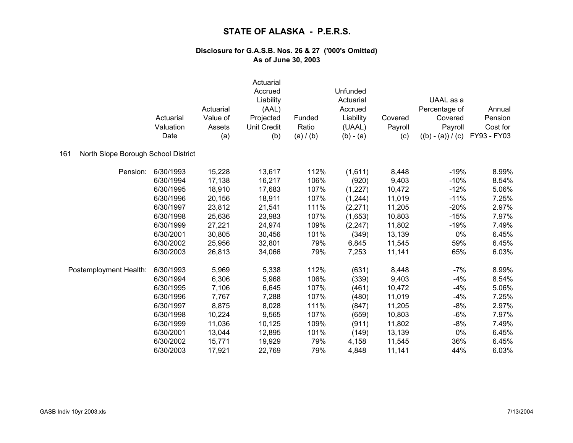|                                            | Actuarial<br>Valuation<br>Date | Actuarial<br>Value of<br>Assets<br>(a) | Actuarial<br>Accrued<br>Liability<br>(AAL)<br>Projected<br><b>Unit Credit</b><br>(b) | Funded<br>Ratio<br>(a) / (b) | Unfunded<br>Actuarial<br>Accrued<br>Liability<br>(UAAL)<br>$(b) - (a)$ | Covered<br>Payroll<br>(c) | UAAL as a<br>Percentage of<br>Covered<br>Payroll<br>$((b) - (a)) / (c)$ | Annual<br>Pension<br>Cost for<br>FY93 - FY03 |
|--------------------------------------------|--------------------------------|----------------------------------------|--------------------------------------------------------------------------------------|------------------------------|------------------------------------------------------------------------|---------------------------|-------------------------------------------------------------------------|----------------------------------------------|
| North Slope Borough School District<br>161 |                                |                                        |                                                                                      |                              |                                                                        |                           |                                                                         |                                              |
| Pension:                                   | 6/30/1993                      | 15,228                                 | 13,617                                                                               | 112%                         | (1,611)                                                                | 8,448                     | $-19%$                                                                  | 8.99%                                        |
|                                            | 6/30/1994                      | 17,138                                 | 16,217                                                                               | 106%                         | (920)                                                                  | 9,403                     | $-10%$                                                                  | 8.54%                                        |
|                                            | 6/30/1995                      | 18,910                                 | 17,683                                                                               | 107%                         | (1, 227)                                                               | 10,472                    | $-12%$                                                                  | 5.06%                                        |
|                                            | 6/30/1996                      | 20,156                                 | 18,911                                                                               | 107%                         | (1, 244)                                                               | 11,019                    | $-11%$                                                                  | 7.25%                                        |
|                                            | 6/30/1997                      | 23,812                                 | 21,541                                                                               | 111%                         | (2, 271)                                                               | 11,205                    | $-20%$                                                                  | 2.97%                                        |
|                                            | 6/30/1998                      | 25,636                                 | 23,983                                                                               | 107%                         | (1,653)                                                                | 10,803                    | $-15%$                                                                  | 7.97%                                        |
|                                            | 6/30/1999                      | 27,221                                 | 24,974                                                                               | 109%                         | (2, 247)                                                               | 11,802                    | $-19%$                                                                  | 7.49%                                        |
|                                            | 6/30/2001                      | 30,805                                 | 30,456                                                                               | 101%                         | (349)                                                                  | 13,139                    | 0%                                                                      | 6.45%                                        |
|                                            | 6/30/2002                      | 25,956                                 | 32,801                                                                               | 79%                          | 6,845                                                                  | 11,545                    | 59%                                                                     | 6.45%                                        |
|                                            | 6/30/2003                      | 26,813                                 | 34,066                                                                               | 79%                          | 7,253                                                                  | 11,141                    | 65%                                                                     | 6.03%                                        |
| Postemployment Health:                     | 6/30/1993                      | 5,969                                  | 5,338                                                                                | 112%                         | (631)                                                                  | 8,448                     | $-7%$                                                                   | 8.99%                                        |
|                                            | 6/30/1994                      | 6,306                                  | 5,968                                                                                | 106%                         | (339)                                                                  | 9,403                     | $-4%$                                                                   | 8.54%                                        |
|                                            | 6/30/1995                      | 7,106                                  | 6,645                                                                                | 107%                         | (461)                                                                  | 10,472                    | $-4%$                                                                   | 5.06%                                        |
|                                            | 6/30/1996                      | 7,767                                  | 7,288                                                                                | 107%                         | (480)                                                                  | 11,019                    | $-4%$                                                                   | 7.25%                                        |
|                                            | 6/30/1997                      | 8,875                                  | 8,028                                                                                | 111%                         | (847)                                                                  | 11,205                    | $-8%$                                                                   | 2.97%                                        |
|                                            | 6/30/1998                      | 10,224                                 | 9,565                                                                                | 107%                         | (659)                                                                  | 10,803                    | $-6%$                                                                   | 7.97%                                        |
|                                            | 6/30/1999                      | 11,036                                 | 10,125                                                                               | 109%                         | (911)                                                                  | 11,802                    | $-8%$                                                                   | 7.49%                                        |
|                                            | 6/30/2001                      | 13,044                                 | 12,895                                                                               | 101%                         | (149)                                                                  | 13,139                    | 0%                                                                      | 6.45%                                        |
|                                            | 6/30/2002                      | 15,771                                 | 19,929                                                                               | 79%                          | 4,158                                                                  | 11,545                    | 36%                                                                     | 6.45%                                        |
|                                            | 6/30/2003                      | 17,921                                 | 22,769                                                                               | 79%                          | 4,848                                                                  | 11,141                    | 44%                                                                     | 6.03%                                        |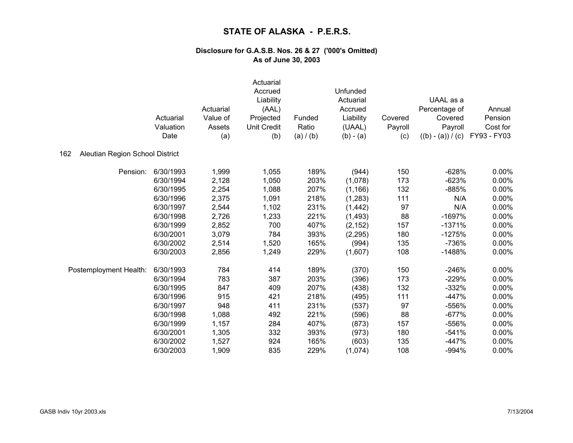|                                        | Actuarial<br>Valuation<br>Date | Actuarial<br>Value of<br>Assets<br>(a) | Actuarial<br>Accrued<br>Liability<br>(AAL)<br>Projected<br><b>Unit Credit</b><br>(b) | Funded<br>Ratio<br>(a) / (b) | Unfunded<br>Actuarial<br>Accrued<br>Liability<br>(UAAL)<br>$(b) - (a)$ | Covered<br>Payroll<br>(c) | UAAL as a<br>Percentage of<br>Covered<br>Payroll<br>$((b) - (a)) / (c)$ | Annual<br>Pension<br>Cost for<br>FY93 - FY03 |
|----------------------------------------|--------------------------------|----------------------------------------|--------------------------------------------------------------------------------------|------------------------------|------------------------------------------------------------------------|---------------------------|-------------------------------------------------------------------------|----------------------------------------------|
| 162<br>Aleutian Region School District |                                |                                        |                                                                                      |                              |                                                                        |                           |                                                                         |                                              |
| Pension:                               | 6/30/1993                      | 1,999                                  | 1,055                                                                                | 189%                         | (944)                                                                  | 150                       | $-628%$                                                                 | 0.00%                                        |
|                                        | 6/30/1994                      | 2,128                                  | 1,050                                                                                | 203%                         | (1,078)                                                                | 173                       | $-623%$                                                                 | 0.00%                                        |
|                                        | 6/30/1995                      | 2,254                                  | 1,088                                                                                | 207%                         | (1, 166)                                                               | 132                       | $-885%$                                                                 | 0.00%                                        |
|                                        | 6/30/1996                      | 2,375                                  | 1,091                                                                                | 218%                         | (1,283)                                                                | 111                       | N/A                                                                     | 0.00%                                        |
|                                        | 6/30/1997                      | 2,544                                  | 1,102                                                                                | 231%                         | (1, 442)                                                               | 97                        | N/A                                                                     | 0.00%                                        |
|                                        | 6/30/1998                      | 2,726                                  | 1,233                                                                                | 221%                         | (1, 493)                                                               | 88                        | $-1697%$                                                                | 0.00%                                        |
|                                        | 6/30/1999                      | 2,852                                  | 700                                                                                  | 407%                         | (2, 152)                                                               | 157                       | $-1371%$                                                                | 0.00%                                        |
|                                        | 6/30/2001                      | 3,079                                  | 784                                                                                  | 393%                         | (2, 295)                                                               | 180                       | $-1275%$                                                                | 0.00%                                        |
|                                        | 6/30/2002                      | 2,514                                  | 1,520                                                                                | 165%                         | (994)                                                                  | 135                       | -736%                                                                   | 0.00%                                        |
|                                        | 6/30/2003                      | 2,856                                  | 1,249                                                                                | 229%                         | (1,607)                                                                | 108                       | $-1488%$                                                                | 0.00%                                        |
| Postemployment Health:                 | 6/30/1993                      | 784                                    | 414                                                                                  | 189%                         | (370)                                                                  | 150                       | $-246%$                                                                 | 0.00%                                        |
|                                        | 6/30/1994                      | 783                                    | 387                                                                                  | 203%                         | (396)                                                                  | 173                       | $-229%$                                                                 | 0.00%                                        |
|                                        | 6/30/1995                      | 847                                    | 409                                                                                  | 207%                         | (438)                                                                  | 132                       | $-332%$                                                                 | 0.00%                                        |
|                                        | 6/30/1996                      | 915                                    | 421                                                                                  | 218%                         | (495)                                                                  | 111                       | $-447%$                                                                 | 0.00%                                        |
|                                        | 6/30/1997                      | 948                                    | 411                                                                                  | 231%                         | (537)                                                                  | 97                        | -556%                                                                   | 0.00%                                        |
|                                        | 6/30/1998                      | 1,088                                  | 492                                                                                  | 221%                         | (596)                                                                  | 88                        | $-677%$                                                                 | 0.00%                                        |
|                                        | 6/30/1999                      | 1,157                                  | 284                                                                                  | 407%                         | (873)                                                                  | 157                       | -556%                                                                   | 0.00%                                        |
|                                        | 6/30/2001                      | 1,305                                  | 332                                                                                  | 393%                         | (973)                                                                  | 180                       | $-541%$                                                                 | 0.00%                                        |
|                                        | 6/30/2002                      | 1,527                                  | 924                                                                                  | 165%                         | (603)                                                                  | 135                       | $-447%$                                                                 | 0.00%                                        |
|                                        | 6/30/2003                      | 1,909                                  | 835                                                                                  | 229%                         | (1,074)                                                                | 108                       | -994%                                                                   | 0.00%                                        |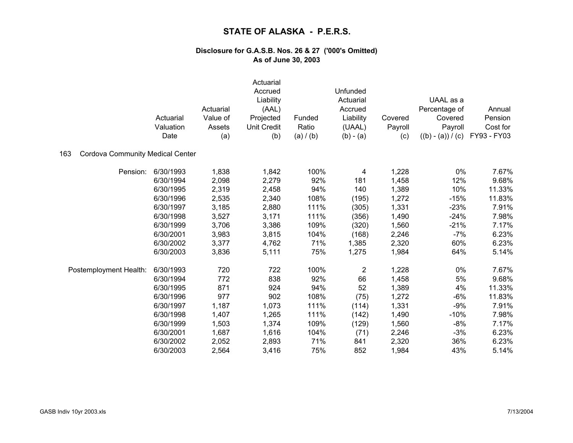|                                                | Actuarial<br>Valuation<br>Date | Actuarial<br>Value of<br>Assets<br>(a) | Actuarial<br>Accrued<br>Liability<br>(AAL)<br>Projected<br><b>Unit Credit</b><br>(b) | Funded<br>Ratio<br>(a) / (b) | Unfunded<br>Actuarial<br>Accrued<br>Liability<br>(UAAL)<br>$(b) - (a)$ | Covered<br>Payroll<br>(c) | UAAL as a<br>Percentage of<br>Covered<br>Payroll<br>$((b) - (a)) / (c)$ | Annual<br>Pension<br>Cost for<br>FY93 - FY03 |
|------------------------------------------------|--------------------------------|----------------------------------------|--------------------------------------------------------------------------------------|------------------------------|------------------------------------------------------------------------|---------------------------|-------------------------------------------------------------------------|----------------------------------------------|
| <b>Cordova Community Medical Center</b><br>163 |                                |                                        |                                                                                      |                              |                                                                        |                           |                                                                         |                                              |
| Pension:                                       | 6/30/1993                      | 1,838                                  | 1,842                                                                                | 100%                         | 4                                                                      | 1,228                     | 0%                                                                      | 7.67%                                        |
|                                                | 6/30/1994                      | 2,098                                  | 2,279                                                                                | 92%                          | 181                                                                    | 1,458                     | 12%                                                                     | 9.68%                                        |
|                                                | 6/30/1995                      | 2,319                                  | 2,458                                                                                | 94%                          | 140                                                                    | 1,389                     | 10%                                                                     | 11.33%                                       |
|                                                | 6/30/1996                      | 2,535                                  | 2,340                                                                                | 108%                         | (195)                                                                  | 1,272                     | $-15%$                                                                  | 11.83%                                       |
|                                                | 6/30/1997                      | 3,185                                  | 2,880                                                                                | 111%                         | (305)                                                                  | 1,331                     | $-23%$                                                                  | 7.91%                                        |
|                                                | 6/30/1998                      | 3,527                                  | 3,171                                                                                | 111%                         | (356)                                                                  | 1,490                     | $-24%$                                                                  | 7.98%                                        |
|                                                | 6/30/1999                      | 3,706                                  | 3,386                                                                                | 109%                         | (320)                                                                  | 1,560                     | $-21%$                                                                  | 7.17%                                        |
|                                                | 6/30/2001                      | 3,983                                  | 3,815                                                                                | 104%                         | (168)                                                                  | 2,246                     | $-7%$                                                                   | 6.23%                                        |
|                                                | 6/30/2002                      | 3,377                                  | 4,762                                                                                | 71%                          | 1,385                                                                  | 2,320                     | 60%                                                                     | 6.23%                                        |
|                                                | 6/30/2003                      | 3,836                                  | 5,111                                                                                | 75%                          | 1,275                                                                  | 1,984                     | 64%                                                                     | 5.14%                                        |
| Postemployment Health:                         | 6/30/1993                      | 720                                    | 722                                                                                  | 100%                         | $\overline{\mathbf{c}}$                                                | 1,228                     | 0%                                                                      | 7.67%                                        |
|                                                | 6/30/1994                      | 772                                    | 838                                                                                  | 92%                          | 66                                                                     | 1,458                     | 5%                                                                      | 9.68%                                        |
|                                                | 6/30/1995                      | 871                                    | 924                                                                                  | 94%                          | 52                                                                     | 1,389                     | 4%                                                                      | 11.33%                                       |
|                                                | 6/30/1996                      | 977                                    | 902                                                                                  | 108%                         | (75)                                                                   | 1,272                     | $-6%$                                                                   | 11.83%                                       |
|                                                | 6/30/1997                      | 1,187                                  | 1,073                                                                                | 111%                         | (114)                                                                  | 1,331                     | $-9%$                                                                   | 7.91%                                        |
|                                                | 6/30/1998                      | 1,407                                  | 1,265                                                                                | 111%                         | (142)                                                                  | 1,490                     | $-10%$                                                                  | 7.98%                                        |
|                                                | 6/30/1999                      | 1,503                                  | 1,374                                                                                | 109%                         | (129)                                                                  | 1,560                     | $-8%$                                                                   | 7.17%                                        |
|                                                | 6/30/2001                      | 1,687                                  | 1,616                                                                                | 104%                         | (71)                                                                   | 2,246                     | $-3%$                                                                   | 6.23%                                        |
|                                                | 6/30/2002                      | 2,052                                  | 2,893                                                                                | 71%                          | 841                                                                    | 2,320                     | 36%                                                                     | 6.23%                                        |
|                                                | 6/30/2003                      | 2,564                                  | 3,416                                                                                | 75%                          | 852                                                                    | 1,984                     | 43%                                                                     | 5.14%                                        |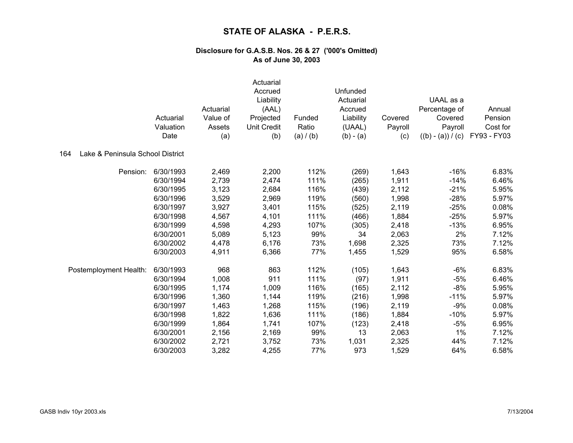|                                         | Actuarial<br>Valuation<br>Date | Actuarial<br>Value of<br>Assets<br>(a) | Actuarial<br>Accrued<br>Liability<br>(AAL)<br>Projected<br><b>Unit Credit</b><br>(b) | Funded<br>Ratio<br>(a) / (b) | Unfunded<br>Actuarial<br>Accrued<br>Liability<br>(UAAL)<br>$(b) - (a)$ | Covered<br>Payroll<br>(c) | UAAL as a<br>Percentage of<br>Covered<br>Payroll<br>$((b) - (a)) / (c)$ | Annual<br>Pension<br>Cost for<br>FY93 - FY03 |
|-----------------------------------------|--------------------------------|----------------------------------------|--------------------------------------------------------------------------------------|------------------------------|------------------------------------------------------------------------|---------------------------|-------------------------------------------------------------------------|----------------------------------------------|
| Lake & Peninsula School District<br>164 |                                |                                        |                                                                                      |                              |                                                                        |                           |                                                                         |                                              |
| Pension:                                | 6/30/1993                      | 2,469                                  | 2,200                                                                                | 112%                         | (269)                                                                  | 1,643                     | $-16%$                                                                  | 6.83%                                        |
|                                         | 6/30/1994                      | 2,739                                  | 2,474                                                                                | 111%                         | (265)                                                                  | 1,911                     | $-14%$                                                                  | 6.46%                                        |
|                                         | 6/30/1995                      | 3,123                                  | 2,684                                                                                | 116%                         | (439)                                                                  | 2,112                     | $-21%$                                                                  | 5.95%                                        |
|                                         | 6/30/1996                      | 3,529                                  | 2,969                                                                                | 119%                         | (560)                                                                  | 1,998                     | $-28%$                                                                  | 5.97%                                        |
|                                         | 6/30/1997                      | 3,927                                  | 3,401                                                                                | 115%                         | (525)                                                                  | 2,119                     | $-25%$                                                                  | 0.08%                                        |
|                                         | 6/30/1998                      | 4,567                                  | 4,101                                                                                | 111%                         | (466)                                                                  | 1,884                     | $-25%$                                                                  | 5.97%                                        |
|                                         | 6/30/1999                      | 4,598                                  | 4,293                                                                                | 107%                         | (305)                                                                  | 2,418                     | $-13%$                                                                  | 6.95%                                        |
|                                         | 6/30/2001                      | 5,089                                  | 5,123                                                                                | 99%                          | 34                                                                     | 2,063                     | 2%                                                                      | 7.12%                                        |
|                                         | 6/30/2002                      | 4,478                                  | 6,176                                                                                | 73%                          | 1,698                                                                  | 2,325                     | 73%                                                                     | 7.12%                                        |
|                                         | 6/30/2003                      | 4,911                                  | 6,366                                                                                | 77%                          | 1,455                                                                  | 1,529                     | 95%                                                                     | 6.58%                                        |
| Postemployment Health:                  | 6/30/1993                      | 968                                    | 863                                                                                  | 112%                         | (105)                                                                  | 1,643                     | $-6%$                                                                   | 6.83%                                        |
|                                         | 6/30/1994                      | 1,008                                  | 911                                                                                  | 111%                         | (97)                                                                   | 1,911                     | $-5%$                                                                   | 6.46%                                        |
|                                         | 6/30/1995                      | 1,174                                  | 1,009                                                                                | 116%                         | (165)                                                                  | 2,112                     | $-8%$                                                                   | 5.95%                                        |
|                                         | 6/30/1996                      | 1,360                                  | 1,144                                                                                | 119%                         | (216)                                                                  | 1,998                     | $-11%$                                                                  | 5.97%                                        |
|                                         | 6/30/1997                      | 1,463                                  | 1,268                                                                                | 115%                         | (196)                                                                  | 2,119                     | $-9%$                                                                   | 0.08%                                        |
|                                         | 6/30/1998                      | 1,822                                  | 1,636                                                                                | 111%                         | (186)                                                                  | 1,884                     | $-10%$                                                                  | 5.97%                                        |
|                                         | 6/30/1999                      | 1,864                                  | 1,741                                                                                | 107%                         | (123)                                                                  | 2,418                     | $-5%$                                                                   | 6.95%                                        |
|                                         | 6/30/2001                      | 2,156                                  | 2,169                                                                                | 99%                          | 13                                                                     | 2,063                     | 1%                                                                      | 7.12%                                        |
|                                         | 6/30/2002                      | 2,721                                  | 3,752                                                                                | 73%                          | 1,031                                                                  | 2,325                     | 44%                                                                     | 7.12%                                        |
|                                         | 6/30/2003                      | 3,282                                  | 4,255                                                                                | 77%                          | 973                                                                    | 1,529                     | 64%                                                                     | 6.58%                                        |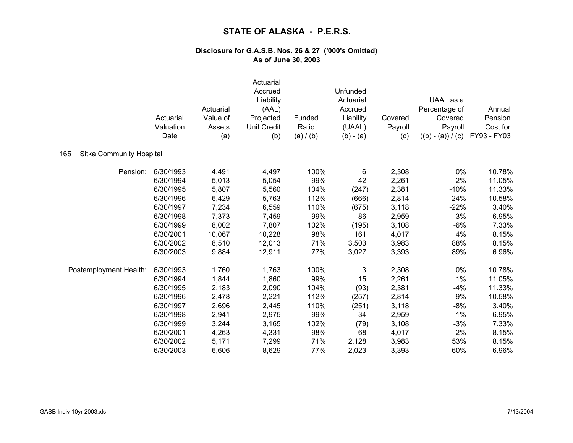|                                 | Actuarial<br>Valuation<br>Date | Actuarial<br>Value of<br>Assets<br>(a) | Actuarial<br>Accrued<br>Liability<br>(AAL)<br>Projected<br><b>Unit Credit</b><br>(b) | Funded<br>Ratio<br>(a) / (b) | Unfunded<br>Actuarial<br>Accrued<br>Liability<br>(UAAL)<br>$(b) - (a)$ | Covered<br>Payroll<br>(c) | UAAL as a<br>Percentage of<br>Covered<br>Payroll<br>$((b) - (a)) / (c)$ | Annual<br>Pension<br>Cost for<br>FY93 - FY03 |
|---------------------------------|--------------------------------|----------------------------------------|--------------------------------------------------------------------------------------|------------------------------|------------------------------------------------------------------------|---------------------------|-------------------------------------------------------------------------|----------------------------------------------|
| Sitka Community Hospital<br>165 |                                |                                        |                                                                                      |                              |                                                                        |                           |                                                                         |                                              |
| Pension:                        | 6/30/1993                      | 4,491                                  | 4,497                                                                                | 100%                         | 6                                                                      | 2,308                     | 0%                                                                      | 10.78%                                       |
|                                 | 6/30/1994                      | 5,013                                  | 5,054                                                                                | 99%                          | 42                                                                     | 2,261                     | 2%                                                                      | 11.05%                                       |
|                                 | 6/30/1995                      | 5,807                                  | 5,560                                                                                | 104%                         | (247)                                                                  | 2,381                     | $-10%$                                                                  | 11.33%                                       |
|                                 | 6/30/1996                      | 6,429                                  | 5,763                                                                                | 112%                         | (666)                                                                  | 2,814                     | $-24%$                                                                  | 10.58%                                       |
|                                 | 6/30/1997                      | 7,234                                  | 6,559                                                                                | 110%                         | (675)                                                                  | 3,118                     | $-22%$                                                                  | 3.40%                                        |
|                                 | 6/30/1998                      | 7,373                                  | 7,459                                                                                | 99%                          | 86                                                                     | 2,959                     | 3%                                                                      | 6.95%                                        |
|                                 | 6/30/1999                      | 8,002                                  | 7,807                                                                                | 102%                         | (195)                                                                  | 3,108                     | $-6%$                                                                   | 7.33%                                        |
|                                 | 6/30/2001                      | 10,067                                 | 10,228                                                                               | 98%                          | 161                                                                    | 4,017                     | 4%                                                                      | 8.15%                                        |
|                                 | 6/30/2002                      | 8,510                                  | 12,013                                                                               | 71%                          | 3,503                                                                  | 3,983                     | 88%                                                                     | 8.15%                                        |
|                                 | 6/30/2003                      | 9,884                                  | 12,911                                                                               | 77%                          | 3,027                                                                  | 3,393                     | 89%                                                                     | 6.96%                                        |
| Postemployment Health:          | 6/30/1993                      | 1,760                                  | 1,763                                                                                | 100%                         | 3                                                                      | 2,308                     | 0%                                                                      | 10.78%                                       |
|                                 | 6/30/1994                      | 1,844                                  | 1,860                                                                                | 99%                          | 15                                                                     | 2,261                     | 1%                                                                      | 11.05%                                       |
|                                 | 6/30/1995                      | 2,183                                  | 2,090                                                                                | 104%                         | (93)                                                                   | 2,381                     | $-4%$                                                                   | 11.33%                                       |
|                                 | 6/30/1996                      | 2,478                                  | 2,221                                                                                | 112%                         | (257)                                                                  | 2,814                     | $-9%$                                                                   | 10.58%                                       |
|                                 | 6/30/1997                      | 2,696                                  | 2,445                                                                                | 110%                         | (251)                                                                  | 3,118                     | $-8%$                                                                   | 3.40%                                        |
|                                 | 6/30/1998                      | 2,941                                  | 2,975                                                                                | 99%                          | 34                                                                     | 2,959                     | 1%                                                                      | 6.95%                                        |
|                                 | 6/30/1999                      | 3,244                                  | 3,165                                                                                | 102%                         | (79)                                                                   | 3,108                     | $-3%$                                                                   | 7.33%                                        |
|                                 | 6/30/2001                      | 4,263                                  | 4,331                                                                                | 98%                          | 68                                                                     | 4,017                     | 2%                                                                      | 8.15%                                        |
|                                 | 6/30/2002                      | 5,171                                  | 7,299                                                                                | 71%                          | 2,128                                                                  | 3,983                     | 53%                                                                     | 8.15%                                        |
|                                 | 6/30/2003                      | 6,606                                  | 8,629                                                                                | 77%                          | 2,023                                                                  | 3,393                     | 60%                                                                     | 6.96%                                        |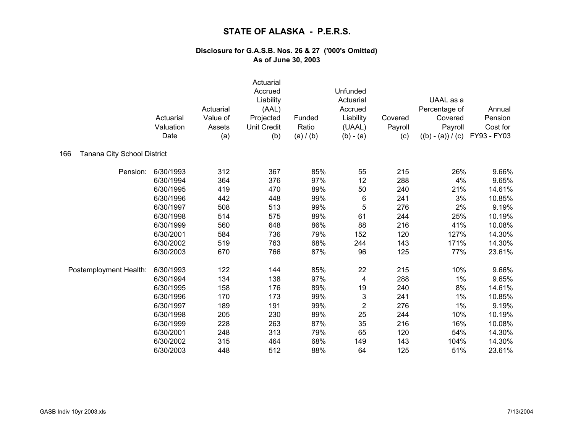|                                    | Actuarial<br>Valuation<br>Date | Actuarial<br>Value of<br>Assets<br>(a) | Actuarial<br>Accrued<br>Liability<br>(AAL)<br>Projected<br><b>Unit Credit</b><br>(b) | Funded<br>Ratio<br>(a) / (b) | Unfunded<br>Actuarial<br>Accrued<br>Liability<br>(UAAL)<br>$(b) - (a)$ | Covered<br>Payroll<br>(c) | UAAL as a<br>Percentage of<br>Covered<br>Payroll<br>$((b) - (a)) / (c)$ | Annual<br>Pension<br>Cost for<br>FY93 - FY03 |
|------------------------------------|--------------------------------|----------------------------------------|--------------------------------------------------------------------------------------|------------------------------|------------------------------------------------------------------------|---------------------------|-------------------------------------------------------------------------|----------------------------------------------|
| 166<br>Tanana City School District |                                |                                        |                                                                                      |                              |                                                                        |                           |                                                                         |                                              |
| Pension:                           | 6/30/1993                      | 312                                    | 367                                                                                  | 85%                          | 55                                                                     | 215                       | 26%                                                                     | 9.66%                                        |
|                                    | 6/30/1994                      | 364                                    | 376                                                                                  | 97%                          | 12                                                                     | 288                       | 4%                                                                      | 9.65%                                        |
|                                    | 6/30/1995                      | 419                                    | 470                                                                                  | 89%                          | 50                                                                     | 240                       | 21%                                                                     | 14.61%                                       |
|                                    | 6/30/1996                      | 442                                    | 448                                                                                  | 99%                          | 6                                                                      | 241                       | 3%                                                                      | 10.85%                                       |
|                                    | 6/30/1997                      | 508                                    | 513                                                                                  | 99%                          | 5                                                                      | 276                       | 2%                                                                      | 9.19%                                        |
|                                    | 6/30/1998                      | 514                                    | 575                                                                                  | 89%                          | 61                                                                     | 244                       | 25%                                                                     | 10.19%                                       |
|                                    | 6/30/1999                      | 560                                    | 648                                                                                  | 86%                          | 88                                                                     | 216                       | 41%                                                                     | 10.08%                                       |
|                                    | 6/30/2001                      | 584                                    | 736                                                                                  | 79%                          | 152                                                                    | 120                       | 127%                                                                    | 14.30%                                       |
|                                    | 6/30/2002                      | 519                                    | 763                                                                                  | 68%                          | 244                                                                    | 143                       | 171%                                                                    | 14.30%                                       |
|                                    | 6/30/2003                      | 670                                    | 766                                                                                  | 87%                          | 96                                                                     | 125                       | 77%                                                                     | 23.61%                                       |
| Postemployment Health:             | 6/30/1993                      | 122                                    | 144                                                                                  | 85%                          | 22                                                                     | 215                       | 10%                                                                     | 9.66%                                        |
|                                    | 6/30/1994                      | 134                                    | 138                                                                                  | 97%                          | 4                                                                      | 288                       | $1\%$                                                                   | 9.65%                                        |
|                                    | 6/30/1995                      | 158                                    | 176                                                                                  | 89%                          | 19                                                                     | 240                       | 8%                                                                      | 14.61%                                       |
|                                    | 6/30/1996                      | 170                                    | 173                                                                                  | 99%                          | $\mathbf{3}$                                                           | 241                       | 1%                                                                      | 10.85%                                       |
|                                    | 6/30/1997                      | 189                                    | 191                                                                                  | 99%                          | $\overline{2}$                                                         | 276                       | $1\%$                                                                   | 9.19%                                        |
|                                    | 6/30/1998                      | 205                                    | 230                                                                                  | 89%                          | 25                                                                     | 244                       | 10%                                                                     | 10.19%                                       |
|                                    | 6/30/1999                      | 228                                    | 263                                                                                  | 87%                          | 35                                                                     | 216                       | 16%                                                                     | 10.08%                                       |
|                                    | 6/30/2001                      | 248                                    | 313                                                                                  | 79%                          | 65                                                                     | 120                       | 54%                                                                     | 14.30%                                       |
|                                    | 6/30/2002                      | 315                                    | 464                                                                                  | 68%                          | 149                                                                    | 143                       | 104%                                                                    | 14.30%                                       |
|                                    | 6/30/2003                      | 448                                    | 512                                                                                  | 88%                          | 64                                                                     | 125                       | 51%                                                                     | 23.61%                                       |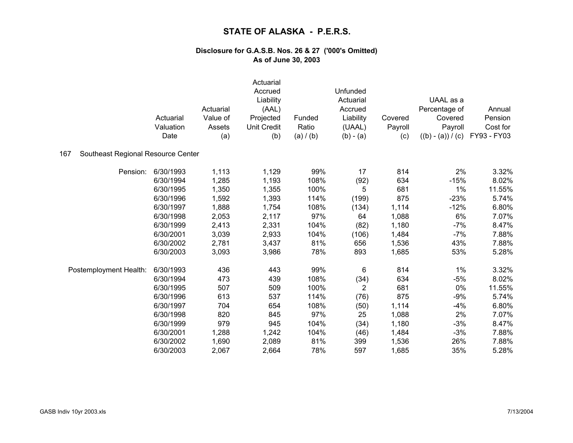|                                           | Actuarial<br>Valuation<br>Date | Actuarial<br>Value of<br>Assets<br>(a) | Actuarial<br>Accrued<br>Liability<br>(AAL)<br>Projected<br><b>Unit Credit</b><br>(b) | Funded<br>Ratio<br>(a) / (b) | Unfunded<br>Actuarial<br>Accrued<br>Liability<br>(UAAL)<br>$(b) - (a)$ | Covered<br>Payroll<br>(c) | UAAL as a<br>Percentage of<br>Covered<br>Payroll<br>$((b) - (a)) / (c)$ | Annual<br>Pension<br>Cost for<br>FY93 - FY03 |
|-------------------------------------------|--------------------------------|----------------------------------------|--------------------------------------------------------------------------------------|------------------------------|------------------------------------------------------------------------|---------------------------|-------------------------------------------------------------------------|----------------------------------------------|
| Southeast Regional Resource Center<br>167 |                                |                                        |                                                                                      |                              |                                                                        |                           |                                                                         |                                              |
| Pension:                                  | 6/30/1993                      | 1,113                                  | 1,129                                                                                | 99%                          | 17                                                                     | 814                       | 2%                                                                      | 3.32%                                        |
|                                           | 6/30/1994                      | 1,285                                  | 1,193                                                                                | 108%                         | (92)                                                                   | 634                       | $-15%$                                                                  | 8.02%                                        |
|                                           | 6/30/1995                      | 1,350                                  | 1,355                                                                                | 100%                         | 5                                                                      | 681                       | 1%                                                                      | 11.55%                                       |
|                                           | 6/30/1996                      | 1,592                                  | 1,393                                                                                | 114%                         | (199)                                                                  | 875                       | $-23%$                                                                  | 5.74%                                        |
|                                           | 6/30/1997                      | 1,888                                  | 1,754                                                                                | 108%                         | (134)                                                                  | 1,114                     | $-12%$                                                                  | 6.80%                                        |
|                                           | 6/30/1998                      | 2,053                                  | 2,117                                                                                | 97%                          | 64                                                                     | 1,088                     | 6%                                                                      | 7.07%                                        |
|                                           | 6/30/1999                      | 2,413                                  | 2,331                                                                                | 104%                         | (82)                                                                   | 1,180                     | $-7%$                                                                   | 8.47%                                        |
|                                           | 6/30/2001                      | 3,039                                  | 2,933                                                                                | 104%                         | (106)                                                                  | 1,484                     | $-7%$                                                                   | 7.88%                                        |
|                                           | 6/30/2002                      | 2,781                                  | 3,437                                                                                | 81%                          | 656                                                                    | 1,536                     | 43%                                                                     | 7.88%                                        |
|                                           | 6/30/2003                      | 3,093                                  | 3,986                                                                                | 78%                          | 893                                                                    | 1,685                     | 53%                                                                     | 5.28%                                        |
| Postemployment Health:                    | 6/30/1993                      | 436                                    | 443                                                                                  | 99%                          | 6                                                                      | 814                       | 1%                                                                      | 3.32%                                        |
|                                           | 6/30/1994                      | 473                                    | 439                                                                                  | 108%                         | (34)                                                                   | 634                       | $-5%$                                                                   | 8.02%                                        |
|                                           | 6/30/1995                      | 507                                    | 509                                                                                  | 100%                         | $\overline{2}$                                                         | 681                       | 0%                                                                      | 11.55%                                       |
|                                           | 6/30/1996                      | 613                                    | 537                                                                                  | 114%                         | (76)                                                                   | 875                       | $-9%$                                                                   | 5.74%                                        |
|                                           | 6/30/1997                      | 704                                    | 654                                                                                  | 108%                         | (50)                                                                   | 1,114                     | $-4%$                                                                   | 6.80%                                        |
|                                           | 6/30/1998                      | 820                                    | 845                                                                                  | 97%                          | 25                                                                     | 1,088                     | 2%                                                                      | 7.07%                                        |
|                                           | 6/30/1999                      | 979                                    | 945                                                                                  | 104%                         | (34)                                                                   | 1,180                     | $-3%$                                                                   | 8.47%                                        |
|                                           | 6/30/2001                      | 1,288                                  | 1,242                                                                                | 104%                         | (46)                                                                   | 1,484                     | $-3%$                                                                   | 7.88%                                        |
|                                           | 6/30/2002                      | 1,690                                  | 2,089                                                                                | 81%                          | 399                                                                    | 1,536                     | 26%                                                                     | 7.88%                                        |
|                                           | 6/30/2003                      | 2,067                                  | 2,664                                                                                | 78%                          | 597                                                                    | 1,685                     | 35%                                                                     | 5.28%                                        |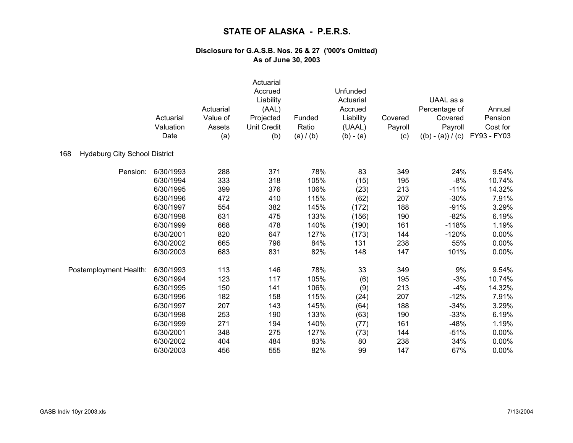|                                             | Actuarial<br>Valuation<br>Date | Actuarial<br>Value of<br>Assets<br>(a) | Actuarial<br>Accrued<br>Liability<br>(AAL)<br>Projected<br><b>Unit Credit</b><br>(b) | Funded<br>Ratio<br>(a) / (b) | Unfunded<br>Actuarial<br>Accrued<br>Liability<br>(UAAL)<br>$(b) - (a)$ | Covered<br>Payroll<br>(c) | UAAL as a<br>Percentage of<br>Covered<br>Payroll<br>$((b) - (a)) / (c)$ | Annual<br>Pension<br>Cost for<br>FY93 - FY03 |
|---------------------------------------------|--------------------------------|----------------------------------------|--------------------------------------------------------------------------------------|------------------------------|------------------------------------------------------------------------|---------------------------|-------------------------------------------------------------------------|----------------------------------------------|
| 168<br><b>Hydaburg City School District</b> |                                |                                        |                                                                                      |                              |                                                                        |                           |                                                                         |                                              |
| Pension:                                    | 6/30/1993                      | 288                                    | 371                                                                                  | 78%                          | 83                                                                     | 349                       | 24%                                                                     | 9.54%                                        |
|                                             | 6/30/1994                      | 333                                    | 318                                                                                  | 105%                         | (15)                                                                   | 195                       | $-8%$                                                                   | 10.74%                                       |
|                                             | 6/30/1995                      | 399                                    | 376                                                                                  | 106%                         | (23)                                                                   | 213                       | $-11%$                                                                  | 14.32%                                       |
|                                             | 6/30/1996                      | 472                                    | 410                                                                                  | 115%                         | (62)                                                                   | 207                       | $-30%$                                                                  | 7.91%                                        |
|                                             | 6/30/1997                      | 554                                    | 382                                                                                  | 145%                         | (172)                                                                  | 188                       | $-91%$                                                                  | 3.29%                                        |
|                                             | 6/30/1998                      | 631                                    | 475                                                                                  | 133%                         | (156)                                                                  | 190                       | $-82%$                                                                  | 6.19%                                        |
|                                             | 6/30/1999                      | 668                                    | 478                                                                                  | 140%                         | (190)                                                                  | 161                       | $-118%$                                                                 | 1.19%                                        |
|                                             | 6/30/2001                      | 820                                    | 647                                                                                  | 127%                         | (173)                                                                  | 144                       | $-120%$                                                                 | 0.00%                                        |
|                                             | 6/30/2002                      | 665                                    | 796                                                                                  | 84%                          | 131                                                                    | 238                       | 55%                                                                     | 0.00%                                        |
|                                             | 6/30/2003                      | 683                                    | 831                                                                                  | 82%                          | 148                                                                    | 147                       | 101%                                                                    | 0.00%                                        |
| Postemployment Health:                      | 6/30/1993                      | 113                                    | 146                                                                                  | 78%                          | 33                                                                     | 349                       | 9%                                                                      | 9.54%                                        |
|                                             | 6/30/1994                      | 123                                    | 117                                                                                  | 105%                         | (6)                                                                    | 195                       | $-3%$                                                                   | 10.74%                                       |
|                                             | 6/30/1995                      | 150                                    | 141                                                                                  | 106%                         | (9)                                                                    | 213                       | $-4%$                                                                   | 14.32%                                       |
|                                             | 6/30/1996                      | 182                                    | 158                                                                                  | 115%                         | (24)                                                                   | 207                       | $-12%$                                                                  | 7.91%                                        |
|                                             | 6/30/1997                      | 207                                    | 143                                                                                  | 145%                         | (64)                                                                   | 188                       | $-34%$                                                                  | 3.29%                                        |
|                                             | 6/30/1998                      | 253                                    | 190                                                                                  | 133%                         | (63)                                                                   | 190                       | $-33%$                                                                  | 6.19%                                        |
|                                             | 6/30/1999                      | 271                                    | 194                                                                                  | 140%                         | (77)                                                                   | 161                       | $-48%$                                                                  | 1.19%                                        |
|                                             | 6/30/2001                      | 348                                    | 275                                                                                  | 127%                         | (73)                                                                   | 144                       | $-51%$                                                                  | 0.00%                                        |
|                                             | 6/30/2002                      | 404                                    | 484                                                                                  | 83%                          | 80                                                                     | 238                       | 34%                                                                     | 0.00%                                        |
|                                             | 6/30/2003                      | 456                                    | 555                                                                                  | 82%                          | 99                                                                     | 147                       | 67%                                                                     | 0.00%                                        |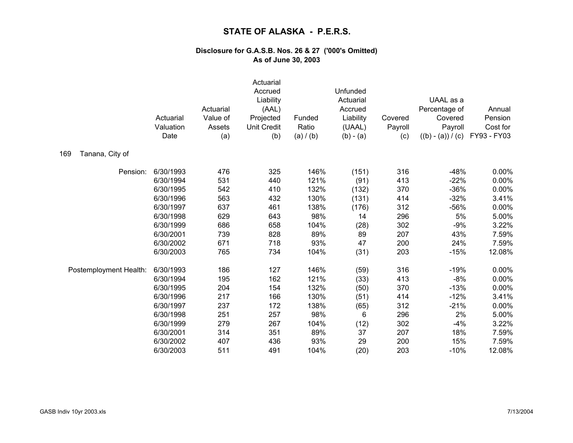|                        | Actuarial<br>Valuation<br>Date | Actuarial<br>Value of<br>Assets<br>(a) | Actuarial<br>Accrued<br>Liability<br>(AAL)<br>Projected<br>Unit Credit<br>(b) | Funded<br>Ratio<br>(a) / (b) | Unfunded<br>Actuarial<br>Accrued<br>Liability<br>(UAAL)<br>$(b) - (a)$ | Covered<br>Payroll<br>(c) | UAAL as a<br>Percentage of<br>Covered<br>Payroll<br>$((b) - (a)) / (c)$ | Annual<br>Pension<br>Cost for<br>FY93 - FY03 |
|------------------------|--------------------------------|----------------------------------------|-------------------------------------------------------------------------------|------------------------------|------------------------------------------------------------------------|---------------------------|-------------------------------------------------------------------------|----------------------------------------------|
| 169<br>Tanana, City of |                                |                                        |                                                                               |                              |                                                                        |                           |                                                                         |                                              |
| Pension:               | 6/30/1993                      | 476                                    | 325                                                                           | 146%                         | (151)                                                                  | 316                       | $-48%$                                                                  | 0.00%                                        |
|                        | 6/30/1994                      | 531                                    | 440                                                                           | 121%                         | (91)                                                                   | 413                       | $-22%$                                                                  | 0.00%                                        |
|                        | 6/30/1995                      | 542                                    | 410                                                                           | 132%                         | (132)                                                                  | 370                       | $-36%$                                                                  | 0.00%                                        |
|                        | 6/30/1996                      | 563                                    | 432                                                                           | 130%                         | (131)                                                                  | 414                       | $-32%$                                                                  | 3.41%                                        |
|                        | 6/30/1997                      | 637                                    | 461                                                                           | 138%                         | (176)                                                                  | 312                       | $-56%$                                                                  | 0.00%                                        |
|                        | 6/30/1998                      | 629                                    | 643                                                                           | 98%                          | 14                                                                     | 296                       | 5%                                                                      | 5.00%                                        |
|                        | 6/30/1999                      | 686                                    | 658                                                                           | 104%                         | (28)                                                                   | 302                       | $-9%$                                                                   | 3.22%                                        |
|                        | 6/30/2001                      | 739                                    | 828                                                                           | 89%                          | 89                                                                     | 207                       | 43%                                                                     | 7.59%                                        |
|                        | 6/30/2002                      | 671                                    | 718                                                                           | 93%                          | 47                                                                     | 200                       | 24%                                                                     | 7.59%                                        |
|                        | 6/30/2003                      | 765                                    | 734                                                                           | 104%                         | (31)                                                                   | 203                       | $-15%$                                                                  | 12.08%                                       |
| Postemployment Health: | 6/30/1993                      | 186                                    | 127                                                                           | 146%                         | (59)                                                                   | 316                       | $-19%$                                                                  | 0.00%                                        |
|                        | 6/30/1994                      | 195                                    | 162                                                                           | 121%                         | (33)                                                                   | 413                       | $-8%$                                                                   | 0.00%                                        |
|                        | 6/30/1995                      | 204                                    | 154                                                                           | 132%                         | (50)                                                                   | 370                       | $-13%$                                                                  | 0.00%                                        |
|                        | 6/30/1996                      | 217                                    | 166                                                                           | 130%                         | (51)                                                                   | 414                       | $-12%$                                                                  | 3.41%                                        |
|                        | 6/30/1997                      | 237                                    | 172                                                                           | 138%                         | (65)                                                                   | 312                       | $-21%$                                                                  | 0.00%                                        |
|                        | 6/30/1998                      | 251                                    | 257                                                                           | 98%                          | 6                                                                      | 296                       | 2%                                                                      | 5.00%                                        |
|                        | 6/30/1999                      | 279                                    | 267                                                                           | 104%                         | (12)                                                                   | 302                       | $-4%$                                                                   | 3.22%                                        |
|                        | 6/30/2001                      | 314                                    | 351                                                                           | 89%                          | 37                                                                     | 207                       | 18%                                                                     | 7.59%                                        |
|                        | 6/30/2002                      | 407                                    | 436                                                                           | 93%                          | 29                                                                     | 200                       | 15%                                                                     | 7.59%                                        |
|                        | 6/30/2003                      | 511                                    | 491                                                                           | 104%                         | (20)                                                                   | 203                       | $-10%$                                                                  | 12.08%                                       |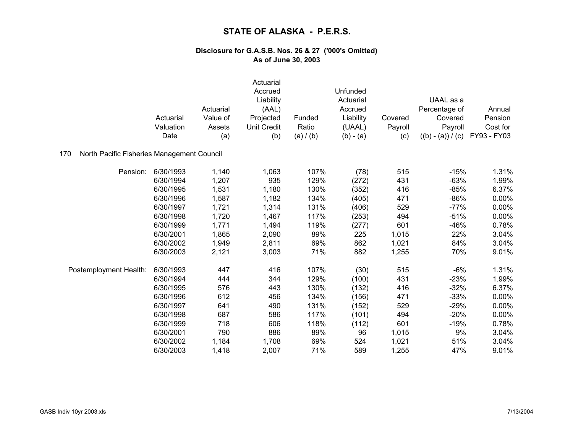|                                                   | Actuarial<br>Valuation<br>Date | Actuarial<br>Value of<br>Assets<br>(a) | Actuarial<br>Accrued<br>Liability<br>(AAL)<br>Projected<br><b>Unit Credit</b><br>(b) | Funded<br>Ratio<br>(a) / (b) | Unfunded<br>Actuarial<br>Accrued<br>Liability<br>(UAAL)<br>$(b) - (a)$ | Covered<br>Payroll<br>(c) | UAAL as a<br>Percentage of<br>Covered<br>Payroll<br>$((b) - (a)) / (c)$ | Annual<br>Pension<br>Cost for<br>FY93 - FY03 |
|---------------------------------------------------|--------------------------------|----------------------------------------|--------------------------------------------------------------------------------------|------------------------------|------------------------------------------------------------------------|---------------------------|-------------------------------------------------------------------------|----------------------------------------------|
| North Pacific Fisheries Management Council<br>170 |                                |                                        |                                                                                      |                              |                                                                        |                           |                                                                         |                                              |
| Pension:                                          | 6/30/1993                      | 1,140                                  | 1,063                                                                                | 107%                         | (78)                                                                   | 515                       | $-15%$                                                                  | 1.31%                                        |
|                                                   | 6/30/1994                      | 1,207                                  | 935                                                                                  | 129%                         | (272)                                                                  | 431                       | $-63%$                                                                  | 1.99%                                        |
|                                                   | 6/30/1995                      | 1,531                                  | 1,180                                                                                | 130%                         | (352)                                                                  | 416                       | $-85%$                                                                  | 6.37%                                        |
|                                                   | 6/30/1996                      | 1,587                                  | 1,182                                                                                | 134%                         | (405)                                                                  | 471                       | $-86%$                                                                  | 0.00%                                        |
|                                                   | 6/30/1997                      | 1,721                                  | 1,314                                                                                | 131%                         | (406)                                                                  | 529                       | $-77%$                                                                  | 0.00%                                        |
|                                                   | 6/30/1998                      | 1,720                                  | 1,467                                                                                | 117%                         | (253)                                                                  | 494                       | $-51%$                                                                  | 0.00%                                        |
|                                                   | 6/30/1999                      | 1,771                                  | 1,494                                                                                | 119%                         | (277)                                                                  | 601                       | $-46%$                                                                  | 0.78%                                        |
|                                                   | 6/30/2001                      | 1,865                                  | 2,090                                                                                | 89%                          | 225                                                                    | 1,015                     | 22%                                                                     | 3.04%                                        |
|                                                   | 6/30/2002                      | 1,949                                  | 2,811                                                                                | 69%                          | 862                                                                    | 1,021                     | 84%                                                                     | 3.04%                                        |
|                                                   | 6/30/2003                      | 2,121                                  | 3,003                                                                                | 71%                          | 882                                                                    | 1,255                     | 70%                                                                     | 9.01%                                        |
| Postemployment Health:                            | 6/30/1993                      | 447                                    | 416                                                                                  | 107%                         | (30)                                                                   | 515                       | $-6%$                                                                   | 1.31%                                        |
|                                                   | 6/30/1994                      | 444                                    | 344                                                                                  | 129%                         | (100)                                                                  | 431                       | $-23%$                                                                  | 1.99%                                        |
|                                                   | 6/30/1995                      | 576                                    | 443                                                                                  | 130%                         | (132)                                                                  | 416                       | $-32%$                                                                  | 6.37%                                        |
|                                                   | 6/30/1996                      | 612                                    | 456                                                                                  | 134%                         | (156)                                                                  | 471                       | $-33%$                                                                  | $0.00\%$                                     |
|                                                   | 6/30/1997                      | 641                                    | 490                                                                                  | 131%                         | (152)                                                                  | 529                       | $-29%$                                                                  | 0.00%                                        |
|                                                   | 6/30/1998                      | 687                                    | 586                                                                                  | 117%                         | (101)                                                                  | 494                       | $-20%$                                                                  | 0.00%                                        |
|                                                   | 6/30/1999                      | 718                                    | 606                                                                                  | 118%                         | (112)                                                                  | 601                       | $-19%$                                                                  | 0.78%                                        |
|                                                   | 6/30/2001                      | 790                                    | 886                                                                                  | 89%                          | 96                                                                     | 1,015                     | 9%                                                                      | 3.04%                                        |
|                                                   | 6/30/2002                      | 1,184                                  | 1,708                                                                                | 69%                          | 524                                                                    | 1,021                     | 51%                                                                     | 3.04%                                        |
|                                                   | 6/30/2003                      | 1,418                                  | 2,007                                                                                | 71%                          | 589                                                                    | 1,255                     | 47%                                                                     | 9.01%                                        |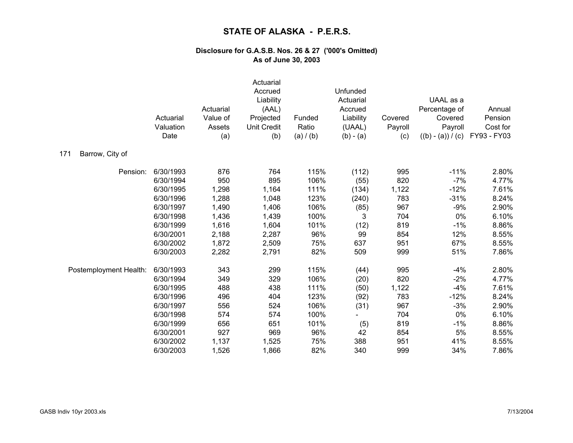|                        | Actuarial<br>Valuation<br>Date | Actuarial<br>Value of<br>Assets<br>(a) | Actuarial<br>Accrued<br>Liability<br>(AAL)<br>Projected<br><b>Unit Credit</b><br>(b) | Funded<br>Ratio<br>(a) / (b) | Unfunded<br>Actuarial<br>Accrued<br>Liability<br>(UAAL)<br>$(b) - (a)$ | Covered<br>Payroll<br>(c) | UAAL as a<br>Percentage of<br>Covered<br>Payroll<br>$((b) - (a)) / (c)$ | Annual<br>Pension<br>Cost for<br>FY93 - FY03 |
|------------------------|--------------------------------|----------------------------------------|--------------------------------------------------------------------------------------|------------------------------|------------------------------------------------------------------------|---------------------------|-------------------------------------------------------------------------|----------------------------------------------|
| 171<br>Barrow, City of |                                |                                        |                                                                                      |                              |                                                                        |                           |                                                                         |                                              |
| Pension:               | 6/30/1993                      | 876                                    | 764                                                                                  | 115%                         | (112)                                                                  | 995                       | $-11%$                                                                  | 2.80%                                        |
|                        | 6/30/1994                      | 950                                    | 895                                                                                  | 106%                         | (55)                                                                   | 820                       | $-7%$                                                                   | 4.77%                                        |
|                        | 6/30/1995                      | 1,298                                  | 1,164                                                                                | 111%                         | (134)                                                                  | 1,122                     | $-12%$                                                                  | 7.61%                                        |
|                        | 6/30/1996                      | 1,288                                  | 1,048                                                                                | 123%                         | (240)                                                                  | 783                       | $-31%$                                                                  | 8.24%                                        |
|                        | 6/30/1997                      | 1,490                                  | 1,406                                                                                | 106%                         | (85)                                                                   | 967                       | $-9%$                                                                   | 2.90%                                        |
|                        | 6/30/1998                      | 1,436                                  | 1,439                                                                                | 100%                         | 3                                                                      | 704                       | 0%                                                                      | 6.10%                                        |
|                        | 6/30/1999                      | 1,616                                  | 1,604                                                                                | 101%                         | (12)                                                                   | 819                       | $-1%$                                                                   | 8.86%                                        |
|                        | 6/30/2001                      | 2,188                                  | 2,287                                                                                | 96%                          | 99                                                                     | 854                       | 12%                                                                     | 8.55%                                        |
|                        | 6/30/2002                      | 1,872                                  | 2,509                                                                                | 75%                          | 637                                                                    | 951                       | 67%                                                                     | 8.55%                                        |
|                        | 6/30/2003                      | 2,282                                  | 2,791                                                                                | 82%                          | 509                                                                    | 999                       | 51%                                                                     | 7.86%                                        |
| Postemployment Health: | 6/30/1993                      | 343                                    | 299                                                                                  | 115%                         | (44)                                                                   | 995                       | $-4%$                                                                   | 2.80%                                        |
|                        | 6/30/1994                      | 349                                    | 329                                                                                  | 106%                         | (20)                                                                   | 820                       | $-2%$                                                                   | 4.77%                                        |
|                        | 6/30/1995                      | 488                                    | 438                                                                                  | 111%                         | (50)                                                                   | 1,122                     | $-4%$                                                                   | 7.61%                                        |
|                        | 6/30/1996                      | 496                                    | 404                                                                                  | 123%                         | (92)                                                                   | 783                       | $-12%$                                                                  | 8.24%                                        |
|                        | 6/30/1997                      | 556                                    | 524                                                                                  | 106%                         | (31)                                                                   | 967                       | $-3%$                                                                   | 2.90%                                        |
|                        | 6/30/1998                      | 574                                    | 574                                                                                  | 100%                         |                                                                        | 704                       | 0%                                                                      | 6.10%                                        |
|                        | 6/30/1999                      | 656                                    | 651                                                                                  | 101%                         | (5)                                                                    | 819                       | $-1%$                                                                   | 8.86%                                        |
|                        | 6/30/2001                      | 927                                    | 969                                                                                  | 96%                          | 42                                                                     | 854                       | 5%                                                                      | 8.55%                                        |
|                        | 6/30/2002                      | 1,137                                  | 1,525                                                                                | 75%                          | 388                                                                    | 951                       | 41%                                                                     | 8.55%                                        |
|                        | 6/30/2003                      | 1,526                                  | 1,866                                                                                | 82%                          | 340                                                                    | 999                       | 34%                                                                     | 7.86%                                        |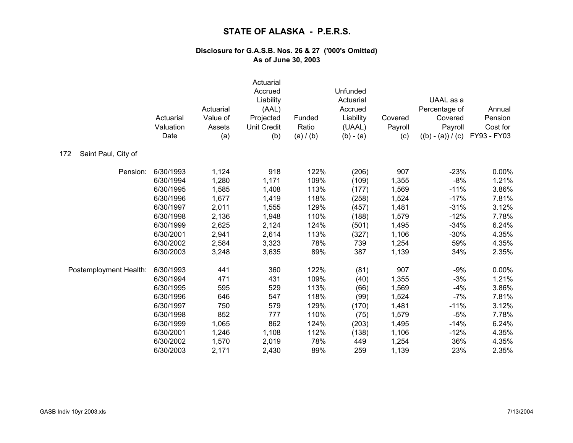|                            | Actuarial<br>Valuation<br>Date | Actuarial<br>Value of<br>Assets<br>(a) | Actuarial<br>Accrued<br>Liability<br>(AAL)<br>Projected<br><b>Unit Credit</b><br>(b) | Funded<br>Ratio<br>(a) / (b) | Unfunded<br>Actuarial<br>Accrued<br>Liability<br>(UAAL)<br>$(b) - (a)$ | Covered<br>Payroll<br>(c) | UAAL as a<br>Percentage of<br>Covered<br>Payroll<br>$((b) - (a)) / (c)$ | Annual<br>Pension<br>Cost for<br>FY93 - FY03 |
|----------------------------|--------------------------------|----------------------------------------|--------------------------------------------------------------------------------------|------------------------------|------------------------------------------------------------------------|---------------------------|-------------------------------------------------------------------------|----------------------------------------------|
| Saint Paul, City of<br>172 |                                |                                        |                                                                                      |                              |                                                                        |                           |                                                                         |                                              |
| Pension:                   | 6/30/1993                      | 1,124                                  | 918                                                                                  | 122%                         | (206)                                                                  | 907                       | $-23%$                                                                  | 0.00%                                        |
|                            | 6/30/1994                      | 1,280                                  | 1,171                                                                                | 109%                         | (109)                                                                  | 1,355                     | $-8%$                                                                   | 1.21%                                        |
|                            | 6/30/1995                      | 1,585                                  | 1,408                                                                                | 113%                         | (177)                                                                  | 1,569                     | $-11%$                                                                  | 3.86%                                        |
|                            | 6/30/1996                      | 1,677                                  | 1,419                                                                                | 118%                         | (258)                                                                  | 1,524                     | $-17%$                                                                  | 7.81%                                        |
|                            | 6/30/1997                      | 2,011                                  | 1,555                                                                                | 129%                         | (457)                                                                  | 1,481                     | $-31%$                                                                  | 3.12%                                        |
|                            | 6/30/1998                      | 2,136                                  | 1,948                                                                                | 110%                         | (188)                                                                  | 1,579                     | $-12%$                                                                  | 7.78%                                        |
|                            | 6/30/1999                      | 2,625                                  | 2,124                                                                                | 124%                         | (501)                                                                  | 1,495                     | $-34%$                                                                  | 6.24%                                        |
|                            | 6/30/2001                      | 2,941                                  | 2,614                                                                                | 113%                         | (327)                                                                  | 1,106                     | $-30%$                                                                  | 4.35%                                        |
|                            | 6/30/2002                      | 2,584                                  | 3,323                                                                                | 78%                          | 739                                                                    | 1,254                     | 59%                                                                     | 4.35%                                        |
|                            | 6/30/2003                      | 3,248                                  | 3,635                                                                                | 89%                          | 387                                                                    | 1,139                     | 34%                                                                     | 2.35%                                        |
| Postemployment Health:     | 6/30/1993                      | 441                                    | 360                                                                                  | 122%                         | (81)                                                                   | 907                       | $-9%$                                                                   | 0.00%                                        |
|                            | 6/30/1994                      | 471                                    | 431                                                                                  | 109%                         | (40)                                                                   | 1,355                     | $-3%$                                                                   | 1.21%                                        |
|                            | 6/30/1995                      | 595                                    | 529                                                                                  | 113%                         | (66)                                                                   | 1,569                     | $-4%$                                                                   | 3.86%                                        |
|                            | 6/30/1996                      | 646                                    | 547                                                                                  | 118%                         | (99)                                                                   | 1,524                     | $-7%$                                                                   | 7.81%                                        |
|                            | 6/30/1997                      | 750                                    | 579                                                                                  | 129%                         | (170)                                                                  | 1,481                     | $-11%$                                                                  | 3.12%                                        |
|                            | 6/30/1998                      | 852                                    | 777                                                                                  | 110%                         | (75)                                                                   | 1,579                     | $-5%$                                                                   | 7.78%                                        |
|                            | 6/30/1999                      | 1,065                                  | 862                                                                                  | 124%                         | (203)                                                                  | 1,495                     | $-14%$                                                                  | 6.24%                                        |
|                            | 6/30/2001                      | 1,246                                  | 1,108                                                                                | 112%                         | (138)                                                                  | 1,106                     | $-12%$                                                                  | 4.35%                                        |
|                            | 6/30/2002                      | 1,570                                  | 2,019                                                                                | 78%                          | 449                                                                    | 1,254                     | 36%                                                                     | 4.35%                                        |
|                            | 6/30/2003                      | 2,171                                  | 2,430                                                                                | 89%                          | 259                                                                    | 1,139                     | 23%                                                                     | 2.35%                                        |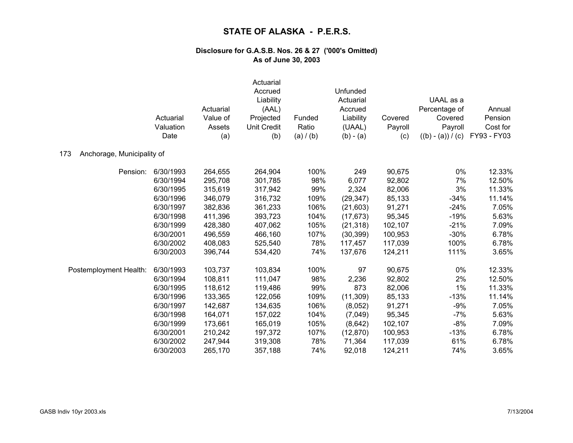|                                   | Actuarial<br>Valuation<br>Date | Actuarial<br>Value of<br>Assets<br>(a) | Actuarial<br>Accrued<br>Liability<br>(AAL)<br>Projected<br>Unit Credit<br>(b) | Funded<br>Ratio<br>(a) / (b) | Unfunded<br>Actuarial<br>Accrued<br>Liability<br>(UAAL)<br>$(b) - (a)$ | Covered<br>Payroll<br>(c) | UAAL as a<br>Percentage of<br>Covered<br>Payroll<br>$((b) - (a)) / (c)$ | Annual<br>Pension<br>Cost for<br>FY93 - FY03 |
|-----------------------------------|--------------------------------|----------------------------------------|-------------------------------------------------------------------------------|------------------------------|------------------------------------------------------------------------|---------------------------|-------------------------------------------------------------------------|----------------------------------------------|
| 173<br>Anchorage, Municipality of |                                |                                        |                                                                               |                              |                                                                        |                           |                                                                         |                                              |
| Pension:                          | 6/30/1993                      | 264,655                                | 264,904                                                                       | 100%                         | 249                                                                    | 90,675                    | 0%                                                                      | 12.33%                                       |
|                                   | 6/30/1994                      | 295,708                                | 301,785                                                                       | 98%                          | 6,077                                                                  | 92,802                    | 7%                                                                      | 12.50%                                       |
|                                   | 6/30/1995                      | 315,619                                | 317,942                                                                       | 99%                          | 2,324                                                                  | 82,006                    | 3%                                                                      | 11.33%                                       |
|                                   | 6/30/1996                      | 346,079                                | 316,732                                                                       | 109%                         | (29, 347)                                                              | 85,133                    | $-34%$                                                                  | 11.14%                                       |
|                                   | 6/30/1997                      | 382,836                                | 361,233                                                                       | 106%                         | (21,603)                                                               | 91,271                    | $-24%$                                                                  | 7.05%                                        |
|                                   | 6/30/1998                      | 411,396                                | 393,723                                                                       | 104%                         | (17, 673)                                                              | 95,345                    | $-19%$                                                                  | 5.63%                                        |
|                                   | 6/30/1999                      | 428,380                                | 407,062                                                                       | 105%                         | (21, 318)                                                              | 102,107                   | $-21%$                                                                  | 7.09%                                        |
|                                   | 6/30/2001                      | 496,559                                | 466,160                                                                       | 107%                         | (30, 399)                                                              | 100,953                   | $-30%$                                                                  | 6.78%                                        |
|                                   | 6/30/2002                      | 408,083                                | 525,540                                                                       | 78%                          | 117,457                                                                | 117,039                   | 100%                                                                    | 6.78%                                        |
|                                   | 6/30/2003                      | 396,744                                | 534,420                                                                       | 74%                          | 137,676                                                                | 124,211                   | 111%                                                                    | 3.65%                                        |
| Postemployment Health:            | 6/30/1993                      | 103,737                                | 103,834                                                                       | 100%                         | 97                                                                     | 90,675                    | 0%                                                                      | 12.33%                                       |
|                                   | 6/30/1994                      | 108,811                                | 111,047                                                                       | 98%                          | 2,236                                                                  | 92,802                    | 2%                                                                      | 12.50%                                       |
|                                   | 6/30/1995                      | 118,612                                | 119,486                                                                       | 99%                          | 873                                                                    | 82,006                    | $1\%$                                                                   | 11.33%                                       |
|                                   | 6/30/1996                      | 133,365                                | 122,056                                                                       | 109%                         | (11, 309)                                                              | 85,133                    | $-13%$                                                                  | 11.14%                                       |
|                                   | 6/30/1997                      | 142,687                                | 134,635                                                                       | 106%                         | (8,052)                                                                | 91,271                    | $-9%$                                                                   | 7.05%                                        |
|                                   | 6/30/1998                      | 164,071                                | 157,022                                                                       | 104%                         | (7,049)                                                                | 95,345                    | $-7%$                                                                   | 5.63%                                        |
|                                   | 6/30/1999                      | 173,661                                | 165,019                                                                       | 105%                         | (8,642)                                                                | 102,107                   | $-8%$                                                                   | 7.09%                                        |
|                                   | 6/30/2001                      | 210,242                                | 197,372                                                                       | 107%                         | (12, 870)                                                              | 100,953                   | $-13%$                                                                  | 6.78%                                        |
|                                   | 6/30/2002                      | 247,944                                | 319,308                                                                       | 78%                          | 71,364                                                                 | 117,039                   | 61%                                                                     | 6.78%                                        |
|                                   | 6/30/2003                      | 265,170                                | 357,188                                                                       | 74%                          | 92,018                                                                 | 124,211                   | 74%                                                                     | 3.65%                                        |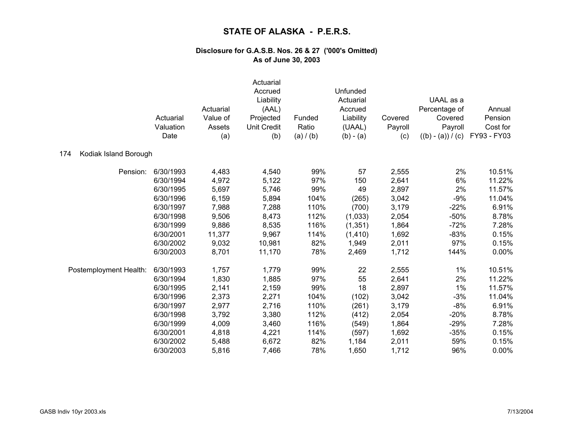|                              | Actuarial<br>Valuation<br>Date | Actuarial<br>Value of<br>Assets<br>(a) | Actuarial<br>Accrued<br>Liability<br>(AAL)<br>Projected<br>Unit Credit<br>(b) | Funded<br>Ratio<br>(a) / (b) | Unfunded<br>Actuarial<br>Accrued<br>Liability<br>(UAAL)<br>$(b) - (a)$ | Covered<br>Payroll<br>(c) | UAAL as a<br>Percentage of<br>Covered<br>Payroll<br>$((b) - (a)) / (c)$ | Annual<br>Pension<br>Cost for<br>FY93 - FY03 |
|------------------------------|--------------------------------|----------------------------------------|-------------------------------------------------------------------------------|------------------------------|------------------------------------------------------------------------|---------------------------|-------------------------------------------------------------------------|----------------------------------------------|
| Kodiak Island Borough<br>174 |                                |                                        |                                                                               |                              |                                                                        |                           |                                                                         |                                              |
| Pension:                     | 6/30/1993                      | 4,483                                  | 4,540                                                                         | 99%                          | 57                                                                     | 2,555                     | 2%                                                                      | 10.51%                                       |
|                              | 6/30/1994                      | 4,972                                  | 5,122                                                                         | 97%                          | 150                                                                    | 2,641                     | 6%                                                                      | 11.22%                                       |
|                              | 6/30/1995                      | 5,697                                  | 5,746                                                                         | 99%                          | 49                                                                     | 2,897                     | 2%                                                                      | 11.57%                                       |
|                              | 6/30/1996                      | 6,159                                  | 5,894                                                                         | 104%                         | (265)                                                                  | 3,042                     | $-9%$                                                                   | 11.04%                                       |
|                              | 6/30/1997                      | 7,988                                  | 7,288                                                                         | 110%                         | (700)                                                                  | 3,179                     | $-22%$                                                                  | 6.91%                                        |
|                              | 6/30/1998                      | 9,506                                  | 8,473                                                                         | 112%                         | (1,033)                                                                | 2,054                     | $-50%$                                                                  | 8.78%                                        |
|                              | 6/30/1999                      | 9,886                                  | 8,535                                                                         | 116%                         | (1, 351)                                                               | 1,864                     | $-72%$                                                                  | 7.28%                                        |
|                              | 6/30/2001                      | 11,377                                 | 9,967                                                                         | 114%                         | (1, 410)                                                               | 1,692                     | $-83%$                                                                  | 0.15%                                        |
|                              | 6/30/2002                      | 9,032                                  | 10,981                                                                        | 82%                          | 1,949                                                                  | 2,011                     | 97%                                                                     | 0.15%                                        |
|                              | 6/30/2003                      | 8,701                                  | 11,170                                                                        | 78%                          | 2,469                                                                  | 1,712                     | 144%                                                                    | 0.00%                                        |
| Postemployment Health:       | 6/30/1993                      | 1,757                                  | 1,779                                                                         | 99%                          | 22                                                                     | 2,555                     | $1\%$                                                                   | 10.51%                                       |
|                              | 6/30/1994                      | 1,830                                  | 1,885                                                                         | 97%                          | 55                                                                     | 2,641                     | 2%                                                                      | 11.22%                                       |
|                              | 6/30/1995                      | 2,141                                  | 2,159                                                                         | 99%                          | 18                                                                     | 2,897                     | 1%                                                                      | 11.57%                                       |
|                              | 6/30/1996                      | 2,373                                  | 2,271                                                                         | 104%                         | (102)                                                                  | 3,042                     | $-3%$                                                                   | 11.04%                                       |
|                              | 6/30/1997                      | 2,977                                  | 2,716                                                                         | 110%                         | (261)                                                                  | 3,179                     | $-8%$                                                                   | 6.91%                                        |
|                              | 6/30/1998                      | 3,792                                  | 3,380                                                                         | 112%                         | (412)                                                                  | 2,054                     | $-20%$                                                                  | 8.78%                                        |
|                              | 6/30/1999                      | 4,009                                  | 3,460                                                                         | 116%                         | (549)                                                                  | 1,864                     | $-29%$                                                                  | 7.28%                                        |
|                              | 6/30/2001                      | 4,818                                  | 4,221                                                                         | 114%                         | (597)                                                                  | 1,692                     | $-35%$                                                                  | 0.15%                                        |
|                              | 6/30/2002                      | 5,488                                  | 6,672                                                                         | 82%                          | 1,184                                                                  | 2,011                     | 59%                                                                     | 0.15%                                        |
|                              | 6/30/2003                      | 5,816                                  | 7,466                                                                         | 78%                          | 1,650                                                                  | 1,712                     | 96%                                                                     | 0.00%                                        |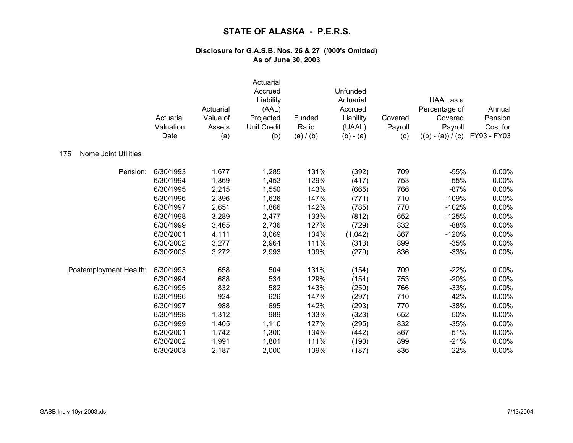|                                    | Actuarial<br>Valuation<br>Date | Actuarial<br>Value of<br>Assets<br>(a) | Actuarial<br>Accrued<br>Liability<br>(AAL)<br>Projected<br><b>Unit Credit</b><br>(b) | Funded<br>Ratio<br>(a) / (b) | Unfunded<br>Actuarial<br>Accrued<br>Liability<br>(UAAL)<br>$(b) - (a)$ | Covered<br>Payroll<br>(c) | UAAL as a<br>Percentage of<br>Covered<br>Payroll<br>$((b) - (a)) / (c)$ | Annual<br>Pension<br>Cost for<br>FY93 - FY03 |
|------------------------------------|--------------------------------|----------------------------------------|--------------------------------------------------------------------------------------|------------------------------|------------------------------------------------------------------------|---------------------------|-------------------------------------------------------------------------|----------------------------------------------|
| <b>Nome Joint Utilities</b><br>175 |                                |                                        |                                                                                      |                              |                                                                        |                           |                                                                         |                                              |
| Pension:                           | 6/30/1993                      | 1,677                                  | 1,285                                                                                | 131%                         | (392)                                                                  | 709                       | $-55%$                                                                  | 0.00%                                        |
|                                    | 6/30/1994                      | 1,869                                  | 1,452                                                                                | 129%                         | (417)                                                                  | 753                       | $-55%$                                                                  | 0.00%                                        |
|                                    | 6/30/1995                      | 2,215                                  | 1,550                                                                                | 143%                         | (665)                                                                  | 766                       | $-87%$                                                                  | 0.00%                                        |
|                                    | 6/30/1996                      | 2,396                                  | 1,626                                                                                | 147%                         | (771)                                                                  | 710                       | $-109%$                                                                 | 0.00%                                        |
|                                    | 6/30/1997                      | 2,651                                  | 1,866                                                                                | 142%                         | (785)                                                                  | 770                       | $-102%$                                                                 | 0.00%                                        |
|                                    | 6/30/1998                      | 3,289                                  | 2,477                                                                                | 133%                         | (812)                                                                  | 652                       | $-125%$                                                                 | 0.00%                                        |
|                                    | 6/30/1999                      | 3,465                                  | 2,736                                                                                | 127%                         | (729)                                                                  | 832                       | $-88%$                                                                  | 0.00%                                        |
|                                    | 6/30/2001                      | 4,111                                  | 3,069                                                                                | 134%                         | (1,042)                                                                | 867                       | $-120%$                                                                 | 0.00%                                        |
|                                    | 6/30/2002                      | 3,277                                  | 2,964                                                                                | 111%                         | (313)                                                                  | 899                       | $-35%$                                                                  | 0.00%                                        |
|                                    | 6/30/2003                      | 3,272                                  | 2,993                                                                                | 109%                         | (279)                                                                  | 836                       | $-33%$                                                                  | 0.00%                                        |
| Postemployment Health:             | 6/30/1993                      | 658                                    | 504                                                                                  | 131%                         | (154)                                                                  | 709                       | $-22%$                                                                  | 0.00%                                        |
|                                    | 6/30/1994                      | 688                                    | 534                                                                                  | 129%                         | (154)                                                                  | 753                       | $-20%$                                                                  | 0.00%                                        |
|                                    | 6/30/1995                      | 832                                    | 582                                                                                  | 143%                         | (250)                                                                  | 766                       | $-33%$                                                                  | 0.00%                                        |
|                                    | 6/30/1996                      | 924                                    | 626                                                                                  | 147%                         | (297)                                                                  | 710                       | $-42%$                                                                  | 0.00%                                        |
|                                    | 6/30/1997                      | 988                                    | 695                                                                                  | 142%                         | (293)                                                                  | 770                       | $-38%$                                                                  | 0.00%                                        |
|                                    | 6/30/1998                      | 1,312                                  | 989                                                                                  | 133%                         | (323)                                                                  | 652                       | $-50%$                                                                  | 0.00%                                        |
|                                    | 6/30/1999                      | 1,405                                  | 1,110                                                                                | 127%                         | (295)                                                                  | 832                       | $-35%$                                                                  | 0.00%                                        |
|                                    | 6/30/2001                      | 1,742                                  | 1,300                                                                                | 134%                         | (442)                                                                  | 867                       | $-51%$                                                                  | 0.00%                                        |
|                                    | 6/30/2002                      | 1,991                                  | 1,801                                                                                | 111%                         | (190)                                                                  | 899                       | $-21%$                                                                  | 0.00%                                        |
|                                    | 6/30/2003                      | 2,187                                  | 2,000                                                                                | 109%                         | (187)                                                                  | 836                       | $-22%$                                                                  | 0.00%                                        |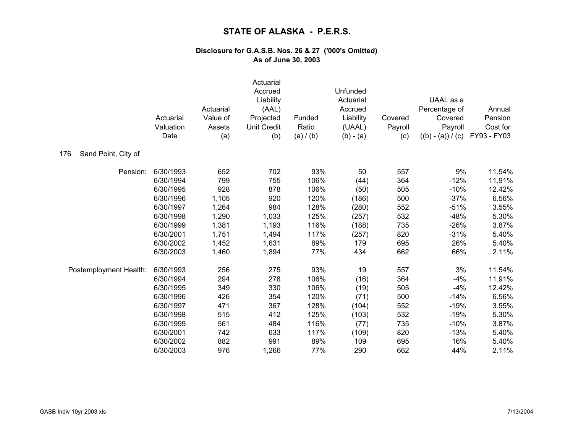|                            | Actuarial<br>Valuation<br>Date | Actuarial<br>Value of<br>Assets<br>(a) | Actuarial<br>Accrued<br>Liability<br>(AAL)<br>Projected<br><b>Unit Credit</b><br>(b) | Funded<br>Ratio<br>(a) / (b) | Unfunded<br>Actuarial<br>Accrued<br>Liability<br>(UAAL)<br>$(b) - (a)$ | Covered<br>Payroll<br>(c) | UAAL as a<br>Percentage of<br>Covered<br>Payroll<br>$((b) - (a)) / (c)$ | Annual<br>Pension<br>Cost for<br>FY93 - FY03 |
|----------------------------|--------------------------------|----------------------------------------|--------------------------------------------------------------------------------------|------------------------------|------------------------------------------------------------------------|---------------------------|-------------------------------------------------------------------------|----------------------------------------------|
| Sand Point, City of<br>176 |                                |                                        |                                                                                      |                              |                                                                        |                           |                                                                         |                                              |
| Pension:                   | 6/30/1993                      | 652                                    | 702                                                                                  | 93%                          | 50                                                                     | 557                       | 9%                                                                      | 11.54%                                       |
|                            | 6/30/1994                      | 799                                    | 755                                                                                  | 106%                         | (44)                                                                   | 364                       | $-12%$                                                                  | 11.91%                                       |
|                            | 6/30/1995                      | 928                                    | 878                                                                                  | 106%                         | (50)                                                                   | 505                       | $-10%$                                                                  | 12.42%                                       |
|                            | 6/30/1996                      | 1,105                                  | 920                                                                                  | 120%                         | (186)                                                                  | 500                       | $-37%$                                                                  | 6.56%                                        |
|                            | 6/30/1997                      | 1,264                                  | 984                                                                                  | 128%                         | (280)                                                                  | 552                       | $-51%$                                                                  | 3.55%                                        |
|                            | 6/30/1998                      | 1,290                                  | 1,033                                                                                | 125%                         | (257)                                                                  | 532                       | $-48%$                                                                  | 5.30%                                        |
|                            | 6/30/1999                      | 1,381                                  | 1,193                                                                                | 116%                         | (188)                                                                  | 735                       | $-26%$                                                                  | 3.87%                                        |
|                            | 6/30/2001                      | 1,751                                  | 1,494                                                                                | 117%                         | (257)                                                                  | 820                       | $-31%$                                                                  | 5.40%                                        |
|                            | 6/30/2002                      | 1,452                                  | 1,631                                                                                | 89%                          | 179                                                                    | 695                       | 26%                                                                     | 5.40%                                        |
|                            | 6/30/2003                      | 1,460                                  | 1,894                                                                                | 77%                          | 434                                                                    | 662                       | 66%                                                                     | 2.11%                                        |
| Postemployment Health:     | 6/30/1993                      | 256                                    | 275                                                                                  | 93%                          | 19                                                                     | 557                       | 3%                                                                      | 11.54%                                       |
|                            | 6/30/1994                      | 294                                    | 278                                                                                  | 106%                         | (16)                                                                   | 364                       | $-4%$                                                                   | 11.91%                                       |
|                            | 6/30/1995                      | 349                                    | 330                                                                                  | 106%                         | (19)                                                                   | 505                       | $-4%$                                                                   | 12.42%                                       |
|                            | 6/30/1996                      | 426                                    | 354                                                                                  | 120%                         | (71)                                                                   | 500                       | $-14%$                                                                  | 6.56%                                        |
|                            | 6/30/1997                      | 471                                    | 367                                                                                  | 128%                         | (104)                                                                  | 552                       | $-19%$                                                                  | 3.55%                                        |
|                            | 6/30/1998                      | 515                                    | 412                                                                                  | 125%                         | (103)                                                                  | 532                       | $-19%$                                                                  | 5.30%                                        |
|                            | 6/30/1999                      | 561                                    | 484                                                                                  | 116%                         | (77)                                                                   | 735                       | $-10%$                                                                  | 3.87%                                        |
|                            | 6/30/2001                      | 742                                    | 633                                                                                  | 117%                         | (109)                                                                  | 820                       | $-13%$                                                                  | 5.40%                                        |
|                            | 6/30/2002                      | 882                                    | 991                                                                                  | 89%                          | 109                                                                    | 695                       | 16%                                                                     | 5.40%                                        |
|                            | 6/30/2003                      | 976                                    | 1,266                                                                                | 77%                          | 290                                                                    | 662                       | 44%                                                                     | 2.11%                                        |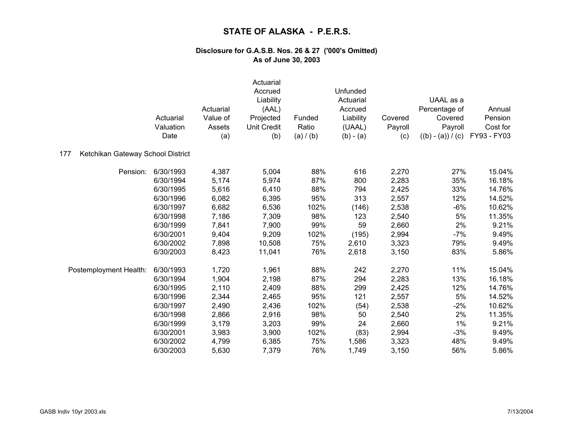|                                          | Actuarial<br>Valuation<br>Date | Actuarial<br>Value of<br>Assets<br>(a) | Actuarial<br>Accrued<br>Liability<br>(AAL)<br>Projected<br><b>Unit Credit</b><br>(b) | Funded<br>Ratio<br>(a) / (b) | Unfunded<br>Actuarial<br>Accrued<br>Liability<br>(UAAL)<br>$(b) - (a)$ | Covered<br>Payroll<br>(c) | UAAL as a<br>Percentage of<br>Covered<br>Payroll<br>$((b) - (a)) / (c)$ | Annual<br>Pension<br>Cost for<br>FY93 - FY03 |
|------------------------------------------|--------------------------------|----------------------------------------|--------------------------------------------------------------------------------------|------------------------------|------------------------------------------------------------------------|---------------------------|-------------------------------------------------------------------------|----------------------------------------------|
| Ketchikan Gateway School District<br>177 |                                |                                        |                                                                                      |                              |                                                                        |                           |                                                                         |                                              |
| Pension:                                 | 6/30/1993                      | 4,387                                  | 5,004                                                                                | 88%                          | 616                                                                    | 2,270                     | 27%                                                                     | 15.04%                                       |
|                                          | 6/30/1994                      | 5,174                                  | 5,974                                                                                | 87%                          | 800                                                                    | 2,283                     | 35%                                                                     | 16.18%                                       |
|                                          | 6/30/1995                      | 5,616                                  | 6,410                                                                                | 88%                          | 794                                                                    | 2,425                     | 33%                                                                     | 14.76%                                       |
|                                          | 6/30/1996                      | 6,082                                  | 6,395                                                                                | 95%                          | 313                                                                    | 2,557                     | 12%                                                                     | 14.52%                                       |
|                                          | 6/30/1997                      | 6,682                                  | 6,536                                                                                | 102%                         | (146)                                                                  | 2,538                     | $-6%$                                                                   | 10.62%                                       |
|                                          | 6/30/1998                      | 7,186                                  | 7,309                                                                                | 98%                          | 123                                                                    | 2,540                     | 5%                                                                      | 11.35%                                       |
|                                          | 6/30/1999                      | 7,841                                  | 7,900                                                                                | 99%                          | 59                                                                     | 2,660                     | 2%                                                                      | 9.21%                                        |
|                                          | 6/30/2001                      | 9,404                                  | 9,209                                                                                | 102%                         | (195)                                                                  | 2,994                     | $-7%$                                                                   | 9.49%                                        |
|                                          | 6/30/2002                      | 7,898                                  | 10,508                                                                               | 75%                          | 2,610                                                                  | 3,323                     | 79%                                                                     | 9.49%                                        |
|                                          | 6/30/2003                      | 8,423                                  | 11,041                                                                               | 76%                          | 2,618                                                                  | 3,150                     | 83%                                                                     | 5.86%                                        |
| Postemployment Health:                   | 6/30/1993                      | 1,720                                  | 1,961                                                                                | 88%                          | 242                                                                    | 2,270                     | 11%                                                                     | 15.04%                                       |
|                                          | 6/30/1994                      | 1,904                                  | 2,198                                                                                | 87%                          | 294                                                                    | 2,283                     | 13%                                                                     | 16.18%                                       |
|                                          | 6/30/1995                      | 2,110                                  | 2,409                                                                                | 88%                          | 299                                                                    | 2,425                     | 12%                                                                     | 14.76%                                       |
|                                          | 6/30/1996                      | 2,344                                  | 2,465                                                                                | 95%                          | 121                                                                    | 2,557                     | 5%                                                                      | 14.52%                                       |
|                                          | 6/30/1997                      | 2,490                                  | 2,436                                                                                | 102%                         | (54)                                                                   | 2,538                     | $-2%$                                                                   | 10.62%                                       |
|                                          | 6/30/1998                      | 2,866                                  | 2,916                                                                                | 98%                          | 50                                                                     | 2,540                     | 2%                                                                      | 11.35%                                       |
|                                          | 6/30/1999                      | 3,179                                  | 3,203                                                                                | 99%                          | 24                                                                     | 2,660                     | 1%                                                                      | 9.21%                                        |
|                                          | 6/30/2001                      | 3,983                                  | 3,900                                                                                | 102%                         | (83)                                                                   | 2,994                     | $-3%$                                                                   | 9.49%                                        |
|                                          | 6/30/2002                      | 4,799                                  | 6,385                                                                                | 75%                          | 1,586                                                                  | 3,323                     | 48%                                                                     | 9.49%                                        |
|                                          | 6/30/2003                      | 5,630                                  | 7,379                                                                                | 76%                          | 1,749                                                                  | 3,150                     | 56%                                                                     | 5.86%                                        |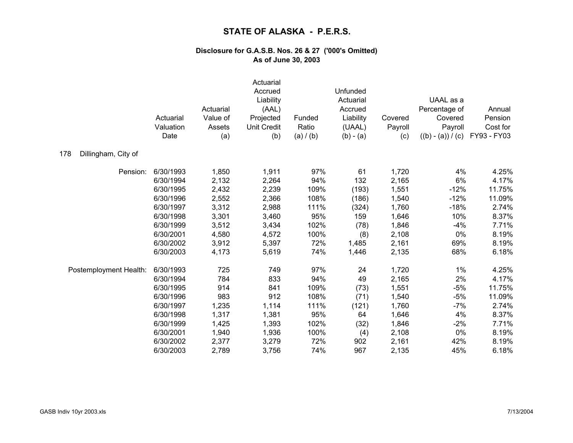|                            | Actuarial<br>Valuation<br>Date | Actuarial<br>Value of<br>Assets<br>(a) | Actuarial<br>Accrued<br>Liability<br>(AAL)<br>Projected<br><b>Unit Credit</b><br>(b) | Funded<br>Ratio<br>(a) / (b) | Unfunded<br>Actuarial<br>Accrued<br>Liability<br>(UAAL)<br>$(b) - (a)$ | Covered<br>Payroll<br>(c) | UAAL as a<br>Percentage of<br>Covered<br>Payroll<br>$((b) - (a)) / (c)$ | Annual<br>Pension<br>Cost for<br>FY93 - FY03 |
|----------------------------|--------------------------------|----------------------------------------|--------------------------------------------------------------------------------------|------------------------------|------------------------------------------------------------------------|---------------------------|-------------------------------------------------------------------------|----------------------------------------------|
| 178<br>Dillingham, City of |                                |                                        |                                                                                      |                              |                                                                        |                           |                                                                         |                                              |
| Pension:                   | 6/30/1993                      | 1,850                                  | 1,911                                                                                | 97%                          | 61                                                                     | 1,720                     | 4%                                                                      | 4.25%                                        |
|                            | 6/30/1994                      | 2,132                                  | 2,264                                                                                | 94%                          | 132                                                                    | 2,165                     | $6\%$                                                                   | 4.17%                                        |
|                            | 6/30/1995                      | 2,432                                  | 2,239                                                                                | 109%                         | (193)                                                                  | 1,551                     | $-12%$                                                                  | 11.75%                                       |
|                            | 6/30/1996                      | 2,552                                  | 2,366                                                                                | 108%                         | (186)                                                                  | 1,540                     | $-12%$                                                                  | 11.09%                                       |
|                            | 6/30/1997                      | 3,312                                  | 2,988                                                                                | 111%                         | (324)                                                                  | 1,760                     | $-18%$                                                                  | 2.74%                                        |
|                            | 6/30/1998                      | 3,301                                  | 3,460                                                                                | 95%                          | 159                                                                    | 1,646                     | 10%                                                                     | 8.37%                                        |
|                            | 6/30/1999                      | 3,512                                  | 3,434                                                                                | 102%                         | (78)                                                                   | 1,846                     | $-4%$                                                                   | 7.71%                                        |
|                            | 6/30/2001                      | 4,580                                  | 4,572                                                                                | 100%                         | (8)                                                                    | 2,108                     | 0%                                                                      | 8.19%                                        |
|                            | 6/30/2002                      | 3,912                                  | 5,397                                                                                | 72%                          | 1,485                                                                  | 2,161                     | 69%                                                                     | 8.19%                                        |
|                            | 6/30/2003                      | 4,173                                  | 5,619                                                                                | 74%                          | 1,446                                                                  | 2,135                     | 68%                                                                     | 6.18%                                        |
| Postemployment Health:     | 6/30/1993                      | 725                                    | 749                                                                                  | 97%                          | 24                                                                     | 1,720                     | $1\%$                                                                   | 4.25%                                        |
|                            | 6/30/1994                      | 784                                    | 833                                                                                  | 94%                          | 49                                                                     | 2,165                     | 2%                                                                      | 4.17%                                        |
|                            | 6/30/1995                      | 914                                    | 841                                                                                  | 109%                         | (73)                                                                   | 1,551                     | $-5%$                                                                   | 11.75%                                       |
|                            | 6/30/1996                      | 983                                    | 912                                                                                  | 108%                         | (71)                                                                   | 1,540                     | $-5%$                                                                   | 11.09%                                       |
|                            | 6/30/1997                      | 1,235                                  | 1,114                                                                                | 111%                         | (121)                                                                  | 1,760                     | $-7%$                                                                   | 2.74%                                        |
|                            | 6/30/1998                      | 1,317                                  | 1,381                                                                                | 95%                          | 64                                                                     | 1,646                     | 4%                                                                      | 8.37%                                        |
|                            | 6/30/1999                      | 1,425                                  | 1,393                                                                                | 102%                         | (32)                                                                   | 1,846                     | $-2%$                                                                   | 7.71%                                        |
|                            | 6/30/2001                      | 1,940                                  | 1,936                                                                                | 100%                         | (4)                                                                    | 2,108                     | 0%                                                                      | 8.19%                                        |
|                            | 6/30/2002                      | 2,377                                  | 3,279                                                                                | 72%                          | 902                                                                    | 2,161                     | 42%                                                                     | 8.19%                                        |
|                            | 6/30/2003                      | 2,789                                  | 3,756                                                                                | 74%                          | 967                                                                    | 2,135                     | 45%                                                                     | 6.18%                                        |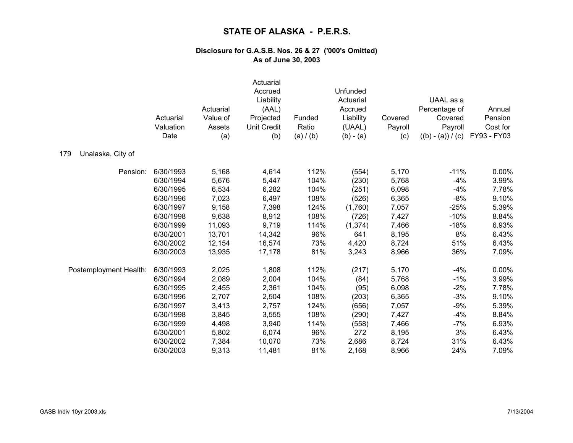|                          | Actuarial<br>Valuation<br>Date | Actuarial<br>Value of<br>Assets<br>(a) | Actuarial<br>Accrued<br>Liability<br>(AAL)<br>Projected<br><b>Unit Credit</b><br>(b) | Funded<br>Ratio<br>(a) / (b) | Unfunded<br>Actuarial<br>Accrued<br>Liability<br>(UAAL)<br>$(b) - (a)$ | Covered<br>Payroll<br>(c) | UAAL as a<br>Percentage of<br>Covered<br>Payroll<br>$((b) - (a)) / (c)$ | Annual<br>Pension<br>Cost for<br>FY93 - FY03 |
|--------------------------|--------------------------------|----------------------------------------|--------------------------------------------------------------------------------------|------------------------------|------------------------------------------------------------------------|---------------------------|-------------------------------------------------------------------------|----------------------------------------------|
| Unalaska, City of<br>179 |                                |                                        |                                                                                      |                              |                                                                        |                           |                                                                         |                                              |
| Pension:                 | 6/30/1993                      | 5,168                                  | 4,614                                                                                | 112%                         | (554)                                                                  | 5,170                     | $-11%$                                                                  | 0.00%                                        |
|                          | 6/30/1994                      | 5,676                                  | 5,447                                                                                | 104%                         | (230)                                                                  | 5,768                     | $-4%$                                                                   | 3.99%                                        |
|                          | 6/30/1995                      | 6,534                                  | 6,282                                                                                | 104%                         | (251)                                                                  | 6,098                     | $-4%$                                                                   | 7.78%                                        |
|                          | 6/30/1996                      | 7,023                                  | 6,497                                                                                | 108%                         | (526)                                                                  | 6,365                     | $-8%$                                                                   | 9.10%                                        |
|                          | 6/30/1997                      | 9,158                                  | 7,398                                                                                | 124%                         | (1,760)                                                                | 7,057                     | $-25%$                                                                  | 5.39%                                        |
|                          | 6/30/1998                      | 9,638                                  | 8,912                                                                                | 108%                         | (726)                                                                  | 7,427                     | $-10%$                                                                  | 8.84%                                        |
|                          | 6/30/1999                      | 11,093                                 | 9,719                                                                                | 114%                         | (1, 374)                                                               | 7,466                     | $-18%$                                                                  | 6.93%                                        |
|                          | 6/30/2001                      | 13,701                                 | 14,342                                                                               | 96%                          | 641                                                                    | 8,195                     | 8%                                                                      | 6.43%                                        |
|                          | 6/30/2002                      | 12,154                                 | 16,574                                                                               | 73%                          | 4,420                                                                  | 8,724                     | 51%                                                                     | 6.43%                                        |
|                          | 6/30/2003                      | 13,935                                 | 17,178                                                                               | 81%                          | 3,243                                                                  | 8,966                     | 36%                                                                     | 7.09%                                        |
| Postemployment Health:   | 6/30/1993                      | 2,025                                  | 1,808                                                                                | 112%                         | (217)                                                                  | 5,170                     | $-4%$                                                                   | 0.00%                                        |
|                          | 6/30/1994                      | 2,089                                  | 2,004                                                                                | 104%                         | (84)                                                                   | 5,768                     | $-1%$                                                                   | 3.99%                                        |
|                          | 6/30/1995                      | 2,455                                  | 2,361                                                                                | 104%                         | (95)                                                                   | 6,098                     | $-2%$                                                                   | 7.78%                                        |
|                          | 6/30/1996                      | 2,707                                  | 2,504                                                                                | 108%                         | (203)                                                                  | 6,365                     | $-3%$                                                                   | 9.10%                                        |
|                          | 6/30/1997                      | 3,413                                  | 2,757                                                                                | 124%                         | (656)                                                                  | 7,057                     | $-9%$                                                                   | 5.39%                                        |
|                          | 6/30/1998                      | 3,845                                  | 3,555                                                                                | 108%                         | (290)                                                                  | 7,427                     | $-4%$                                                                   | 8.84%                                        |
|                          | 6/30/1999                      | 4,498                                  | 3,940                                                                                | 114%                         | (558)                                                                  | 7,466                     | $-7%$                                                                   | 6.93%                                        |
|                          | 6/30/2001                      | 5,802                                  | 6,074                                                                                | 96%                          | 272                                                                    | 8,195                     | 3%                                                                      | 6.43%                                        |
|                          | 6/30/2002                      | 7,384                                  | 10,070                                                                               | 73%                          | 2,686                                                                  | 8,724                     | 31%                                                                     | 6.43%                                        |
|                          | 6/30/2003                      | 9,313                                  | 11,481                                                                               | 81%                          | 2,168                                                                  | 8,966                     | 24%                                                                     | 7.09%                                        |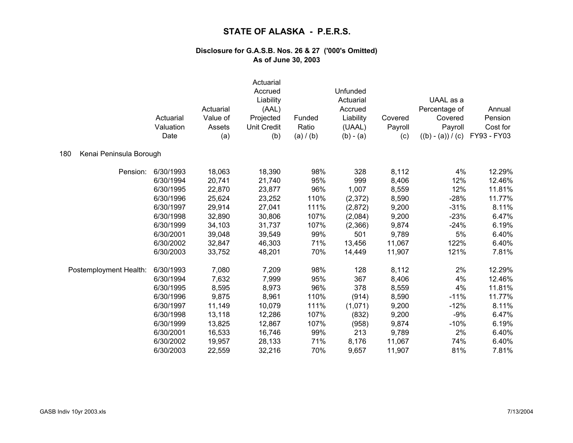|                                | Actuarial<br>Valuation<br>Date | Actuarial<br>Value of<br>Assets<br>(a) | Actuarial<br>Accrued<br>Liability<br>(AAL)<br>Projected<br><b>Unit Credit</b><br>(b) | Funded<br>Ratio<br>(a) / (b) | Unfunded<br>Actuarial<br>Accrued<br>Liability<br>(UAAL)<br>$(b) - (a)$ | Covered<br>Payroll<br>(c) | UAAL as a<br>Percentage of<br>Covered<br>Payroll<br>$((b) - (a)) / (c)$ | Annual<br>Pension<br>Cost for<br>FY93 - FY03 |
|--------------------------------|--------------------------------|----------------------------------------|--------------------------------------------------------------------------------------|------------------------------|------------------------------------------------------------------------|---------------------------|-------------------------------------------------------------------------|----------------------------------------------|
| 180<br>Kenai Peninsula Borough |                                |                                        |                                                                                      |                              |                                                                        |                           |                                                                         |                                              |
| Pension:                       | 6/30/1993                      | 18,063                                 | 18,390                                                                               | 98%                          | 328                                                                    | 8,112                     | 4%                                                                      | 12.29%                                       |
|                                | 6/30/1994                      | 20,741                                 | 21,740                                                                               | 95%                          | 999                                                                    | 8,406                     | 12%                                                                     | 12.46%                                       |
|                                | 6/30/1995                      | 22,870                                 | 23,877                                                                               | 96%                          | 1,007                                                                  | 8,559                     | 12%                                                                     | 11.81%                                       |
|                                | 6/30/1996                      | 25,624                                 | 23,252                                                                               | 110%                         | (2,372)                                                                | 8,590                     | $-28%$                                                                  | 11.77%                                       |
|                                | 6/30/1997                      | 29,914                                 | 27,041                                                                               | 111%                         | (2,872)                                                                | 9,200                     | $-31%$                                                                  | 8.11%                                        |
|                                | 6/30/1998                      | 32,890                                 | 30,806                                                                               | 107%                         | (2,084)                                                                | 9,200                     | $-23%$                                                                  | 6.47%                                        |
|                                | 6/30/1999                      | 34,103                                 | 31,737                                                                               | 107%                         | (2,366)                                                                | 9,874                     | $-24%$                                                                  | 6.19%                                        |
|                                | 6/30/2001                      | 39,048                                 | 39,549                                                                               | 99%                          | 501                                                                    | 9,789                     | 5%                                                                      | 6.40%                                        |
|                                | 6/30/2002                      | 32,847                                 | 46,303                                                                               | 71%                          | 13,456                                                                 | 11,067                    | 122%                                                                    | 6.40%                                        |
|                                | 6/30/2003                      | 33,752                                 | 48,201                                                                               | 70%                          | 14,449                                                                 | 11,907                    | 121%                                                                    | 7.81%                                        |
| Postemployment Health:         | 6/30/1993                      | 7,080                                  | 7,209                                                                                | 98%                          | 128                                                                    | 8,112                     | 2%                                                                      | 12.29%                                       |
|                                | 6/30/1994                      | 7,632                                  | 7,999                                                                                | 95%                          | 367                                                                    | 8,406                     | 4%                                                                      | 12.46%                                       |
|                                | 6/30/1995                      | 8,595                                  | 8,973                                                                                | 96%                          | 378                                                                    | 8,559                     | 4%                                                                      | 11.81%                                       |
|                                | 6/30/1996                      | 9,875                                  | 8,961                                                                                | 110%                         | (914)                                                                  | 8,590                     | $-11%$                                                                  | 11.77%                                       |
|                                | 6/30/1997                      | 11,149                                 | 10,079                                                                               | 111%                         | (1,071)                                                                | 9,200                     | $-12%$                                                                  | 8.11%                                        |
|                                | 6/30/1998                      | 13,118                                 | 12,286                                                                               | 107%                         | (832)                                                                  | 9,200                     | $-9%$                                                                   | 6.47%                                        |
|                                | 6/30/1999                      | 13,825                                 | 12,867                                                                               | 107%                         | (958)                                                                  | 9,874                     | $-10%$                                                                  | 6.19%                                        |
|                                | 6/30/2001                      | 16,533                                 | 16,746                                                                               | 99%                          | 213                                                                    | 9,789                     | 2%                                                                      | 6.40%                                        |
|                                | 6/30/2002                      | 19,957                                 | 28,133                                                                               | 71%                          | 8,176                                                                  | 11,067                    | 74%                                                                     | 6.40%                                        |
|                                | 6/30/2003                      | 22,559                                 | 32,216                                                                               | 70%                          | 9,657                                                                  | 11,907                    | 81%                                                                     | 7.81%                                        |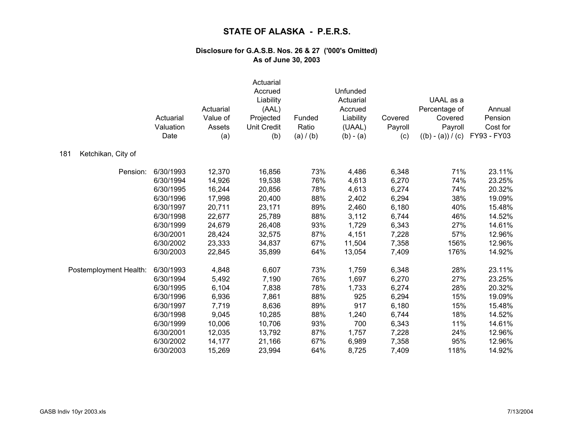|                           | Actuarial<br>Valuation<br>Date | Actuarial<br>Value of<br>Assets<br>(a) | Actuarial<br>Accrued<br>Liability<br>(AAL)<br>Projected<br><b>Unit Credit</b><br>(b) | Funded<br>Ratio<br>(a) / (b) | Unfunded<br>Actuarial<br>Accrued<br>Liability<br>(UAAL)<br>$(b) - (a)$ | Covered<br>Payroll<br>(c) | UAAL as a<br>Percentage of<br>Covered<br>Payroll<br>$((b) - (a)) / (c)$ | Annual<br>Pension<br>Cost for<br>FY93 - FY03 |
|---------------------------|--------------------------------|----------------------------------------|--------------------------------------------------------------------------------------|------------------------------|------------------------------------------------------------------------|---------------------------|-------------------------------------------------------------------------|----------------------------------------------|
| 181<br>Ketchikan, City of |                                |                                        |                                                                                      |                              |                                                                        |                           |                                                                         |                                              |
| Pension:                  | 6/30/1993                      | 12,370                                 | 16,856                                                                               | 73%                          | 4,486                                                                  | 6,348                     | 71%                                                                     | 23.11%                                       |
|                           | 6/30/1994                      | 14,926                                 | 19,538                                                                               | 76%                          | 4,613                                                                  | 6,270                     | 74%                                                                     | 23.25%                                       |
|                           | 6/30/1995                      | 16,244                                 | 20,856                                                                               | 78%                          | 4,613                                                                  | 6,274                     | 74%                                                                     | 20.32%                                       |
|                           | 6/30/1996                      | 17,998                                 | 20,400                                                                               | 88%                          | 2,402                                                                  | 6,294                     | 38%                                                                     | 19.09%                                       |
|                           | 6/30/1997                      | 20,711                                 | 23,171                                                                               | 89%                          | 2,460                                                                  | 6,180                     | 40%                                                                     | 15.48%                                       |
|                           | 6/30/1998                      | 22,677                                 | 25,789                                                                               | 88%                          | 3,112                                                                  | 6,744                     | 46%                                                                     | 14.52%                                       |
|                           | 6/30/1999                      | 24,679                                 | 26,408                                                                               | 93%                          | 1,729                                                                  | 6,343                     | 27%                                                                     | 14.61%                                       |
|                           | 6/30/2001                      | 28,424                                 | 32,575                                                                               | 87%                          | 4,151                                                                  | 7,228                     | 57%                                                                     | 12.96%                                       |
|                           | 6/30/2002                      | 23,333                                 | 34,837                                                                               | 67%                          | 11,504                                                                 | 7,358                     | 156%                                                                    | 12.96%                                       |
|                           | 6/30/2003                      | 22,845                                 | 35,899                                                                               | 64%                          | 13,054                                                                 | 7,409                     | 176%                                                                    | 14.92%                                       |
| Postemployment Health:    | 6/30/1993                      | 4,848                                  | 6,607                                                                                | 73%                          | 1,759                                                                  | 6,348                     | 28%                                                                     | 23.11%                                       |
|                           | 6/30/1994                      | 5,492                                  | 7,190                                                                                | 76%                          | 1,697                                                                  | 6,270                     | 27%                                                                     | 23.25%                                       |
|                           | 6/30/1995                      | 6,104                                  | 7,838                                                                                | 78%                          | 1,733                                                                  | 6,274                     | 28%                                                                     | 20.32%                                       |
|                           | 6/30/1996                      | 6,936                                  | 7,861                                                                                | 88%                          | 925                                                                    | 6,294                     | 15%                                                                     | 19.09%                                       |
|                           | 6/30/1997                      | 7,719                                  | 8,636                                                                                | 89%                          | 917                                                                    | 6,180                     | 15%                                                                     | 15.48%                                       |
|                           | 6/30/1998                      | 9,045                                  | 10,285                                                                               | 88%                          | 1,240                                                                  | 6,744                     | 18%                                                                     | 14.52%                                       |
|                           | 6/30/1999                      | 10,006                                 | 10,706                                                                               | 93%                          | 700                                                                    | 6,343                     | 11%                                                                     | 14.61%                                       |
|                           | 6/30/2001                      | 12,035                                 | 13,792                                                                               | 87%                          | 1,757                                                                  | 7,228                     | 24%                                                                     | 12.96%                                       |
|                           | 6/30/2002                      | 14,177                                 | 21,166                                                                               | 67%                          | 6,989                                                                  | 7,358                     | 95%                                                                     | 12.96%                                       |
|                           | 6/30/2003                      | 15,269                                 | 23,994                                                                               | 64%                          | 8,725                                                                  | 7,409                     | 118%                                                                    | 14.92%                                       |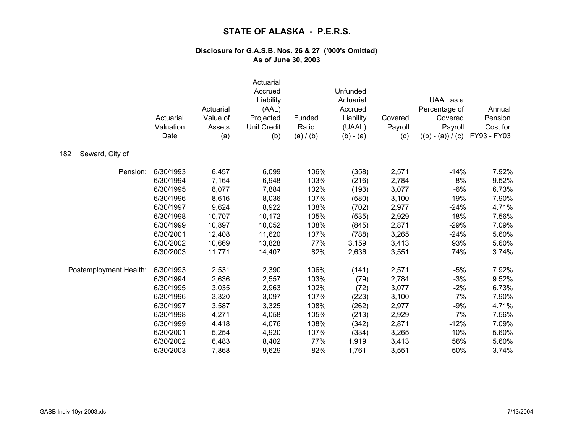|                        | Actuarial<br>Valuation<br>Date | Actuarial<br>Value of<br>Assets<br>(a) | Actuarial<br>Accrued<br>Liability<br>(AAL)<br>Projected<br><b>Unit Credit</b><br>(b) | Funded<br>Ratio<br>(a) / (b) | Unfunded<br>Actuarial<br>Accrued<br>Liability<br>(UAAL)<br>$(b) - (a)$ | Covered<br>Payroll<br>(c) | UAAL as a<br>Percentage of<br>Covered<br>Payroll<br>$((b) - (a)) / (c)$ | Annual<br>Pension<br>Cost for<br>FY93 - FY03 |
|------------------------|--------------------------------|----------------------------------------|--------------------------------------------------------------------------------------|------------------------------|------------------------------------------------------------------------|---------------------------|-------------------------------------------------------------------------|----------------------------------------------|
| Seward, City of<br>182 |                                |                                        |                                                                                      |                              |                                                                        |                           |                                                                         |                                              |
| Pension:               | 6/30/1993                      | 6,457                                  | 6,099                                                                                | 106%                         | (358)                                                                  | 2,571                     | $-14%$                                                                  | 7.92%                                        |
|                        | 6/30/1994                      | 7,164                                  | 6,948                                                                                | 103%                         | (216)                                                                  | 2,784                     | $-8%$                                                                   | 9.52%                                        |
|                        | 6/30/1995                      | 8,077                                  | 7,884                                                                                | 102%                         | (193)                                                                  | 3,077                     | $-6%$                                                                   | 6.73%                                        |
|                        | 6/30/1996                      | 8,616                                  | 8,036                                                                                | 107%                         | (580)                                                                  | 3,100                     | $-19%$                                                                  | 7.90%                                        |
|                        | 6/30/1997                      | 9,624                                  | 8,922                                                                                | 108%                         | (702)                                                                  | 2,977                     | $-24%$                                                                  | 4.71%                                        |
|                        | 6/30/1998                      | 10,707                                 | 10,172                                                                               | 105%                         | (535)                                                                  | 2,929                     | $-18%$                                                                  | 7.56%                                        |
|                        | 6/30/1999                      | 10,897                                 | 10,052                                                                               | 108%                         | (845)                                                                  | 2,871                     | $-29%$                                                                  | 7.09%                                        |
|                        | 6/30/2001                      | 12,408                                 | 11,620                                                                               | 107%                         | (788)                                                                  | 3,265                     | $-24%$                                                                  | 5.60%                                        |
|                        | 6/30/2002                      | 10,669                                 | 13,828                                                                               | 77%                          | 3,159                                                                  | 3,413                     | 93%                                                                     | 5.60%                                        |
|                        | 6/30/2003                      | 11,771                                 | 14,407                                                                               | 82%                          | 2,636                                                                  | 3,551                     | 74%                                                                     | 3.74%                                        |
| Postemployment Health: | 6/30/1993                      | 2,531                                  | 2,390                                                                                | 106%                         | (141)                                                                  | 2,571                     | $-5%$                                                                   | 7.92%                                        |
|                        | 6/30/1994                      | 2,636                                  | 2,557                                                                                | 103%                         | (79)                                                                   | 2,784                     | $-3%$                                                                   | 9.52%                                        |
|                        | 6/30/1995                      | 3,035                                  | 2,963                                                                                | 102%                         | (72)                                                                   | 3,077                     | $-2%$                                                                   | 6.73%                                        |
|                        | 6/30/1996                      | 3,320                                  | 3,097                                                                                | 107%                         | (223)                                                                  | 3,100                     | $-7%$                                                                   | 7.90%                                        |
|                        | 6/30/1997                      | 3,587                                  | 3,325                                                                                | 108%                         | (262)                                                                  | 2,977                     | $-9%$                                                                   | 4.71%                                        |
|                        | 6/30/1998                      | 4,271                                  | 4,058                                                                                | 105%                         | (213)                                                                  | 2,929                     | $-7%$                                                                   | 7.56%                                        |
|                        | 6/30/1999                      | 4,418                                  | 4,076                                                                                | 108%                         | (342)                                                                  | 2,871                     | $-12%$                                                                  | 7.09%                                        |
|                        | 6/30/2001                      | 5,254                                  | 4,920                                                                                | 107%                         | (334)                                                                  | 3,265                     | $-10%$                                                                  | 5.60%                                        |
|                        | 6/30/2002                      | 6,483                                  | 8,402                                                                                | 77%                          | 1,919                                                                  | 3,413                     | 56%                                                                     | 5.60%                                        |
|                        | 6/30/2003                      | 7,868                                  | 9,629                                                                                | 82%                          | 1,761                                                                  | 3,551                     | 50%                                                                     | 3.74%                                        |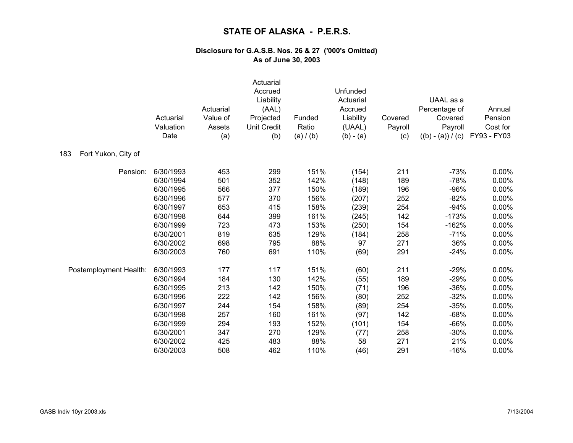|                            | Actuarial<br>Valuation<br>Date | Actuarial<br>Value of<br>Assets<br>(a) | Actuarial<br>Accrued<br>Liability<br>(AAL)<br>Projected<br>Unit Credit<br>(b) | Funded<br>Ratio<br>(a) / (b) | Unfunded<br>Actuarial<br>Accrued<br>Liability<br>(UAAL)<br>$(b) - (a)$ | Covered<br>Payroll<br>(c) | UAAL as a<br>Percentage of<br>Covered<br>Payroll<br>$((b) - (a)) / (c)$ | Annual<br>Pension<br>Cost for<br>FY93 - FY03 |
|----------------------------|--------------------------------|----------------------------------------|-------------------------------------------------------------------------------|------------------------------|------------------------------------------------------------------------|---------------------------|-------------------------------------------------------------------------|----------------------------------------------|
| Fort Yukon, City of<br>183 |                                |                                        |                                                                               |                              |                                                                        |                           |                                                                         |                                              |
| Pension:                   | 6/30/1993                      | 453                                    | 299                                                                           | 151%                         | (154)                                                                  | 211                       | $-73%$                                                                  | 0.00%                                        |
|                            | 6/30/1994                      | 501                                    | 352                                                                           | 142%                         | (148)                                                                  | 189                       | $-78%$                                                                  | 0.00%                                        |
|                            | 6/30/1995                      | 566                                    | 377                                                                           | 150%                         | (189)                                                                  | 196                       | $-96%$                                                                  | 0.00%                                        |
|                            | 6/30/1996                      | 577                                    | 370                                                                           | 156%                         | (207)                                                                  | 252                       | $-82%$                                                                  | 0.00%                                        |
|                            | 6/30/1997                      | 653                                    | 415                                                                           | 158%                         | (239)                                                                  | 254                       | $-94%$                                                                  | 0.00%                                        |
|                            | 6/30/1998                      | 644                                    | 399                                                                           | 161%                         | (245)                                                                  | 142                       | $-173%$                                                                 | 0.00%                                        |
|                            | 6/30/1999                      | 723                                    | 473                                                                           | 153%                         | (250)                                                                  | 154                       | $-162%$                                                                 | 0.00%                                        |
|                            | 6/30/2001                      | 819                                    | 635                                                                           | 129%                         | (184)                                                                  | 258                       | $-71%$                                                                  | 0.00%                                        |
|                            | 6/30/2002                      | 698                                    | 795                                                                           | 88%                          | 97                                                                     | 271                       | 36%                                                                     | 0.00%                                        |
|                            | 6/30/2003                      | 760                                    | 691                                                                           | 110%                         | (69)                                                                   | 291                       | $-24%$                                                                  | 0.00%                                        |
| Postemployment Health:     | 6/30/1993                      | 177                                    | 117                                                                           | 151%                         | (60)                                                                   | 211                       | $-29%$                                                                  | 0.00%                                        |
|                            | 6/30/1994                      | 184                                    | 130                                                                           | 142%                         | (55)                                                                   | 189                       | $-29%$                                                                  | 0.00%                                        |
|                            | 6/30/1995                      | 213                                    | 142                                                                           | 150%                         | (71)                                                                   | 196                       | $-36%$                                                                  | 0.00%                                        |
|                            | 6/30/1996                      | 222                                    | 142                                                                           | 156%                         | (80)                                                                   | 252                       | $-32%$                                                                  | 0.00%                                        |
|                            | 6/30/1997                      | 244                                    | 154                                                                           | 158%                         | (89)                                                                   | 254                       | $-35%$                                                                  | 0.00%                                        |
|                            | 6/30/1998                      | 257                                    | 160                                                                           | 161%                         | (97)                                                                   | 142                       | $-68%$                                                                  | 0.00%                                        |
|                            | 6/30/1999                      | 294                                    | 193                                                                           | 152%                         | (101)                                                                  | 154                       | $-66%$                                                                  | 0.00%                                        |
|                            | 6/30/2001                      | 347                                    | 270                                                                           | 129%                         | (77)                                                                   | 258                       | $-30%$                                                                  | 0.00%                                        |
|                            | 6/30/2002                      | 425                                    | 483                                                                           | 88%                          | 58                                                                     | 271                       | 21%                                                                     | 0.00%                                        |
|                            | 6/30/2003                      | 508                                    | 462                                                                           | 110%                         | (46)                                                                   | 291                       | $-16%$                                                                  | 0.00%                                        |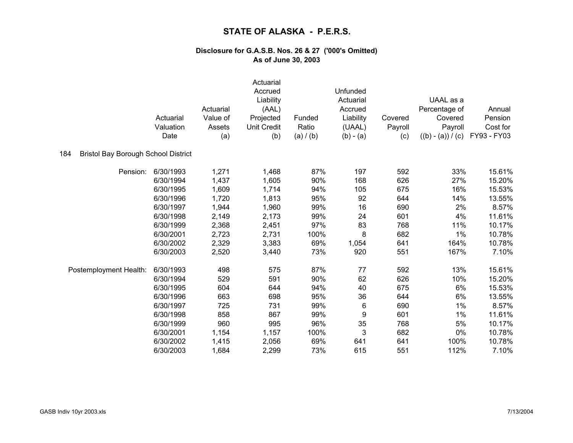|                                                   | Actuarial<br>Valuation<br>Date | Actuarial<br>Value of<br>Assets<br>(a) | Actuarial<br>Accrued<br>Liability<br>(AAL)<br>Projected<br>Unit Credit<br>(b) | Funded<br>Ratio<br>(a) / (b) | Unfunded<br>Actuarial<br>Accrued<br>Liability<br>(UAAL)<br>$(b) - (a)$ | Covered<br>Payroll<br>(c) | UAAL as a<br>Percentage of<br>Covered<br>Payroll<br>$((b) - (a)) / (c)$ | Annual<br>Pension<br>Cost for<br>FY93 - FY03 |
|---------------------------------------------------|--------------------------------|----------------------------------------|-------------------------------------------------------------------------------|------------------------------|------------------------------------------------------------------------|---------------------------|-------------------------------------------------------------------------|----------------------------------------------|
| <b>Bristol Bay Borough School District</b><br>184 |                                |                                        |                                                                               |                              |                                                                        |                           |                                                                         |                                              |
| Pension:                                          | 6/30/1993                      | 1,271                                  | 1,468                                                                         | 87%                          | 197                                                                    | 592                       | 33%                                                                     | 15.61%                                       |
|                                                   | 6/30/1994                      | 1,437                                  | 1,605                                                                         | 90%                          | 168                                                                    | 626                       | 27%                                                                     | 15.20%                                       |
|                                                   | 6/30/1995                      | 1,609                                  | 1,714                                                                         | 94%                          | 105                                                                    | 675                       | 16%                                                                     | 15.53%                                       |
|                                                   | 6/30/1996                      | 1,720                                  | 1,813                                                                         | 95%                          | 92                                                                     | 644                       | 14%                                                                     | 13.55%                                       |
|                                                   | 6/30/1997                      | 1,944                                  | 1,960                                                                         | 99%                          | 16                                                                     | 690                       | 2%                                                                      | 8.57%                                        |
|                                                   | 6/30/1998                      | 2,149                                  | 2,173                                                                         | 99%                          | 24                                                                     | 601                       | 4%                                                                      | 11.61%                                       |
|                                                   | 6/30/1999                      | 2,368                                  | 2,451                                                                         | 97%                          | 83                                                                     | 768                       | 11%                                                                     | 10.17%                                       |
|                                                   | 6/30/2001                      | 2,723                                  | 2,731                                                                         | 100%                         | 8                                                                      | 682                       | 1%                                                                      | 10.78%                                       |
|                                                   | 6/30/2002                      | 2,329                                  | 3,383                                                                         | 69%                          | 1,054                                                                  | 641                       | 164%                                                                    | 10.78%                                       |
|                                                   | 6/30/2003                      | 2,520                                  | 3,440                                                                         | 73%                          | 920                                                                    | 551                       | 167%                                                                    | 7.10%                                        |
| Postemployment Health:                            | 6/30/1993                      | 498                                    | 575                                                                           | 87%                          | 77                                                                     | 592                       | 13%                                                                     | 15.61%                                       |
|                                                   | 6/30/1994                      | 529                                    | 591                                                                           | 90%                          | 62                                                                     | 626                       | 10%                                                                     | 15.20%                                       |
|                                                   | 6/30/1995                      | 604                                    | 644                                                                           | 94%                          | 40                                                                     | 675                       | 6%                                                                      | 15.53%                                       |
|                                                   | 6/30/1996                      | 663                                    | 698                                                                           | 95%                          | 36                                                                     | 644                       | 6%                                                                      | 13.55%                                       |
|                                                   | 6/30/1997                      | 725                                    | 731                                                                           | 99%                          | 6                                                                      | 690                       | 1%                                                                      | 8.57%                                        |
|                                                   | 6/30/1998                      | 858                                    | 867                                                                           | 99%                          | 9                                                                      | 601                       | 1%                                                                      | 11.61%                                       |
|                                                   | 6/30/1999                      | 960                                    | 995                                                                           | 96%                          | 35                                                                     | 768                       | 5%                                                                      | 10.17%                                       |
|                                                   | 6/30/2001                      | 1,154                                  | 1,157                                                                         | 100%                         | $\ensuremath{\mathsf{3}}$                                              | 682                       | 0%                                                                      | 10.78%                                       |
|                                                   | 6/30/2002                      | 1,415                                  | 2,056                                                                         | 69%                          | 641                                                                    | 641                       | 100%                                                                    | 10.78%                                       |
|                                                   | 6/30/2003                      | 1,684                                  | 2,299                                                                         | 73%                          | 615                                                                    | 551                       | 112%                                                                    | 7.10%                                        |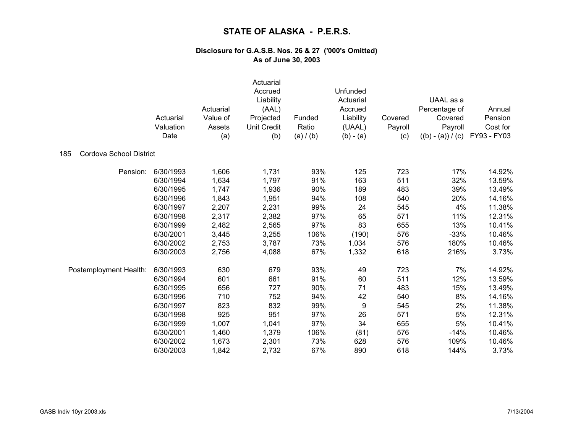|                                | Actuarial<br>Valuation<br>Date | Actuarial<br>Value of<br>Assets<br>(a) | Actuarial<br>Accrued<br>Liability<br>(AAL)<br>Projected<br><b>Unit Credit</b><br>(b) | Funded<br>Ratio<br>(a) / (b) | Unfunded<br>Actuarial<br>Accrued<br>Liability<br>(UAAL)<br>$(b) - (a)$ | Covered<br>Payroll<br>(c) | UAAL as a<br>Percentage of<br>Covered<br>Payroll<br>$((b) - (a)) / (c)$ | Annual<br>Pension<br>Cost for<br>FY93 - FY03 |
|--------------------------------|--------------------------------|----------------------------------------|--------------------------------------------------------------------------------------|------------------------------|------------------------------------------------------------------------|---------------------------|-------------------------------------------------------------------------|----------------------------------------------|
| Cordova School District<br>185 |                                |                                        |                                                                                      |                              |                                                                        |                           |                                                                         |                                              |
| Pension:                       | 6/30/1993                      | 1,606                                  | 1,731                                                                                | 93%                          | 125                                                                    | 723                       | 17%                                                                     | 14.92%                                       |
|                                | 6/30/1994                      | 1,634                                  | 1,797                                                                                | 91%                          | 163                                                                    | 511                       | 32%                                                                     | 13.59%                                       |
|                                | 6/30/1995                      | 1,747                                  | 1,936                                                                                | 90%                          | 189                                                                    | 483                       | 39%                                                                     | 13.49%                                       |
|                                | 6/30/1996                      | 1,843                                  | 1,951                                                                                | 94%                          | 108                                                                    | 540                       | 20%                                                                     | 14.16%                                       |
|                                | 6/30/1997                      | 2,207                                  | 2,231                                                                                | 99%                          | 24                                                                     | 545                       | 4%                                                                      | 11.38%                                       |
|                                | 6/30/1998                      | 2,317                                  | 2,382                                                                                | 97%                          | 65                                                                     | 571                       | 11%                                                                     | 12.31%                                       |
|                                | 6/30/1999                      | 2,482                                  | 2,565                                                                                | 97%                          | 83                                                                     | 655                       | 13%                                                                     | 10.41%                                       |
|                                | 6/30/2001                      | 3,445                                  | 3,255                                                                                | 106%                         | (190)                                                                  | 576                       | $-33%$                                                                  | 10.46%                                       |
|                                | 6/30/2002                      | 2,753                                  | 3,787                                                                                | 73%                          | 1,034                                                                  | 576                       | 180%                                                                    | 10.46%                                       |
|                                | 6/30/2003                      | 2,756                                  | 4,088                                                                                | 67%                          | 1,332                                                                  | 618                       | 216%                                                                    | 3.73%                                        |
| Postemployment Health:         | 6/30/1993                      | 630                                    | 679                                                                                  | 93%                          | 49                                                                     | 723                       | 7%                                                                      | 14.92%                                       |
|                                | 6/30/1994                      | 601                                    | 661                                                                                  | 91%                          | 60                                                                     | 511                       | 12%                                                                     | 13.59%                                       |
|                                | 6/30/1995                      | 656                                    | 727                                                                                  | 90%                          | 71                                                                     | 483                       | 15%                                                                     | 13.49%                                       |
|                                | 6/30/1996                      | 710                                    | 752                                                                                  | 94%                          | 42                                                                     | 540                       | 8%                                                                      | 14.16%                                       |
|                                | 6/30/1997                      | 823                                    | 832                                                                                  | 99%                          | 9                                                                      | 545                       | 2%                                                                      | 11.38%                                       |
|                                | 6/30/1998                      | 925                                    | 951                                                                                  | 97%                          | 26                                                                     | 571                       | $5%$                                                                    | 12.31%                                       |
|                                | 6/30/1999                      | 1,007                                  | 1,041                                                                                | 97%                          | 34                                                                     | 655                       | 5%                                                                      | 10.41%                                       |
|                                | 6/30/2001                      | 1,460                                  | 1,379                                                                                | 106%                         | (81)                                                                   | 576                       | $-14%$                                                                  | 10.46%                                       |
|                                | 6/30/2002                      | 1,673                                  | 2,301                                                                                | 73%                          | 628                                                                    | 576                       | 109%                                                                    | 10.46%                                       |
|                                | 6/30/2003                      | 1,842                                  | 2,732                                                                                | 67%                          | 890                                                                    | 618                       | 144%                                                                    | 3.73%                                        |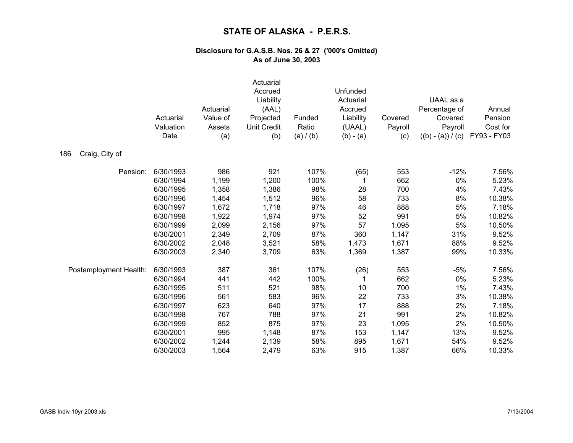|                        | Actuarial<br>Valuation<br>Date | Actuarial<br>Value of<br>Assets<br>(a) | Actuarial<br>Accrued<br>Liability<br>(AAL)<br>Projected<br><b>Unit Credit</b><br>(b) | Funded<br>Ratio<br>(a) / (b) | Unfunded<br>Actuarial<br>Accrued<br>Liability<br>(UAAL)<br>$(b) - (a)$ | Covered<br>Payroll<br>(c) | UAAL as a<br>Percentage of<br>Covered<br>Payroll<br>$((b) - (a)) / (c)$ | Annual<br>Pension<br>Cost for<br>FY93 - FY03 |
|------------------------|--------------------------------|----------------------------------------|--------------------------------------------------------------------------------------|------------------------------|------------------------------------------------------------------------|---------------------------|-------------------------------------------------------------------------|----------------------------------------------|
| Craig, City of<br>186  |                                |                                        |                                                                                      |                              |                                                                        |                           |                                                                         |                                              |
| Pension:               | 6/30/1993                      | 986                                    | 921                                                                                  | 107%                         | (65)                                                                   | 553                       | $-12%$                                                                  | 7.56%                                        |
|                        | 6/30/1994                      | 1,199                                  | 1,200                                                                                | 100%                         | 1                                                                      | 662                       | 0%                                                                      | 5.23%                                        |
|                        | 6/30/1995                      | 1,358                                  | 1,386                                                                                | 98%                          | 28                                                                     | 700                       | 4%                                                                      | 7.43%                                        |
|                        | 6/30/1996                      | 1,454                                  | 1,512                                                                                | 96%                          | 58                                                                     | 733                       | 8%                                                                      | 10.38%                                       |
|                        | 6/30/1997                      | 1,672                                  | 1,718                                                                                | 97%                          | 46                                                                     | 888                       | 5%                                                                      | 7.18%                                        |
|                        | 6/30/1998                      | 1,922                                  | 1,974                                                                                | 97%                          | 52                                                                     | 991                       | 5%                                                                      | 10.82%                                       |
|                        | 6/30/1999                      | 2,099                                  | 2,156                                                                                | 97%                          | 57                                                                     | 1,095                     | 5%                                                                      | 10.50%                                       |
|                        | 6/30/2001                      | 2,349                                  | 2,709                                                                                | 87%                          | 360                                                                    | 1,147                     | 31%                                                                     | 9.52%                                        |
|                        | 6/30/2002                      | 2,048                                  | 3,521                                                                                | 58%                          | 1,473                                                                  | 1,671                     | 88%                                                                     | 9.52%                                        |
|                        | 6/30/2003                      | 2,340                                  | 3,709                                                                                | 63%                          | 1,369                                                                  | 1,387                     | 99%                                                                     | 10.33%                                       |
| Postemployment Health: | 6/30/1993                      | 387                                    | 361                                                                                  | 107%                         | (26)                                                                   | 553                       | $-5%$                                                                   | 7.56%                                        |
|                        | 6/30/1994                      | 441                                    | 442                                                                                  | 100%                         | 1                                                                      | 662                       | 0%                                                                      | 5.23%                                        |
|                        | 6/30/1995                      | 511                                    | 521                                                                                  | 98%                          | 10                                                                     | 700                       | 1%                                                                      | 7.43%                                        |
|                        | 6/30/1996                      | 561                                    | 583                                                                                  | 96%                          | 22                                                                     | 733                       | 3%                                                                      | 10.38%                                       |
|                        | 6/30/1997                      | 623                                    | 640                                                                                  | 97%                          | 17                                                                     | 888                       | 2%                                                                      | 7.18%                                        |
|                        | 6/30/1998                      | 767                                    | 788                                                                                  | 97%                          | 21                                                                     | 991                       | 2%                                                                      | 10.82%                                       |
|                        | 6/30/1999                      | 852                                    | 875                                                                                  | 97%                          | 23                                                                     | 1,095                     | 2%                                                                      | 10.50%                                       |
|                        | 6/30/2001                      | 995                                    | 1,148                                                                                | 87%                          | 153                                                                    | 1,147                     | 13%                                                                     | 9.52%                                        |
|                        | 6/30/2002                      | 1,244                                  | 2,139                                                                                | 58%                          | 895                                                                    | 1,671                     | 54%                                                                     | 9.52%                                        |
|                        | 6/30/2003                      | 1,564                                  | 2,479                                                                                | 63%                          | 915                                                                    | 1,387                     | 66%                                                                     | 10.33%                                       |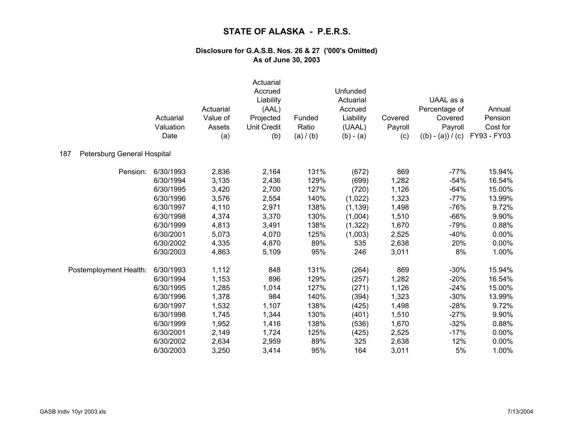|                                    | Actuarial<br>Valuation<br>Date | Actuarial<br>Value of<br>Assets<br>(a) | Actuarial<br>Accrued<br>Liability<br>(AAL)<br>Projected<br>Unit Credit<br>(b) | Funded<br>Ratio<br>(a) / (b) | Unfunded<br>Actuarial<br>Accrued<br>Liability<br>(UAAL)<br>$(b) - (a)$ | Covered<br>Payroll<br>(c) | UAAL as a<br>Percentage of<br>Covered<br>Payroll<br>$((b) - (a)) / (c)$ | Annual<br>Pension<br>Cost for<br>FY93 - FY03 |
|------------------------------------|--------------------------------|----------------------------------------|-------------------------------------------------------------------------------|------------------------------|------------------------------------------------------------------------|---------------------------|-------------------------------------------------------------------------|----------------------------------------------|
| Petersburg General Hospital<br>187 |                                |                                        |                                                                               |                              |                                                                        |                           |                                                                         |                                              |
| Pension:                           | 6/30/1993                      | 2,836                                  | 2,164                                                                         | 131%                         | (672)                                                                  | 869                       | $-77%$                                                                  | 15.94%                                       |
|                                    | 6/30/1994                      | 3,135                                  | 2,436                                                                         | 129%                         | (699)                                                                  | 1,282                     | $-54%$                                                                  | 16.54%                                       |
|                                    | 6/30/1995                      | 3,420                                  | 2,700                                                                         | 127%                         | (720)                                                                  | 1,126                     | $-64%$                                                                  | 15.00%                                       |
|                                    | 6/30/1996                      | 3,576                                  | 2,554                                                                         | 140%                         | (1,022)                                                                | 1,323                     | $-77%$                                                                  | 13.99%                                       |
|                                    | 6/30/1997                      | 4,110                                  | 2,971                                                                         | 138%                         | (1, 139)                                                               | 1,498                     | $-76%$                                                                  | 9.72%                                        |
|                                    | 6/30/1998                      | 4,374                                  | 3,370                                                                         | 130%                         | (1,004)                                                                | 1,510                     | $-66%$                                                                  | 9.90%                                        |
|                                    | 6/30/1999                      | 4,813                                  | 3,491                                                                         | 138%                         | (1, 322)                                                               | 1,670                     | $-79%$                                                                  | 0.88%                                        |
|                                    | 6/30/2001                      | 5,073                                  | 4,070                                                                         | 125%                         | (1,003)                                                                | 2,525                     | $-40%$                                                                  | 0.00%                                        |
|                                    | 6/30/2002                      | 4,335                                  | 4,870                                                                         | 89%                          | 535                                                                    | 2,638                     | 20%                                                                     | 0.00%                                        |
|                                    | 6/30/2003                      | 4,863                                  | 5,109                                                                         | 95%                          | 246                                                                    | 3,011                     | 8%                                                                      | 1.00%                                        |
| Postemployment Health:             | 6/30/1993                      | 1,112                                  | 848                                                                           | 131%                         | (264)                                                                  | 869                       | $-30%$                                                                  | 15.94%                                       |
|                                    | 6/30/1994                      | 1,153                                  | 896                                                                           | 129%                         | (257)                                                                  | 1,282                     | $-20%$                                                                  | 16.54%                                       |
|                                    | 6/30/1995                      | 1,285                                  | 1,014                                                                         | 127%                         | (271)                                                                  | 1,126                     | $-24%$                                                                  | 15.00%                                       |
|                                    | 6/30/1996                      | 1,378                                  | 984                                                                           | 140%                         | (394)                                                                  | 1,323                     | $-30%$                                                                  | 13.99%                                       |
|                                    | 6/30/1997                      | 1,532                                  | 1,107                                                                         | 138%                         | (425)                                                                  | 1,498                     | $-28%$                                                                  | 9.72%                                        |
|                                    | 6/30/1998                      | 1,745                                  | 1,344                                                                         | 130%                         | (401)                                                                  | 1,510                     | $-27%$                                                                  | 9.90%                                        |
|                                    | 6/30/1999                      | 1,952                                  | 1,416                                                                         | 138%                         | (536)                                                                  | 1,670                     | $-32%$                                                                  | 0.88%                                        |
|                                    | 6/30/2001                      | 2,149                                  | 1,724                                                                         | 125%                         | (425)                                                                  | 2,525                     | $-17%$                                                                  | 0.00%                                        |
|                                    | 6/30/2002                      | 2,634                                  | 2,959                                                                         | 89%                          | 325                                                                    | 2,638                     | 12%                                                                     | 0.00%                                        |
|                                    | 6/30/2003                      | 3,250                                  | 3,414                                                                         | 95%                          | 164                                                                    | 3,011                     | 5%                                                                      | 1.00%                                        |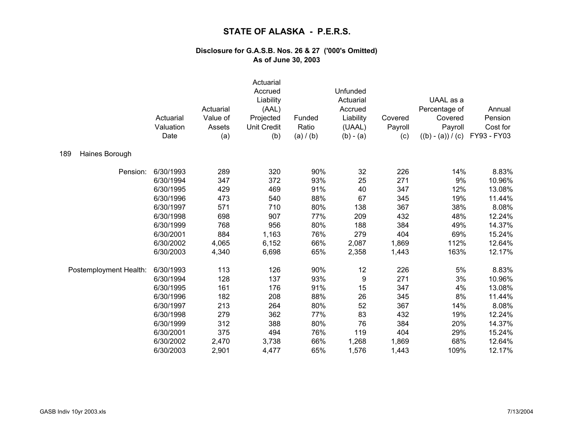|                        | Actuarial<br>Valuation<br>Date | Actuarial<br>Value of<br>Assets<br>(a) | Actuarial<br>Accrued<br>Liability<br>(AAL)<br>Projected<br><b>Unit Credit</b><br>(b) | Funded<br>Ratio<br>(a) / (b) | Unfunded<br>Actuarial<br>Accrued<br>Liability<br>(UAAL)<br>$(b) - (a)$ | Covered<br>Payroll<br>(c) | UAAL as a<br>Percentage of<br>Covered<br>Payroll<br>$((b) - (a)) / (c)$ | Annual<br>Pension<br>Cost for<br>FY93 - FY03 |
|------------------------|--------------------------------|----------------------------------------|--------------------------------------------------------------------------------------|------------------------------|------------------------------------------------------------------------|---------------------------|-------------------------------------------------------------------------|----------------------------------------------|
| 189<br>Haines Borough  |                                |                                        |                                                                                      |                              |                                                                        |                           |                                                                         |                                              |
| Pension:               | 6/30/1993                      | 289                                    | 320                                                                                  | 90%                          | 32                                                                     | 226                       | 14%                                                                     | 8.83%                                        |
|                        | 6/30/1994                      | 347                                    | 372                                                                                  | 93%                          | 25                                                                     | 271                       | 9%                                                                      | 10.96%                                       |
|                        | 6/30/1995                      | 429                                    | 469                                                                                  | 91%                          | 40                                                                     | 347                       | 12%                                                                     | 13.08%                                       |
|                        | 6/30/1996                      | 473                                    | 540                                                                                  | 88%                          | 67                                                                     | 345                       | 19%                                                                     | 11.44%                                       |
|                        | 6/30/1997                      | 571                                    | 710                                                                                  | 80%                          | 138                                                                    | 367                       | 38%                                                                     | 8.08%                                        |
|                        | 6/30/1998                      | 698                                    | 907                                                                                  | 77%                          | 209                                                                    | 432                       | 48%                                                                     | 12.24%                                       |
|                        | 6/30/1999                      | 768                                    | 956                                                                                  | 80%                          | 188                                                                    | 384                       | 49%                                                                     | 14.37%                                       |
|                        | 6/30/2001                      | 884                                    | 1,163                                                                                | 76%                          | 279                                                                    | 404                       | 69%                                                                     | 15.24%                                       |
|                        | 6/30/2002                      | 4,065                                  | 6,152                                                                                | 66%                          | 2,087                                                                  | 1,869                     | 112%                                                                    | 12.64%                                       |
|                        | 6/30/2003                      | 4,340                                  | 6,698                                                                                | 65%                          | 2,358                                                                  | 1,443                     | 163%                                                                    | 12.17%                                       |
| Postemployment Health: | 6/30/1993                      | 113                                    | 126                                                                                  | 90%                          | 12                                                                     | 226                       | 5%                                                                      | 8.83%                                        |
|                        | 6/30/1994                      | 128                                    | 137                                                                                  | 93%                          | 9                                                                      | 271                       | 3%                                                                      | 10.96%                                       |
|                        | 6/30/1995                      | 161                                    | 176                                                                                  | 91%                          | 15                                                                     | 347                       | 4%                                                                      | 13.08%                                       |
|                        | 6/30/1996                      | 182                                    | 208                                                                                  | 88%                          | 26                                                                     | 345                       | 8%                                                                      | 11.44%                                       |
|                        | 6/30/1997                      | 213                                    | 264                                                                                  | 80%                          | 52                                                                     | 367                       | 14%                                                                     | 8.08%                                        |
|                        | 6/30/1998                      | 279                                    | 362                                                                                  | 77%                          | 83                                                                     | 432                       | 19%                                                                     | 12.24%                                       |
|                        | 6/30/1999                      | 312                                    | 388                                                                                  | 80%                          | 76                                                                     | 384                       | 20%                                                                     | 14.37%                                       |
|                        | 6/30/2001                      | 375                                    | 494                                                                                  | 76%                          | 119                                                                    | 404                       | 29%                                                                     | 15.24%                                       |
|                        | 6/30/2002                      | 2,470                                  | 3,738                                                                                | 66%                          | 1,268                                                                  | 1,869                     | 68%                                                                     | 12.64%                                       |
|                        | 6/30/2003                      | 2,901                                  | 4,477                                                                                | 65%                          | 1,576                                                                  | 1,443                     | 109%                                                                    | 12.17%                                       |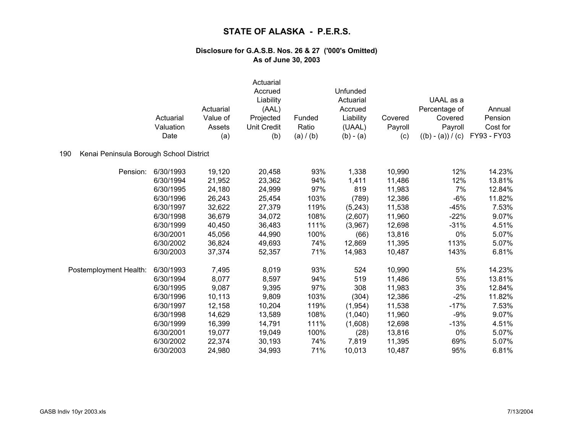|                                                | Actuarial<br>Valuation<br>Date | Actuarial<br>Value of<br>Assets<br>(a) | Actuarial<br>Accrued<br>Liability<br>(AAL)<br>Projected<br>Unit Credit<br>(b) | Funded<br>Ratio<br>(a) / (b) | Unfunded<br>Actuarial<br>Accrued<br>Liability<br>(UAAL)<br>$(b) - (a)$ | Covered<br>Payroll<br>(c) | UAAL as a<br>Percentage of<br>Covered<br>Payroll<br>$((b) - (a)) / (c)$ | Annual<br>Pension<br>Cost for<br>FY93 - FY03 |
|------------------------------------------------|--------------------------------|----------------------------------------|-------------------------------------------------------------------------------|------------------------------|------------------------------------------------------------------------|---------------------------|-------------------------------------------------------------------------|----------------------------------------------|
| 190<br>Kenai Peninsula Borough School District |                                |                                        |                                                                               |                              |                                                                        |                           |                                                                         |                                              |
| Pension:                                       | 6/30/1993                      | 19,120                                 | 20,458                                                                        | 93%                          | 1,338                                                                  | 10,990                    | 12%                                                                     | 14.23%                                       |
|                                                | 6/30/1994                      | 21,952                                 | 23,362                                                                        | 94%                          | 1,411                                                                  | 11,486                    | 12%                                                                     | 13.81%                                       |
|                                                | 6/30/1995                      | 24,180                                 | 24,999                                                                        | 97%                          | 819                                                                    | 11,983                    | 7%                                                                      | 12.84%                                       |
|                                                | 6/30/1996                      | 26,243                                 | 25,454                                                                        | 103%                         | (789)                                                                  | 12,386                    | $-6%$                                                                   | 11.82%                                       |
|                                                | 6/30/1997                      | 32,622                                 | 27,379                                                                        | 119%                         | (5,243)                                                                | 11,538                    | $-45%$                                                                  | 7.53%                                        |
|                                                | 6/30/1998                      | 36,679                                 | 34,072                                                                        | 108%                         | (2,607)                                                                | 11,960                    | $-22%$                                                                  | 9.07%                                        |
|                                                | 6/30/1999                      | 40,450                                 | 36,483                                                                        | 111%                         | (3,967)                                                                | 12,698                    | $-31%$                                                                  | 4.51%                                        |
|                                                | 6/30/2001                      | 45,056                                 | 44,990                                                                        | 100%                         | (66)                                                                   | 13,816                    | 0%                                                                      | 5.07%                                        |
|                                                | 6/30/2002                      | 36,824                                 | 49,693                                                                        | 74%                          | 12,869                                                                 | 11,395                    | 113%                                                                    | 5.07%                                        |
|                                                | 6/30/2003                      | 37,374                                 | 52,357                                                                        | 71%                          | 14,983                                                                 | 10,487                    | 143%                                                                    | 6.81%                                        |
| Postemployment Health:                         | 6/30/1993                      | 7,495                                  | 8,019                                                                         | 93%                          | 524                                                                    | 10,990                    | 5%                                                                      | 14.23%                                       |
|                                                | 6/30/1994                      | 8,077                                  | 8,597                                                                         | 94%                          | 519                                                                    | 11,486                    | 5%                                                                      | 13.81%                                       |
|                                                | 6/30/1995                      | 9,087                                  | 9,395                                                                         | 97%                          | 308                                                                    | 11,983                    | 3%                                                                      | 12.84%                                       |
|                                                | 6/30/1996                      | 10,113                                 | 9,809                                                                         | 103%                         | (304)                                                                  | 12,386                    | $-2%$                                                                   | 11.82%                                       |
|                                                | 6/30/1997                      | 12,158                                 | 10,204                                                                        | 119%                         | (1, 954)                                                               | 11,538                    | $-17%$                                                                  | 7.53%                                        |
|                                                | 6/30/1998                      | 14,629                                 | 13,589                                                                        | 108%                         | (1,040)                                                                | 11,960                    | $-9%$                                                                   | 9.07%                                        |
|                                                | 6/30/1999                      | 16,399                                 | 14,791                                                                        | 111%                         | (1,608)                                                                | 12,698                    | $-13%$                                                                  | 4.51%                                        |
|                                                | 6/30/2001                      | 19,077                                 | 19,049                                                                        | 100%                         | (28)                                                                   | 13,816                    | 0%                                                                      | 5.07%                                        |
|                                                | 6/30/2002                      | 22,374                                 | 30,193                                                                        | 74%                          | 7,819                                                                  | 11,395                    | 69%                                                                     | 5.07%                                        |
|                                                | 6/30/2003                      | 24,980                                 | 34,993                                                                        | 71%                          | 10,013                                                                 | 10,487                    | 95%                                                                     | 6.81%                                        |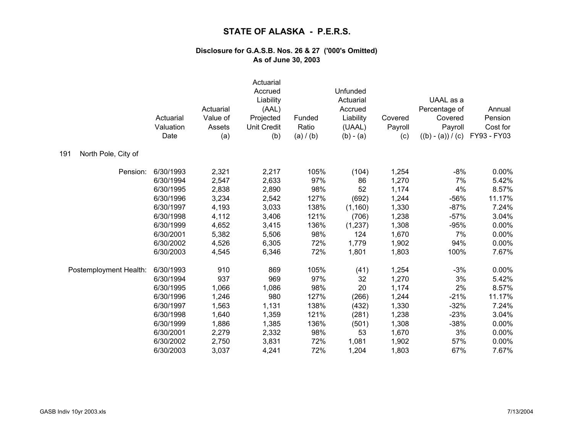|                            | Actuarial<br>Valuation<br>Date | Actuarial<br>Value of<br>Assets<br>(a) | Actuarial<br>Accrued<br>Liability<br>(AAL)<br>Projected<br><b>Unit Credit</b><br>(b) | Funded<br>Ratio<br>(a) / (b) | Unfunded<br>Actuarial<br>Accrued<br>Liability<br>(UAAL)<br>$(b) - (a)$ | Covered<br>Payroll<br>(c) | UAAL as a<br>Percentage of<br>Covered<br>Payroll<br>$((b) - (a)) / (c)$ | Annual<br>Pension<br>Cost for<br>FY93 - FY03 |
|----------------------------|--------------------------------|----------------------------------------|--------------------------------------------------------------------------------------|------------------------------|------------------------------------------------------------------------|---------------------------|-------------------------------------------------------------------------|----------------------------------------------|
| North Pole, City of<br>191 |                                |                                        |                                                                                      |                              |                                                                        |                           |                                                                         |                                              |
| Pension:                   | 6/30/1993                      | 2,321                                  | 2,217                                                                                | 105%                         | (104)                                                                  | 1,254                     | $-8%$                                                                   | 0.00%                                        |
|                            | 6/30/1994                      | 2,547                                  | 2,633                                                                                | 97%                          | 86                                                                     | 1,270                     | 7%                                                                      | 5.42%                                        |
|                            | 6/30/1995                      | 2,838                                  | 2,890                                                                                | 98%                          | 52                                                                     | 1,174                     | 4%                                                                      | 8.57%                                        |
|                            | 6/30/1996                      | 3,234                                  | 2,542                                                                                | 127%                         | (692)                                                                  | 1,244                     | $-56%$                                                                  | 11.17%                                       |
|                            | 6/30/1997                      | 4,193                                  | 3,033                                                                                | 138%                         | (1, 160)                                                               | 1,330                     | $-87%$                                                                  | 7.24%                                        |
|                            | 6/30/1998                      | 4,112                                  | 3,406                                                                                | 121%                         | (706)                                                                  | 1,238                     | $-57%$                                                                  | 3.04%                                        |
|                            | 6/30/1999                      | 4,652                                  | 3,415                                                                                | 136%                         | (1, 237)                                                               | 1,308                     | $-95%$                                                                  | 0.00%                                        |
|                            | 6/30/2001                      | 5,382                                  | 5,506                                                                                | 98%                          | 124                                                                    | 1,670                     | 7%                                                                      | 0.00%                                        |
|                            | 6/30/2002                      | 4,526                                  | 6,305                                                                                | 72%                          | 1,779                                                                  | 1,902                     | 94%                                                                     | 0.00%                                        |
|                            | 6/30/2003                      | 4,545                                  | 6,346                                                                                | 72%                          | 1,801                                                                  | 1,803                     | 100%                                                                    | 7.67%                                        |
| Postemployment Health:     | 6/30/1993                      | 910                                    | 869                                                                                  | 105%                         | (41)                                                                   | 1,254                     | $-3%$                                                                   | 0.00%                                        |
|                            | 6/30/1994                      | 937                                    | 969                                                                                  | 97%                          | 32                                                                     | 1,270                     | 3%                                                                      | 5.42%                                        |
|                            | 6/30/1995                      | 1,066                                  | 1,086                                                                                | 98%                          | 20                                                                     | 1,174                     | 2%                                                                      | 8.57%                                        |
|                            | 6/30/1996                      | 1,246                                  | 980                                                                                  | 127%                         | (266)                                                                  | 1,244                     | $-21%$                                                                  | 11.17%                                       |
|                            | 6/30/1997                      | 1,563                                  | 1,131                                                                                | 138%                         | (432)                                                                  | 1,330                     | $-32%$                                                                  | 7.24%                                        |
|                            | 6/30/1998                      | 1,640                                  | 1,359                                                                                | 121%                         | (281)                                                                  | 1,238                     | $-23%$                                                                  | 3.04%                                        |
|                            | 6/30/1999                      | 1,886                                  | 1,385                                                                                | 136%                         | (501)                                                                  | 1,308                     | $-38%$                                                                  | 0.00%                                        |
|                            | 6/30/2001                      | 2,279                                  | 2,332                                                                                | 98%                          | 53                                                                     | 1,670                     | 3%                                                                      | 0.00%                                        |
|                            | 6/30/2002                      | 2,750                                  | 3,831                                                                                | 72%                          | 1,081                                                                  | 1,902                     | 57%                                                                     | 0.00%                                        |
|                            | 6/30/2003                      | 3,037                                  | 4,241                                                                                | 72%                          | 1,204                                                                  | 1,803                     | 67%                                                                     | 7.67%                                        |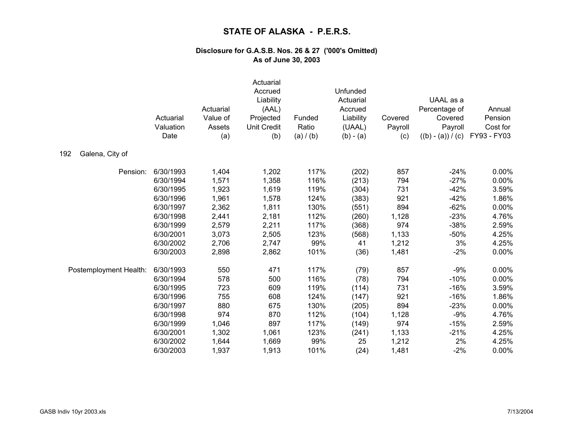|                        | Actuarial<br>Valuation<br>Date | Actuarial<br>Value of<br>Assets<br>(a) | Actuarial<br>Accrued<br>Liability<br>(AAL)<br>Projected<br><b>Unit Credit</b><br>(b) | Funded<br>Ratio<br>(a) / (b) | Unfunded<br>Actuarial<br>Accrued<br>Liability<br>(UAAL)<br>$(b) - (a)$ | Covered<br>Payroll<br>(c) | UAAL as a<br>Percentage of<br>Covered<br>Payroll<br>$((b) - (a)) / (c)$ | Annual<br>Pension<br>Cost for<br>FY93 - FY03 |
|------------------------|--------------------------------|----------------------------------------|--------------------------------------------------------------------------------------|------------------------------|------------------------------------------------------------------------|---------------------------|-------------------------------------------------------------------------|----------------------------------------------|
| Galena, City of<br>192 |                                |                                        |                                                                                      |                              |                                                                        |                           |                                                                         |                                              |
| Pension:               | 6/30/1993                      | 1,404                                  | 1,202                                                                                | 117%                         | (202)                                                                  | 857                       | $-24%$                                                                  | $0.00\%$                                     |
|                        | 6/30/1994                      | 1,571                                  | 1,358                                                                                | 116%                         | (213)                                                                  | 794                       | $-27%$                                                                  | 0.00%                                        |
|                        | 6/30/1995                      | 1,923                                  | 1,619                                                                                | 119%                         | (304)                                                                  | 731                       | $-42%$                                                                  | 3.59%                                        |
|                        | 6/30/1996                      | 1,961                                  | 1,578                                                                                | 124%                         | (383)                                                                  | 921                       | $-42%$                                                                  | 1.86%                                        |
|                        | 6/30/1997                      | 2,362                                  | 1,811                                                                                | 130%                         | (551)                                                                  | 894                       | $-62%$                                                                  | 0.00%                                        |
|                        | 6/30/1998                      | 2,441                                  | 2,181                                                                                | 112%                         | (260)                                                                  | 1,128                     | $-23%$                                                                  | 4.76%                                        |
|                        | 6/30/1999                      | 2,579                                  | 2,211                                                                                | 117%                         | (368)                                                                  | 974                       | $-38%$                                                                  | 2.59%                                        |
|                        | 6/30/2001                      | 3,073                                  | 2,505                                                                                | 123%                         | (568)                                                                  | 1,133                     | $-50%$                                                                  | 4.25%                                        |
|                        | 6/30/2002                      | 2,706                                  | 2,747                                                                                | 99%                          | 41                                                                     | 1,212                     | 3%                                                                      | 4.25%                                        |
|                        | 6/30/2003                      | 2,898                                  | 2,862                                                                                | 101%                         | (36)                                                                   | 1,481                     | $-2%$                                                                   | 0.00%                                        |
| Postemployment Health: | 6/30/1993                      | 550                                    | 471                                                                                  | 117%                         | (79)                                                                   | 857                       | $-9%$                                                                   | 0.00%                                        |
|                        | 6/30/1994                      | 578                                    | 500                                                                                  | 116%                         | (78)                                                                   | 794                       | $-10%$                                                                  | 0.00%                                        |
|                        | 6/30/1995                      | 723                                    | 609                                                                                  | 119%                         | (114)                                                                  | 731                       | $-16%$                                                                  | 3.59%                                        |
|                        | 6/30/1996                      | 755                                    | 608                                                                                  | 124%                         | (147)                                                                  | 921                       | $-16%$                                                                  | 1.86%                                        |
|                        | 6/30/1997                      | 880                                    | 675                                                                                  | 130%                         | (205)                                                                  | 894                       | $-23%$                                                                  | 0.00%                                        |
|                        | 6/30/1998                      | 974                                    | 870                                                                                  | 112%                         | (104)                                                                  | 1,128                     | $-9%$                                                                   | 4.76%                                        |
|                        | 6/30/1999                      | 1,046                                  | 897                                                                                  | 117%                         | (149)                                                                  | 974                       | $-15%$                                                                  | 2.59%                                        |
|                        | 6/30/2001                      | 1,302                                  | 1,061                                                                                | 123%                         | (241)                                                                  | 1,133                     | $-21%$                                                                  | 4.25%                                        |
|                        | 6/30/2002                      | 1,644                                  | 1,669                                                                                | 99%                          | 25                                                                     | 1,212                     | 2%                                                                      | 4.25%                                        |
|                        | 6/30/2003                      | 1,937                                  | 1,913                                                                                | 101%                         | (24)                                                                   | 1,481                     | $-2%$                                                                   | 0.00%                                        |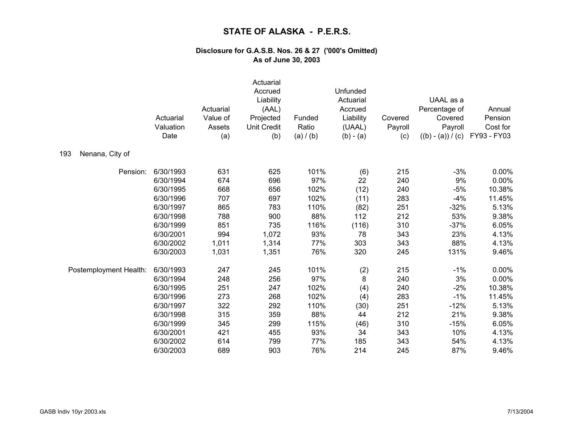|                        | Actuarial<br>Valuation<br>Date | Actuarial<br>Value of<br>Assets<br>(a) | Actuarial<br>Accrued<br>Liability<br>(AAL)<br>Projected<br><b>Unit Credit</b><br>(b) | Funded<br>Ratio<br>(a) / (b) | Unfunded<br>Actuarial<br>Accrued<br>Liability<br>(UAAL)<br>$(b) - (a)$ | Covered<br>Payroll<br>(c) | UAAL as a<br>Percentage of<br>Covered<br>Payroll<br>$((b) - (a)) / (c)$ | Annual<br>Pension<br>Cost for<br>FY93 - FY03 |
|------------------------|--------------------------------|----------------------------------------|--------------------------------------------------------------------------------------|------------------------------|------------------------------------------------------------------------|---------------------------|-------------------------------------------------------------------------|----------------------------------------------|
| Nenana, City of<br>193 |                                |                                        |                                                                                      |                              |                                                                        |                           |                                                                         |                                              |
| Pension:               | 6/30/1993                      | 631                                    | 625                                                                                  | 101%                         | (6)                                                                    | 215                       | $-3%$                                                                   | $0.00\%$                                     |
|                        | 6/30/1994                      | 674                                    | 696                                                                                  | 97%                          | 22                                                                     | 240                       | 9%                                                                      | 0.00%                                        |
|                        | 6/30/1995                      | 668                                    | 656                                                                                  | 102%                         | (12)                                                                   | 240                       | $-5%$                                                                   | 10.38%                                       |
|                        | 6/30/1996                      | 707                                    | 697                                                                                  | 102%                         | (11)                                                                   | 283                       | $-4%$                                                                   | 11.45%                                       |
|                        | 6/30/1997                      | 865                                    | 783                                                                                  | 110%                         | (82)                                                                   | 251                       | $-32%$                                                                  | 5.13%                                        |
|                        | 6/30/1998                      | 788                                    | 900                                                                                  | 88%                          | 112                                                                    | 212                       | 53%                                                                     | 9.38%                                        |
|                        | 6/30/1999                      | 851                                    | 735                                                                                  | 116%                         | (116)                                                                  | 310                       | $-37%$                                                                  | 6.05%                                        |
|                        | 6/30/2001                      | 994                                    | 1,072                                                                                | 93%                          | 78                                                                     | 343                       | 23%                                                                     | 4.13%                                        |
|                        | 6/30/2002                      | 1,011                                  | 1,314                                                                                | 77%                          | 303                                                                    | 343                       | 88%                                                                     | 4.13%                                        |
|                        | 6/30/2003                      | 1,031                                  | 1,351                                                                                | 76%                          | 320                                                                    | 245                       | 131%                                                                    | 9.46%                                        |
| Postemployment Health: | 6/30/1993                      | 247                                    | 245                                                                                  | 101%                         | (2)                                                                    | 215                       | $-1%$                                                                   | 0.00%                                        |
|                        | 6/30/1994                      | 248                                    | 256                                                                                  | 97%                          | 8                                                                      | 240                       | 3%                                                                      | 0.00%                                        |
|                        | 6/30/1995                      | 251                                    | 247                                                                                  | 102%                         | (4)                                                                    | 240                       | $-2%$                                                                   | 10.38%                                       |
|                        | 6/30/1996                      | 273                                    | 268                                                                                  | 102%                         | (4)                                                                    | 283                       | $-1%$                                                                   | 11.45%                                       |
|                        | 6/30/1997                      | 322                                    | 292                                                                                  | 110%                         | (30)                                                                   | 251                       | $-12%$                                                                  | 5.13%                                        |
|                        | 6/30/1998                      | 315                                    | 359                                                                                  | 88%                          | 44                                                                     | 212                       | 21%                                                                     | 9.38%                                        |
|                        | 6/30/1999                      | 345                                    | 299                                                                                  | 115%                         | (46)                                                                   | 310                       | $-15%$                                                                  | 6.05%                                        |
|                        | 6/30/2001                      | 421                                    | 455                                                                                  | 93%                          | 34                                                                     | 343                       | 10%                                                                     | 4.13%                                        |
|                        | 6/30/2002                      | 614                                    | 799                                                                                  | 77%                          | 185                                                                    | 343                       | 54%                                                                     | 4.13%                                        |
|                        | 6/30/2003                      | 689                                    | 903                                                                                  | 76%                          | 214                                                                    | 245                       | 87%                                                                     | 9.46%                                        |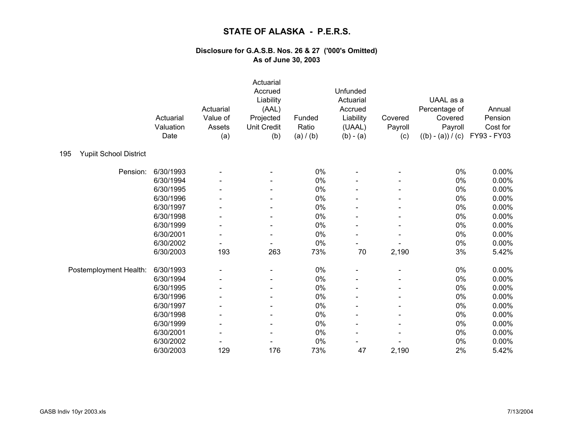|                                      | Actuarial<br>Valuation<br>Date | Actuarial<br>Value of<br>Assets<br>(a) | Actuarial<br>Accrued<br>Liability<br>(AAL)<br>Projected<br><b>Unit Credit</b><br>(b) | Funded<br>Ratio<br>(a) / (b) | Unfunded<br>Actuarial<br>Accrued<br>Liability<br>(UAAL)<br>$(b) - (a)$ | Covered<br>Payroll<br>(c) | UAAL as a<br>Percentage of<br>Covered<br>Payroll<br>$((b) - (a)) / (c)$ | Annual<br>Pension<br>Cost for<br>FY93 - FY03 |
|--------------------------------------|--------------------------------|----------------------------------------|--------------------------------------------------------------------------------------|------------------------------|------------------------------------------------------------------------|---------------------------|-------------------------------------------------------------------------|----------------------------------------------|
| <b>Yupiit School District</b><br>195 |                                |                                        |                                                                                      |                              |                                                                        |                           |                                                                         |                                              |
| Pension:                             | 6/30/1993                      |                                        |                                                                                      | 0%                           |                                                                        |                           | 0%                                                                      | 0.00%                                        |
|                                      | 6/30/1994                      |                                        |                                                                                      | 0%                           |                                                                        |                           | $0\%$                                                                   | 0.00%                                        |
|                                      | 6/30/1995                      |                                        |                                                                                      | 0%                           |                                                                        |                           | $0\%$                                                                   | 0.00%                                        |
|                                      | 6/30/1996                      |                                        |                                                                                      | 0%                           |                                                                        |                           | 0%                                                                      | 0.00%                                        |
|                                      | 6/30/1997                      |                                        |                                                                                      | 0%                           |                                                                        |                           | $0\%$                                                                   | 0.00%                                        |
|                                      | 6/30/1998                      |                                        |                                                                                      | 0%                           |                                                                        |                           | $0\%$                                                                   | 0.00%                                        |
|                                      | 6/30/1999                      |                                        |                                                                                      | 0%                           |                                                                        |                           | 0%                                                                      | 0.00%                                        |
|                                      | 6/30/2001                      | $\qquad \qquad \blacksquare$           |                                                                                      | 0%                           |                                                                        |                           | 0%                                                                      | 0.00%                                        |
|                                      | 6/30/2002                      |                                        |                                                                                      | 0%                           |                                                                        |                           | $0\%$                                                                   | 0.00%                                        |
|                                      | 6/30/2003                      | 193                                    | 263                                                                                  | 73%                          | 70                                                                     | 2,190                     | 3%                                                                      | 5.42%                                        |
| Postemployment Health:               | 6/30/1993                      |                                        |                                                                                      | 0%                           |                                                                        |                           | 0%                                                                      | 0.00%                                        |
|                                      | 6/30/1994                      |                                        |                                                                                      | 0%                           |                                                                        |                           | 0%                                                                      | 0.00%                                        |
|                                      | 6/30/1995                      |                                        |                                                                                      | 0%                           |                                                                        |                           | 0%                                                                      | 0.00%                                        |
|                                      | 6/30/1996                      |                                        |                                                                                      | 0%                           |                                                                        |                           | $0\%$                                                                   | 0.00%                                        |
|                                      | 6/30/1997                      |                                        |                                                                                      | $0\%$                        |                                                                        |                           | $0\%$                                                                   | 0.00%                                        |
|                                      | 6/30/1998                      | $\qquad \qquad \blacksquare$           |                                                                                      | 0%                           |                                                                        |                           | 0%                                                                      | 0.00%                                        |
|                                      | 6/30/1999                      |                                        |                                                                                      | 0%                           |                                                                        |                           | 0%                                                                      | 0.00%                                        |
|                                      | 6/30/2001                      |                                        |                                                                                      | 0%                           |                                                                        |                           | 0%                                                                      | 0.00%                                        |
|                                      | 6/30/2002                      |                                        |                                                                                      | 0%                           |                                                                        |                           | $0\%$                                                                   | 0.00%                                        |
|                                      | 6/30/2003                      | 129                                    | 176                                                                                  | 73%                          | 47                                                                     | 2,190                     | 2%                                                                      | 5.42%                                        |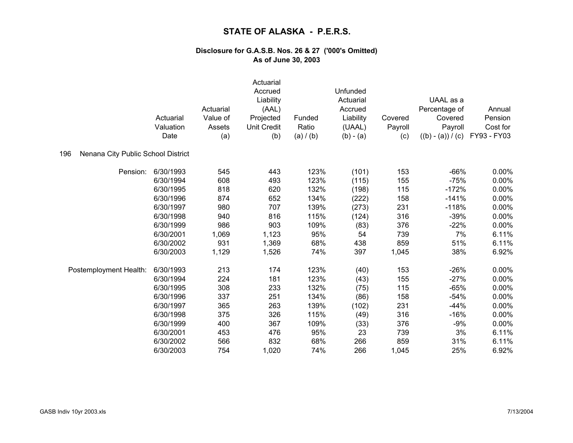|                                           | Actuarial<br>Valuation<br>Date | Actuarial<br>Value of<br>Assets<br>(a) | Actuarial<br>Accrued<br>Liability<br>(AAL)<br>Projected<br><b>Unit Credit</b><br>(b) | Funded<br>Ratio<br>(a) / (b) | Unfunded<br>Actuarial<br>Accrued<br>Liability<br>(UAAL)<br>$(b) - (a)$ | Covered<br>Payroll<br>(c) | UAAL as a<br>Percentage of<br>Covered<br>Payroll<br>$((b) - (a)) / (c)$ | Annual<br>Pension<br>Cost for<br>FY93 - FY03 |
|-------------------------------------------|--------------------------------|----------------------------------------|--------------------------------------------------------------------------------------|------------------------------|------------------------------------------------------------------------|---------------------------|-------------------------------------------------------------------------|----------------------------------------------|
| Nenana City Public School District<br>196 |                                |                                        |                                                                                      |                              |                                                                        |                           |                                                                         |                                              |
| Pension:                                  | 6/30/1993                      | 545                                    | 443                                                                                  | 123%                         | (101)                                                                  | 153                       | $-66%$                                                                  | 0.00%                                        |
|                                           | 6/30/1994                      | 608                                    | 493                                                                                  | 123%                         | (115)                                                                  | 155                       | $-75%$                                                                  | 0.00%                                        |
|                                           | 6/30/1995                      | 818                                    | 620                                                                                  | 132%                         | (198)                                                                  | 115                       | $-172%$                                                                 | 0.00%                                        |
|                                           | 6/30/1996                      | 874                                    | 652                                                                                  | 134%                         | (222)                                                                  | 158                       | $-141%$                                                                 | 0.00%                                        |
|                                           | 6/30/1997                      | 980                                    | 707                                                                                  | 139%                         | (273)                                                                  | 231                       | $-118%$                                                                 | 0.00%                                        |
|                                           | 6/30/1998                      | 940                                    | 816                                                                                  | 115%                         | (124)                                                                  | 316                       | $-39%$                                                                  | 0.00%                                        |
|                                           | 6/30/1999                      | 986                                    | 903                                                                                  | 109%                         | (83)                                                                   | 376                       | $-22%$                                                                  | 0.00%                                        |
|                                           | 6/30/2001                      | 1,069                                  | 1,123                                                                                | 95%                          | 54                                                                     | 739                       | 7%                                                                      | 6.11%                                        |
|                                           | 6/30/2002                      | 931                                    | 1,369                                                                                | 68%                          | 438                                                                    | 859                       | 51%                                                                     | 6.11%                                        |
|                                           | 6/30/2003                      | 1,129                                  | 1,526                                                                                | 74%                          | 397                                                                    | 1,045                     | 38%                                                                     | 6.92%                                        |
| Postemployment Health:                    | 6/30/1993                      | 213                                    | 174                                                                                  | 123%                         | (40)                                                                   | 153                       | $-26%$                                                                  | 0.00%                                        |
|                                           | 6/30/1994                      | 224                                    | 181                                                                                  | 123%                         | (43)                                                                   | 155                       | $-27%$                                                                  | 0.00%                                        |
|                                           | 6/30/1995                      | 308                                    | 233                                                                                  | 132%                         | (75)                                                                   | 115                       | $-65%$                                                                  | 0.00%                                        |
|                                           | 6/30/1996                      | 337                                    | 251                                                                                  | 134%                         | (86)                                                                   | 158                       | $-54%$                                                                  | 0.00%                                        |
|                                           | 6/30/1997                      | 365                                    | 263                                                                                  | 139%                         | (102)                                                                  | 231                       | $-44%$                                                                  | 0.00%                                        |
|                                           | 6/30/1998                      | 375                                    | 326                                                                                  | 115%                         | (49)                                                                   | 316                       | $-16%$                                                                  | 0.00%                                        |
|                                           | 6/30/1999                      | 400                                    | 367                                                                                  | 109%                         | (33)                                                                   | 376                       | $-9%$                                                                   | 0.00%                                        |
|                                           | 6/30/2001                      | 453                                    | 476                                                                                  | 95%                          | 23                                                                     | 739                       | 3%                                                                      | 6.11%                                        |
|                                           | 6/30/2002                      | 566                                    | 832                                                                                  | 68%                          | 266                                                                    | 859                       | 31%                                                                     | 6.11%                                        |
|                                           | 6/30/2003                      | 754                                    | 1,020                                                                                | 74%                          | 266                                                                    | 1,045                     | 25%                                                                     | 6.92%                                        |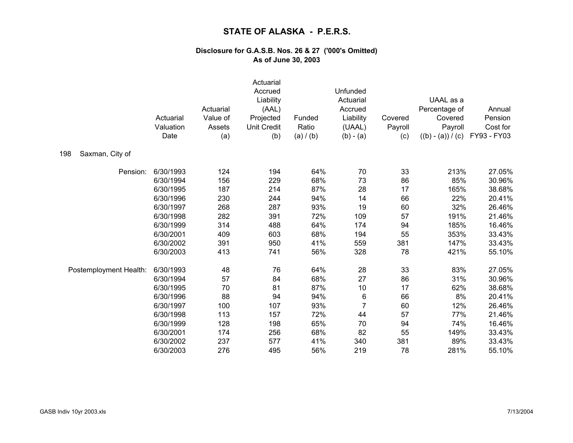|                        | Actuarial<br>Valuation<br>Date | Actuarial<br>Value of<br>Assets<br>(a) | Actuarial<br>Accrued<br>Liability<br>(AAL)<br>Projected<br><b>Unit Credit</b><br>(b) | Funded<br>Ratio<br>(a) / (b) | Unfunded<br>Actuarial<br>Accrued<br>Liability<br>(UAAL)<br>$(b) - (a)$ | Covered<br>Payroll<br>(c) | UAAL as a<br>Percentage of<br>Covered<br>Payroll<br>$((b) - (a)) / (c)$ | Annual<br>Pension<br>Cost for<br>FY93 - FY03 |
|------------------------|--------------------------------|----------------------------------------|--------------------------------------------------------------------------------------|------------------------------|------------------------------------------------------------------------|---------------------------|-------------------------------------------------------------------------|----------------------------------------------|
| Saxman, City of<br>198 |                                |                                        |                                                                                      |                              |                                                                        |                           |                                                                         |                                              |
| Pension:               | 6/30/1993                      | 124                                    | 194                                                                                  | 64%                          | 70                                                                     | 33                        | 213%                                                                    | 27.05%                                       |
|                        | 6/30/1994                      | 156                                    | 229                                                                                  | 68%                          | 73                                                                     | 86                        | 85%                                                                     | 30.96%                                       |
|                        | 6/30/1995                      | 187                                    | 214                                                                                  | 87%                          | 28                                                                     | 17                        | 165%                                                                    | 38.68%                                       |
|                        | 6/30/1996                      | 230                                    | 244                                                                                  | 94%                          | 14                                                                     | 66                        | 22%                                                                     | 20.41%                                       |
|                        | 6/30/1997                      | 268                                    | 287                                                                                  | 93%                          | 19                                                                     | 60                        | 32%                                                                     | 26.46%                                       |
|                        | 6/30/1998                      | 282                                    | 391                                                                                  | 72%                          | 109                                                                    | 57                        | 191%                                                                    | 21.46%                                       |
|                        | 6/30/1999                      | 314                                    | 488                                                                                  | 64%                          | 174                                                                    | 94                        | 185%                                                                    | 16.46%                                       |
|                        | 6/30/2001                      | 409                                    | 603                                                                                  | 68%                          | 194                                                                    | 55                        | 353%                                                                    | 33.43%                                       |
|                        | 6/30/2002                      | 391                                    | 950                                                                                  | 41%                          | 559                                                                    | 381                       | 147%                                                                    | 33.43%                                       |
|                        | 6/30/2003                      | 413                                    | 741                                                                                  | 56%                          | 328                                                                    | 78                        | 421%                                                                    | 55.10%                                       |
| Postemployment Health: | 6/30/1993                      | 48                                     | 76                                                                                   | 64%                          | 28                                                                     | 33                        | 83%                                                                     | 27.05%                                       |
|                        | 6/30/1994                      | 57                                     | 84                                                                                   | 68%                          | 27                                                                     | 86                        | 31%                                                                     | 30.96%                                       |
|                        | 6/30/1995                      | 70                                     | 81                                                                                   | 87%                          | 10                                                                     | 17                        | 62%                                                                     | 38.68%                                       |
|                        | 6/30/1996                      | 88                                     | 94                                                                                   | 94%                          | $\,6$                                                                  | 66                        | 8%                                                                      | 20.41%                                       |
|                        | 6/30/1997                      | 100                                    | 107                                                                                  | 93%                          | $\overline{7}$                                                         | 60                        | 12%                                                                     | 26.46%                                       |
|                        | 6/30/1998                      | 113                                    | 157                                                                                  | 72%                          | 44                                                                     | 57                        | 77%                                                                     | 21.46%                                       |
|                        | 6/30/1999                      | 128                                    | 198                                                                                  | 65%                          | 70                                                                     | 94                        | 74%                                                                     | 16.46%                                       |
|                        | 6/30/2001                      | 174                                    | 256                                                                                  | 68%                          | 82                                                                     | 55                        | 149%                                                                    | 33.43%                                       |
|                        | 6/30/2002                      | 237                                    | 577                                                                                  | 41%                          | 340                                                                    | 381                       | 89%                                                                     | 33.43%                                       |
|                        | 6/30/2003                      | 276                                    | 495                                                                                  | 56%                          | 219                                                                    | 78                        | 281%                                                                    | 55.10%                                       |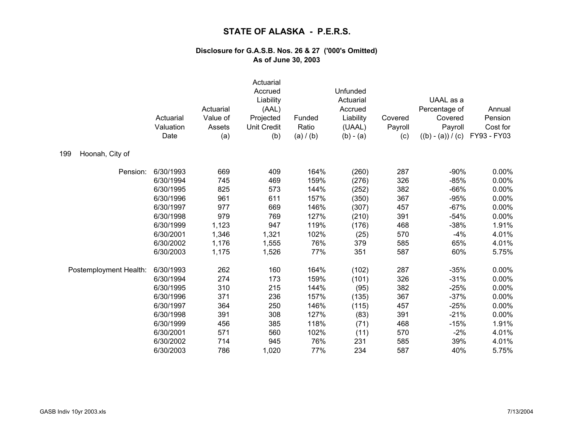|                        | Actuarial<br>Valuation<br>Date | Actuarial<br>Value of<br>Assets<br>(a) | Actuarial<br>Accrued<br>Liability<br>(AAL)<br>Projected<br><b>Unit Credit</b><br>(b) | Funded<br>Ratio<br>(a) / (b) | Unfunded<br>Actuarial<br>Accrued<br>Liability<br>(UAAL)<br>$(b) - (a)$ | Covered<br>Payroll<br>(c) | UAAL as a<br>Percentage of<br>Covered<br>Payroll<br>$((b) - (a)) / (c)$ | Annual<br>Pension<br>Cost for<br>FY93 - FY03 |
|------------------------|--------------------------------|----------------------------------------|--------------------------------------------------------------------------------------|------------------------------|------------------------------------------------------------------------|---------------------------|-------------------------------------------------------------------------|----------------------------------------------|
| Hoonah, City of<br>199 |                                |                                        |                                                                                      |                              |                                                                        |                           |                                                                         |                                              |
| Pension:               | 6/30/1993                      | 669                                    | 409                                                                                  | 164%                         | (260)                                                                  | 287                       | $-90%$                                                                  | 0.00%                                        |
|                        | 6/30/1994                      | 745                                    | 469                                                                                  | 159%                         | (276)                                                                  | 326                       | $-85%$                                                                  | 0.00%                                        |
|                        | 6/30/1995                      | 825                                    | 573                                                                                  | 144%                         | (252)                                                                  | 382                       | $-66%$                                                                  | 0.00%                                        |
|                        | 6/30/1996                      | 961                                    | 611                                                                                  | 157%                         | (350)                                                                  | 367                       | $-95%$                                                                  | 0.00%                                        |
|                        | 6/30/1997                      | 977                                    | 669                                                                                  | 146%                         | (307)                                                                  | 457                       | $-67%$                                                                  | 0.00%                                        |
|                        | 6/30/1998                      | 979                                    | 769                                                                                  | 127%                         | (210)                                                                  | 391                       | $-54%$                                                                  | 0.00%                                        |
|                        | 6/30/1999                      | 1,123                                  | 947                                                                                  | 119%                         | (176)                                                                  | 468                       | $-38%$                                                                  | 1.91%                                        |
|                        | 6/30/2001                      | 1,346                                  | 1,321                                                                                | 102%                         | (25)                                                                   | 570                       | $-4%$                                                                   | 4.01%                                        |
|                        | 6/30/2002                      | 1,176                                  | 1,555                                                                                | 76%                          | 379                                                                    | 585                       | 65%                                                                     | 4.01%                                        |
|                        | 6/30/2003                      | 1,175                                  | 1,526                                                                                | 77%                          | 351                                                                    | 587                       | 60%                                                                     | 5.75%                                        |
| Postemployment Health: | 6/30/1993                      | 262                                    | 160                                                                                  | 164%                         | (102)                                                                  | 287                       | $-35%$                                                                  | 0.00%                                        |
|                        | 6/30/1994                      | 274                                    | 173                                                                                  | 159%                         | (101)                                                                  | 326                       | $-31%$                                                                  | 0.00%                                        |
|                        | 6/30/1995                      | 310                                    | 215                                                                                  | 144%                         | (95)                                                                   | 382                       | $-25%$                                                                  | 0.00%                                        |
|                        | 6/30/1996                      | 371                                    | 236                                                                                  | 157%                         | (135)                                                                  | 367                       | $-37%$                                                                  | 0.00%                                        |
|                        | 6/30/1997                      | 364                                    | 250                                                                                  | 146%                         | (115)                                                                  | 457                       | $-25%$                                                                  | 0.00%                                        |
|                        | 6/30/1998                      | 391                                    | 308                                                                                  | 127%                         | (83)                                                                   | 391                       | $-21%$                                                                  | 0.00%                                        |
|                        | 6/30/1999                      | 456                                    | 385                                                                                  | 118%                         | (71)                                                                   | 468                       | $-15%$                                                                  | 1.91%                                        |
|                        | 6/30/2001                      | 571                                    | 560                                                                                  | 102%                         | (11)                                                                   | 570                       | $-2%$                                                                   | 4.01%                                        |
|                        | 6/30/2002                      | 714                                    | 945                                                                                  | 76%                          | 231                                                                    | 585                       | 39%                                                                     | 4.01%                                        |
|                        | 6/30/2003                      | 786                                    | 1,020                                                                                | 77%                          | 234                                                                    | 587                       | 40%                                                                     | 5.75%                                        |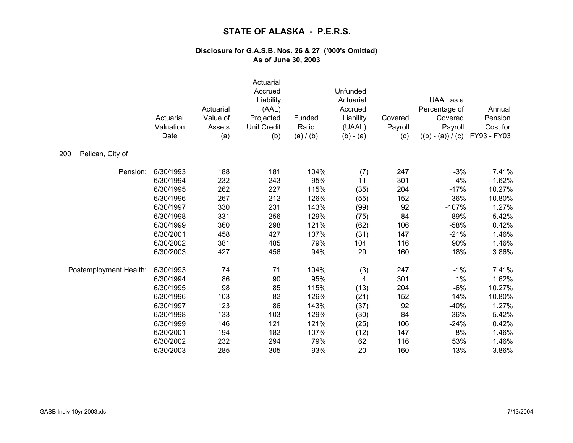|                         | Actuarial<br>Valuation<br>Date | Actuarial<br>Value of<br>Assets<br>(a) | Actuarial<br>Accrued<br>Liability<br>(AAL)<br>Projected<br><b>Unit Credit</b><br>(b) | Funded<br>Ratio<br>(a) / (b) | Unfunded<br>Actuarial<br>Accrued<br>Liability<br>(UAAL)<br>$(b) - (a)$ | Covered<br>Payroll<br>(c) | UAAL as a<br>Percentage of<br>Covered<br>Payroll<br>$((b) - (a)) / (c)$ | Annual<br>Pension<br>Cost for<br>FY93 - FY03 |
|-------------------------|--------------------------------|----------------------------------------|--------------------------------------------------------------------------------------|------------------------------|------------------------------------------------------------------------|---------------------------|-------------------------------------------------------------------------|----------------------------------------------|
| 200<br>Pelican, City of |                                |                                        |                                                                                      |                              |                                                                        |                           |                                                                         |                                              |
| Pension:                | 6/30/1993                      | 188                                    | 181                                                                                  | 104%                         | (7)                                                                    | 247                       | $-3%$                                                                   | 7.41%                                        |
|                         | 6/30/1994                      | 232                                    | 243                                                                                  | 95%                          | 11                                                                     | 301                       | 4%                                                                      | 1.62%                                        |
|                         | 6/30/1995                      | 262                                    | 227                                                                                  | 115%                         | (35)                                                                   | 204                       | $-17%$                                                                  | 10.27%                                       |
|                         | 6/30/1996                      | 267                                    | 212                                                                                  | 126%                         | (55)                                                                   | 152                       | $-36%$                                                                  | 10.80%                                       |
|                         | 6/30/1997                      | 330                                    | 231                                                                                  | 143%                         | (99)                                                                   | 92                        | $-107%$                                                                 | 1.27%                                        |
|                         | 6/30/1998                      | 331                                    | 256                                                                                  | 129%                         | (75)                                                                   | 84                        | $-89%$                                                                  | 5.42%                                        |
|                         | 6/30/1999                      | 360                                    | 298                                                                                  | 121%                         | (62)                                                                   | 106                       | $-58%$                                                                  | 0.42%                                        |
|                         | 6/30/2001                      | 458                                    | 427                                                                                  | 107%                         | (31)                                                                   | 147                       | $-21%$                                                                  | 1.46%                                        |
|                         | 6/30/2002                      | 381                                    | 485                                                                                  | 79%                          | 104                                                                    | 116                       | 90%                                                                     | 1.46%                                        |
|                         | 6/30/2003                      | 427                                    | 456                                                                                  | 94%                          | 29                                                                     | 160                       | 18%                                                                     | 3.86%                                        |
| Postemployment Health:  | 6/30/1993                      | 74                                     | 71                                                                                   | 104%                         | (3)                                                                    | 247                       | $-1%$                                                                   | 7.41%                                        |
|                         | 6/30/1994                      | 86                                     | 90                                                                                   | 95%                          | 4                                                                      | 301                       | 1%                                                                      | 1.62%                                        |
|                         | 6/30/1995                      | 98                                     | 85                                                                                   | 115%                         | (13)                                                                   | 204                       | $-6%$                                                                   | 10.27%                                       |
|                         | 6/30/1996                      | 103                                    | 82                                                                                   | 126%                         | (21)                                                                   | 152                       | $-14%$                                                                  | 10.80%                                       |
|                         | 6/30/1997                      | 123                                    | 86                                                                                   | 143%                         | (37)                                                                   | 92                        | $-40%$                                                                  | 1.27%                                        |
|                         | 6/30/1998                      | 133                                    | 103                                                                                  | 129%                         | (30)                                                                   | 84                        | $-36%$                                                                  | 5.42%                                        |
|                         | 6/30/1999                      | 146                                    | 121                                                                                  | 121%                         | (25)                                                                   | 106                       | $-24%$                                                                  | 0.42%                                        |
|                         | 6/30/2001                      | 194                                    | 182                                                                                  | 107%                         | (12)                                                                   | 147                       | $-8%$                                                                   | 1.46%                                        |
|                         | 6/30/2002                      | 232                                    | 294                                                                                  | 79%                          | 62                                                                     | 116                       | 53%                                                                     | 1.46%                                        |
|                         | 6/30/2003                      | 285                                    | 305                                                                                  | 93%                          | 20                                                                     | 160                       | 13%                                                                     | 3.86%                                        |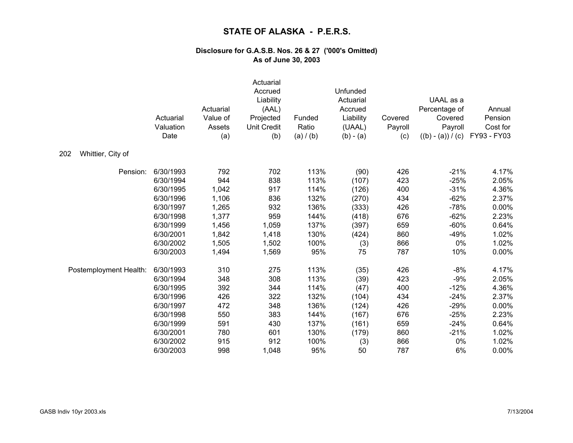|                          | Actuarial<br>Valuation<br>Date | Actuarial<br>Value of<br>Assets<br>(a) | Actuarial<br>Accrued<br>Liability<br>(AAL)<br>Projected<br><b>Unit Credit</b><br>(b) | Funded<br>Ratio<br>(a) / (b) | Unfunded<br>Actuarial<br>Accrued<br>Liability<br>(UAAL)<br>$(b) - (a)$ | Covered<br>Payroll<br>(c) | UAAL as a<br>Percentage of<br>Covered<br>Payroll<br>$((b) - (a)) / (c)$ | Annual<br>Pension<br>Cost for<br>FY93 - FY03 |
|--------------------------|--------------------------------|----------------------------------------|--------------------------------------------------------------------------------------|------------------------------|------------------------------------------------------------------------|---------------------------|-------------------------------------------------------------------------|----------------------------------------------|
| Whittier, City of<br>202 |                                |                                        |                                                                                      |                              |                                                                        |                           |                                                                         |                                              |
| Pension:                 | 6/30/1993                      | 792                                    | 702                                                                                  | 113%                         | (90)                                                                   | 426                       | $-21%$                                                                  | 4.17%                                        |
|                          | 6/30/1994                      | 944                                    | 838                                                                                  | 113%                         | (107)                                                                  | 423                       | $-25%$                                                                  | 2.05%                                        |
|                          | 6/30/1995                      | 1,042                                  | 917                                                                                  | 114%                         | (126)                                                                  | 400                       | $-31%$                                                                  | 4.36%                                        |
|                          | 6/30/1996                      | 1,106                                  | 836                                                                                  | 132%                         | (270)                                                                  | 434                       | $-62%$                                                                  | 2.37%                                        |
|                          | 6/30/1997                      | 1,265                                  | 932                                                                                  | 136%                         | (333)                                                                  | 426                       | $-78%$                                                                  | 0.00%                                        |
|                          | 6/30/1998                      | 1,377                                  | 959                                                                                  | 144%                         | (418)                                                                  | 676                       | $-62%$                                                                  | 2.23%                                        |
|                          | 6/30/1999                      | 1,456                                  | 1,059                                                                                | 137%                         | (397)                                                                  | 659                       | $-60%$                                                                  | 0.64%                                        |
|                          | 6/30/2001                      | 1,842                                  | 1,418                                                                                | 130%                         | (424)                                                                  | 860                       | $-49%$                                                                  | 1.02%                                        |
|                          | 6/30/2002                      | 1,505                                  | 1,502                                                                                | 100%                         | (3)                                                                    | 866                       | 0%                                                                      | 1.02%                                        |
|                          | 6/30/2003                      | 1,494                                  | 1,569                                                                                | 95%                          | 75                                                                     | 787                       | 10%                                                                     | 0.00%                                        |
| Postemployment Health:   | 6/30/1993                      | 310                                    | 275                                                                                  | 113%                         | (35)                                                                   | 426                       | $-8%$                                                                   | 4.17%                                        |
|                          | 6/30/1994                      | 348                                    | 308                                                                                  | 113%                         | (39)                                                                   | 423                       | $-9%$                                                                   | 2.05%                                        |
|                          | 6/30/1995                      | 392                                    | 344                                                                                  | 114%                         | (47)                                                                   | 400                       | $-12%$                                                                  | 4.36%                                        |
|                          | 6/30/1996                      | 426                                    | 322                                                                                  | 132%                         | (104)                                                                  | 434                       | $-24%$                                                                  | 2.37%                                        |
|                          | 6/30/1997                      | 472                                    | 348                                                                                  | 136%                         | (124)                                                                  | 426                       | $-29%$                                                                  | 0.00%                                        |
|                          | 6/30/1998                      | 550                                    | 383                                                                                  | 144%                         | (167)                                                                  | 676                       | $-25%$                                                                  | 2.23%                                        |
|                          | 6/30/1999                      | 591                                    | 430                                                                                  | 137%                         | (161)                                                                  | 659                       | $-24%$                                                                  | 0.64%                                        |
|                          | 6/30/2001                      | 780                                    | 601                                                                                  | 130%                         | (179)                                                                  | 860                       | $-21%$                                                                  | 1.02%                                        |
|                          | 6/30/2002                      | 915                                    | 912                                                                                  | 100%                         | (3)                                                                    | 866                       | 0%                                                                      | 1.02%                                        |
|                          | 6/30/2003                      | 998                                    | 1,048                                                                                | 95%                          | 50                                                                     | 787                       | 6%                                                                      | 0.00%                                        |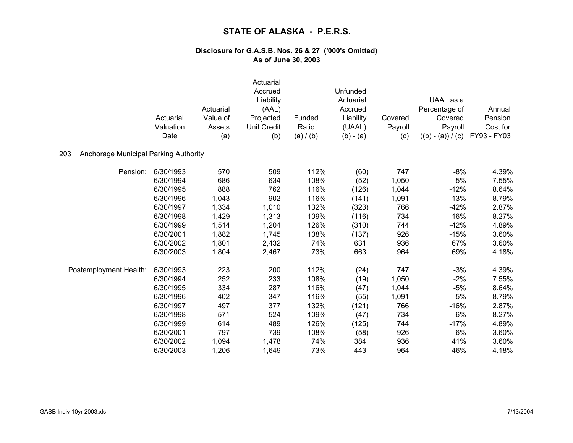|                                              | Actuarial<br>Valuation | Actuarial<br>Value of<br>Assets | Actuarial<br>Accrued<br>Liability<br>(AAL)<br>Projected<br><b>Unit Credit</b> | Funded<br>Ratio | Unfunded<br>Actuarial<br>Accrued<br>Liability<br>(UAAL) | Covered<br>Payroll | UAAL as a<br>Percentage of<br>Covered<br>Payroll | Annual<br>Pension<br>Cost for |
|----------------------------------------------|------------------------|---------------------------------|-------------------------------------------------------------------------------|-----------------|---------------------------------------------------------|--------------------|--------------------------------------------------|-------------------------------|
|                                              | Date                   | (a)                             | (b)                                                                           | (a) / (b)       | $(b) - (a)$                                             | (c)                | $((b) - (a)) / (c)$                              | FY93 - FY03                   |
| Anchorage Municipal Parking Authority<br>203 |                        |                                 |                                                                               |                 |                                                         |                    |                                                  |                               |
| Pension:                                     | 6/30/1993              | 570                             | 509                                                                           | 112%            | (60)                                                    | 747                | $-8%$                                            | 4.39%                         |
|                                              | 6/30/1994              | 686                             | 634                                                                           | 108%            | (52)                                                    | 1,050              | $-5%$                                            | 7.55%                         |
|                                              | 6/30/1995              | 888                             | 762                                                                           | 116%            | (126)                                                   | 1,044              | $-12%$                                           | 8.64%                         |
|                                              | 6/30/1996              | 1,043                           | 902                                                                           | 116%            | (141)                                                   | 1,091              | $-13%$                                           | 8.79%                         |
|                                              | 6/30/1997              | 1,334                           | 1,010                                                                         | 132%            | (323)                                                   | 766                | $-42%$                                           | 2.87%                         |
|                                              | 6/30/1998              | 1,429                           | 1,313                                                                         | 109%            | (116)                                                   | 734                | $-16%$                                           | 8.27%                         |
|                                              | 6/30/1999              | 1,514                           | 1,204                                                                         | 126%            | (310)                                                   | 744                | $-42%$                                           | 4.89%                         |
|                                              | 6/30/2001              | 1,882                           | 1,745                                                                         | 108%            | (137)                                                   | 926                | $-15%$                                           | 3.60%                         |
|                                              | 6/30/2002              | 1,801                           | 2,432                                                                         | 74%             | 631                                                     | 936                | 67%                                              | 3.60%                         |
|                                              | 6/30/2003              | 1,804                           | 2,467                                                                         | 73%             | 663                                                     | 964                | 69%                                              | 4.18%                         |
| Postemployment Health:                       | 6/30/1993              | 223                             | 200                                                                           | 112%            | (24)                                                    | 747                | $-3%$                                            | 4.39%                         |
|                                              | 6/30/1994              | 252                             | 233                                                                           | 108%            | (19)                                                    | 1,050              | $-2%$                                            | 7.55%                         |
|                                              | 6/30/1995              | 334                             | 287                                                                           | 116%            | (47)                                                    | 1,044              | $-5%$                                            | 8.64%                         |
|                                              | 6/30/1996              | 402                             | 347                                                                           | 116%            | (55)                                                    | 1,091              | $-5%$                                            | 8.79%                         |
|                                              | 6/30/1997              | 497                             | 377                                                                           | 132%            | (121)                                                   | 766                | $-16%$                                           | 2.87%                         |
|                                              | 6/30/1998              | 571                             | 524                                                                           | 109%            | (47)                                                    | 734                | $-6%$                                            | 8.27%                         |
|                                              | 6/30/1999              | 614                             | 489                                                                           | 126%            | (125)                                                   | 744                | $-17%$                                           | 4.89%                         |
|                                              | 6/30/2001              | 797                             | 739                                                                           | 108%            | (58)                                                    | 926                | $-6%$                                            | 3.60%                         |
|                                              | 6/30/2002              | 1,094                           | 1,478                                                                         | 74%             | 384                                                     | 936                | 41%                                              | 3.60%                         |
|                                              | 6/30/2003              | 1,206                           | 1,649                                                                         | 73%             | 443                                                     | 964                | 46%                                              | 4.18%                         |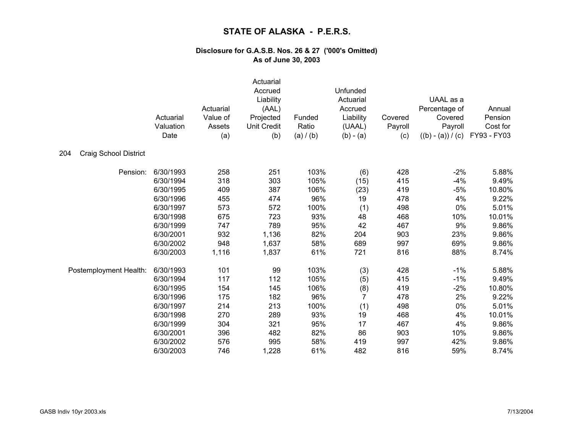|                                     | Actuarial<br>Valuation<br>Date | Actuarial<br>Value of<br>Assets<br>(a) | Actuarial<br>Accrued<br>Liability<br>(AAL)<br>Projected<br>Unit Credit<br>(b) | Funded<br>Ratio<br>(a) / (b) | Unfunded<br>Actuarial<br>Accrued<br>Liability<br>(UAAL)<br>$(b) - (a)$ | Covered<br>Payroll<br>(c) | UAAL as a<br>Percentage of<br>Covered<br>Payroll<br>$((b) - (a)) / (c)$ | Annual<br>Pension<br>Cost for<br>FY93 - FY03 |
|-------------------------------------|--------------------------------|----------------------------------------|-------------------------------------------------------------------------------|------------------------------|------------------------------------------------------------------------|---------------------------|-------------------------------------------------------------------------|----------------------------------------------|
| 204<br><b>Craig School District</b> |                                |                                        |                                                                               |                              |                                                                        |                           |                                                                         |                                              |
| Pension:                            | 6/30/1993                      | 258                                    | 251                                                                           | 103%                         | (6)                                                                    | 428                       | $-2%$                                                                   | 5.88%                                        |
|                                     | 6/30/1994                      | 318                                    | 303                                                                           | 105%                         | (15)                                                                   | 415                       | $-4%$                                                                   | 9.49%                                        |
|                                     | 6/30/1995                      | 409                                    | 387                                                                           | 106%                         | (23)                                                                   | 419                       | $-5%$                                                                   | 10.80%                                       |
|                                     | 6/30/1996                      | 455                                    | 474                                                                           | 96%                          | 19                                                                     | 478                       | 4%                                                                      | 9.22%                                        |
|                                     | 6/30/1997                      | 573                                    | 572                                                                           | 100%                         | (1)                                                                    | 498                       | 0%                                                                      | 5.01%                                        |
|                                     | 6/30/1998                      | 675                                    | 723                                                                           | 93%                          | 48                                                                     | 468                       | 10%                                                                     | 10.01%                                       |
|                                     | 6/30/1999                      | 747                                    | 789                                                                           | 95%                          | 42                                                                     | 467                       | 9%                                                                      | 9.86%                                        |
|                                     | 6/30/2001                      | 932                                    | 1,136                                                                         | 82%                          | 204                                                                    | 903                       | 23%                                                                     | 9.86%                                        |
|                                     | 6/30/2002                      | 948                                    | 1,637                                                                         | 58%                          | 689                                                                    | 997                       | 69%                                                                     | 9.86%                                        |
|                                     | 6/30/2003                      | 1,116                                  | 1,837                                                                         | 61%                          | 721                                                                    | 816                       | 88%                                                                     | 8.74%                                        |
| Postemployment Health:              | 6/30/1993                      | 101                                    | 99                                                                            | 103%                         | (3)                                                                    | 428                       | $-1%$                                                                   | 5.88%                                        |
|                                     | 6/30/1994                      | 117                                    | 112                                                                           | 105%                         | (5)                                                                    | 415                       | $-1%$                                                                   | 9.49%                                        |
|                                     | 6/30/1995                      | 154                                    | 145                                                                           | 106%                         | (8)                                                                    | 419                       | $-2%$                                                                   | 10.80%                                       |
|                                     | 6/30/1996                      | 175                                    | 182                                                                           | 96%                          | 7                                                                      | 478                       | 2%                                                                      | 9.22%                                        |
|                                     | 6/30/1997                      | 214                                    | 213                                                                           | 100%                         | (1)                                                                    | 498                       | 0%                                                                      | 5.01%                                        |
|                                     | 6/30/1998                      | 270                                    | 289                                                                           | 93%                          | 19                                                                     | 468                       | 4%                                                                      | 10.01%                                       |
|                                     | 6/30/1999                      | 304                                    | 321                                                                           | 95%                          | 17                                                                     | 467                       | 4%                                                                      | 9.86%                                        |
|                                     | 6/30/2001                      | 396                                    | 482                                                                           | 82%                          | 86                                                                     | 903                       | 10%                                                                     | 9.86%                                        |
|                                     | 6/30/2002                      | 576                                    | 995                                                                           | 58%                          | 419                                                                    | 997                       | 42%                                                                     | 9.86%                                        |
|                                     | 6/30/2003                      | 746                                    | 1,228                                                                         | 61%                          | 482                                                                    | 816                       | 59%                                                                     | 8.74%                                        |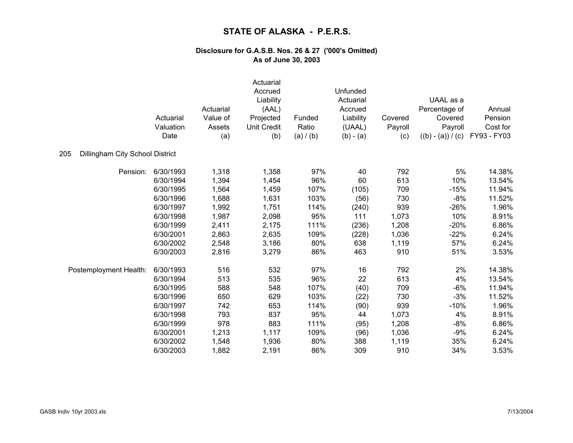|                                        | Actuarial<br>Valuation<br>Date | Actuarial<br>Value of<br>Assets<br>(a) | Actuarial<br>Accrued<br>Liability<br>(AAL)<br>Projected<br><b>Unit Credit</b><br>(b) | Funded<br>Ratio<br>(a) / (b) | Unfunded<br>Actuarial<br>Accrued<br>Liability<br>(UAAL)<br>$(b) - (a)$ | Covered<br>Payroll<br>(c) | UAAL as a<br>Percentage of<br>Covered<br>Payroll<br>$((b) - (a)) / (c)$ | Annual<br>Pension<br>Cost for<br>FY93 - FY03 |
|----------------------------------------|--------------------------------|----------------------------------------|--------------------------------------------------------------------------------------|------------------------------|------------------------------------------------------------------------|---------------------------|-------------------------------------------------------------------------|----------------------------------------------|
| 205<br>Dillingham City School District |                                |                                        |                                                                                      |                              |                                                                        |                           |                                                                         |                                              |
| Pension:                               | 6/30/1993                      | 1,318                                  | 1,358                                                                                | 97%                          | 40                                                                     | 792                       | 5%                                                                      | 14.38%                                       |
|                                        | 6/30/1994                      | 1,394                                  | 1,454                                                                                | 96%                          | 60                                                                     | 613                       | 10%                                                                     | 13.54%                                       |
|                                        | 6/30/1995                      | 1,564                                  | 1,459                                                                                | 107%                         | (105)                                                                  | 709                       | $-15%$                                                                  | 11.94%                                       |
|                                        | 6/30/1996                      | 1,688                                  | 1,631                                                                                | 103%                         | (56)                                                                   | 730                       | $-8%$                                                                   | 11.52%                                       |
|                                        | 6/30/1997                      | 1,992                                  | 1,751                                                                                | 114%                         | (240)                                                                  | 939                       | $-26%$                                                                  | 1.96%                                        |
|                                        | 6/30/1998                      | 1,987                                  | 2,098                                                                                | 95%                          | 111                                                                    | 1,073                     | 10%                                                                     | 8.91%                                        |
|                                        | 6/30/1999                      | 2,411                                  | 2,175                                                                                | 111%                         | (236)                                                                  | 1,208                     | $-20%$                                                                  | 6.86%                                        |
|                                        | 6/30/2001                      | 2,863                                  | 2,635                                                                                | 109%                         | (228)                                                                  | 1,036                     | $-22%$                                                                  | 6.24%                                        |
|                                        | 6/30/2002                      | 2,548                                  | 3,186                                                                                | 80%                          | 638                                                                    | 1,119                     | 57%                                                                     | 6.24%                                        |
|                                        | 6/30/2003                      | 2,816                                  | 3,279                                                                                | 86%                          | 463                                                                    | 910                       | 51%                                                                     | 3.53%                                        |
| Postemployment Health:                 | 6/30/1993                      | 516                                    | 532                                                                                  | 97%                          | 16                                                                     | 792                       | 2%                                                                      | 14.38%                                       |
|                                        | 6/30/1994                      | 513                                    | 535                                                                                  | 96%                          | 22                                                                     | 613                       | 4%                                                                      | 13.54%                                       |
|                                        | 6/30/1995                      | 588                                    | 548                                                                                  | 107%                         | (40)                                                                   | 709                       | $-6%$                                                                   | 11.94%                                       |
|                                        | 6/30/1996                      | 650                                    | 629                                                                                  | 103%                         | (22)                                                                   | 730                       | $-3%$                                                                   | 11.52%                                       |
|                                        | 6/30/1997                      | 742                                    | 653                                                                                  | 114%                         | (90)                                                                   | 939                       | $-10%$                                                                  | 1.96%                                        |
|                                        | 6/30/1998                      | 793                                    | 837                                                                                  | 95%                          | 44                                                                     | 1,073                     | 4%                                                                      | 8.91%                                        |
|                                        | 6/30/1999                      | 978                                    | 883                                                                                  | 111%                         | (95)                                                                   | 1,208                     | $-8%$                                                                   | 6.86%                                        |
|                                        | 6/30/2001                      | 1,213                                  | 1,117                                                                                | 109%                         | (96)                                                                   | 1,036                     | $-9%$                                                                   | 6.24%                                        |
|                                        | 6/30/2002                      | 1,548                                  | 1,936                                                                                | 80%                          | 388                                                                    | 1,119                     | 35%                                                                     | 6.24%                                        |
|                                        | 6/30/2003                      | 1,882                                  | 2,191                                                                                | 86%                          | 309                                                                    | 910                       | 34%                                                                     | 3.53%                                        |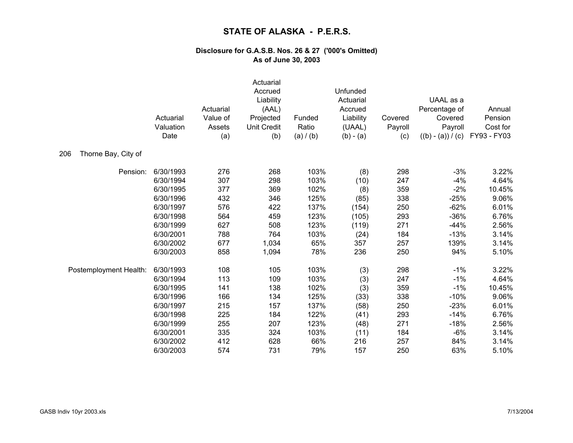|                            | Actuarial<br>Valuation<br>Date | Actuarial<br>Value of<br>Assets<br>(a) | Actuarial<br>Accrued<br>Liability<br>(AAL)<br>Projected<br><b>Unit Credit</b><br>(b) | Funded<br>Ratio<br>(a) / (b) | Unfunded<br>Actuarial<br>Accrued<br>Liability<br>(UAAL)<br>$(b) - (a)$ | Covered<br>Payroll<br>(c) | UAAL as a<br>Percentage of<br>Covered<br>Payroll<br>$((b) - (a)) / (c)$ | Annual<br>Pension<br>Cost for<br>FY93 - FY03 |
|----------------------------|--------------------------------|----------------------------------------|--------------------------------------------------------------------------------------|------------------------------|------------------------------------------------------------------------|---------------------------|-------------------------------------------------------------------------|----------------------------------------------|
| Thorne Bay, City of<br>206 |                                |                                        |                                                                                      |                              |                                                                        |                           |                                                                         |                                              |
| Pension:                   | 6/30/1993                      | 276                                    | 268                                                                                  | 103%                         | (8)                                                                    | 298                       | $-3%$                                                                   | 3.22%                                        |
|                            | 6/30/1994                      | 307                                    | 298                                                                                  | 103%                         | (10)                                                                   | 247                       | $-4%$                                                                   | 4.64%                                        |
|                            | 6/30/1995                      | 377                                    | 369                                                                                  | 102%                         | (8)                                                                    | 359                       | $-2%$                                                                   | 10.45%                                       |
|                            | 6/30/1996                      | 432                                    | 346                                                                                  | 125%                         | (85)                                                                   | 338                       | $-25%$                                                                  | 9.06%                                        |
|                            | 6/30/1997                      | 576                                    | 422                                                                                  | 137%                         | (154)                                                                  | 250                       | $-62%$                                                                  | 6.01%                                        |
|                            | 6/30/1998                      | 564                                    | 459                                                                                  | 123%                         | (105)                                                                  | 293                       | $-36%$                                                                  | 6.76%                                        |
|                            | 6/30/1999                      | 627                                    | 508                                                                                  | 123%                         | (119)                                                                  | 271                       | $-44%$                                                                  | 2.56%                                        |
|                            | 6/30/2001                      | 788                                    | 764                                                                                  | 103%                         | (24)                                                                   | 184                       | $-13%$                                                                  | 3.14%                                        |
|                            | 6/30/2002                      | 677                                    | 1,034                                                                                | 65%                          | 357                                                                    | 257                       | 139%                                                                    | 3.14%                                        |
|                            | 6/30/2003                      | 858                                    | 1,094                                                                                | 78%                          | 236                                                                    | 250                       | 94%                                                                     | 5.10%                                        |
| Postemployment Health:     | 6/30/1993                      | 108                                    | 105                                                                                  | 103%                         | (3)                                                                    | 298                       | $-1%$                                                                   | 3.22%                                        |
|                            | 6/30/1994                      | 113                                    | 109                                                                                  | 103%                         | (3)                                                                    | 247                       | $-1%$                                                                   | 4.64%                                        |
|                            | 6/30/1995                      | 141                                    | 138                                                                                  | 102%                         | (3)                                                                    | 359                       | $-1%$                                                                   | 10.45%                                       |
|                            | 6/30/1996                      | 166                                    | 134                                                                                  | 125%                         | (33)                                                                   | 338                       | $-10%$                                                                  | 9.06%                                        |
|                            | 6/30/1997                      | 215                                    | 157                                                                                  | 137%                         | (58)                                                                   | 250                       | $-23%$                                                                  | 6.01%                                        |
|                            | 6/30/1998                      | 225                                    | 184                                                                                  | 122%                         | (41)                                                                   | 293                       | $-14%$                                                                  | 6.76%                                        |
|                            | 6/30/1999                      | 255                                    | 207                                                                                  | 123%                         | (48)                                                                   | 271                       | $-18%$                                                                  | 2.56%                                        |
|                            | 6/30/2001                      | 335                                    | 324                                                                                  | 103%                         | (11)                                                                   | 184                       | $-6%$                                                                   | 3.14%                                        |
|                            | 6/30/2002                      | 412                                    | 628                                                                                  | 66%                          | 216                                                                    | 257                       | 84%                                                                     | 3.14%                                        |
|                            | 6/30/2003                      | 574                                    | 731                                                                                  | 79%                          | 157                                                                    | 250                       | 63%                                                                     | 5.10%                                        |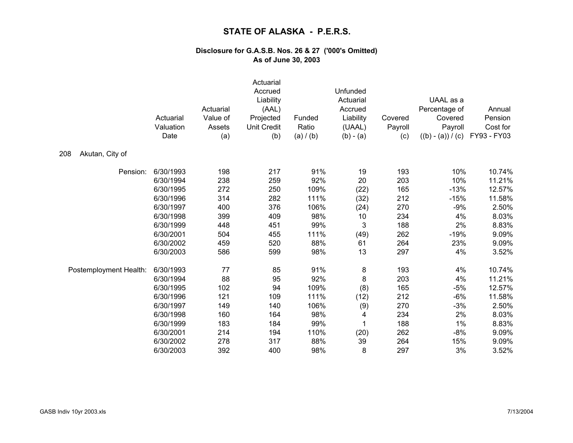|                        | Actuarial<br>Valuation<br>Date | Actuarial<br>Value of<br>Assets<br>(a) | Actuarial<br>Accrued<br>Liability<br>(AAL)<br>Projected<br><b>Unit Credit</b><br>(b) | Funded<br>Ratio<br>(a) / (b) | Unfunded<br>Actuarial<br>Accrued<br>Liability<br>(UAAL)<br>$(b) - (a)$ | Covered<br>Payroll<br>(c) | UAAL as a<br>Percentage of<br>Covered<br>Payroll<br>$((b) - (a)) / (c)$ | Annual<br>Pension<br>Cost for<br>FY93 - FY03 |
|------------------------|--------------------------------|----------------------------------------|--------------------------------------------------------------------------------------|------------------------------|------------------------------------------------------------------------|---------------------------|-------------------------------------------------------------------------|----------------------------------------------|
| Akutan, City of<br>208 |                                |                                        |                                                                                      |                              |                                                                        |                           |                                                                         |                                              |
| Pension:               | 6/30/1993                      | 198                                    | 217                                                                                  | 91%                          | 19                                                                     | 193                       | 10%                                                                     | 10.74%                                       |
|                        | 6/30/1994                      | 238                                    | 259                                                                                  | 92%                          | 20                                                                     | 203                       | 10%                                                                     | 11.21%                                       |
|                        | 6/30/1995                      | 272                                    | 250                                                                                  | 109%                         | (22)                                                                   | 165                       | $-13%$                                                                  | 12.57%                                       |
|                        | 6/30/1996                      | 314                                    | 282                                                                                  | 111%                         | (32)                                                                   | 212                       | $-15%$                                                                  | 11.58%                                       |
|                        | 6/30/1997                      | 400                                    | 376                                                                                  | 106%                         | (24)                                                                   | 270                       | $-9%$                                                                   | 2.50%                                        |
|                        | 6/30/1998                      | 399                                    | 409                                                                                  | 98%                          | 10                                                                     | 234                       | 4%                                                                      | 8.03%                                        |
|                        | 6/30/1999                      | 448                                    | 451                                                                                  | 99%                          | 3                                                                      | 188                       | 2%                                                                      | 8.83%                                        |
|                        | 6/30/2001                      | 504                                    | 455                                                                                  | 111%                         | (49)                                                                   | 262                       | $-19%$                                                                  | 9.09%                                        |
|                        | 6/30/2002                      | 459                                    | 520                                                                                  | 88%                          | 61                                                                     | 264                       | 23%                                                                     | 9.09%                                        |
|                        | 6/30/2003                      | 586                                    | 599                                                                                  | 98%                          | 13                                                                     | 297                       | 4%                                                                      | 3.52%                                        |
| Postemployment Health: | 6/30/1993                      | 77                                     | 85                                                                                   | 91%                          | 8                                                                      | 193                       | 4%                                                                      | 10.74%                                       |
|                        | 6/30/1994                      | 88                                     | 95                                                                                   | 92%                          | 8                                                                      | 203                       | 4%                                                                      | 11.21%                                       |
|                        | 6/30/1995                      | 102                                    | 94                                                                                   | 109%                         | (8)                                                                    | 165                       | $-5%$                                                                   | 12.57%                                       |
|                        | 6/30/1996                      | 121                                    | 109                                                                                  | 111%                         | (12)                                                                   | 212                       | $-6%$                                                                   | 11.58%                                       |
|                        | 6/30/1997                      | 149                                    | 140                                                                                  | 106%                         | (9)                                                                    | 270                       | $-3%$                                                                   | 2.50%                                        |
|                        | 6/30/1998                      | 160                                    | 164                                                                                  | 98%                          | 4                                                                      | 234                       | 2%                                                                      | 8.03%                                        |
|                        | 6/30/1999                      | 183                                    | 184                                                                                  | 99%                          | 1                                                                      | 188                       | 1%                                                                      | 8.83%                                        |
|                        | 6/30/2001                      | 214                                    | 194                                                                                  | 110%                         | (20)                                                                   | 262                       | $-8%$                                                                   | 9.09%                                        |
|                        | 6/30/2002                      | 278                                    | 317                                                                                  | 88%                          | 39                                                                     | 264                       | 15%                                                                     | 9.09%                                        |
|                        | 6/30/2003                      | 392                                    | 400                                                                                  | 98%                          | 8                                                                      | 297                       | 3%                                                                      | 3.52%                                        |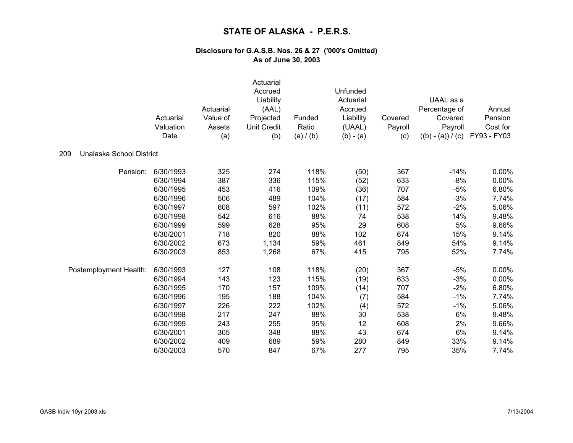|                                 |           | Actuarial | Actuarial<br>Accrued<br>Liability<br>(AAL) |           | Unfunded<br>Actuarial<br>Accrued |         | UAAL as a<br>Percentage of | Annual      |
|---------------------------------|-----------|-----------|--------------------------------------------|-----------|----------------------------------|---------|----------------------------|-------------|
|                                 | Actuarial | Value of  | Projected                                  | Funded    | Liability                        | Covered | Covered                    | Pension     |
|                                 | Valuation | Assets    | <b>Unit Credit</b>                         | Ratio     | (UAAL)                           | Payroll | Payroll                    | Cost for    |
|                                 | Date      | (a)       | (b)                                        | (a) / (b) | $(b) - (a)$                      | (c)     | $((b) - (a)) / (c)$        | FY93 - FY03 |
| Unalaska School District<br>209 |           |           |                                            |           |                                  |         |                            |             |
| Pension:                        | 6/30/1993 | 325       | 274                                        | 118%      | (50)                             | 367     | $-14%$                     | $0.00\%$    |
|                                 | 6/30/1994 | 387       | 336                                        | 115%      | (52)                             | 633     | $-8%$                      | $0.00\%$    |
|                                 | 6/30/1995 | 453       | 416                                        | 109%      | (36)                             | 707     | $-5%$                      | 6.80%       |
|                                 | 6/30/1996 | 506       | 489                                        | 104%      | (17)                             | 584     | $-3%$                      | 7.74%       |
|                                 | 6/30/1997 | 608       | 597                                        | 102%      | (11)                             | 572     | $-2%$                      | 5.06%       |
|                                 | 6/30/1998 | 542       | 616                                        | 88%       | 74                               | 538     | 14%                        | 9.48%       |
|                                 | 6/30/1999 | 599       | 628                                        | 95%       | 29                               | 608     | 5%                         | 9.66%       |
|                                 | 6/30/2001 | 718       | 820                                        | 88%       | 102                              | 674     | 15%                        | 9.14%       |
|                                 | 6/30/2002 | 673       | 1,134                                      | 59%       | 461                              | 849     | 54%                        | 9.14%       |
|                                 | 6/30/2003 | 853       | 1,268                                      | 67%       | 415                              | 795     | 52%                        | 7.74%       |
| Postemployment Health:          | 6/30/1993 | 127       | 108                                        | 118%      | (20)                             | 367     | $-5%$                      | 0.00%       |
|                                 | 6/30/1994 | 143       | 123                                        | 115%      | (19)                             | 633     | $-3%$                      | 0.00%       |
|                                 | 6/30/1995 | 170       | 157                                        | 109%      | (14)                             | 707     | $-2%$                      | 6.80%       |
|                                 | 6/30/1996 | 195       | 188                                        | 104%      | (7)                              | 584     | $-1%$                      | 7.74%       |
|                                 | 6/30/1997 | 226       | 222                                        | 102%      | (4)                              | 572     | $-1%$                      | 5.06%       |
|                                 | 6/30/1998 | 217       | 247                                        | 88%       | 30                               | 538     | 6%                         | 9.48%       |
|                                 | 6/30/1999 | 243       | 255                                        | 95%       | 12                               | 608     | 2%                         | 9.66%       |
|                                 | 6/30/2001 | 305       | 348                                        | 88%       | 43                               | 674     | 6%                         | 9.14%       |
|                                 | 6/30/2002 | 409       | 689                                        | 59%       | 280                              | 849     | 33%                        | 9.14%       |
|                                 | 6/30/2003 | 570       | 847                                        | 67%       | 277                              | 795     | 35%                        | 7.74%       |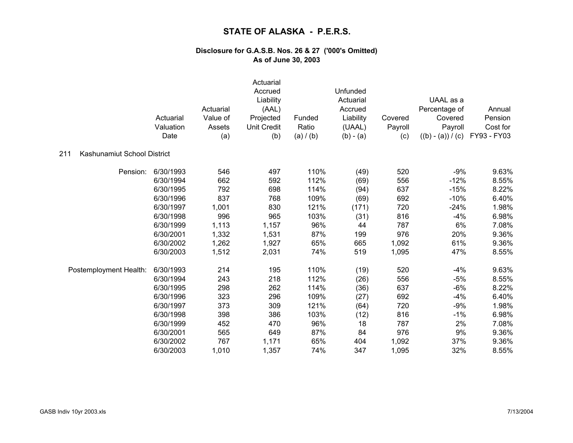|                                    | Actuarial<br>Valuation<br>Date | Actuarial<br>Value of<br>Assets<br>(a) | Actuarial<br>Accrued<br>Liability<br>(AAL)<br>Projected<br>Unit Credit<br>(b) | Funded<br>Ratio<br>(a) / (b) | Unfunded<br>Actuarial<br>Accrued<br>Liability<br>(UAAL)<br>$(b) - (a)$ | Covered<br>Payroll<br>(c) | UAAL as a<br>Percentage of<br>Covered<br>Payroll<br>$((b) - (a)) / (c)$ | Annual<br>Pension<br>Cost for<br>FY93 - FY03 |
|------------------------------------|--------------------------------|----------------------------------------|-------------------------------------------------------------------------------|------------------------------|------------------------------------------------------------------------|---------------------------|-------------------------------------------------------------------------|----------------------------------------------|
| Kashunamiut School District<br>211 |                                |                                        |                                                                               |                              |                                                                        |                           |                                                                         |                                              |
| Pension:                           | 6/30/1993                      | 546                                    | 497                                                                           | 110%                         | (49)                                                                   | 520                       | $-9%$                                                                   | 9.63%                                        |
|                                    | 6/30/1994                      | 662                                    | 592                                                                           | 112%                         | (69)                                                                   | 556                       | $-12%$                                                                  | 8.55%                                        |
|                                    | 6/30/1995                      | 792                                    | 698                                                                           | 114%                         | (94)                                                                   | 637                       | $-15%$                                                                  | 8.22%                                        |
|                                    | 6/30/1996                      | 837                                    | 768                                                                           | 109%                         | (69)                                                                   | 692                       | $-10%$                                                                  | 6.40%                                        |
|                                    | 6/30/1997                      | 1,001                                  | 830                                                                           | 121%                         | (171)                                                                  | 720                       | $-24%$                                                                  | 1.98%                                        |
|                                    | 6/30/1998                      | 996                                    | 965                                                                           | 103%                         | (31)                                                                   | 816                       | $-4%$                                                                   | 6.98%                                        |
|                                    | 6/30/1999                      | 1,113                                  | 1,157                                                                         | 96%                          | 44                                                                     | 787                       | 6%                                                                      | 7.08%                                        |
|                                    | 6/30/2001                      | 1,332                                  | 1,531                                                                         | 87%                          | 199                                                                    | 976                       | 20%                                                                     | 9.36%                                        |
|                                    | 6/30/2002                      | 1,262                                  | 1,927                                                                         | 65%                          | 665                                                                    | 1,092                     | 61%                                                                     | 9.36%                                        |
|                                    | 6/30/2003                      | 1,512                                  | 2,031                                                                         | 74%                          | 519                                                                    | 1,095                     | 47%                                                                     | 8.55%                                        |
| Postemployment Health:             | 6/30/1993                      | 214                                    | 195                                                                           | 110%                         | (19)                                                                   | 520                       | $-4%$                                                                   | 9.63%                                        |
|                                    | 6/30/1994                      | 243                                    | 218                                                                           | 112%                         | (26)                                                                   | 556                       | $-5%$                                                                   | 8.55%                                        |
|                                    | 6/30/1995                      | 298                                    | 262                                                                           | 114%                         | (36)                                                                   | 637                       | $-6%$                                                                   | 8.22%                                        |
|                                    | 6/30/1996                      | 323                                    | 296                                                                           | 109%                         | (27)                                                                   | 692                       | $-4%$                                                                   | 6.40%                                        |
|                                    | 6/30/1997                      | 373                                    | 309                                                                           | 121%                         | (64)                                                                   | 720                       | $-9%$                                                                   | 1.98%                                        |
|                                    | 6/30/1998                      | 398                                    | 386                                                                           | 103%                         | (12)                                                                   | 816                       | $-1%$                                                                   | 6.98%                                        |
|                                    | 6/30/1999                      | 452                                    | 470                                                                           | 96%                          | 18                                                                     | 787                       | 2%                                                                      | 7.08%                                        |
|                                    | 6/30/2001                      | 565                                    | 649                                                                           | 87%                          | 84                                                                     | 976                       | 9%                                                                      | 9.36%                                        |
|                                    | 6/30/2002                      | 767                                    | 1,171                                                                         | 65%                          | 404                                                                    | 1,092                     | 37%                                                                     | 9.36%                                        |
|                                    | 6/30/2003                      | 1,010                                  | 1,357                                                                         | 74%                          | 347                                                                    | 1,095                     | 32%                                                                     | 8.55%                                        |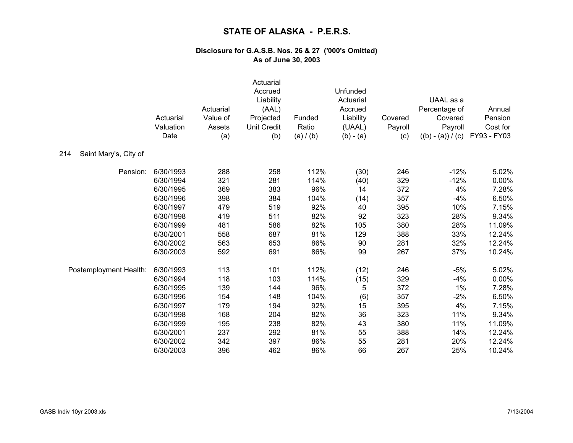|                              | Actuarial<br>Valuation<br>Date | Actuarial<br>Value of<br>Assets<br>(a) | Actuarial<br>Accrued<br>Liability<br>(AAL)<br>Projected<br><b>Unit Credit</b><br>(b) | Funded<br>Ratio<br>(a) / (b) | Unfunded<br>Actuarial<br>Accrued<br>Liability<br>(UAAL)<br>$(b) - (a)$ | Covered<br>Payroll<br>(c) | UAAL as a<br>Percentage of<br>Covered<br>Payroll<br>$((b) - (a)) / (c)$ | Annual<br>Pension<br>Cost for<br>FY93 - FY03 |
|------------------------------|--------------------------------|----------------------------------------|--------------------------------------------------------------------------------------|------------------------------|------------------------------------------------------------------------|---------------------------|-------------------------------------------------------------------------|----------------------------------------------|
| 214<br>Saint Mary's, City of |                                |                                        |                                                                                      |                              |                                                                        |                           |                                                                         |                                              |
| Pension:                     | 6/30/1993                      | 288                                    | 258                                                                                  | 112%                         | (30)                                                                   | 246                       | $-12%$                                                                  | 5.02%                                        |
|                              | 6/30/1994                      | 321                                    | 281                                                                                  | 114%                         | (40)                                                                   | 329                       | $-12%$                                                                  | 0.00%                                        |
|                              | 6/30/1995                      | 369                                    | 383                                                                                  | 96%                          | 14                                                                     | 372                       | 4%                                                                      | 7.28%                                        |
|                              | 6/30/1996                      | 398                                    | 384                                                                                  | 104%                         | (14)                                                                   | 357                       | $-4%$                                                                   | 6.50%                                        |
|                              | 6/30/1997                      | 479                                    | 519                                                                                  | 92%                          | 40                                                                     | 395                       | 10%                                                                     | 7.15%                                        |
|                              | 6/30/1998                      | 419                                    | 511                                                                                  | 82%                          | 92                                                                     | 323                       | 28%                                                                     | 9.34%                                        |
|                              | 6/30/1999                      | 481                                    | 586                                                                                  | 82%                          | 105                                                                    | 380                       | 28%                                                                     | 11.09%                                       |
|                              | 6/30/2001                      | 558                                    | 687                                                                                  | 81%                          | 129                                                                    | 388                       | 33%                                                                     | 12.24%                                       |
|                              | 6/30/2002                      | 563                                    | 653                                                                                  | 86%                          | 90                                                                     | 281                       | 32%                                                                     | 12.24%                                       |
|                              | 6/30/2003                      | 592                                    | 691                                                                                  | 86%                          | 99                                                                     | 267                       | 37%                                                                     | 10.24%                                       |
| Postemployment Health:       | 6/30/1993                      | 113                                    | 101                                                                                  | 112%                         | (12)                                                                   | 246                       | $-5%$                                                                   | 5.02%                                        |
|                              | 6/30/1994                      | 118                                    | 103                                                                                  | 114%                         | (15)                                                                   | 329                       | $-4%$                                                                   | 0.00%                                        |
|                              | 6/30/1995                      | 139                                    | 144                                                                                  | 96%                          | 5                                                                      | 372                       | $1\%$                                                                   | 7.28%                                        |
|                              | 6/30/1996                      | 154                                    | 148                                                                                  | 104%                         | (6)                                                                    | 357                       | $-2%$                                                                   | 6.50%                                        |
|                              | 6/30/1997                      | 179                                    | 194                                                                                  | 92%                          | 15                                                                     | 395                       | 4%                                                                      | 7.15%                                        |
|                              | 6/30/1998                      | 168                                    | 204                                                                                  | 82%                          | 36                                                                     | 323                       | 11%                                                                     | 9.34%                                        |
|                              | 6/30/1999                      | 195                                    | 238                                                                                  | 82%                          | 43                                                                     | 380                       | 11%                                                                     | 11.09%                                       |
|                              | 6/30/2001                      | 237                                    | 292                                                                                  | 81%                          | 55                                                                     | 388                       | 14%                                                                     | 12.24%                                       |
|                              | 6/30/2002                      | 342                                    | 397                                                                                  | 86%                          | 55                                                                     | 281                       | 20%                                                                     | 12.24%                                       |
|                              | 6/30/2003                      | 396                                    | 462                                                                                  | 86%                          | 66                                                                     | 267                       | 25%                                                                     | 10.24%                                       |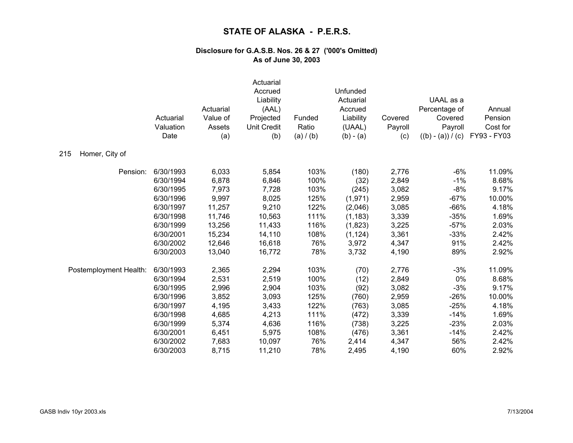|                        | Actuarial<br>Valuation<br>Date | Actuarial<br>Value of<br>Assets<br>(a) | Actuarial<br>Accrued<br>Liability<br>(AAL)<br>Projected<br>Unit Credit<br>(b) | Funded<br>Ratio<br>(a) / (b) | Unfunded<br>Actuarial<br>Accrued<br>Liability<br>(UAAL)<br>$(b) - (a)$ | Covered<br>Payroll<br>(c) | UAAL as a<br>Percentage of<br>Covered<br>Payroll<br>$((b) - (a)) / (c)$ | Annual<br>Pension<br>Cost for<br>FY93 - FY03 |
|------------------------|--------------------------------|----------------------------------------|-------------------------------------------------------------------------------|------------------------------|------------------------------------------------------------------------|---------------------------|-------------------------------------------------------------------------|----------------------------------------------|
| 215<br>Homer, City of  |                                |                                        |                                                                               |                              |                                                                        |                           |                                                                         |                                              |
| Pension:               | 6/30/1993                      | 6,033                                  | 5,854                                                                         | 103%                         | (180)                                                                  | 2,776                     | $-6%$                                                                   | 11.09%                                       |
|                        | 6/30/1994                      | 6,878                                  | 6,846                                                                         | 100%                         | (32)                                                                   | 2,849                     | $-1%$                                                                   | 8.68%                                        |
|                        | 6/30/1995                      | 7,973                                  | 7,728                                                                         | 103%                         | (245)                                                                  | 3,082                     | $-8%$                                                                   | 9.17%                                        |
|                        | 6/30/1996                      | 9,997                                  | 8,025                                                                         | 125%                         | (1,971)                                                                | 2,959                     | $-67%$                                                                  | 10.00%                                       |
|                        | 6/30/1997                      | 11,257                                 | 9,210                                                                         | 122%                         | (2,046)                                                                | 3,085                     | $-66%$                                                                  | 4.18%                                        |
|                        | 6/30/1998                      | 11,746                                 | 10,563                                                                        | 111%                         | (1, 183)                                                               | 3,339                     | $-35%$                                                                  | 1.69%                                        |
|                        | 6/30/1999                      | 13,256                                 | 11,433                                                                        | 116%                         | (1,823)                                                                | 3,225                     | $-57%$                                                                  | 2.03%                                        |
|                        | 6/30/2001                      | 15,234                                 | 14,110                                                                        | 108%                         | (1, 124)                                                               | 3,361                     | $-33%$                                                                  | 2.42%                                        |
|                        | 6/30/2002                      | 12,646                                 | 16,618                                                                        | 76%                          | 3,972                                                                  | 4,347                     | 91%                                                                     | 2.42%                                        |
|                        | 6/30/2003                      | 13,040                                 | 16,772                                                                        | 78%                          | 3,732                                                                  | 4,190                     | 89%                                                                     | 2.92%                                        |
| Postemployment Health: | 6/30/1993                      | 2,365                                  | 2,294                                                                         | 103%                         | (70)                                                                   | 2,776                     | $-3%$                                                                   | 11.09%                                       |
|                        | 6/30/1994                      | 2,531                                  | 2,519                                                                         | 100%                         | (12)                                                                   | 2,849                     | 0%                                                                      | 8.68%                                        |
|                        | 6/30/1995                      | 2,996                                  | 2,904                                                                         | 103%                         | (92)                                                                   | 3,082                     | $-3%$                                                                   | 9.17%                                        |
|                        | 6/30/1996                      | 3,852                                  | 3,093                                                                         | 125%                         | (760)                                                                  | 2,959                     | $-26%$                                                                  | 10.00%                                       |
|                        | 6/30/1997                      | 4,195                                  | 3,433                                                                         | 122%                         | (763)                                                                  | 3,085                     | $-25%$                                                                  | 4.18%                                        |
|                        | 6/30/1998                      | 4,685                                  | 4,213                                                                         | 111%                         | (472)                                                                  | 3,339                     | $-14%$                                                                  | 1.69%                                        |
|                        | 6/30/1999                      | 5,374                                  | 4,636                                                                         | 116%                         | (738)                                                                  | 3,225                     | $-23%$                                                                  | 2.03%                                        |
|                        | 6/30/2001                      | 6,451                                  | 5,975                                                                         | 108%                         | (476)                                                                  | 3,361                     | $-14%$                                                                  | 2.42%                                        |
|                        | 6/30/2002                      | 7,683                                  | 10,097                                                                        | 76%                          | 2,414                                                                  | 4,347                     | 56%                                                                     | 2.42%                                        |
|                        | 6/30/2003                      | 8,715                                  | 11,210                                                                        | 78%                          | 2,495                                                                  | 4,190                     | 60%                                                                     | 2.92%                                        |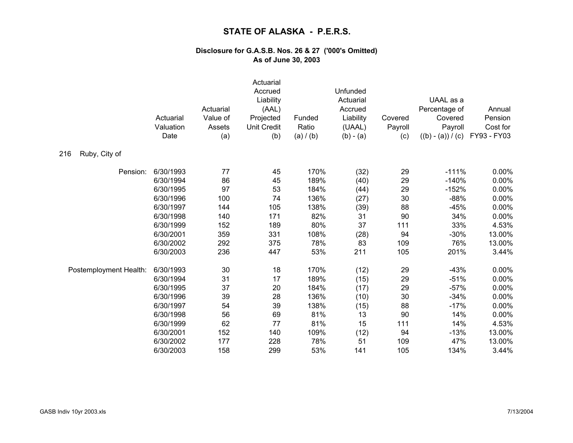|                        | Actuarial<br>Valuation<br>Date | Actuarial<br>Value of<br>Assets<br>(a) | Actuarial<br>Accrued<br>Liability<br>(AAL)<br>Projected<br><b>Unit Credit</b><br>(b) | Funded<br>Ratio<br>(a) / (b) | Unfunded<br>Actuarial<br>Accrued<br>Liability<br>(UAAL)<br>$(b) - (a)$ | Covered<br>Payroll<br>(c) | UAAL as a<br>Percentage of<br>Covered<br>Payroll<br>$((b) - (a)) / (c)$ | Annual<br>Pension<br>Cost for<br>FY93 - FY03 |
|------------------------|--------------------------------|----------------------------------------|--------------------------------------------------------------------------------------|------------------------------|------------------------------------------------------------------------|---------------------------|-------------------------------------------------------------------------|----------------------------------------------|
| Ruby, City of<br>216   |                                |                                        |                                                                                      |                              |                                                                        |                           |                                                                         |                                              |
| Pension:               | 6/30/1993                      | 77                                     | 45                                                                                   | 170%                         | (32)                                                                   | 29                        | $-111%$                                                                 | $0.00\%$                                     |
|                        | 6/30/1994                      | 86                                     | 45                                                                                   | 189%                         | (40)                                                                   | 29                        | $-140%$                                                                 | $0.00\%$                                     |
|                        | 6/30/1995                      | 97                                     | 53                                                                                   | 184%                         | (44)                                                                   | 29                        | $-152%$                                                                 | 0.00%                                        |
|                        | 6/30/1996                      | 100                                    | 74                                                                                   | 136%                         | (27)                                                                   | 30                        | $-88%$                                                                  | 0.00%                                        |
|                        | 6/30/1997                      | 144                                    | 105                                                                                  | 138%                         | (39)                                                                   | 88                        | $-45%$                                                                  | 0.00%                                        |
|                        | 6/30/1998                      | 140                                    | 171                                                                                  | 82%                          | 31                                                                     | 90                        | 34%                                                                     | 0.00%                                        |
|                        | 6/30/1999                      | 152                                    | 189                                                                                  | 80%                          | 37                                                                     | 111                       | 33%                                                                     | 4.53%                                        |
|                        | 6/30/2001                      | 359                                    | 331                                                                                  | 108%                         | (28)                                                                   | 94                        | $-30%$                                                                  | 13.00%                                       |
|                        | 6/30/2002                      | 292                                    | 375                                                                                  | 78%                          | 83                                                                     | 109                       | 76%                                                                     | 13.00%                                       |
|                        | 6/30/2003                      | 236                                    | 447                                                                                  | 53%                          | 211                                                                    | 105                       | 201%                                                                    | 3.44%                                        |
| Postemployment Health: | 6/30/1993                      | 30                                     | 18                                                                                   | 170%                         | (12)                                                                   | 29                        | $-43%$                                                                  | 0.00%                                        |
|                        | 6/30/1994                      | 31                                     | 17                                                                                   | 189%                         | (15)                                                                   | 29                        | $-51%$                                                                  | 0.00%                                        |
|                        | 6/30/1995                      | 37                                     | 20                                                                                   | 184%                         | (17)                                                                   | 29                        | $-57%$                                                                  | 0.00%                                        |
|                        | 6/30/1996                      | 39                                     | 28                                                                                   | 136%                         | (10)                                                                   | 30                        | $-34%$                                                                  | 0.00%                                        |
|                        | 6/30/1997                      | 54                                     | 39                                                                                   | 138%                         | (15)                                                                   | 88                        | $-17%$                                                                  | 0.00%                                        |
|                        | 6/30/1998                      | 56                                     | 69                                                                                   | 81%                          | 13                                                                     | 90                        | 14%                                                                     | 0.00%                                        |
|                        | 6/30/1999                      | 62                                     | 77                                                                                   | 81%                          | 15                                                                     | 111                       | 14%                                                                     | 4.53%                                        |
|                        | 6/30/2001                      | 152                                    | 140                                                                                  | 109%                         | (12)                                                                   | 94                        | $-13%$                                                                  | 13.00%                                       |
|                        | 6/30/2002                      | 177                                    | 228                                                                                  | 78%                          | 51                                                                     | 109                       | 47%                                                                     | 13.00%                                       |
|                        | 6/30/2003                      | 158                                    | 299                                                                                  | 53%                          | 141                                                                    | 105                       | 134%                                                                    | 3.44%                                        |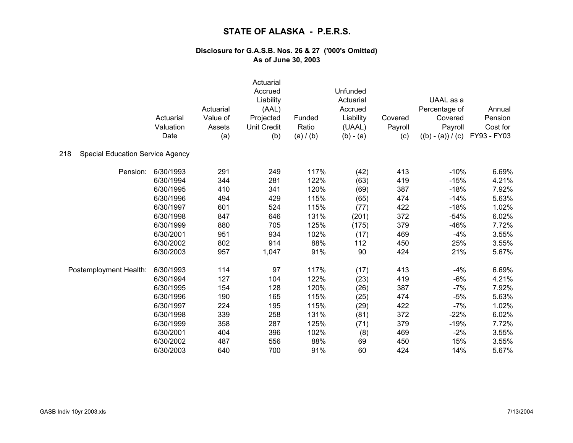|                                                |           |                       | Actuarial          |           |                      |                    |                          |                               |
|------------------------------------------------|-----------|-----------------------|--------------------|-----------|----------------------|--------------------|--------------------------|-------------------------------|
|                                                |           |                       | Accrued            |           | Unfunded             |                    |                          |                               |
|                                                |           |                       | Liability          |           | Actuarial            |                    | UAAL as a                |                               |
|                                                | Actuarial | Actuarial<br>Value of | (AAL)<br>Projected | Funded    | Accrued<br>Liability |                    | Percentage of<br>Covered | Annual<br>Pension<br>Cost for |
|                                                | Valuation | Assets                | <b>Unit Credit</b> | Ratio     | (UAAL)               | Covered<br>Payroll | Payroll                  |                               |
|                                                | Date      |                       | (b)                | (a) / (b) | $(b) - (a)$          | (c)                | $((b) - (a)) / (c)$      | FY93 - FY03                   |
|                                                |           | (a)                   |                    |           |                      |                    |                          |                               |
| <b>Special Education Service Agency</b><br>218 |           |                       |                    |           |                      |                    |                          |                               |
| Pension:                                       | 6/30/1993 | 291                   | 249                | 117%      | (42)                 | 413                | $-10%$                   | 6.69%                         |
|                                                | 6/30/1994 | 344                   | 281                | 122%      | (63)                 | 419                | $-15%$                   | 4.21%                         |
|                                                | 6/30/1995 | 410                   | 341                | 120%      | (69)                 | 387                | $-18%$                   | 7.92%                         |
|                                                | 6/30/1996 | 494                   | 429                | 115%      | (65)                 | 474                | $-14%$                   | 5.63%                         |
|                                                | 6/30/1997 | 601                   | 524                | 115%      | (77)                 | 422                | $-18%$                   | 1.02%                         |
|                                                | 6/30/1998 | 847                   | 646                | 131%      | (201)                | 372                | $-54%$                   | 6.02%                         |
|                                                | 6/30/1999 | 880                   | 705                | 125%      | (175)                | 379                | $-46%$                   | 7.72%                         |
|                                                | 6/30/2001 | 951                   | 934                | 102%      | (17)                 | 469                | $-4%$                    | 3.55%                         |
|                                                | 6/30/2002 | 802                   | 914                | 88%       | 112                  | 450                | 25%                      | 3.55%                         |
|                                                | 6/30/2003 | 957                   | 1,047              | 91%       | 90                   | 424                | 21%                      | 5.67%                         |
| Postemployment Health:                         | 6/30/1993 | 114                   | 97                 | 117%      | (17)                 | 413                | $-4%$                    | 6.69%                         |
|                                                | 6/30/1994 | 127                   | 104                | 122%      | (23)                 | 419                | $-6%$                    | 4.21%                         |
|                                                | 6/30/1995 | 154                   | 128                | 120%      | (26)                 | 387                | $-7%$                    | 7.92%                         |
|                                                | 6/30/1996 | 190                   | 165                | 115%      | (25)                 | 474                | $-5%$                    | 5.63%                         |
|                                                | 6/30/1997 | 224                   | 195                | 115%      | (29)                 | 422                | $-7%$                    | 1.02%                         |
|                                                | 6/30/1998 | 339                   | 258                | 131%      | (81)                 | 372                | $-22%$                   | 6.02%                         |
|                                                | 6/30/1999 | 358                   | 287                | 125%      | (71)                 | 379                | $-19%$                   | 7.72%                         |
|                                                | 6/30/2001 | 404                   | 396                | 102%      | (8)                  | 469                | $-2%$                    | 3.55%                         |
|                                                | 6/30/2002 | 487                   | 556                | 88%       | 69                   | 450                | 15%                      | 3.55%                         |
|                                                | 6/30/2003 | 640                   | 700                | 91%       | 60                   | 424                | 14%                      | 5.67%                         |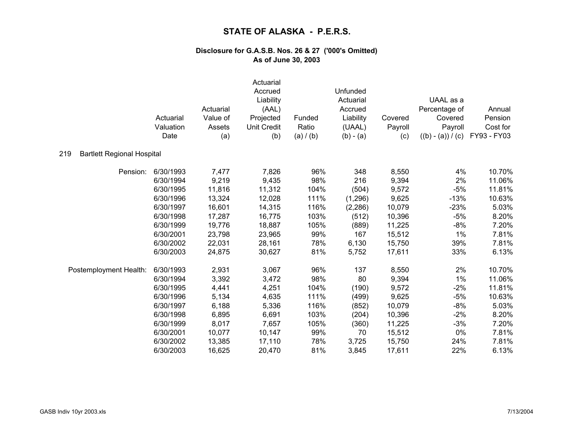|                                          | Actuarial<br>Valuation<br>Date | Actuarial<br>Value of<br>Assets<br>(a) | Actuarial<br>Accrued<br>Liability<br>(AAL)<br>Projected<br><b>Unit Credit</b><br>(b) | Funded<br>Ratio<br>(a) / (b) | Unfunded<br>Actuarial<br>Accrued<br>Liability<br>(UAAL)<br>$(b) - (a)$ | Covered<br>Payroll<br>(c) | UAAL as a<br>Percentage of<br>Covered<br>Payroll<br>$((b) - (a)) / (c)$ | Annual<br>Pension<br>Cost for<br>FY93 - FY03 |
|------------------------------------------|--------------------------------|----------------------------------------|--------------------------------------------------------------------------------------|------------------------------|------------------------------------------------------------------------|---------------------------|-------------------------------------------------------------------------|----------------------------------------------|
| <b>Bartlett Regional Hospital</b><br>219 |                                |                                        |                                                                                      |                              |                                                                        |                           |                                                                         |                                              |
| Pension:                                 | 6/30/1993                      | 7,477                                  | 7,826                                                                                | 96%                          | 348                                                                    | 8,550                     | 4%                                                                      | 10.70%                                       |
|                                          | 6/30/1994                      | 9,219                                  | 9,435                                                                                | 98%                          | 216                                                                    | 9,394                     | 2%                                                                      | 11.06%                                       |
|                                          | 6/30/1995                      | 11,816                                 | 11,312                                                                               | 104%                         | (504)                                                                  | 9,572                     | $-5%$                                                                   | 11.81%                                       |
|                                          | 6/30/1996                      | 13,324                                 | 12,028                                                                               | 111%                         | (1,296)                                                                | 9,625                     | $-13%$                                                                  | 10.63%                                       |
|                                          | 6/30/1997                      | 16,601                                 | 14,315                                                                               | 116%                         | (2, 286)                                                               | 10,079                    | $-23%$                                                                  | 5.03%                                        |
|                                          | 6/30/1998                      | 17,287                                 | 16,775                                                                               | 103%                         | (512)                                                                  | 10,396                    | $-5%$                                                                   | 8.20%                                        |
|                                          | 6/30/1999                      | 19,776                                 | 18,887                                                                               | 105%                         | (889)                                                                  | 11,225                    | $-8%$                                                                   | 7.20%                                        |
|                                          | 6/30/2001                      | 23,798                                 | 23,965                                                                               | 99%                          | 167                                                                    | 15,512                    | 1%                                                                      | 7.81%                                        |
|                                          | 6/30/2002                      | 22,031                                 | 28,161                                                                               | 78%                          | 6,130                                                                  | 15,750                    | 39%                                                                     | 7.81%                                        |
|                                          | 6/30/2003                      | 24,875                                 | 30,627                                                                               | 81%                          | 5,752                                                                  | 17,611                    | 33%                                                                     | 6.13%                                        |
| Postemployment Health:                   | 6/30/1993                      | 2,931                                  | 3,067                                                                                | 96%                          | 137                                                                    | 8,550                     | 2%                                                                      | 10.70%                                       |
|                                          | 6/30/1994                      | 3,392                                  | 3,472                                                                                | 98%                          | 80                                                                     | 9,394                     | 1%                                                                      | 11.06%                                       |
|                                          | 6/30/1995                      | 4,441                                  | 4,251                                                                                | 104%                         | (190)                                                                  | 9,572                     | $-2%$                                                                   | 11.81%                                       |
|                                          | 6/30/1996                      | 5,134                                  | 4,635                                                                                | 111%                         | (499)                                                                  | 9,625                     | $-5%$                                                                   | 10.63%                                       |
|                                          | 6/30/1997                      | 6,188                                  | 5,336                                                                                | 116%                         | (852)                                                                  | 10,079                    | $-8%$                                                                   | 5.03%                                        |
|                                          | 6/30/1998                      | 6,895                                  | 6,691                                                                                | 103%                         | (204)                                                                  | 10,396                    | $-2%$                                                                   | 8.20%                                        |
|                                          | 6/30/1999                      | 8,017                                  | 7,657                                                                                | 105%                         | (360)                                                                  | 11,225                    | $-3%$                                                                   | 7.20%                                        |
|                                          | 6/30/2001                      | 10,077                                 | 10,147                                                                               | 99%                          | 70                                                                     | 15,512                    | 0%                                                                      | 7.81%                                        |
|                                          | 6/30/2002                      | 13,385                                 | 17,110                                                                               | 78%                          | 3,725                                                                  | 15,750                    | 24%                                                                     | 7.81%                                        |
|                                          | 6/30/2003                      | 16,625                                 | 20,470                                                                               | 81%                          | 3,845                                                                  | 17,611                    | 22%                                                                     | 6.13%                                        |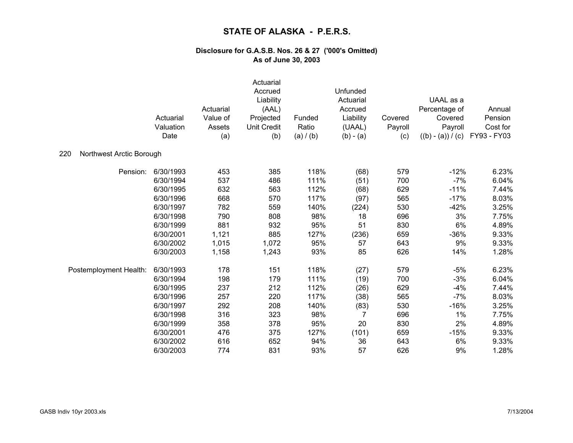|                                 | Actuarial<br>Valuation<br>Date | Actuarial<br>Value of<br>Assets<br>(a) | Actuarial<br>Accrued<br>Liability<br>(AAL)<br>Projected<br><b>Unit Credit</b><br>(b) | Funded<br>Ratio<br>(a) / (b) | Unfunded<br>Actuarial<br>Accrued<br>Liability<br>(UAAL)<br>$(b) - (a)$ | Covered<br>Payroll<br>(c) | UAAL as a<br>Percentage of<br>Covered<br>Payroll<br>$((b) - (a)) / (c)$ | Annual<br>Pension<br>Cost for<br>FY93 - FY03 |
|---------------------------------|--------------------------------|----------------------------------------|--------------------------------------------------------------------------------------|------------------------------|------------------------------------------------------------------------|---------------------------|-------------------------------------------------------------------------|----------------------------------------------|
| 220<br>Northwest Arctic Borough |                                |                                        |                                                                                      |                              |                                                                        |                           |                                                                         |                                              |
| Pension:                        | 6/30/1993                      | 453                                    | 385                                                                                  | 118%                         | (68)                                                                   | 579                       | $-12%$                                                                  | 6.23%                                        |
|                                 | 6/30/1994                      | 537                                    | 486                                                                                  | 111%                         | (51)                                                                   | 700                       | $-7%$                                                                   | 6.04%                                        |
|                                 | 6/30/1995                      | 632                                    | 563                                                                                  | 112%                         | (68)                                                                   | 629                       | $-11%$                                                                  | 7.44%                                        |
|                                 | 6/30/1996                      | 668                                    | 570                                                                                  | 117%                         | (97)                                                                   | 565                       | $-17%$                                                                  | 8.03%                                        |
|                                 | 6/30/1997                      | 782                                    | 559                                                                                  | 140%                         | (224)                                                                  | 530                       | $-42%$                                                                  | 3.25%                                        |
|                                 | 6/30/1998                      | 790                                    | 808                                                                                  | 98%                          | 18                                                                     | 696                       | 3%                                                                      | 7.75%                                        |
|                                 | 6/30/1999                      | 881                                    | 932                                                                                  | 95%                          | 51                                                                     | 830                       | 6%                                                                      | 4.89%                                        |
|                                 | 6/30/2001                      | 1,121                                  | 885                                                                                  | 127%                         | (236)                                                                  | 659                       | $-36%$                                                                  | 9.33%                                        |
|                                 | 6/30/2002                      | 1,015                                  | 1,072                                                                                | 95%                          | 57                                                                     | 643                       | 9%                                                                      | 9.33%                                        |
|                                 | 6/30/2003                      | 1,158                                  | 1,243                                                                                | 93%                          | 85                                                                     | 626                       | 14%                                                                     | 1.28%                                        |
| Postemployment Health:          | 6/30/1993                      | 178                                    | 151                                                                                  | 118%                         | (27)                                                                   | 579                       | $-5%$                                                                   | 6.23%                                        |
|                                 | 6/30/1994                      | 198                                    | 179                                                                                  | 111%                         | (19)                                                                   | 700                       | $-3%$                                                                   | 6.04%                                        |
|                                 | 6/30/1995                      | 237                                    | 212                                                                                  | 112%                         | (26)                                                                   | 629                       | $-4%$                                                                   | 7.44%                                        |
|                                 | 6/30/1996                      | 257                                    | 220                                                                                  | 117%                         | (38)                                                                   | 565                       | $-7%$                                                                   | 8.03%                                        |
|                                 | 6/30/1997                      | 292                                    | 208                                                                                  | 140%                         | (83)                                                                   | 530                       | $-16%$                                                                  | 3.25%                                        |
|                                 | 6/30/1998                      | 316                                    | 323                                                                                  | 98%                          | 7                                                                      | 696                       | 1%                                                                      | 7.75%                                        |
|                                 | 6/30/1999                      | 358                                    | 378                                                                                  | 95%                          | 20                                                                     | 830                       | 2%                                                                      | 4.89%                                        |
|                                 | 6/30/2001                      | 476                                    | 375                                                                                  | 127%                         | (101)                                                                  | 659                       | $-15%$                                                                  | 9.33%                                        |
|                                 | 6/30/2002                      | 616                                    | 652                                                                                  | 94%                          | 36                                                                     | 643                       | 6%                                                                      | 9.33%                                        |
|                                 | 6/30/2003                      | 774                                    | 831                                                                                  | 93%                          | 57                                                                     | 626                       | 9%                                                                      | 1.28%                                        |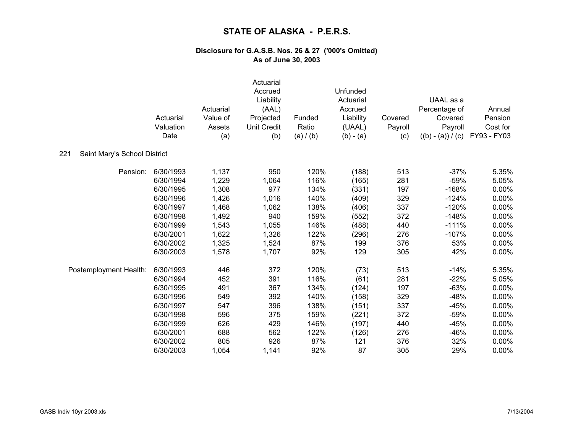|                                     | Actuarial<br>Valuation<br>Date | Actuarial<br>Value of<br>Assets<br>(a) | Actuarial<br>Accrued<br>Liability<br>(AAL)<br>Projected<br><b>Unit Credit</b><br>(b) | Funded<br>Ratio<br>(a) / (b) | Unfunded<br>Actuarial<br>Accrued<br>Liability<br>(UAAL)<br>$(b) - (a)$ | Covered<br>Payroll<br>(c) | UAAL as a<br>Percentage of<br>Covered<br>Payroll<br>$((b) - (a)) / (c)$ | Annual<br>Pension<br>Cost for<br>FY93 - FY03 |
|-------------------------------------|--------------------------------|----------------------------------------|--------------------------------------------------------------------------------------|------------------------------|------------------------------------------------------------------------|---------------------------|-------------------------------------------------------------------------|----------------------------------------------|
| 221<br>Saint Mary's School District |                                |                                        |                                                                                      |                              |                                                                        |                           |                                                                         |                                              |
| Pension:                            | 6/30/1993                      | 1,137                                  | 950                                                                                  | 120%                         | (188)                                                                  | 513                       | $-37%$                                                                  | 5.35%                                        |
|                                     | 6/30/1994                      | 1,229                                  | 1,064                                                                                | 116%                         | (165)                                                                  | 281                       | $-59%$                                                                  | 5.05%                                        |
|                                     | 6/30/1995                      | 1,308                                  | 977                                                                                  | 134%                         | (331)                                                                  | 197                       | $-168%$                                                                 | 0.00%                                        |
|                                     | 6/30/1996                      | 1,426                                  | 1,016                                                                                | 140%                         | (409)                                                                  | 329                       | $-124%$                                                                 | 0.00%                                        |
|                                     | 6/30/1997                      | 1,468                                  | 1,062                                                                                | 138%                         | (406)                                                                  | 337                       | $-120%$                                                                 | 0.00%                                        |
|                                     | 6/30/1998                      | 1,492                                  | 940                                                                                  | 159%                         | (552)                                                                  | 372                       | $-148%$                                                                 | 0.00%                                        |
|                                     | 6/30/1999                      | 1,543                                  | 1,055                                                                                | 146%                         | (488)                                                                  | 440                       | $-111%$                                                                 | 0.00%                                        |
|                                     | 6/30/2001                      | 1,622                                  | 1,326                                                                                | 122%                         | (296)                                                                  | 276                       | $-107%$                                                                 | 0.00%                                        |
|                                     | 6/30/2002                      | 1,325                                  | 1,524                                                                                | 87%                          | 199                                                                    | 376                       | 53%                                                                     | 0.00%                                        |
|                                     | 6/30/2003                      | 1,578                                  | 1,707                                                                                | 92%                          | 129                                                                    | 305                       | 42%                                                                     | 0.00%                                        |
| Postemployment Health:              | 6/30/1993                      | 446                                    | 372                                                                                  | 120%                         | (73)                                                                   | 513                       | $-14%$                                                                  | 5.35%                                        |
|                                     | 6/30/1994                      | 452                                    | 391                                                                                  | 116%                         | (61)                                                                   | 281                       | $-22%$                                                                  | 5.05%                                        |
|                                     | 6/30/1995                      | 491                                    | 367                                                                                  | 134%                         | (124)                                                                  | 197                       | $-63%$                                                                  | 0.00%                                        |
|                                     | 6/30/1996                      | 549                                    | 392                                                                                  | 140%                         | (158)                                                                  | 329                       | $-48%$                                                                  | 0.00%                                        |
|                                     | 6/30/1997                      | 547                                    | 396                                                                                  | 138%                         | (151)                                                                  | 337                       | $-45%$                                                                  | 0.00%                                        |
|                                     | 6/30/1998                      | 596                                    | 375                                                                                  | 159%                         | (221)                                                                  | 372                       | $-59%$                                                                  | 0.00%                                        |
|                                     | 6/30/1999                      | 626                                    | 429                                                                                  | 146%                         | (197)                                                                  | 440                       | $-45%$                                                                  | 0.00%                                        |
|                                     | 6/30/2001                      | 688                                    | 562                                                                                  | 122%                         | (126)                                                                  | 276                       | $-46%$                                                                  | 0.00%                                        |
|                                     | 6/30/2002                      | 805                                    | 926                                                                                  | 87%                          | 121                                                                    | 376                       | 32%                                                                     | 0.00%                                        |
|                                     | 6/30/2003                      | 1,054                                  | 1,141                                                                                | 92%                          | 87                                                                     | 305                       | 29%                                                                     | 0.00%                                        |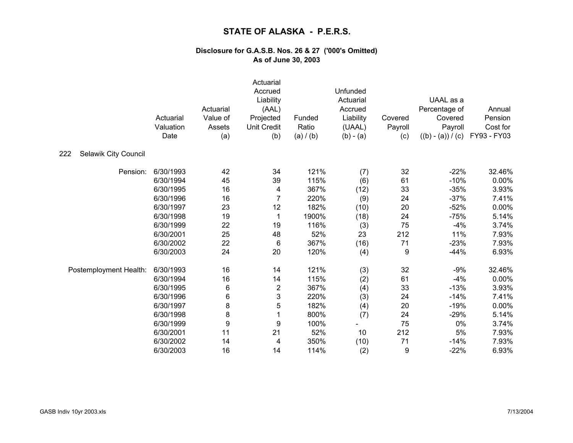|                             | Actuarial<br>Valuation<br>Date | Actuarial<br>Value of<br>Assets<br>(a) | Actuarial<br>Accrued<br>Liability<br>(AAL)<br>Projected<br><b>Unit Credit</b><br>(b) | Funded<br>Ratio<br>(a) / (b) | Unfunded<br>Actuarial<br>Accrued<br>Liability<br>(UAAL)<br>$(b) - (a)$ | Covered<br>Payroll<br>(c) | UAAL as a<br>Percentage of<br>Covered<br>Payroll<br>$((b) - (a)) / (c)$ | Annual<br>Pension<br>Cost for<br>FY93 - FY03 |
|-----------------------------|--------------------------------|----------------------------------------|--------------------------------------------------------------------------------------|------------------------------|------------------------------------------------------------------------|---------------------------|-------------------------------------------------------------------------|----------------------------------------------|
| Selawik City Council<br>222 |                                |                                        |                                                                                      |                              |                                                                        |                           |                                                                         |                                              |
| Pension:                    | 6/30/1993                      | 42                                     | 34                                                                                   | 121%                         | (7)                                                                    | 32                        | $-22%$                                                                  | 32.46%                                       |
|                             | 6/30/1994                      | 45                                     | 39                                                                                   | 115%                         | (6)                                                                    | 61                        | $-10%$                                                                  | 0.00%                                        |
|                             | 6/30/1995                      | 16                                     | 4                                                                                    | 367%                         | (12)                                                                   | 33                        | $-35%$                                                                  | 3.93%                                        |
|                             | 6/30/1996                      | 16                                     | $\overline{7}$                                                                       | 220%                         | (9)                                                                    | 24                        | $-37%$                                                                  | 7.41%                                        |
|                             | 6/30/1997                      | 23                                     | 12                                                                                   | 182%                         | (10)                                                                   | 20                        | $-52%$                                                                  | 0.00%                                        |
|                             | 6/30/1998                      | 19                                     | 1                                                                                    | 1900%                        | (18)                                                                   | 24                        | $-75%$                                                                  | 5.14%                                        |
|                             | 6/30/1999                      | 22                                     | 19                                                                                   | 116%                         | (3)                                                                    | 75                        | $-4%$                                                                   | 3.74%                                        |
|                             | 6/30/2001                      | 25                                     | 48                                                                                   | 52%                          | 23                                                                     | 212                       | 11%                                                                     | 7.93%                                        |
|                             | 6/30/2002                      | 22                                     | $\,6$                                                                                | 367%                         | (16)                                                                   | 71                        | $-23%$                                                                  | 7.93%                                        |
|                             | 6/30/2003                      | 24                                     | 20                                                                                   | 120%                         | (4)                                                                    | 9                         | $-44%$                                                                  | 6.93%                                        |
| Postemployment Health:      | 6/30/1993                      | 16                                     | 14                                                                                   | 121%                         | (3)                                                                    | 32                        | $-9%$                                                                   | 32.46%                                       |
|                             | 6/30/1994                      | 16                                     | 14                                                                                   | 115%                         | (2)                                                                    | 61                        | $-4%$                                                                   | 0.00%                                        |
|                             | 6/30/1995                      | $\,6$                                  | $\overline{c}$                                                                       | 367%                         | (4)                                                                    | 33                        | $-13%$                                                                  | 3.93%                                        |
|                             | 6/30/1996                      | 6                                      | 3                                                                                    | 220%                         | (3)                                                                    | 24                        | $-14%$                                                                  | 7.41%                                        |
|                             | 6/30/1997                      | 8                                      | 5                                                                                    | 182%                         | (4)                                                                    | 20                        | $-19%$                                                                  | 0.00%                                        |
|                             | 6/30/1998                      | $\bf 8$                                | $\mathbf{1}$                                                                         | 800%                         | (7)                                                                    | 24                        | $-29%$                                                                  | 5.14%                                        |
|                             | 6/30/1999                      | 9                                      | 9                                                                                    | 100%                         |                                                                        | 75                        | 0%                                                                      | 3.74%                                        |
|                             | 6/30/2001                      | 11                                     | 21                                                                                   | 52%                          | 10                                                                     | 212                       | 5%                                                                      | 7.93%                                        |
|                             | 6/30/2002                      | 14                                     | 4                                                                                    | 350%                         | (10)                                                                   | 71                        | $-14%$                                                                  | 7.93%                                        |
|                             | 6/30/2003                      | 16                                     | 14                                                                                   | 114%                         | (2)                                                                    | 9                         | $-22%$                                                                  | 6.93%                                        |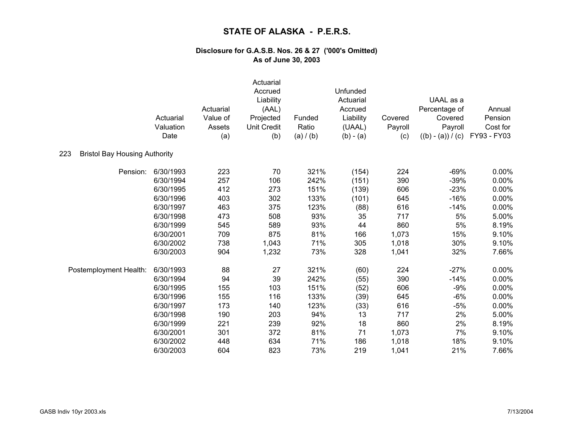|                                             | Actuarial<br>Valuation<br>Date | Actuarial<br>Value of<br>Assets<br>(a) | Actuarial<br>Accrued<br>Liability<br>(AAL)<br>Projected<br><b>Unit Credit</b><br>(b) | Funded<br>Ratio<br>(a) / (b) | Unfunded<br>Actuarial<br>Accrued<br>Liability<br>(UAAL)<br>$(b) - (a)$ | Covered<br>Payroll<br>(c) | UAAL as a<br>Percentage of<br>Covered<br>Payroll<br>$((b) - (a)) / (c)$ | Annual<br>Pension<br>Cost for<br>FY93 - FY03 |
|---------------------------------------------|--------------------------------|----------------------------------------|--------------------------------------------------------------------------------------|------------------------------|------------------------------------------------------------------------|---------------------------|-------------------------------------------------------------------------|----------------------------------------------|
| 223<br><b>Bristol Bay Housing Authority</b> |                                |                                        |                                                                                      |                              |                                                                        |                           |                                                                         |                                              |
| Pension:                                    | 6/30/1993                      | 223                                    | 70                                                                                   | 321%                         | (154)                                                                  | 224                       | $-69%$                                                                  | 0.00%                                        |
|                                             | 6/30/1994                      | 257                                    | 106                                                                                  | 242%                         | (151)                                                                  | 390                       | $-39%$                                                                  | 0.00%                                        |
|                                             | 6/30/1995                      | 412                                    | 273                                                                                  | 151%                         | (139)                                                                  | 606                       | $-23%$                                                                  | 0.00%                                        |
|                                             | 6/30/1996                      | 403                                    | 302                                                                                  | 133%                         | (101)                                                                  | 645                       | $-16%$                                                                  | 0.00%                                        |
|                                             | 6/30/1997                      | 463                                    | 375                                                                                  | 123%                         | (88)                                                                   | 616                       | $-14%$                                                                  | 0.00%                                        |
|                                             | 6/30/1998                      | 473                                    | 508                                                                                  | 93%                          | 35                                                                     | 717                       | 5%                                                                      | 5.00%                                        |
|                                             | 6/30/1999                      | 545                                    | 589                                                                                  | 93%                          | 44                                                                     | 860                       | 5%                                                                      | 8.19%                                        |
|                                             | 6/30/2001                      | 709                                    | 875                                                                                  | 81%                          | 166                                                                    | 1,073                     | 15%                                                                     | 9.10%                                        |
|                                             | 6/30/2002                      | 738                                    | 1,043                                                                                | 71%                          | 305                                                                    | 1,018                     | 30%                                                                     | 9.10%                                        |
|                                             | 6/30/2003                      | 904                                    | 1,232                                                                                | 73%                          | 328                                                                    | 1,041                     | 32%                                                                     | 7.66%                                        |
| Postemployment Health:                      | 6/30/1993                      | 88                                     | 27                                                                                   | 321%                         | (60)                                                                   | 224                       | $-27%$                                                                  | $0.00\%$                                     |
|                                             | 6/30/1994                      | 94                                     | 39                                                                                   | 242%                         | (55)                                                                   | 390                       | $-14%$                                                                  | 0.00%                                        |
|                                             | 6/30/1995                      | 155                                    | 103                                                                                  | 151%                         | (52)                                                                   | 606                       | $-9%$                                                                   | 0.00%                                        |
|                                             | 6/30/1996                      | 155                                    | 116                                                                                  | 133%                         | (39)                                                                   | 645                       | $-6%$                                                                   | 0.00%                                        |
|                                             | 6/30/1997                      | 173                                    | 140                                                                                  | 123%                         | (33)                                                                   | 616                       | $-5%$                                                                   | $0.00\%$                                     |
|                                             | 6/30/1998                      | 190                                    | 203                                                                                  | 94%                          | 13                                                                     | 717                       | 2%                                                                      | 5.00%                                        |
|                                             | 6/30/1999                      | 221                                    | 239                                                                                  | 92%                          | 18                                                                     | 860                       | 2%                                                                      | 8.19%                                        |
|                                             | 6/30/2001                      | 301                                    | 372                                                                                  | 81%                          | 71                                                                     | 1,073                     | 7%                                                                      | 9.10%                                        |
|                                             | 6/30/2002                      | 448                                    | 634                                                                                  | 71%                          | 186                                                                    | 1,018                     | 18%                                                                     | 9.10%                                        |
|                                             | 6/30/2003                      | 604                                    | 823                                                                                  | 73%                          | 219                                                                    | 1,041                     | 21%                                                                     | 7.66%                                        |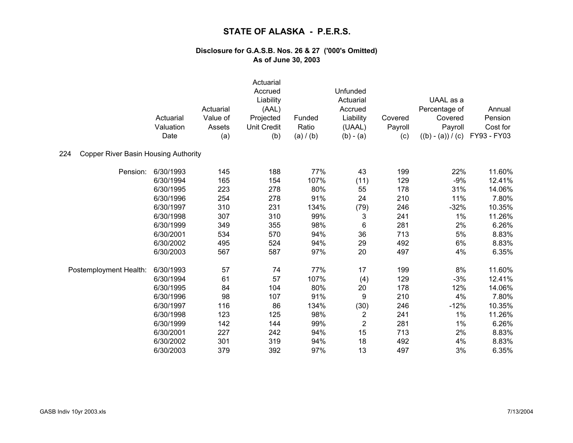|                                                    | Actuarial<br>Valuation<br>Date | Actuarial<br>Value of<br>Assets<br>(a) | Actuarial<br>Accrued<br>Liability<br>(AAL)<br>Projected<br><b>Unit Credit</b><br>(b) | Funded<br>Ratio<br>(a) / (b) | Unfunded<br>Actuarial<br>Accrued<br>Liability<br>(UAAL)<br>$(b) - (a)$ | Covered<br>Payroll<br>(c) | UAAL as a<br>Percentage of<br>Covered<br>Payroll<br>$((b) - (a)) / (c)$ | Annual<br>Pension<br>Cost for<br>FY93 - FY03 |
|----------------------------------------------------|--------------------------------|----------------------------------------|--------------------------------------------------------------------------------------|------------------------------|------------------------------------------------------------------------|---------------------------|-------------------------------------------------------------------------|----------------------------------------------|
| <b>Copper River Basin Housing Authority</b><br>224 |                                |                                        |                                                                                      |                              |                                                                        |                           |                                                                         |                                              |
| Pension:                                           | 6/30/1993                      | 145                                    | 188                                                                                  | 77%                          | 43                                                                     | 199                       | 22%                                                                     | 11.60%                                       |
|                                                    | 6/30/1994                      | 165                                    | 154                                                                                  | 107%                         | (11)                                                                   | 129                       | $-9%$                                                                   | 12.41%                                       |
|                                                    | 6/30/1995                      | 223                                    | 278                                                                                  | 80%                          | 55                                                                     | 178                       | 31%                                                                     | 14.06%                                       |
|                                                    | 6/30/1996                      | 254                                    | 278                                                                                  | 91%                          | 24                                                                     | 210                       | 11%                                                                     | 7.80%                                        |
|                                                    | 6/30/1997                      | 310                                    | 231                                                                                  | 134%                         | (79)                                                                   | 246                       | $-32%$                                                                  | 10.35%                                       |
|                                                    | 6/30/1998                      | 307                                    | 310                                                                                  | 99%                          | 3                                                                      | 241                       | 1%                                                                      | 11.26%                                       |
|                                                    | 6/30/1999                      | 349                                    | 355                                                                                  | 98%                          | 6                                                                      | 281                       | 2%                                                                      | 6.26%                                        |
|                                                    | 6/30/2001                      | 534                                    | 570                                                                                  | 94%                          | 36                                                                     | 713                       | 5%                                                                      | 8.83%                                        |
|                                                    | 6/30/2002                      | 495                                    | 524                                                                                  | 94%                          | 29                                                                     | 492                       | 6%                                                                      | 8.83%                                        |
|                                                    | 6/30/2003                      | 567                                    | 587                                                                                  | 97%                          | 20                                                                     | 497                       | 4%                                                                      | 6.35%                                        |
| Postemployment Health:                             | 6/30/1993                      | 57                                     | 74                                                                                   | 77%                          | 17                                                                     | 199                       | 8%                                                                      | 11.60%                                       |
|                                                    | 6/30/1994                      | 61                                     | 57                                                                                   | 107%                         | (4)                                                                    | 129                       | $-3%$                                                                   | 12.41%                                       |
|                                                    | 6/30/1995                      | 84                                     | 104                                                                                  | 80%                          | 20                                                                     | 178                       | 12%                                                                     | 14.06%                                       |
|                                                    | 6/30/1996                      | 98                                     | 107                                                                                  | 91%                          | 9                                                                      | 210                       | 4%                                                                      | 7.80%                                        |
|                                                    | 6/30/1997                      | 116                                    | 86                                                                                   | 134%                         | (30)                                                                   | 246                       | $-12%$                                                                  | 10.35%                                       |
|                                                    | 6/30/1998                      | 123                                    | 125                                                                                  | 98%                          | $\overline{\mathbf{c}}$                                                | 241                       | 1%                                                                      | 11.26%                                       |
|                                                    | 6/30/1999                      | 142                                    | 144                                                                                  | 99%                          | $\overline{2}$                                                         | 281                       | 1%                                                                      | 6.26%                                        |
|                                                    | 6/30/2001                      | 227                                    | 242                                                                                  | 94%                          | 15                                                                     | 713                       | 2%                                                                      | 8.83%                                        |
|                                                    | 6/30/2002                      | 301                                    | 319                                                                                  | 94%                          | 18                                                                     | 492                       | 4%                                                                      | 8.83%                                        |
|                                                    | 6/30/2003                      | 379                                    | 392                                                                                  | 97%                          | 13                                                                     | 497                       | 3%                                                                      | 6.35%                                        |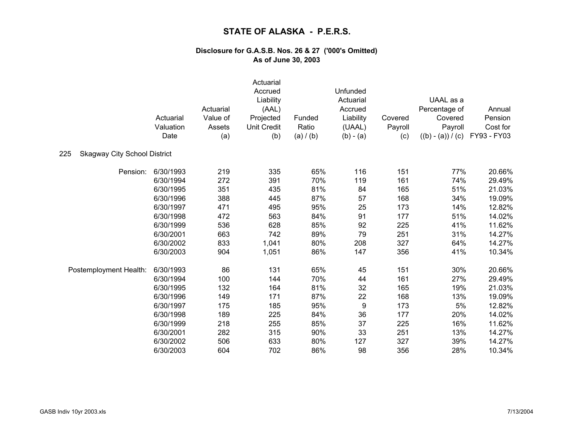|                                            | Actuarial | Actuarial<br>Value of | Actuarial<br>Accrued<br>Liability<br>(AAL)<br>Projected | Funded    | Unfunded<br>Actuarial<br>Accrued<br>Liability | Covered | UAAL as a<br>Percentage of<br>Covered | Annual<br>Pension |
|--------------------------------------------|-----------|-----------------------|---------------------------------------------------------|-----------|-----------------------------------------------|---------|---------------------------------------|-------------------|
|                                            | Valuation | Assets                | <b>Unit Credit</b>                                      | Ratio     | (UAAL)                                        | Payroll | Payroll                               | Cost for          |
|                                            | Date      | (a)                   | (b)                                                     | (a) / (b) | $(b) - (a)$                                   | (c)     | $((b) - (a)) / (c)$                   | FY93 - FY03       |
| 225<br><b>Skagway City School District</b> |           |                       |                                                         |           |                                               |         |                                       |                   |
| Pension:                                   | 6/30/1993 | 219                   | 335                                                     | 65%       | 116                                           | 151     | 77%                                   | 20.66%            |
|                                            | 6/30/1994 | 272                   | 391                                                     | 70%       | 119                                           | 161     | 74%                                   | 29.49%            |
|                                            | 6/30/1995 | 351                   | 435                                                     | 81%       | 84                                            | 165     | 51%                                   | 21.03%            |
|                                            | 6/30/1996 | 388                   | 445                                                     | 87%       | 57                                            | 168     | 34%                                   | 19.09%            |
|                                            | 6/30/1997 | 471                   | 495                                                     | 95%       | 25                                            | 173     | 14%                                   | 12.82%            |
|                                            | 6/30/1998 | 472                   | 563                                                     | 84%       | 91                                            | 177     | 51%                                   | 14.02%            |
|                                            | 6/30/1999 | 536                   | 628                                                     | 85%       | 92                                            | 225     | 41%                                   | 11.62%            |
|                                            | 6/30/2001 | 663                   | 742                                                     | 89%       | 79                                            | 251     | 31%                                   | 14.27%            |
|                                            | 6/30/2002 | 833                   | 1,041                                                   | 80%       | 208                                           | 327     | 64%                                   | 14.27%            |
|                                            | 6/30/2003 | 904                   | 1,051                                                   | 86%       | 147                                           | 356     | 41%                                   | 10.34%            |
| Postemployment Health:                     | 6/30/1993 | 86                    | 131                                                     | 65%       | 45                                            | 151     | 30%                                   | 20.66%            |
|                                            | 6/30/1994 | 100                   | 144                                                     | 70%       | 44                                            | 161     | 27%                                   | 29.49%            |
|                                            | 6/30/1995 | 132                   | 164                                                     | 81%       | 32                                            | 165     | 19%                                   | 21.03%            |
|                                            | 6/30/1996 | 149                   | 171                                                     | 87%       | 22                                            | 168     | 13%                                   | 19.09%            |
|                                            | 6/30/1997 | 175                   | 185                                                     | 95%       | $\boldsymbol{9}$                              | 173     | 5%                                    | 12.82%            |
|                                            | 6/30/1998 | 189                   | 225                                                     | 84%       | 36                                            | 177     | 20%                                   | 14.02%            |
|                                            | 6/30/1999 | 218                   | 255                                                     | 85%       | 37                                            | 225     | 16%                                   | 11.62%            |
|                                            | 6/30/2001 | 282                   | 315                                                     | 90%       | 33                                            | 251     | 13%                                   | 14.27%            |
|                                            | 6/30/2002 | 506                   | 633                                                     | 80%       | 127                                           | 327     | 39%                                   | 14.27%            |
|                                            | 6/30/2003 | 604                   | 702                                                     | 86%       | 98                                            | 356     | 28%                                   | 10.34%            |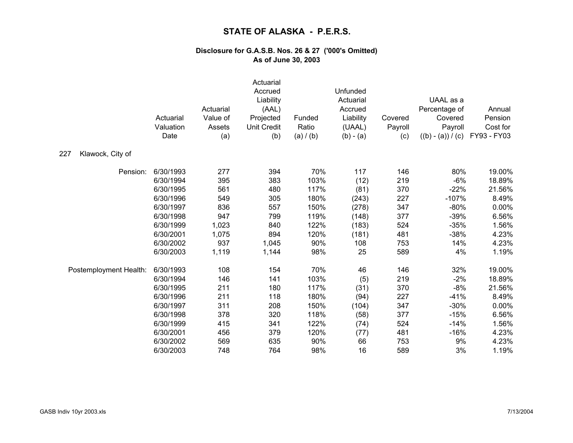|                         | Actuarial<br>Valuation<br>Date | Actuarial<br>Value of<br>Assets<br>(a) | Actuarial<br>Accrued<br>Liability<br>(AAL)<br>Projected<br><b>Unit Credit</b><br>(b) | Funded<br>Ratio<br>(a) / (b) | Unfunded<br>Actuarial<br>Accrued<br>Liability<br>(UAAL)<br>$(b) - (a)$ | Covered<br>Payroll<br>(c) | UAAL as a<br>Percentage of<br>Covered<br>Payroll<br>$((b) - (a)) / (c)$ | Annual<br>Pension<br>Cost for<br>FY93 - FY03 |
|-------------------------|--------------------------------|----------------------------------------|--------------------------------------------------------------------------------------|------------------------------|------------------------------------------------------------------------|---------------------------|-------------------------------------------------------------------------|----------------------------------------------|
| Klawock, City of<br>227 |                                |                                        |                                                                                      |                              |                                                                        |                           |                                                                         |                                              |
| Pension:                | 6/30/1993                      | 277                                    | 394                                                                                  | 70%                          | 117                                                                    | 146                       | 80%                                                                     | 19.00%                                       |
|                         | 6/30/1994                      | 395                                    | 383                                                                                  | 103%                         | (12)                                                                   | 219                       | $-6%$                                                                   | 18.89%                                       |
|                         | 6/30/1995                      | 561                                    | 480                                                                                  | 117%                         | (81)                                                                   | 370                       | $-22%$                                                                  | 21.56%                                       |
|                         | 6/30/1996                      | 549                                    | 305                                                                                  | 180%                         | (243)                                                                  | 227                       | $-107%$                                                                 | 8.49%                                        |
|                         | 6/30/1997                      | 836                                    | 557                                                                                  | 150%                         | (278)                                                                  | 347                       | $-80%$                                                                  | 0.00%                                        |
|                         | 6/30/1998                      | 947                                    | 799                                                                                  | 119%                         | (148)                                                                  | 377                       | $-39%$                                                                  | 6.56%                                        |
|                         | 6/30/1999                      | 1,023                                  | 840                                                                                  | 122%                         | (183)                                                                  | 524                       | $-35%$                                                                  | 1.56%                                        |
|                         | 6/30/2001                      | 1,075                                  | 894                                                                                  | 120%                         | (181)                                                                  | 481                       | $-38%$                                                                  | 4.23%                                        |
|                         | 6/30/2002                      | 937                                    | 1,045                                                                                | 90%                          | 108                                                                    | 753                       | 14%                                                                     | 4.23%                                        |
|                         | 6/30/2003                      | 1,119                                  | 1,144                                                                                | 98%                          | 25                                                                     | 589                       | 4%                                                                      | 1.19%                                        |
| Postemployment Health:  | 6/30/1993                      | 108                                    | 154                                                                                  | 70%                          | 46                                                                     | 146                       | 32%                                                                     | 19.00%                                       |
|                         | 6/30/1994                      | 146                                    | 141                                                                                  | 103%                         | (5)                                                                    | 219                       | $-2%$                                                                   | 18.89%                                       |
|                         | 6/30/1995                      | 211                                    | 180                                                                                  | 117%                         | (31)                                                                   | 370                       | $-8%$                                                                   | 21.56%                                       |
|                         | 6/30/1996                      | 211                                    | 118                                                                                  | 180%                         | (94)                                                                   | 227                       | $-41%$                                                                  | 8.49%                                        |
|                         | 6/30/1997                      | 311                                    | 208                                                                                  | 150%                         | (104)                                                                  | 347                       | $-30%$                                                                  | 0.00%                                        |
|                         | 6/30/1998                      | 378                                    | 320                                                                                  | 118%                         | (58)                                                                   | 377                       | $-15%$                                                                  | 6.56%                                        |
|                         | 6/30/1999                      | 415                                    | 341                                                                                  | 122%                         | (74)                                                                   | 524                       | $-14%$                                                                  | 1.56%                                        |
|                         | 6/30/2001                      | 456                                    | 379                                                                                  | 120%                         | (77)                                                                   | 481                       | $-16%$                                                                  | 4.23%                                        |
|                         | 6/30/2002                      | 569                                    | 635                                                                                  | 90%                          | 66                                                                     | 753                       | 9%                                                                      | 4.23%                                        |
|                         | 6/30/2003                      | 748                                    | 764                                                                                  | 98%                          | 16                                                                     | 589                       | 3%                                                                      | 1.19%                                        |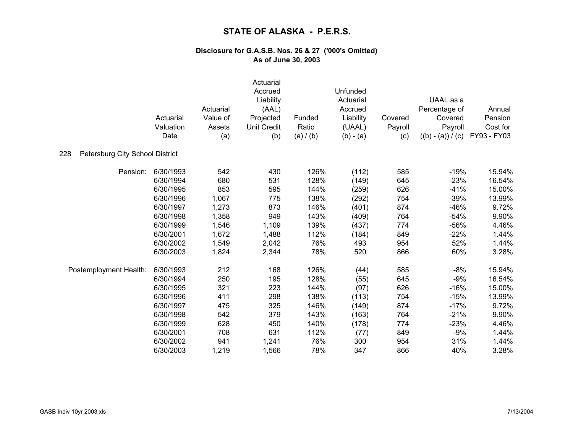|                                        | Actuarial<br>Valuation<br>Date | Actuarial<br>Value of<br>Assets<br>(a) | Actuarial<br>Accrued<br>Liability<br>(AAL)<br>Projected<br><b>Unit Credit</b><br>(b) | Funded<br>Ratio<br>(a) / (b) | Unfunded<br>Actuarial<br>Accrued<br>Liability<br>(UAAL)<br>$(b) - (a)$ | Covered<br>Payroll<br>(c) | UAAL as a<br>Percentage of<br>Covered<br>Payroll<br>$((b) - (a)) / (c)$ | Annual<br>Pension<br>Cost for<br>FY93 - FY03 |
|----------------------------------------|--------------------------------|----------------------------------------|--------------------------------------------------------------------------------------|------------------------------|------------------------------------------------------------------------|---------------------------|-------------------------------------------------------------------------|----------------------------------------------|
| Petersburg City School District<br>228 |                                |                                        |                                                                                      |                              |                                                                        |                           |                                                                         |                                              |
| Pension:                               | 6/30/1993                      | 542                                    | 430                                                                                  | 126%                         | (112)                                                                  | 585                       | $-19%$                                                                  | 15.94%                                       |
|                                        | 6/30/1994                      | 680                                    | 531                                                                                  | 128%                         | (149)                                                                  | 645                       | $-23%$                                                                  | 16.54%                                       |
|                                        | 6/30/1995                      | 853                                    | 595                                                                                  | 144%                         | (259)                                                                  | 626                       | $-41%$                                                                  | 15.00%                                       |
|                                        | 6/30/1996                      | 1,067                                  | 775                                                                                  | 138%                         | (292)                                                                  | 754                       | $-39%$                                                                  | 13.99%                                       |
|                                        | 6/30/1997                      | 1,273                                  | 873                                                                                  | 146%                         | (401)                                                                  | 874                       | $-46%$                                                                  | 9.72%                                        |
|                                        | 6/30/1998                      | 1,358                                  | 949                                                                                  | 143%                         | (409)                                                                  | 764                       | $-54%$                                                                  | 9.90%                                        |
|                                        | 6/30/1999                      | 1,546                                  | 1,109                                                                                | 139%                         | (437)                                                                  | 774                       | $-56%$                                                                  | 4.46%                                        |
|                                        | 6/30/2001                      | 1,672                                  | 1,488                                                                                | 112%                         | (184)                                                                  | 849                       | $-22%$                                                                  | 1.44%                                        |
|                                        | 6/30/2002                      | 1,549                                  | 2,042                                                                                | 76%                          | 493                                                                    | 954                       | 52%                                                                     | 1.44%                                        |
|                                        | 6/30/2003                      | 1,824                                  | 2,344                                                                                | 78%                          | 520                                                                    | 866                       | 60%                                                                     | 3.28%                                        |
| Postemployment Health:                 | 6/30/1993                      | 212                                    | 168                                                                                  | 126%                         | (44)                                                                   | 585                       | $-8%$                                                                   | 15.94%                                       |
|                                        | 6/30/1994                      | 250                                    | 195                                                                                  | 128%                         | (55)                                                                   | 645                       | $-9%$                                                                   | 16.54%                                       |
|                                        | 6/30/1995                      | 321                                    | 223                                                                                  | 144%                         | (97)                                                                   | 626                       | $-16%$                                                                  | 15.00%                                       |
|                                        | 6/30/1996                      | 411                                    | 298                                                                                  | 138%                         | (113)                                                                  | 754                       | $-15%$                                                                  | 13.99%                                       |
|                                        | 6/30/1997                      | 475                                    | 325                                                                                  | 146%                         | (149)                                                                  | 874                       | $-17%$                                                                  | 9.72%                                        |
|                                        | 6/30/1998                      | 542                                    | 379                                                                                  | 143%                         | (163)                                                                  | 764                       | $-21%$                                                                  | 9.90%                                        |
|                                        | 6/30/1999                      | 628                                    | 450                                                                                  | 140%                         | (178)                                                                  | 774                       | $-23%$                                                                  | 4.46%                                        |
|                                        | 6/30/2001                      | 708                                    | 631                                                                                  | 112%                         | (77)                                                                   | 849                       | $-9%$                                                                   | 1.44%                                        |
|                                        | 6/30/2002                      | 941                                    | 1,241                                                                                | 76%                          | 300                                                                    | 954                       | 31%                                                                     | 1.44%                                        |
|                                        | 6/30/2003                      | 1,219                                  | 1,566                                                                                | 78%                          | 347                                                                    | 866                       | 40%                                                                     | 3.28%                                        |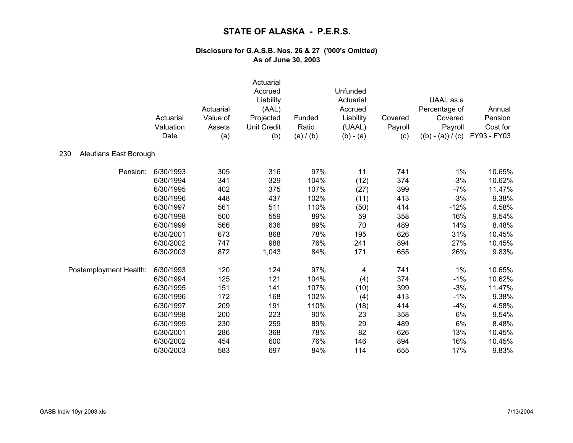|                               | Actuarial<br>Valuation<br>Date | Actuarial<br>Value of<br>Assets<br>(a) | Actuarial<br>Accrued<br>Liability<br>(AAL)<br>Projected<br><b>Unit Credit</b><br>(b) | Funded<br>Ratio<br>(a) / (b) | Unfunded<br>Actuarial<br>Accrued<br>Liability<br>(UAAL)<br>$(b) - (a)$ | Covered<br>Payroll<br>(c) | UAAL as a<br>Percentage of<br>Covered<br>Payroll<br>$((b) - (a)) / (c)$ | Annual<br>Pension<br>Cost for<br>FY93 - FY03 |
|-------------------------------|--------------------------------|----------------------------------------|--------------------------------------------------------------------------------------|------------------------------|------------------------------------------------------------------------|---------------------------|-------------------------------------------------------------------------|----------------------------------------------|
| 230<br>Aleutians East Borough |                                |                                        |                                                                                      |                              |                                                                        |                           |                                                                         |                                              |
| Pension:                      | 6/30/1993                      | 305                                    | 316                                                                                  | 97%                          | 11                                                                     | 741                       | $1\%$                                                                   | 10.65%                                       |
|                               | 6/30/1994                      | 341                                    | 329                                                                                  | 104%                         | (12)                                                                   | 374                       | $-3%$                                                                   | 10.62%                                       |
|                               | 6/30/1995                      | 402                                    | 375                                                                                  | 107%                         | (27)                                                                   | 399                       | $-7%$                                                                   | 11.47%                                       |
|                               | 6/30/1996                      | 448                                    | 437                                                                                  | 102%                         | (11)                                                                   | 413                       | $-3%$                                                                   | 9.38%                                        |
|                               | 6/30/1997                      | 561                                    | 511                                                                                  | 110%                         | (50)                                                                   | 414                       | $-12%$                                                                  | 4.58%                                        |
|                               | 6/30/1998                      | 500                                    | 559                                                                                  | 89%                          | 59                                                                     | 358                       | 16%                                                                     | 9.54%                                        |
|                               | 6/30/1999                      | 566                                    | 636                                                                                  | 89%                          | 70                                                                     | 489                       | 14%                                                                     | 8.48%                                        |
|                               | 6/30/2001                      | 673                                    | 868                                                                                  | 78%                          | 195                                                                    | 626                       | 31%                                                                     | 10.45%                                       |
|                               | 6/30/2002                      | 747                                    | 988                                                                                  | 76%                          | 241                                                                    | 894                       | 27%                                                                     | 10.45%                                       |
|                               | 6/30/2003                      | 872                                    | 1,043                                                                                | 84%                          | 171                                                                    | 655                       | 26%                                                                     | 9.83%                                        |
| Postemployment Health:        | 6/30/1993                      | 120                                    | 124                                                                                  | 97%                          | 4                                                                      | 741                       | $1\%$                                                                   | 10.65%                                       |
|                               | 6/30/1994                      | 125                                    | 121                                                                                  | 104%                         | (4)                                                                    | 374                       | $-1%$                                                                   | 10.62%                                       |
|                               | 6/30/1995                      | 151                                    | 141                                                                                  | 107%                         | (10)                                                                   | 399                       | $-3%$                                                                   | 11.47%                                       |
|                               | 6/30/1996                      | 172                                    | 168                                                                                  | 102%                         | (4)                                                                    | 413                       | $-1%$                                                                   | 9.38%                                        |
|                               | 6/30/1997                      | 209                                    | 191                                                                                  | 110%                         | (18)                                                                   | 414                       | $-4%$                                                                   | 4.58%                                        |
|                               | 6/30/1998                      | 200                                    | 223                                                                                  | 90%                          | 23                                                                     | 358                       | 6%                                                                      | 9.54%                                        |
|                               | 6/30/1999                      | 230                                    | 259                                                                                  | 89%                          | 29                                                                     | 489                       | 6%                                                                      | 8.48%                                        |
|                               | 6/30/2001                      | 286                                    | 368                                                                                  | 78%                          | 82                                                                     | 626                       | 13%                                                                     | 10.45%                                       |
|                               | 6/30/2002                      | 454                                    | 600                                                                                  | 76%                          | 146                                                                    | 894                       | 16%                                                                     | 10.45%                                       |
|                               | 6/30/2003                      | 583                                    | 697                                                                                  | 84%                          | 114                                                                    | 655                       | 17%                                                                     | 9.83%                                        |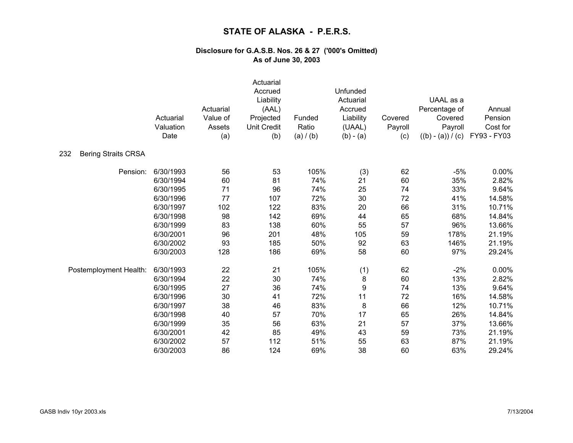|                                   | Actuarial<br>Valuation<br>Date | Actuarial<br>Value of<br>Assets<br>(a) | Actuarial<br>Accrued<br>Liability<br>(AAL)<br>Projected<br><b>Unit Credit</b><br>(b) | Funded<br>Ratio<br>(a) / (b) | Unfunded<br>Actuarial<br>Accrued<br>Liability<br>(UAAL)<br>$(b) - (a)$ | Covered<br>Payroll<br>(c) | UAAL as a<br>Percentage of<br>Covered<br>Payroll<br>$((b) - (a)) / (c)$ | Annual<br>Pension<br>Cost for<br>FY93 - FY03 |
|-----------------------------------|--------------------------------|----------------------------------------|--------------------------------------------------------------------------------------|------------------------------|------------------------------------------------------------------------|---------------------------|-------------------------------------------------------------------------|----------------------------------------------|
| 232<br><b>Bering Straits CRSA</b> |                                |                                        |                                                                                      |                              |                                                                        |                           |                                                                         |                                              |
| Pension:                          | 6/30/1993                      | 56                                     | 53                                                                                   | 105%                         | (3)                                                                    | 62                        | $-5%$                                                                   | 0.00%                                        |
|                                   | 6/30/1994                      | 60                                     | 81                                                                                   | 74%                          | 21                                                                     | 60                        | 35%                                                                     | 2.82%                                        |
|                                   | 6/30/1995                      | 71                                     | 96                                                                                   | 74%                          | 25                                                                     | 74                        | 33%                                                                     | 9.64%                                        |
|                                   | 6/30/1996                      | 77                                     | 107                                                                                  | 72%                          | 30                                                                     | 72                        | 41%                                                                     | 14.58%                                       |
|                                   | 6/30/1997                      | 102                                    | 122                                                                                  | 83%                          | 20                                                                     | 66                        | 31%                                                                     | 10.71%                                       |
|                                   | 6/30/1998                      | 98                                     | 142                                                                                  | 69%                          | 44                                                                     | 65                        | 68%                                                                     | 14.84%                                       |
|                                   | 6/30/1999                      | 83                                     | 138                                                                                  | 60%                          | 55                                                                     | 57                        | 96%                                                                     | 13.66%                                       |
|                                   | 6/30/2001                      | 96                                     | 201                                                                                  | 48%                          | 105                                                                    | 59                        | 178%                                                                    | 21.19%                                       |
|                                   | 6/30/2002                      | 93                                     | 185                                                                                  | 50%                          | 92                                                                     | 63                        | 146%                                                                    | 21.19%                                       |
|                                   | 6/30/2003                      | 128                                    | 186                                                                                  | 69%                          | 58                                                                     | 60                        | 97%                                                                     | 29.24%                                       |
| Postemployment Health:            | 6/30/1993                      | 22                                     | 21                                                                                   | 105%                         | (1)                                                                    | 62                        | $-2%$                                                                   | 0.00%                                        |
|                                   | 6/30/1994                      | 22                                     | 30                                                                                   | 74%                          | 8                                                                      | 60                        | 13%                                                                     | 2.82%                                        |
|                                   | 6/30/1995                      | 27                                     | 36                                                                                   | 74%                          | $\boldsymbol{9}$                                                       | 74                        | 13%                                                                     | 9.64%                                        |
|                                   | 6/30/1996                      | 30                                     | 41                                                                                   | 72%                          | 11                                                                     | 72                        | 16%                                                                     | 14.58%                                       |
|                                   | 6/30/1997                      | 38                                     | 46                                                                                   | 83%                          | 8                                                                      | 66                        | 12%                                                                     | 10.71%                                       |
|                                   | 6/30/1998                      | 40                                     | 57                                                                                   | 70%                          | 17                                                                     | 65                        | 26%                                                                     | 14.84%                                       |
|                                   | 6/30/1999                      | 35                                     | 56                                                                                   | 63%                          | 21                                                                     | 57                        | 37%                                                                     | 13.66%                                       |
|                                   | 6/30/2001                      | 42                                     | 85                                                                                   | 49%                          | 43                                                                     | 59                        | 73%                                                                     | 21.19%                                       |
|                                   | 6/30/2002                      | 57                                     | 112                                                                                  | 51%                          | 55                                                                     | 63                        | 87%                                                                     | 21.19%                                       |
|                                   | 6/30/2003                      | 86                                     | 124                                                                                  | 69%                          | 38                                                                     | 60                        | 63%                                                                     | 29.24%                                       |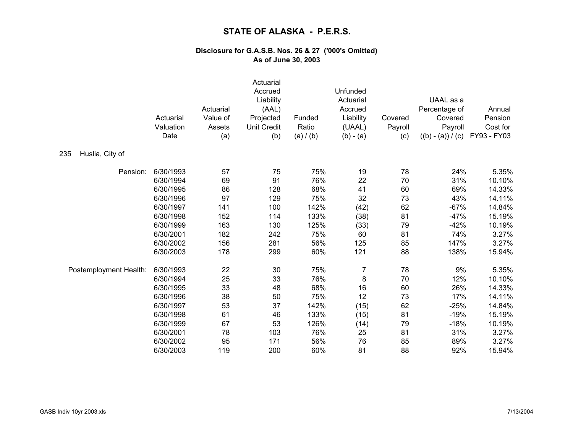|                        | Actuarial<br>Valuation<br>Date | Actuarial<br>Value of<br>Assets<br>(a) | Actuarial<br>Accrued<br>Liability<br>(AAL)<br>Projected<br><b>Unit Credit</b><br>(b) | Funded<br>Ratio<br>(a) / (b) | Unfunded<br>Actuarial<br>Accrued<br>Liability<br>(UAAL)<br>$(b) - (a)$ | Covered<br>Payroll<br>(c) | UAAL as a<br>Percentage of<br>Covered<br>Payroll<br>$((b) - (a)) / (c)$ | Annual<br>Pension<br>Cost for<br>FY93 - FY03 |
|------------------------|--------------------------------|----------------------------------------|--------------------------------------------------------------------------------------|------------------------------|------------------------------------------------------------------------|---------------------------|-------------------------------------------------------------------------|----------------------------------------------|
| Huslia, City of<br>235 |                                |                                        |                                                                                      |                              |                                                                        |                           |                                                                         |                                              |
| Pension:               | 6/30/1993                      | 57                                     | 75                                                                                   | 75%                          | 19                                                                     | 78                        | 24%                                                                     | 5.35%                                        |
|                        | 6/30/1994                      | 69                                     | 91                                                                                   | 76%                          | 22                                                                     | 70                        | 31%                                                                     | 10.10%                                       |
|                        | 6/30/1995                      | 86                                     | 128                                                                                  | 68%                          | 41                                                                     | 60                        | 69%                                                                     | 14.33%                                       |
|                        | 6/30/1996                      | 97                                     | 129                                                                                  | 75%                          | 32                                                                     | 73                        | 43%                                                                     | 14.11%                                       |
|                        | 6/30/1997                      | 141                                    | 100                                                                                  | 142%                         | (42)                                                                   | 62                        | $-67%$                                                                  | 14.84%                                       |
|                        | 6/30/1998                      | 152                                    | 114                                                                                  | 133%                         | (38)                                                                   | 81                        | $-47%$                                                                  | 15.19%                                       |
|                        | 6/30/1999                      | 163                                    | 130                                                                                  | 125%                         | (33)                                                                   | 79                        | $-42%$                                                                  | 10.19%                                       |
|                        | 6/30/2001                      | 182                                    | 242                                                                                  | 75%                          | 60                                                                     | 81                        | 74%                                                                     | 3.27%                                        |
|                        | 6/30/2002                      | 156                                    | 281                                                                                  | 56%                          | 125                                                                    | 85                        | 147%                                                                    | 3.27%                                        |
|                        | 6/30/2003                      | 178                                    | 299                                                                                  | 60%                          | 121                                                                    | 88                        | 138%                                                                    | 15.94%                                       |
| Postemployment Health: | 6/30/1993                      | 22                                     | 30                                                                                   | 75%                          | $\overline{7}$                                                         | 78                        | 9%                                                                      | 5.35%                                        |
|                        | 6/30/1994                      | 25                                     | 33                                                                                   | 76%                          | $\bf 8$                                                                | 70                        | 12%                                                                     | 10.10%                                       |
|                        | 6/30/1995                      | 33                                     | 48                                                                                   | 68%                          | 16                                                                     | 60                        | 26%                                                                     | 14.33%                                       |
|                        | 6/30/1996                      | 38                                     | 50                                                                                   | 75%                          | 12                                                                     | 73                        | 17%                                                                     | 14.11%                                       |
|                        | 6/30/1997                      | 53                                     | 37                                                                                   | 142%                         | (15)                                                                   | 62                        | $-25%$                                                                  | 14.84%                                       |
|                        | 6/30/1998                      | 61                                     | 46                                                                                   | 133%                         | (15)                                                                   | 81                        | $-19%$                                                                  | 15.19%                                       |
|                        | 6/30/1999                      | 67                                     | 53                                                                                   | 126%                         | (14)                                                                   | 79                        | $-18%$                                                                  | 10.19%                                       |
|                        | 6/30/2001                      | 78                                     | 103                                                                                  | 76%                          | 25                                                                     | 81                        | 31%                                                                     | 3.27%                                        |
|                        | 6/30/2002                      | 95                                     | 171                                                                                  | 56%                          | 76                                                                     | 85                        | 89%                                                                     | 3.27%                                        |
|                        | 6/30/2003                      | 119                                    | 200                                                                                  | 60%                          | 81                                                                     | 88                        | 92%                                                                     | 15.94%                                       |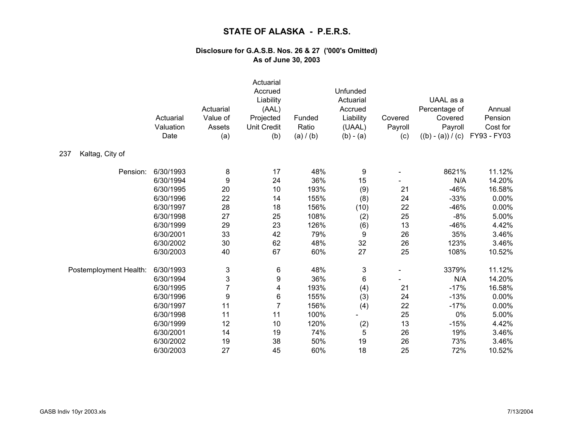|                        | Actuarial<br>Valuation<br>Date | Actuarial<br>Value of<br>Assets<br>(a) | Actuarial<br>Accrued<br>Liability<br>(AAL)<br>Projected<br><b>Unit Credit</b><br>(b) | Funded<br>Ratio<br>(a) / (b) | Unfunded<br>Actuarial<br>Accrued<br>Liability<br>(UAAL)<br>$(b) - (a)$ | Covered<br>Payroll<br>(c) | UAAL as a<br>Percentage of<br>Covered<br>Payroll<br>$((b) - (a)) / (c)$ | Annual<br>Pension<br>Cost for<br>FY93 - FY03 |
|------------------------|--------------------------------|----------------------------------------|--------------------------------------------------------------------------------------|------------------------------|------------------------------------------------------------------------|---------------------------|-------------------------------------------------------------------------|----------------------------------------------|
| Kaltag, City of<br>237 |                                |                                        |                                                                                      |                              |                                                                        |                           |                                                                         |                                              |
| Pension:               | 6/30/1993                      | 8                                      | 17                                                                                   | 48%                          | 9                                                                      |                           | 8621%                                                                   | 11.12%                                       |
|                        | 6/30/1994                      | $\boldsymbol{9}$                       | 24                                                                                   | 36%                          | 15                                                                     |                           | N/A                                                                     | 14.20%                                       |
|                        | 6/30/1995                      | 20                                     | 10                                                                                   | 193%                         | (9)                                                                    | 21                        | $-46%$                                                                  | 16.58%                                       |
|                        | 6/30/1996                      | 22                                     | 14                                                                                   | 155%                         | (8)                                                                    | 24                        | $-33%$                                                                  | 0.00%                                        |
|                        | 6/30/1997                      | 28                                     | 18                                                                                   | 156%                         | (10)                                                                   | 22                        | $-46%$                                                                  | 0.00%                                        |
|                        | 6/30/1998                      | 27                                     | 25                                                                                   | 108%                         | (2)                                                                    | 25                        | $-8%$                                                                   | 5.00%                                        |
|                        | 6/30/1999                      | 29                                     | 23                                                                                   | 126%                         | (6)                                                                    | 13                        | $-46%$                                                                  | 4.42%                                        |
|                        | 6/30/2001                      | 33                                     | 42                                                                                   | 79%                          | 9                                                                      | 26                        | 35%                                                                     | 3.46%                                        |
|                        | 6/30/2002                      | 30                                     | 62                                                                                   | 48%                          | 32                                                                     | 26                        | 123%                                                                    | 3.46%                                        |
|                        | 6/30/2003                      | 40                                     | 67                                                                                   | 60%                          | 27                                                                     | 25                        | 108%                                                                    | 10.52%                                       |
| Postemployment Health: | 6/30/1993                      | 3                                      | 6                                                                                    | 48%                          | $\ensuremath{\mathsf{3}}$                                              |                           | 3379%                                                                   | 11.12%                                       |
|                        | 6/30/1994                      | 3                                      | 9                                                                                    | 36%                          | 6                                                                      |                           | N/A                                                                     | 14.20%                                       |
|                        | 6/30/1995                      | $\overline{7}$                         | 4                                                                                    | 193%                         | (4)                                                                    | 21                        | $-17%$                                                                  | 16.58%                                       |
|                        | 6/30/1996                      | $\boldsymbol{9}$                       | 6                                                                                    | 155%                         | (3)                                                                    | 24                        | $-13%$                                                                  | 0.00%                                        |
|                        | 6/30/1997                      | 11                                     | $\overline{7}$                                                                       | 156%                         | (4)                                                                    | 22                        | $-17%$                                                                  | 0.00%                                        |
|                        | 6/30/1998                      | 11                                     | 11                                                                                   | 100%                         |                                                                        | 25                        | 0%                                                                      | 5.00%                                        |
|                        | 6/30/1999                      | 12                                     | 10                                                                                   | 120%                         | (2)                                                                    | 13                        | $-15%$                                                                  | 4.42%                                        |
|                        | 6/30/2001                      | 14                                     | 19                                                                                   | 74%                          | 5                                                                      | 26                        | 19%                                                                     | 3.46%                                        |
|                        | 6/30/2002                      | 19                                     | 38                                                                                   | 50%                          | 19                                                                     | 26                        | 73%                                                                     | 3.46%                                        |
|                        | 6/30/2003                      | 27                                     | 45                                                                                   | 60%                          | 18                                                                     | 25                        | 72%                                                                     | 10.52%                                       |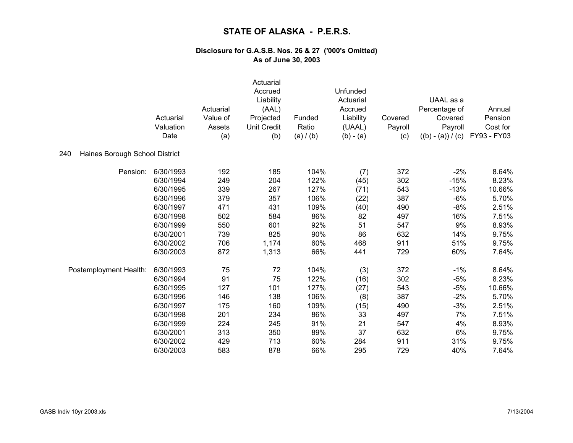|                                       | Actuarial<br>Valuation<br>Date | Actuarial<br>Value of<br>Assets<br>(a) | Actuarial<br>Accrued<br>Liability<br>(AAL)<br>Projected<br><b>Unit Credit</b><br>(b) | Funded<br>Ratio<br>(a) / (b) | Unfunded<br>Actuarial<br>Accrued<br>Liability<br>(UAAL)<br>$(b) - (a)$ | Covered<br>Payroll<br>(c) | UAAL as a<br>Percentage of<br>Covered<br>Payroll<br>$((b) - (a)) / (c)$ | Annual<br>Pension<br>Cost for<br>FY93 - FY03 |
|---------------------------------------|--------------------------------|----------------------------------------|--------------------------------------------------------------------------------------|------------------------------|------------------------------------------------------------------------|---------------------------|-------------------------------------------------------------------------|----------------------------------------------|
| 240<br>Haines Borough School District |                                |                                        |                                                                                      |                              |                                                                        |                           |                                                                         |                                              |
| Pension:                              | 6/30/1993                      | 192                                    | 185                                                                                  | 104%                         | (7)                                                                    | 372                       | $-2%$                                                                   | 8.64%                                        |
|                                       | 6/30/1994                      | 249                                    | 204                                                                                  | 122%                         | (45)                                                                   | 302                       | $-15%$                                                                  | 8.23%                                        |
|                                       | 6/30/1995                      | 339                                    | 267                                                                                  | 127%                         | (71)                                                                   | 543                       | $-13%$                                                                  | 10.66%                                       |
|                                       | 6/30/1996                      | 379                                    | 357                                                                                  | 106%                         | (22)                                                                   | 387                       | $-6%$                                                                   | 5.70%                                        |
|                                       | 6/30/1997                      | 471                                    | 431                                                                                  | 109%                         | (40)                                                                   | 490                       | $-8%$                                                                   | 2.51%                                        |
|                                       | 6/30/1998                      | 502                                    | 584                                                                                  | 86%                          | 82                                                                     | 497                       | 16%                                                                     | 7.51%                                        |
|                                       | 6/30/1999                      | 550                                    | 601                                                                                  | 92%                          | 51                                                                     | 547                       | 9%                                                                      | 8.93%                                        |
|                                       | 6/30/2001                      | 739                                    | 825                                                                                  | 90%                          | 86                                                                     | 632                       | 14%                                                                     | 9.75%                                        |
|                                       | 6/30/2002                      | 706                                    | 1,174                                                                                | 60%                          | 468                                                                    | 911                       | 51%                                                                     | 9.75%                                        |
|                                       | 6/30/2003                      | 872                                    | 1,313                                                                                | 66%                          | 441                                                                    | 729                       | 60%                                                                     | 7.64%                                        |
| Postemployment Health:                | 6/30/1993                      | 75                                     | 72                                                                                   | 104%                         | (3)                                                                    | 372                       | $-1%$                                                                   | 8.64%                                        |
|                                       | 6/30/1994                      | 91                                     | 75                                                                                   | 122%                         | (16)                                                                   | 302                       | $-5%$                                                                   | 8.23%                                        |
|                                       | 6/30/1995                      | 127                                    | 101                                                                                  | 127%                         | (27)                                                                   | 543                       | $-5%$                                                                   | 10.66%                                       |
|                                       | 6/30/1996                      | 146                                    | 138                                                                                  | 106%                         | (8)                                                                    | 387                       | $-2%$                                                                   | 5.70%                                        |
|                                       | 6/30/1997                      | 175                                    | 160                                                                                  | 109%                         | (15)                                                                   | 490                       | $-3%$                                                                   | 2.51%                                        |
|                                       | 6/30/1998                      | 201                                    | 234                                                                                  | 86%                          | 33                                                                     | 497                       | 7%                                                                      | 7.51%                                        |
|                                       | 6/30/1999                      | 224                                    | 245                                                                                  | 91%                          | 21                                                                     | 547                       | 4%                                                                      | 8.93%                                        |
|                                       | 6/30/2001                      | 313                                    | 350                                                                                  | 89%                          | 37                                                                     | 632                       | 6%                                                                      | 9.75%                                        |
|                                       | 6/30/2002                      | 429                                    | 713                                                                                  | 60%                          | 284                                                                    | 911                       | 31%                                                                     | 9.75%                                        |
|                                       | 6/30/2003                      | 583                                    | 878                                                                                  | 66%                          | 295                                                                    | 729                       | 40%                                                                     | 7.64%                                        |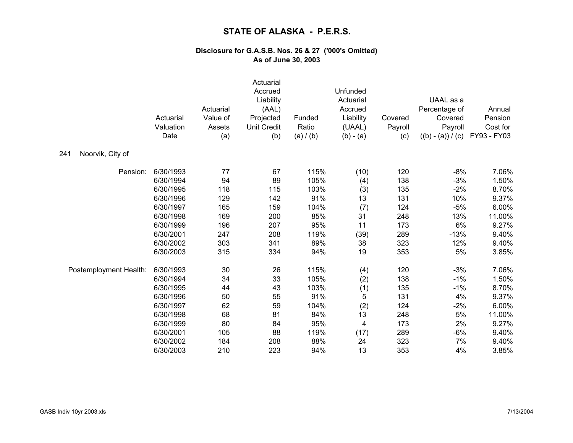|                         | Actuarial<br>Valuation<br>Date | Actuarial<br>Value of<br>Assets<br>(a) | Actuarial<br>Accrued<br>Liability<br>(AAL)<br>Projected<br><b>Unit Credit</b><br>(b) | Funded<br>Ratio<br>(a) / (b) | Unfunded<br>Actuarial<br>Accrued<br>Liability<br>(UAAL)<br>$(b) - (a)$ | Covered<br>Payroll<br>(c) | UAAL as a<br>Percentage of<br>Covered<br>Payroll<br>$((b) - (a)) / (c)$ | Annual<br>Pension<br>Cost for<br>FY93 - FY03 |
|-------------------------|--------------------------------|----------------------------------------|--------------------------------------------------------------------------------------|------------------------------|------------------------------------------------------------------------|---------------------------|-------------------------------------------------------------------------|----------------------------------------------|
| Noorvik, City of<br>241 |                                |                                        |                                                                                      |                              |                                                                        |                           |                                                                         |                                              |
| Pension:                | 6/30/1993                      | 77                                     | 67                                                                                   | 115%                         | (10)                                                                   | 120                       | $-8%$                                                                   | 7.06%                                        |
|                         | 6/30/1994                      | 94                                     | 89                                                                                   | 105%                         | (4)                                                                    | 138                       | $-3%$                                                                   | 1.50%                                        |
|                         | 6/30/1995                      | 118                                    | 115                                                                                  | 103%                         | (3)                                                                    | 135                       | $-2%$                                                                   | 8.70%                                        |
|                         | 6/30/1996                      | 129                                    | 142                                                                                  | 91%                          | 13                                                                     | 131                       | 10%                                                                     | 9.37%                                        |
|                         | 6/30/1997                      | 165                                    | 159                                                                                  | 104%                         | (7)                                                                    | 124                       | $-5%$                                                                   | 6.00%                                        |
|                         | 6/30/1998                      | 169                                    | 200                                                                                  | 85%                          | 31                                                                     | 248                       | 13%                                                                     | 11.00%                                       |
|                         | 6/30/1999                      | 196                                    | 207                                                                                  | 95%                          | 11                                                                     | 173                       | 6%                                                                      | 9.27%                                        |
|                         | 6/30/2001                      | 247                                    | 208                                                                                  | 119%                         | (39)                                                                   | 289                       | $-13%$                                                                  | 9.40%                                        |
|                         | 6/30/2002                      | 303                                    | 341                                                                                  | 89%                          | 38                                                                     | 323                       | 12%                                                                     | 9.40%                                        |
|                         | 6/30/2003                      | 315                                    | 334                                                                                  | 94%                          | 19                                                                     | 353                       | 5%                                                                      | 3.85%                                        |
| Postemployment Health:  | 6/30/1993                      | 30                                     | 26                                                                                   | 115%                         | (4)                                                                    | 120                       | $-3%$                                                                   | 7.06%                                        |
|                         | 6/30/1994                      | 34                                     | 33                                                                                   | 105%                         | (2)                                                                    | 138                       | $-1%$                                                                   | 1.50%                                        |
|                         | 6/30/1995                      | 44                                     | 43                                                                                   | 103%                         | (1)                                                                    | 135                       | $-1%$                                                                   | 8.70%                                        |
|                         | 6/30/1996                      | 50                                     | 55                                                                                   | 91%                          | 5                                                                      | 131                       | 4%                                                                      | 9.37%                                        |
|                         | 6/30/1997                      | 62                                     | 59                                                                                   | 104%                         | (2)                                                                    | 124                       | $-2%$                                                                   | 6.00%                                        |
|                         | 6/30/1998                      | 68                                     | 81                                                                                   | 84%                          | 13                                                                     | 248                       | 5%                                                                      | 11.00%                                       |
|                         | 6/30/1999                      | 80                                     | 84                                                                                   | 95%                          | 4                                                                      | 173                       | 2%                                                                      | 9.27%                                        |
|                         | 6/30/2001                      | 105                                    | 88                                                                                   | 119%                         | (17)                                                                   | 289                       | $-6%$                                                                   | 9.40%                                        |
|                         | 6/30/2002                      | 184                                    | 208                                                                                  | 88%                          | 24                                                                     | 323                       | 7%                                                                      | 9.40%                                        |
|                         | 6/30/2003                      | 210                                    | 223                                                                                  | 94%                          | 13                                                                     | 353                       | 4%                                                                      | 3.85%                                        |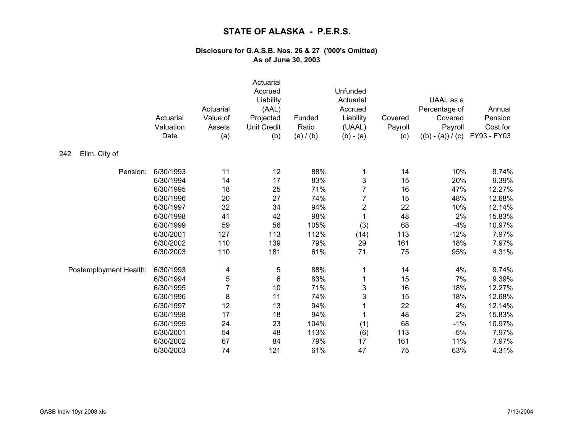|                        | Actuarial<br>Valuation<br>Date | Actuarial<br>Value of<br>Assets<br>(a) | Actuarial<br>Accrued<br>Liability<br>(AAL)<br>Projected<br><b>Unit Credit</b><br>(b) | Funded<br>Ratio<br>(a) / (b) | Unfunded<br>Actuarial<br>Accrued<br>Liability<br>(UAAL)<br>$(b) - (a)$ | Covered<br>Payroll<br>(c) | UAAL as a<br>Percentage of<br>Covered<br>Payroll<br>$((b) - (a)) / (c)$ | Annual<br>Pension<br>Cost for<br>FY93 - FY03 |
|------------------------|--------------------------------|----------------------------------------|--------------------------------------------------------------------------------------|------------------------------|------------------------------------------------------------------------|---------------------------|-------------------------------------------------------------------------|----------------------------------------------|
| Elim, City of<br>242   |                                |                                        |                                                                                      |                              |                                                                        |                           |                                                                         |                                              |
| Pension:               | 6/30/1993                      | 11                                     | 12                                                                                   | 88%                          | 1                                                                      | 14                        | 10%                                                                     | 9.74%                                        |
|                        | 6/30/1994                      | 14                                     | 17                                                                                   | 83%                          | 3                                                                      | 15                        | 20%                                                                     | 9.39%                                        |
|                        | 6/30/1995                      | 18                                     | 25                                                                                   | 71%                          | $\overline{7}$                                                         | 16                        | 47%                                                                     | 12.27%                                       |
|                        | 6/30/1996                      | 20                                     | 27                                                                                   | 74%                          | $\overline{7}$                                                         | 15                        | 48%                                                                     | 12.68%                                       |
|                        | 6/30/1997                      | 32                                     | 34                                                                                   | 94%                          | $\overline{\mathbf{c}}$                                                | 22                        | 10%                                                                     | 12.14%                                       |
|                        | 6/30/1998                      | 41                                     | 42                                                                                   | 98%                          | $\mathbf 1$                                                            | 48                        | 2%                                                                      | 15.83%                                       |
|                        | 6/30/1999                      | 59                                     | 56                                                                                   | 105%                         | (3)                                                                    | 68                        | $-4%$                                                                   | 10.97%                                       |
|                        | 6/30/2001                      | 127                                    | 113                                                                                  | 112%                         | (14)                                                                   | 113                       | $-12%$                                                                  | 7.97%                                        |
|                        | 6/30/2002                      | 110                                    | 139                                                                                  | 79%                          | 29                                                                     | 161                       | 18%                                                                     | 7.97%                                        |
|                        | 6/30/2003                      | 110                                    | 181                                                                                  | 61%                          | 71                                                                     | 75                        | 95%                                                                     | 4.31%                                        |
| Postemployment Health: | 6/30/1993                      | 4                                      | 5                                                                                    | 88%                          | 1                                                                      | 14                        | 4%                                                                      | 9.74%                                        |
|                        | 6/30/1994                      | 5                                      | $\,6$                                                                                | 83%                          | 1                                                                      | 15                        | 7%                                                                      | 9.39%                                        |
|                        | 6/30/1995                      | $\overline{7}$                         | $10$                                                                                 | 71%                          | 3                                                                      | 16                        | 18%                                                                     | 12.27%                                       |
|                        | 6/30/1996                      | 8                                      | 11                                                                                   | 74%                          | 3                                                                      | 15                        | 18%                                                                     | 12.68%                                       |
|                        | 6/30/1997                      | 12                                     | 13                                                                                   | 94%                          |                                                                        | 22                        | 4%                                                                      | 12.14%                                       |
|                        | 6/30/1998                      | 17                                     | 18                                                                                   | 94%                          |                                                                        | 48                        | 2%                                                                      | 15.83%                                       |
|                        | 6/30/1999                      | 24                                     | 23                                                                                   | 104%                         | (1)                                                                    | 68                        | $-1%$                                                                   | 10.97%                                       |
|                        | 6/30/2001                      | 54                                     | 48                                                                                   | 113%                         | (6)                                                                    | 113                       | $-5%$                                                                   | 7.97%                                        |
|                        | 6/30/2002                      | 67                                     | 84                                                                                   | 79%                          | 17                                                                     | 161                       | 11%                                                                     | 7.97%                                        |
|                        | 6/30/2003                      | 74                                     | 121                                                                                  | 61%                          | 47                                                                     | 75                        | 63%                                                                     | 4.31%                                        |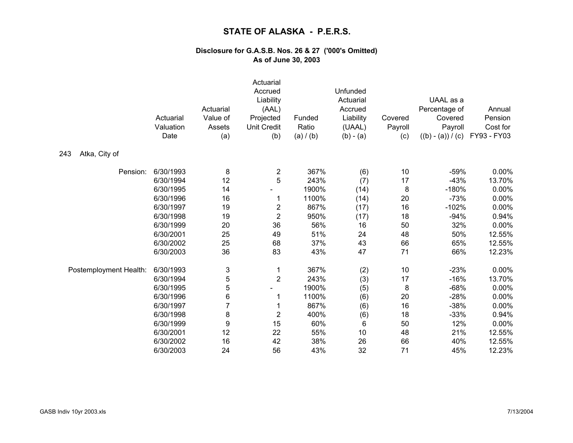|                        | Actuarial<br>Valuation<br>Date | Actuarial<br>Value of<br>Assets<br>(a) | Actuarial<br>Accrued<br>Liability<br>(AAL)<br>Projected<br>Unit Credit<br>(b) | Funded<br>Ratio<br>(a) / (b) | Unfunded<br>Actuarial<br>Accrued<br>Liability<br>(UAAL)<br>$(b) - (a)$ | Covered<br>Payroll<br>(c) | UAAL as a<br>Percentage of<br>Covered<br>Payroll<br>$((b) - (a)) / (c)$ | Annual<br>Pension<br>Cost for<br>FY93 - FY03 |
|------------------------|--------------------------------|----------------------------------------|-------------------------------------------------------------------------------|------------------------------|------------------------------------------------------------------------|---------------------------|-------------------------------------------------------------------------|----------------------------------------------|
| 243<br>Atka, City of   |                                |                                        |                                                                               |                              |                                                                        |                           |                                                                         |                                              |
| Pension:               | 6/30/1993                      | 8                                      | 2                                                                             | 367%                         | (6)                                                                    | 10                        | $-59%$                                                                  | 0.00%                                        |
|                        | 6/30/1994                      | 12                                     | 5                                                                             | 243%                         | (7)                                                                    | 17                        | $-43%$                                                                  | 13.70%                                       |
|                        | 6/30/1995                      | 14                                     |                                                                               | 1900%                        | (14)                                                                   | 8                         | $-180%$                                                                 | 0.00%                                        |
|                        | 6/30/1996                      | 16                                     | 1                                                                             | 1100%                        | (14)                                                                   | 20                        | $-73%$                                                                  | 0.00%                                        |
|                        | 6/30/1997                      | 19                                     | $\overline{\mathbf{c}}$                                                       | 867%                         | (17)                                                                   | 16                        | $-102%$                                                                 | 0.00%                                        |
|                        | 6/30/1998                      | 19                                     | $\mathbf 2$                                                                   | 950%                         | (17)                                                                   | 18                        | $-94%$                                                                  | 0.94%                                        |
|                        | 6/30/1999                      | 20                                     | 36                                                                            | 56%                          | 16                                                                     | 50                        | 32%                                                                     | 0.00%                                        |
|                        | 6/30/2001                      | 25                                     | 49                                                                            | 51%                          | 24                                                                     | 48                        | 50%                                                                     | 12.55%                                       |
|                        | 6/30/2002                      | 25                                     | 68                                                                            | 37%                          | 43                                                                     | 66                        | 65%                                                                     | 12.55%                                       |
|                        | 6/30/2003                      | 36                                     | 83                                                                            | 43%                          | 47                                                                     | 71                        | 66%                                                                     | 12.23%                                       |
| Postemployment Health: | 6/30/1993                      | 3                                      | 1                                                                             | 367%                         | (2)                                                                    | 10                        | $-23%$                                                                  | 0.00%                                        |
|                        | 6/30/1994                      | 5                                      | $\overline{2}$                                                                | 243%                         | (3)                                                                    | 17                        | $-16%$                                                                  | 13.70%                                       |
|                        | 6/30/1995                      | 5                                      |                                                                               | 1900%                        | (5)                                                                    | 8                         | $-68%$                                                                  | 0.00%                                        |
|                        | 6/30/1996                      | 6                                      | 1                                                                             | 1100%                        | (6)                                                                    | 20                        | $-28%$                                                                  | 0.00%                                        |
|                        | 6/30/1997                      | $\overline{7}$                         | 1                                                                             | 867%                         | (6)                                                                    | 16                        | $-38%$                                                                  | 0.00%                                        |
|                        | 6/30/1998                      | 8                                      | $\mathbf 2$                                                                   | 400%                         | (6)                                                                    | 18                        | $-33%$                                                                  | 0.94%                                        |
|                        | 6/30/1999                      | $\boldsymbol{9}$                       | 15                                                                            | 60%                          | 6                                                                      | 50                        | 12%                                                                     | 0.00%                                        |
|                        | 6/30/2001                      | 12                                     | 22                                                                            | 55%                          | 10                                                                     | 48                        | 21%                                                                     | 12.55%                                       |
|                        | 6/30/2002                      | 16                                     | 42                                                                            | 38%                          | 26                                                                     | 66                        | 40%                                                                     | 12.55%                                       |
|                        | 6/30/2003                      | 24                                     | 56                                                                            | 43%                          | 32                                                                     | 71                        | 45%                                                                     | 12.23%                                       |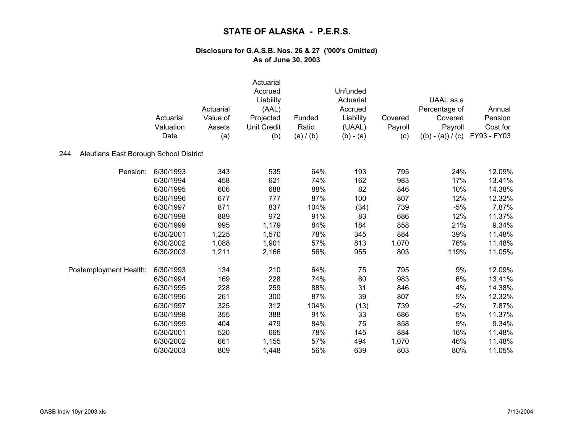|                                               |           |           | Actuarial<br>Accrued |           | Unfunded              |                |                     |             |
|-----------------------------------------------|-----------|-----------|----------------------|-----------|-----------------------|----------------|---------------------|-------------|
|                                               |           |           | Liability            |           | Actuarial             |                | UAAL as a           |             |
|                                               |           | Actuarial | (AAL)                |           | Accrued               |                | Percentage of       | Annual      |
|                                               | Actuarial | Value of  | Projected            | Funded    | Liability             | Covered        | Covered             | Pension     |
|                                               | Valuation | Assets    | <b>Unit Credit</b>   | Ratio     | (UAAL)<br>$(b) - (a)$ | Payroll<br>(c) | Payroll             | Cost for    |
|                                               | Date      | (a)       | (b)                  | (a) / (b) |                       |                | $((b) - (a)) / (c)$ | FY93 - FY03 |
| Aleutians East Borough School District<br>244 |           |           |                      |           |                       |                |                     |             |
| Pension:                                      | 6/30/1993 | 343       | 535                  | 64%       | 193                   | 795            | 24%                 | 12.09%      |
|                                               | 6/30/1994 | 458       | 621                  | 74%       | 162                   | 983            | 17%                 | 13.41%      |
|                                               | 6/30/1995 | 606       | 688                  | 88%       | 82                    | 846            | 10%                 | 14.38%      |
|                                               | 6/30/1996 | 677       | 777                  | 87%       | 100                   | 807            | 12%                 | 12.32%      |
|                                               | 6/30/1997 | 871       | 837                  | 104%      | (34)                  | 739            | $-5%$               | 7.87%       |
|                                               | 6/30/1998 | 889       | 972                  | 91%       | 83                    | 686            | 12%                 | 11.37%      |
|                                               | 6/30/1999 | 995       | 1,179                | 84%       | 184                   | 858            | 21%                 | 9.34%       |
|                                               | 6/30/2001 | 1,225     | 1,570                | 78%       | 345                   | 884            | 39%                 | 11.48%      |
|                                               | 6/30/2002 | 1,088     | 1,901                | 57%       | 813                   | 1,070          | 76%                 | 11.48%      |
|                                               | 6/30/2003 | 1,211     | 2,166                | 56%       | 955                   | 803            | 119%                | 11.05%      |
| Postemployment Health:                        | 6/30/1993 | 134       | 210                  | 64%       | 75                    | 795            | 9%                  | 12.09%      |
|                                               | 6/30/1994 | 169       | 228                  | 74%       | 60                    | 983            | 6%                  | 13.41%      |
|                                               | 6/30/1995 | 228       | 259                  | 88%       | 31                    | 846            | 4%                  | 14.38%      |
|                                               | 6/30/1996 | 261       | 300                  | 87%       | 39                    | 807            | 5%                  | 12.32%      |
|                                               | 6/30/1997 | 325       | 312                  | 104%      | (13)                  | 739            | $-2%$               | 7.87%       |
|                                               | 6/30/1998 | 355       | 388                  | 91%       | 33                    | 686            | 5%                  | 11.37%      |
|                                               | 6/30/1999 | 404       | 479                  | 84%       | 75                    | 858            | 9%                  | 9.34%       |
|                                               | 6/30/2001 | 520       | 665                  | 78%       | 145                   | 884            | 16%                 | 11.48%      |
|                                               | 6/30/2002 | 661       | 1,155                | 57%       | 494                   | 1,070          | 46%                 | 11.48%      |
|                                               | 6/30/2003 | 809       | 1,448                | 56%       | 639                   | 803            | 80%                 | 11.05%      |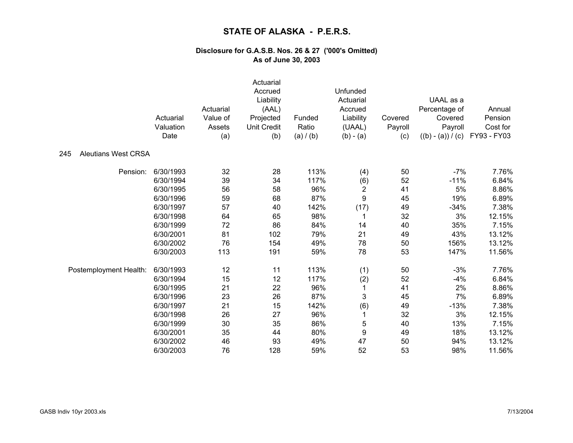|                                   | Actuarial<br>Valuation<br>Date | Actuarial<br>Value of<br>Assets<br>(a) | Actuarial<br>Accrued<br>Liability<br>(AAL)<br>Projected<br><b>Unit Credit</b><br>(b) | Funded<br>Ratio<br>(a) / (b) | Unfunded<br>Actuarial<br>Accrued<br>Liability<br>(UAAL)<br>$(b) - (a)$ | Covered<br>Payroll<br>(c) | UAAL as a<br>Percentage of<br>Covered<br>Payroll<br>$((b) - (a)) / (c)$ | Annual<br>Pension<br>Cost for<br>FY93 - FY03 |
|-----------------------------------|--------------------------------|----------------------------------------|--------------------------------------------------------------------------------------|------------------------------|------------------------------------------------------------------------|---------------------------|-------------------------------------------------------------------------|----------------------------------------------|
| <b>Aleutians West CRSA</b><br>245 |                                |                                        |                                                                                      |                              |                                                                        |                           |                                                                         |                                              |
| Pension:                          | 6/30/1993                      | 32                                     | 28                                                                                   | 113%                         | (4)                                                                    | 50                        | $-7%$                                                                   | 7.76%                                        |
|                                   | 6/30/1994                      | 39                                     | 34                                                                                   | 117%                         | (6)                                                                    | 52                        | $-11%$                                                                  | 6.84%                                        |
|                                   | 6/30/1995                      | 56                                     | 58                                                                                   | 96%                          | $\overline{\mathbf{c}}$                                                | 41                        | 5%                                                                      | 8.86%                                        |
|                                   | 6/30/1996                      | 59                                     | 68                                                                                   | 87%                          | 9                                                                      | 45                        | 19%                                                                     | 6.89%                                        |
|                                   | 6/30/1997                      | 57                                     | 40                                                                                   | 142%                         | (17)                                                                   | 49                        | $-34%$                                                                  | 7.38%                                        |
|                                   | 6/30/1998                      | 64                                     | 65                                                                                   | 98%                          | 1                                                                      | 32                        | 3%                                                                      | 12.15%                                       |
|                                   | 6/30/1999                      | 72                                     | 86                                                                                   | 84%                          | 14                                                                     | 40                        | 35%                                                                     | 7.15%                                        |
|                                   | 6/30/2001                      | 81                                     | 102                                                                                  | 79%                          | 21                                                                     | 49                        | 43%                                                                     | 13.12%                                       |
|                                   | 6/30/2002                      | 76                                     | 154                                                                                  | 49%                          | 78                                                                     | 50                        | 156%                                                                    | 13.12%                                       |
|                                   | 6/30/2003                      | 113                                    | 191                                                                                  | 59%                          | 78                                                                     | 53                        | 147%                                                                    | 11.56%                                       |
| Postemployment Health:            | 6/30/1993                      | 12                                     | 11                                                                                   | 113%                         | (1)                                                                    | 50                        | $-3%$                                                                   | 7.76%                                        |
|                                   | 6/30/1994                      | 15                                     | 12                                                                                   | 117%                         | (2)                                                                    | 52                        | $-4%$                                                                   | 6.84%                                        |
|                                   | 6/30/1995                      | 21                                     | 22                                                                                   | 96%                          | $\mathbf{1}$                                                           | 41                        | 2%                                                                      | 8.86%                                        |
|                                   | 6/30/1996                      | 23                                     | 26                                                                                   | 87%                          | 3                                                                      | 45                        | 7%                                                                      | 6.89%                                        |
|                                   | 6/30/1997                      | 21                                     | 15                                                                                   | 142%                         | (6)                                                                    | 49                        | $-13%$                                                                  | 7.38%                                        |
|                                   | 6/30/1998                      | 26                                     | 27                                                                                   | 96%                          | 1                                                                      | 32                        | 3%                                                                      | 12.15%                                       |
|                                   | 6/30/1999                      | 30                                     | 35                                                                                   | 86%                          | 5                                                                      | 40                        | 13%                                                                     | 7.15%                                        |
|                                   | 6/30/2001                      | 35                                     | 44                                                                                   | 80%                          | 9                                                                      | 49                        | 18%                                                                     | 13.12%                                       |
|                                   | 6/30/2002                      | 46                                     | 93                                                                                   | 49%                          | 47                                                                     | 50                        | 94%                                                                     | 13.12%                                       |
|                                   | 6/30/2003                      | 76                                     | 128                                                                                  | 59%                          | 52                                                                     | 53                        | 98%                                                                     | 11.56%                                       |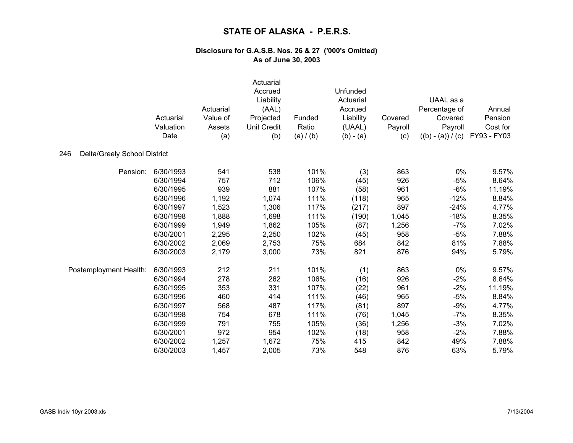|                                     | Actuarial<br>Valuation<br>Date | Actuarial<br>Value of<br>Assets<br>(a) | Actuarial<br>Accrued<br>Liability<br>(AAL)<br>Projected<br><b>Unit Credit</b><br>(b) | Funded<br>Ratio<br>(a) / (b) | Unfunded<br>Actuarial<br>Accrued<br>Liability<br>(UAAL)<br>$(b) - (a)$ | Covered<br>Payroll<br>(c) | UAAL as a<br>Percentage of<br>Covered<br>Payroll<br>$((b) - (a)) / (c)$ | Annual<br>Pension<br>Cost for<br>FY93 - FY03 |
|-------------------------------------|--------------------------------|----------------------------------------|--------------------------------------------------------------------------------------|------------------------------|------------------------------------------------------------------------|---------------------------|-------------------------------------------------------------------------|----------------------------------------------|
| Delta/Greely School District<br>246 |                                |                                        |                                                                                      |                              |                                                                        |                           |                                                                         |                                              |
| Pension:                            | 6/30/1993                      | 541                                    | 538                                                                                  | 101%                         | (3)                                                                    | 863                       | 0%                                                                      | 9.57%                                        |
|                                     | 6/30/1994                      | 757                                    | 712                                                                                  | 106%                         | (45)                                                                   | 926                       | $-5%$                                                                   | 8.64%                                        |
|                                     | 6/30/1995                      | 939                                    | 881                                                                                  | 107%                         | (58)                                                                   | 961                       | $-6%$                                                                   | 11.19%                                       |
|                                     | 6/30/1996                      | 1,192                                  | 1,074                                                                                | 111%                         | (118)                                                                  | 965                       | $-12%$                                                                  | 8.84%                                        |
|                                     | 6/30/1997                      | 1,523                                  | 1,306                                                                                | 117%                         | (217)                                                                  | 897                       | $-24%$                                                                  | 4.77%                                        |
|                                     | 6/30/1998                      | 1,888                                  | 1,698                                                                                | 111%                         | (190)                                                                  | 1,045                     | $-18%$                                                                  | 8.35%                                        |
|                                     | 6/30/1999                      | 1,949                                  | 1,862                                                                                | 105%                         | (87)                                                                   | 1,256                     | $-7%$                                                                   | 7.02%                                        |
|                                     | 6/30/2001                      | 2,295                                  | 2,250                                                                                | 102%                         | (45)                                                                   | 958                       | $-5%$                                                                   | 7.88%                                        |
|                                     | 6/30/2002                      | 2,069                                  | 2,753                                                                                | 75%                          | 684                                                                    | 842                       | 81%                                                                     | 7.88%                                        |
|                                     | 6/30/2003                      | 2,179                                  | 3,000                                                                                | 73%                          | 821                                                                    | 876                       | 94%                                                                     | 5.79%                                        |
| Postemployment Health:              | 6/30/1993                      | 212                                    | 211                                                                                  | 101%                         | (1)                                                                    | 863                       | 0%                                                                      | 9.57%                                        |
|                                     | 6/30/1994                      | 278                                    | 262                                                                                  | 106%                         | (16)                                                                   | 926                       | $-2%$                                                                   | 8.64%                                        |
|                                     | 6/30/1995                      | 353                                    | 331                                                                                  | 107%                         | (22)                                                                   | 961                       | $-2%$                                                                   | 11.19%                                       |
|                                     | 6/30/1996                      | 460                                    | 414                                                                                  | 111%                         | (46)                                                                   | 965                       | $-5%$                                                                   | 8.84%                                        |
|                                     | 6/30/1997                      | 568                                    | 487                                                                                  | 117%                         | (81)                                                                   | 897                       | $-9%$                                                                   | 4.77%                                        |
|                                     | 6/30/1998                      | 754                                    | 678                                                                                  | 111%                         | (76)                                                                   | 1,045                     | $-7%$                                                                   | 8.35%                                        |
|                                     | 6/30/1999                      | 791                                    | 755                                                                                  | 105%                         | (36)                                                                   | 1,256                     | $-3%$                                                                   | 7.02%                                        |
|                                     | 6/30/2001                      | 972                                    | 954                                                                                  | 102%                         | (18)                                                                   | 958                       | $-2%$                                                                   | 7.88%                                        |
|                                     | 6/30/2002                      | 1,257                                  | 1,672                                                                                | 75%                          | 415                                                                    | 842                       | 49%                                                                     | 7.88%                                        |
|                                     | 6/30/2003                      | 1,457                                  | 2,005                                                                                | 73%                          | 548                                                                    | 876                       | 63%                                                                     | 5.79%                                        |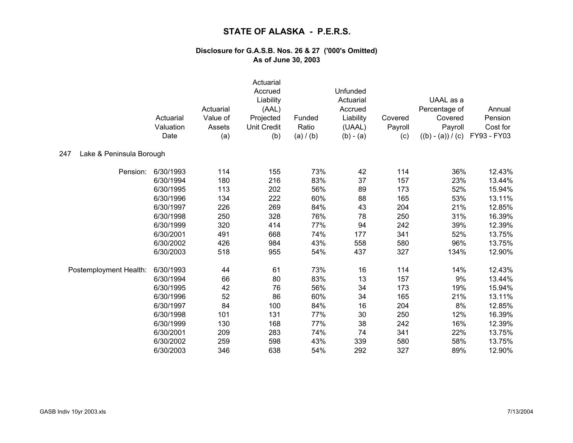|                                 | Actuarial<br>Valuation<br>Date | Actuarial<br>Value of<br>Assets<br>(a) | Actuarial<br>Accrued<br>Liability<br>(AAL)<br>Projected<br><b>Unit Credit</b><br>(b) | Funded<br>Ratio<br>(a) / (b) | Unfunded<br>Actuarial<br>Accrued<br>Liability<br>(UAAL)<br>$(b) - (a)$ | Covered<br>Payroll<br>(c) | UAAL as a<br>Percentage of<br>Covered<br>Payroll<br>$((b) - (a)) / (c)$ | Annual<br>Pension<br>Cost for<br>FY93 - FY03 |
|---------------------------------|--------------------------------|----------------------------------------|--------------------------------------------------------------------------------------|------------------------------|------------------------------------------------------------------------|---------------------------|-------------------------------------------------------------------------|----------------------------------------------|
| 247<br>Lake & Peninsula Borough |                                |                                        |                                                                                      |                              |                                                                        |                           |                                                                         |                                              |
| Pension:                        | 6/30/1993                      | 114                                    | 155                                                                                  | 73%                          | 42                                                                     | 114                       | 36%                                                                     | 12.43%                                       |
|                                 | 6/30/1994                      | 180                                    | 216                                                                                  | 83%                          | 37                                                                     | 157                       | 23%                                                                     | 13.44%                                       |
|                                 | 6/30/1995                      | 113                                    | 202                                                                                  | 56%                          | 89                                                                     | 173                       | 52%                                                                     | 15.94%                                       |
|                                 | 6/30/1996                      | 134                                    | 222                                                                                  | 60%                          | 88                                                                     | 165                       | 53%                                                                     | 13.11%                                       |
|                                 | 6/30/1997                      | 226                                    | 269                                                                                  | 84%                          | 43                                                                     | 204                       | 21%                                                                     | 12.85%                                       |
|                                 | 6/30/1998                      | 250                                    | 328                                                                                  | 76%                          | 78                                                                     | 250                       | 31%                                                                     | 16.39%                                       |
|                                 | 6/30/1999                      | 320                                    | 414                                                                                  | 77%                          | 94                                                                     | 242                       | 39%                                                                     | 12.39%                                       |
|                                 | 6/30/2001                      | 491                                    | 668                                                                                  | 74%                          | 177                                                                    | 341                       | 52%                                                                     | 13.75%                                       |
|                                 | 6/30/2002                      | 426                                    | 984                                                                                  | 43%                          | 558                                                                    | 580                       | 96%                                                                     | 13.75%                                       |
|                                 | 6/30/2003                      | 518                                    | 955                                                                                  | 54%                          | 437                                                                    | 327                       | 134%                                                                    | 12.90%                                       |
| Postemployment Health:          | 6/30/1993                      | 44                                     | 61                                                                                   | 73%                          | 16                                                                     | 114                       | 14%                                                                     | 12.43%                                       |
|                                 | 6/30/1994                      | 66                                     | 80                                                                                   | 83%                          | 13                                                                     | 157                       | 9%                                                                      | 13.44%                                       |
|                                 | 6/30/1995                      | 42                                     | 76                                                                                   | 56%                          | 34                                                                     | 173                       | 19%                                                                     | 15.94%                                       |
|                                 | 6/30/1996                      | 52                                     | 86                                                                                   | 60%                          | 34                                                                     | 165                       | 21%                                                                     | 13.11%                                       |
|                                 | 6/30/1997                      | 84                                     | 100                                                                                  | 84%                          | 16                                                                     | 204                       | 8%                                                                      | 12.85%                                       |
|                                 | 6/30/1998                      | 101                                    | 131                                                                                  | 77%                          | 30                                                                     | 250                       | 12%                                                                     | 16.39%                                       |
|                                 | 6/30/1999                      | 130                                    | 168                                                                                  | 77%                          | 38                                                                     | 242                       | 16%                                                                     | 12.39%                                       |
|                                 | 6/30/2001                      | 209                                    | 283                                                                                  | 74%                          | 74                                                                     | 341                       | 22%                                                                     | 13.75%                                       |
|                                 | 6/30/2002                      | 259                                    | 598                                                                                  | 43%                          | 339                                                                    | 580                       | 58%                                                                     | 13.75%                                       |
|                                 | 6/30/2003                      | 346                                    | 638                                                                                  | 54%                          | 292                                                                    | 327                       | 89%                                                                     | 12.90%                                       |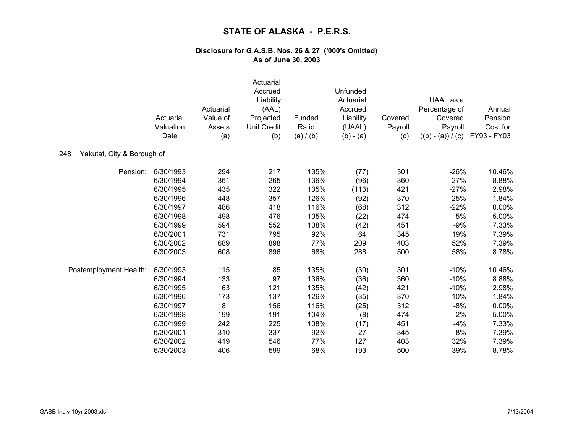|                                   | Actuarial<br>Valuation<br>Date | Actuarial<br>Value of<br>Assets<br>(a) | Actuarial<br>Accrued<br>Liability<br>(AAL)<br>Projected<br><b>Unit Credit</b><br>(b) | Funded<br>Ratio<br>(a) / (b) | Unfunded<br>Actuarial<br>Accrued<br>Liability<br>(UAAL)<br>$(b) - (a)$ | Covered<br>Payroll<br>(c) | UAAL as a<br>Percentage of<br>Covered<br>Payroll<br>$((b) - (a)) / (c)$ | Annual<br>Pension<br>Cost for<br>FY93 - FY03 |
|-----------------------------------|--------------------------------|----------------------------------------|--------------------------------------------------------------------------------------|------------------------------|------------------------------------------------------------------------|---------------------------|-------------------------------------------------------------------------|----------------------------------------------|
| Yakutat, City & Borough of<br>248 |                                |                                        |                                                                                      |                              |                                                                        |                           |                                                                         |                                              |
| Pension:                          | 6/30/1993                      | 294                                    | 217                                                                                  | 135%                         | (77)                                                                   | 301                       | $-26%$                                                                  | 10.46%                                       |
|                                   | 6/30/1994                      | 361                                    | 265                                                                                  | 136%                         | (96)                                                                   | 360                       | $-27%$                                                                  | 8.88%                                        |
|                                   | 6/30/1995                      | 435                                    | 322                                                                                  | 135%                         | (113)                                                                  | 421                       | $-27%$                                                                  | 2.98%                                        |
|                                   | 6/30/1996                      | 448                                    | 357                                                                                  | 126%                         | (92)                                                                   | 370                       | $-25%$                                                                  | 1.84%                                        |
|                                   | 6/30/1997                      | 486                                    | 418                                                                                  | 116%                         | (68)                                                                   | 312                       | $-22%$                                                                  | 0.00%                                        |
|                                   | 6/30/1998                      | 498                                    | 476                                                                                  | 105%                         | (22)                                                                   | 474                       | $-5%$                                                                   | 5.00%                                        |
|                                   | 6/30/1999                      | 594                                    | 552                                                                                  | 108%                         | (42)                                                                   | 451                       | $-9%$                                                                   | 7.33%                                        |
|                                   | 6/30/2001                      | 731                                    | 795                                                                                  | 92%                          | 64                                                                     | 345                       | 19%                                                                     | 7.39%                                        |
|                                   | 6/30/2002                      | 689                                    | 898                                                                                  | 77%                          | 209                                                                    | 403                       | 52%                                                                     | 7.39%                                        |
|                                   | 6/30/2003                      | 608                                    | 896                                                                                  | 68%                          | 288                                                                    | 500                       | 58%                                                                     | 8.78%                                        |
| Postemployment Health:            | 6/30/1993                      | 115                                    | 85                                                                                   | 135%                         | (30)                                                                   | 301                       | $-10%$                                                                  | 10.46%                                       |
|                                   | 6/30/1994                      | 133                                    | 97                                                                                   | 136%                         | (36)                                                                   | 360                       | $-10%$                                                                  | 8.88%                                        |
|                                   | 6/30/1995                      | 163                                    | 121                                                                                  | 135%                         | (42)                                                                   | 421                       | $-10%$                                                                  | 2.98%                                        |
|                                   | 6/30/1996                      | 173                                    | 137                                                                                  | 126%                         | (35)                                                                   | 370                       | $-10%$                                                                  | 1.84%                                        |
|                                   | 6/30/1997                      | 181                                    | 156                                                                                  | 116%                         | (25)                                                                   | 312                       | $-8%$                                                                   | 0.00%                                        |
|                                   | 6/30/1998                      | 199                                    | 191                                                                                  | 104%                         | (8)                                                                    | 474                       | $-2%$                                                                   | 5.00%                                        |
|                                   | 6/30/1999                      | 242                                    | 225                                                                                  | 108%                         | (17)                                                                   | 451                       | $-4%$                                                                   | 7.33%                                        |
|                                   | 6/30/2001                      | 310                                    | 337                                                                                  | 92%                          | 27                                                                     | 345                       | 8%                                                                      | 7.39%                                        |
|                                   | 6/30/2002                      | 419                                    | 546                                                                                  | 77%                          | 127                                                                    | 403                       | 32%                                                                     | 7.39%                                        |
|                                   | 6/30/2003                      | 406                                    | 599                                                                                  | 68%                          | 193                                                                    | 500                       | 39%                                                                     | 8.78%                                        |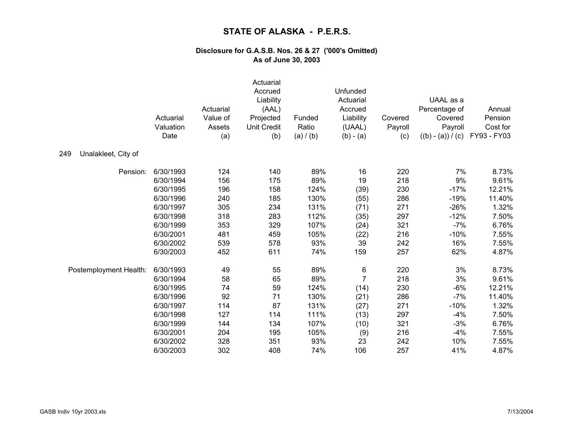|                            | Actuarial<br>Valuation<br>Date | Actuarial<br>Value of<br>Assets<br>(a) | Actuarial<br>Accrued<br>Liability<br>(AAL)<br>Projected<br><b>Unit Credit</b><br>(b) | Funded<br>Ratio<br>(a) / (b) | Unfunded<br>Actuarial<br>Accrued<br>Liability<br>(UAAL)<br>$(b) - (a)$ | Covered<br>Payroll<br>(c) | UAAL as a<br>Percentage of<br>Covered<br>Payroll<br>$((b) - (a)) / (c)$ | Annual<br>Pension<br>Cost for<br>FY93 - FY03 |
|----------------------------|--------------------------------|----------------------------------------|--------------------------------------------------------------------------------------|------------------------------|------------------------------------------------------------------------|---------------------------|-------------------------------------------------------------------------|----------------------------------------------|
| 249<br>Unalakleet, City of |                                |                                        |                                                                                      |                              |                                                                        |                           |                                                                         |                                              |
| Pension:                   | 6/30/1993                      | 124                                    | 140                                                                                  | 89%                          | 16                                                                     | 220                       | 7%                                                                      | 8.73%                                        |
|                            | 6/30/1994                      | 156                                    | 175                                                                                  | 89%                          | 19                                                                     | 218                       | 9%                                                                      | 9.61%                                        |
|                            | 6/30/1995                      | 196                                    | 158                                                                                  | 124%                         | (39)                                                                   | 230                       | $-17%$                                                                  | 12.21%                                       |
|                            | 6/30/1996                      | 240                                    | 185                                                                                  | 130%                         | (55)                                                                   | 286                       | $-19%$                                                                  | 11.40%                                       |
|                            | 6/30/1997                      | 305                                    | 234                                                                                  | 131%                         | (71)                                                                   | 271                       | $-26%$                                                                  | 1.32%                                        |
|                            | 6/30/1998                      | 318                                    | 283                                                                                  | 112%                         | (35)                                                                   | 297                       | $-12%$                                                                  | 7.50%                                        |
|                            | 6/30/1999                      | 353                                    | 329                                                                                  | 107%                         | (24)                                                                   | 321                       | $-7%$                                                                   | 6.76%                                        |
|                            | 6/30/2001                      | 481                                    | 459                                                                                  | 105%                         | (22)                                                                   | 216                       | $-10%$                                                                  | 7.55%                                        |
|                            | 6/30/2002                      | 539                                    | 578                                                                                  | 93%                          | 39                                                                     | 242                       | 16%                                                                     | 7.55%                                        |
|                            | 6/30/2003                      | 452                                    | 611                                                                                  | 74%                          | 159                                                                    | 257                       | 62%                                                                     | 4.87%                                        |
| Postemployment Health:     | 6/30/1993                      | 49                                     | 55                                                                                   | 89%                          | 6                                                                      | 220                       | 3%                                                                      | 8.73%                                        |
|                            | 6/30/1994                      | 58                                     | 65                                                                                   | 89%                          | $\overline{7}$                                                         | 218                       | 3%                                                                      | 9.61%                                        |
|                            | 6/30/1995                      | 74                                     | 59                                                                                   | 124%                         | (14)                                                                   | 230                       | $-6%$                                                                   | 12.21%                                       |
|                            | 6/30/1996                      | 92                                     | 71                                                                                   | 130%                         | (21)                                                                   | 286                       | $-7%$                                                                   | 11.40%                                       |
|                            | 6/30/1997                      | 114                                    | 87                                                                                   | 131%                         | (27)                                                                   | 271                       | $-10%$                                                                  | 1.32%                                        |
|                            | 6/30/1998                      | 127                                    | 114                                                                                  | 111%                         | (13)                                                                   | 297                       | $-4%$                                                                   | 7.50%                                        |
|                            | 6/30/1999                      | 144                                    | 134                                                                                  | 107%                         | (10)                                                                   | 321                       | $-3%$                                                                   | 6.76%                                        |
|                            | 6/30/2001                      | 204                                    | 195                                                                                  | 105%                         | (9)                                                                    | 216                       | $-4%$                                                                   | 7.55%                                        |
|                            | 6/30/2002                      | 328                                    | 351                                                                                  | 93%                          | 23                                                                     | 242                       | 10%                                                                     | 7.55%                                        |
|                            | 6/30/2003                      | 302                                    | 408                                                                                  | 74%                          | 106                                                                    | 257                       | 41%                                                                     | 4.87%                                        |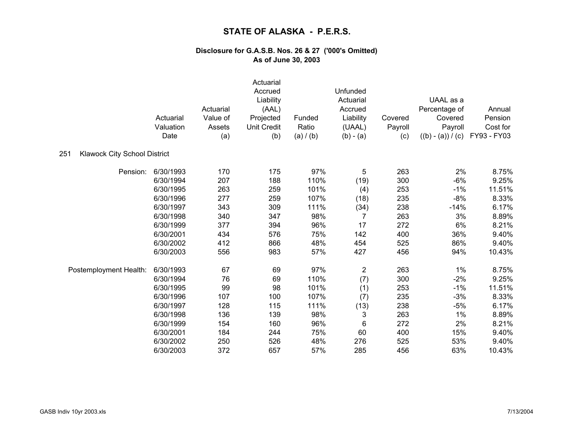|                                            | Actuarial<br>Valuation<br>Date | Actuarial<br>Value of<br>Assets<br>(a) | Actuarial<br>Accrued<br>Liability<br>(AAL)<br>Projected<br><b>Unit Credit</b><br>(b) | Funded<br>Ratio<br>(a) / (b) | Unfunded<br>Actuarial<br>Accrued<br>Liability<br>(UAAL)<br>$(b) - (a)$ | Covered<br>Payroll<br>(c) | UAAL as a<br>Percentage of<br>Covered<br>Payroll<br>$((b) - (a)) / (c)$ | Annual<br>Pension<br>Cost for<br>FY93 - FY03 |
|--------------------------------------------|--------------------------------|----------------------------------------|--------------------------------------------------------------------------------------|------------------------------|------------------------------------------------------------------------|---------------------------|-------------------------------------------------------------------------|----------------------------------------------|
| 251<br><b>Klawock City School District</b> |                                |                                        |                                                                                      |                              |                                                                        |                           |                                                                         |                                              |
| Pension:                                   | 6/30/1993                      | 170                                    | 175                                                                                  | 97%                          | 5                                                                      | 263                       | 2%                                                                      | 8.75%                                        |
|                                            | 6/30/1994                      | 207                                    | 188                                                                                  | 110%                         | (19)                                                                   | 300                       | $-6%$                                                                   | 9.25%                                        |
|                                            | 6/30/1995                      | 263                                    | 259                                                                                  | 101%                         | (4)                                                                    | 253                       | $-1%$                                                                   | 11.51%                                       |
|                                            | 6/30/1996                      | 277                                    | 259                                                                                  | 107%                         | (18)                                                                   | 235                       | $-8%$                                                                   | 8.33%                                        |
|                                            | 6/30/1997                      | 343                                    | 309                                                                                  | 111%                         | (34)                                                                   | 238                       | $-14%$                                                                  | 6.17%                                        |
|                                            | 6/30/1998                      | 340                                    | 347                                                                                  | 98%                          | 7                                                                      | 263                       | 3%                                                                      | 8.89%                                        |
|                                            | 6/30/1999                      | 377                                    | 394                                                                                  | 96%                          | 17                                                                     | 272                       | 6%                                                                      | 8.21%                                        |
|                                            | 6/30/2001                      | 434                                    | 576                                                                                  | 75%                          | 142                                                                    | 400                       | 36%                                                                     | 9.40%                                        |
|                                            | 6/30/2002                      | 412                                    | 866                                                                                  | 48%                          | 454                                                                    | 525                       | 86%                                                                     | 9.40%                                        |
|                                            | 6/30/2003                      | 556                                    | 983                                                                                  | 57%                          | 427                                                                    | 456                       | 94%                                                                     | 10.43%                                       |
| Postemployment Health:                     | 6/30/1993                      | 67                                     | 69                                                                                   | 97%                          | $\overline{2}$                                                         | 263                       | 1%                                                                      | 8.75%                                        |
|                                            | 6/30/1994                      | 76                                     | 69                                                                                   | 110%                         | (7)                                                                    | 300                       | $-2%$                                                                   | 9.25%                                        |
|                                            | 6/30/1995                      | 99                                     | 98                                                                                   | 101%                         | (1)                                                                    | 253                       | $-1%$                                                                   | 11.51%                                       |
|                                            | 6/30/1996                      | 107                                    | 100                                                                                  | 107%                         | (7)                                                                    | 235                       | $-3%$                                                                   | 8.33%                                        |
|                                            | 6/30/1997                      | 128                                    | 115                                                                                  | 111%                         | (13)                                                                   | 238                       | $-5%$                                                                   | 6.17%                                        |
|                                            | 6/30/1998                      | 136                                    | 139                                                                                  | 98%                          | 3                                                                      | 263                       | 1%                                                                      | 8.89%                                        |
|                                            | 6/30/1999                      | 154                                    | 160                                                                                  | 96%                          | 6                                                                      | 272                       | 2%                                                                      | 8.21%                                        |
|                                            | 6/30/2001                      | 184                                    | 244                                                                                  | 75%                          | 60                                                                     | 400                       | 15%                                                                     | 9.40%                                        |
|                                            | 6/30/2002                      | 250                                    | 526                                                                                  | 48%                          | 276                                                                    | 525                       | 53%                                                                     | 9.40%                                        |
|                                            | 6/30/2003                      | 372                                    | 657                                                                                  | 57%                          | 285                                                                    | 456                       | 63%                                                                     | 10.43%                                       |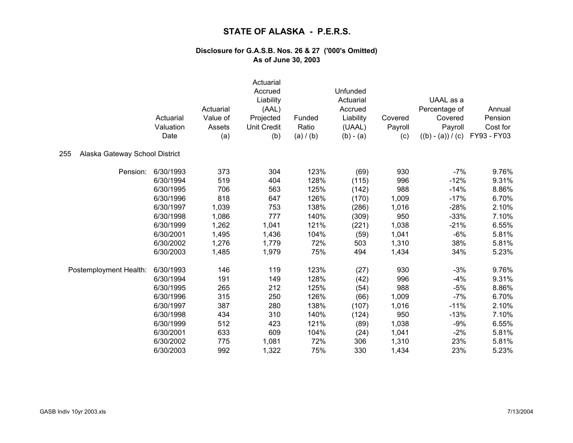|                                       |                   | Actuarial     | Actuarial<br>Accrued<br>Liability<br>(AAL) |                    | Unfunded<br>Actuarial<br>Accrued |                | UAAL as a<br>Percentage of     | Annual                  |
|---------------------------------------|-------------------|---------------|--------------------------------------------|--------------------|----------------------------------|----------------|--------------------------------|-------------------------|
|                                       | Actuarial         | Value of      | Projected                                  | Funded             | Liability                        | Covered        | Covered                        | Pension                 |
|                                       | Valuation<br>Date | Assets<br>(a) | <b>Unit Credit</b><br>(b)                  | Ratio<br>(a) / (b) | (UAAL)<br>$(b) - (a)$            | Payroll<br>(c) | Payroll<br>$((b) - (a)) / (c)$ | Cost for<br>FY93 - FY03 |
| 255<br>Alaska Gateway School District |                   |               |                                            |                    |                                  |                |                                |                         |
| Pension:                              | 6/30/1993         | 373           | 304                                        | 123%               | (69)                             | 930            | $-7%$                          | 9.76%                   |
|                                       | 6/30/1994         | 519           | 404                                        | 128%               | (115)                            | 996            | $-12%$                         | 9.31%                   |
|                                       | 6/30/1995         | 706           | 563                                        | 125%               | (142)                            | 988            | $-14%$                         | 8.86%                   |
|                                       | 6/30/1996         | 818           | 647                                        | 126%               | (170)                            | 1,009          | $-17%$                         | 6.70%                   |
|                                       | 6/30/1997         | 1,039         | 753                                        | 138%               | (286)                            | 1,016          | $-28%$                         | 2.10%                   |
|                                       | 6/30/1998         | 1,086         | 777                                        | 140%               | (309)                            | 950            | $-33%$                         | 7.10%                   |
|                                       | 6/30/1999         | 1,262         | 1,041                                      | 121%               | (221)                            | 1,038          | $-21%$                         | 6.55%                   |
|                                       | 6/30/2001         | 1,495         | 1,436                                      | 104%               | (59)                             | 1,041          | $-6%$                          | 5.81%                   |
|                                       | 6/30/2002         | 1,276         | 1,779                                      | 72%                | 503                              | 1,310          | 38%                            | 5.81%                   |
|                                       | 6/30/2003         | 1,485         | 1,979                                      | 75%                | 494                              | 1,434          | 34%                            | 5.23%                   |
| Postemployment Health:                | 6/30/1993         | 146           | 119                                        | 123%               | (27)                             | 930            | $-3%$                          | 9.76%                   |
|                                       | 6/30/1994         | 191           | 149                                        | 128%               | (42)                             | 996            | $-4%$                          | 9.31%                   |
|                                       | 6/30/1995         | 265           | 212                                        | 125%               | (54)                             | 988            | $-5%$                          | 8.86%                   |
|                                       | 6/30/1996         | 315           | 250                                        | 126%               | (66)                             | 1,009          | $-7%$                          | 6.70%                   |
|                                       | 6/30/1997         | 387           | 280                                        | 138%               | (107)                            | 1,016          | $-11%$                         | 2.10%                   |
|                                       | 6/30/1998         | 434           | 310                                        | 140%               | (124)                            | 950            | $-13%$                         | 7.10%                   |
|                                       | 6/30/1999         | 512           | 423                                        | 121%               | (89)                             | 1,038          | $-9%$                          | 6.55%                   |
|                                       | 6/30/2001         | 633           | 609                                        | 104%               | (24)                             | 1,041          | $-2%$                          | 5.81%                   |
|                                       | 6/30/2002         | 775           | 1,081                                      | 72%                | 306                              | 1,310          | 23%                            | 5.81%                   |
|                                       | 6/30/2003         | 992           | 1,322                                      | 75%                | 330                              | 1,434          | 23%                            | 5.23%                   |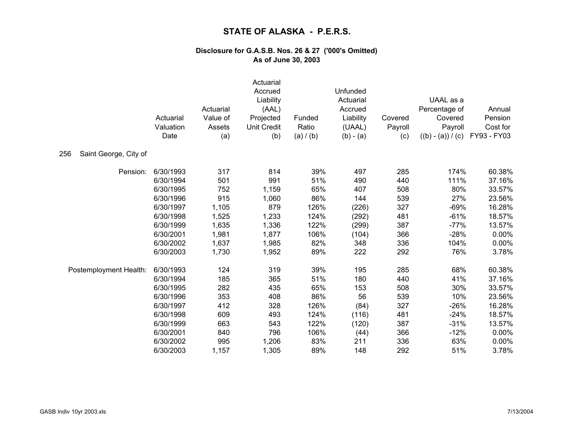|                              | Actuarial<br>Valuation<br>Date | Actuarial<br>Value of<br>Assets<br>(a) | Actuarial<br>Accrued<br>Liability<br>(AAL)<br>Projected<br><b>Unit Credit</b><br>(b) | Funded<br>Ratio<br>(a) / (b) | Unfunded<br>Actuarial<br>Accrued<br>Liability<br>(UAAL)<br>$(b) - (a)$ | Covered<br>Payroll<br>(c) | UAAL as a<br>Percentage of<br>Covered<br>Payroll<br>$((b) - (a)) / (c)$ | Annual<br>Pension<br>Cost for<br>FY93 - FY03 |
|------------------------------|--------------------------------|----------------------------------------|--------------------------------------------------------------------------------------|------------------------------|------------------------------------------------------------------------|---------------------------|-------------------------------------------------------------------------|----------------------------------------------|
| 256<br>Saint George, City of |                                |                                        |                                                                                      |                              |                                                                        |                           |                                                                         |                                              |
| Pension:                     | 6/30/1993                      | 317                                    | 814                                                                                  | 39%                          | 497                                                                    | 285                       | 174%                                                                    | 60.38%                                       |
|                              | 6/30/1994                      | 501                                    | 991                                                                                  | 51%                          | 490                                                                    | 440                       | 111%                                                                    | 37.16%                                       |
|                              | 6/30/1995                      | 752                                    | 1,159                                                                                | 65%                          | 407                                                                    | 508                       | 80%                                                                     | 33.57%                                       |
|                              | 6/30/1996                      | 915                                    | 1,060                                                                                | 86%                          | 144                                                                    | 539                       | 27%                                                                     | 23.56%                                       |
|                              | 6/30/1997                      | 1,105                                  | 879                                                                                  | 126%                         | (226)                                                                  | 327                       | $-69%$                                                                  | 16.28%                                       |
|                              | 6/30/1998                      | 1,525                                  | 1,233                                                                                | 124%                         | (292)                                                                  | 481                       | $-61%$                                                                  | 18.57%                                       |
|                              | 6/30/1999                      | 1,635                                  | 1,336                                                                                | 122%                         | (299)                                                                  | 387                       | $-77%$                                                                  | 13.57%                                       |
|                              | 6/30/2001                      | 1,981                                  | 1,877                                                                                | 106%                         | (104)                                                                  | 366                       | $-28%$                                                                  | 0.00%                                        |
|                              | 6/30/2002                      | 1,637                                  | 1,985                                                                                | 82%                          | 348                                                                    | 336                       | 104%                                                                    | 0.00%                                        |
|                              | 6/30/2003                      | 1,730                                  | 1,952                                                                                | 89%                          | 222                                                                    | 292                       | 76%                                                                     | 3.78%                                        |
| Postemployment Health:       | 6/30/1993                      | 124                                    | 319                                                                                  | 39%                          | 195                                                                    | 285                       | 68%                                                                     | 60.38%                                       |
|                              | 6/30/1994                      | 185                                    | 365                                                                                  | 51%                          | 180                                                                    | 440                       | 41%                                                                     | 37.16%                                       |
|                              | 6/30/1995                      | 282                                    | 435                                                                                  | 65%                          | 153                                                                    | 508                       | 30%                                                                     | 33.57%                                       |
|                              | 6/30/1996                      | 353                                    | 408                                                                                  | 86%                          | 56                                                                     | 539                       | 10%                                                                     | 23.56%                                       |
|                              | 6/30/1997                      | 412                                    | 328                                                                                  | 126%                         | (84)                                                                   | 327                       | $-26%$                                                                  | 16.28%                                       |
|                              | 6/30/1998                      | 609                                    | 493                                                                                  | 124%                         | (116)                                                                  | 481                       | $-24%$                                                                  | 18.57%                                       |
|                              | 6/30/1999                      | 663                                    | 543                                                                                  | 122%                         | (120)                                                                  | 387                       | $-31%$                                                                  | 13.57%                                       |
|                              | 6/30/2001                      | 840                                    | 796                                                                                  | 106%                         | (44)                                                                   | 366                       | $-12%$                                                                  | 0.00%                                        |
|                              | 6/30/2002                      | 995                                    | 1,206                                                                                | 83%                          | 211                                                                    | 336                       | 63%                                                                     | 0.00%                                        |
|                              | 6/30/2003                      | 1,157                                  | 1,305                                                                                | 89%                          | 148                                                                    | 292                       | 51%                                                                     | 3.78%                                        |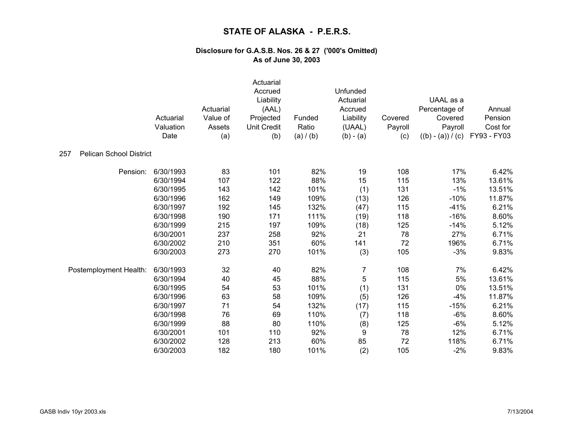|                                       | Actuarial<br>Valuation<br>Date | Actuarial<br>Value of<br>Assets<br>(a) | Actuarial<br>Accrued<br>Liability<br>(AAL)<br>Projected<br><b>Unit Credit</b><br>(b) | Funded<br>Ratio<br>(a) / (b) | Unfunded<br>Actuarial<br>Accrued<br>Liability<br>(UAAL)<br>$(b) - (a)$ | Covered<br>Payroll<br>(c) | UAAL as a<br>Percentage of<br>Covered<br>Payroll<br>$((b) - (a)) / (c)$ | Annual<br>Pension<br>Cost for<br>FY93 - FY03 |
|---------------------------------------|--------------------------------|----------------------------------------|--------------------------------------------------------------------------------------|------------------------------|------------------------------------------------------------------------|---------------------------|-------------------------------------------------------------------------|----------------------------------------------|
| <b>Pelican School District</b><br>257 |                                |                                        |                                                                                      |                              |                                                                        |                           |                                                                         |                                              |
| Pension:                              | 6/30/1993                      | 83                                     | 101                                                                                  | 82%                          | 19                                                                     | 108                       | 17%                                                                     | 6.42%                                        |
|                                       | 6/30/1994                      | 107                                    | 122                                                                                  | 88%                          | 15                                                                     | 115                       | 13%                                                                     | 13.61%                                       |
|                                       | 6/30/1995                      | 143                                    | 142                                                                                  | 101%                         | (1)                                                                    | 131                       | $-1%$                                                                   | 13.51%                                       |
|                                       | 6/30/1996                      | 162                                    | 149                                                                                  | 109%                         | (13)                                                                   | 126                       | $-10%$                                                                  | 11.87%                                       |
|                                       | 6/30/1997                      | 192                                    | 145                                                                                  | 132%                         | (47)                                                                   | 115                       | $-41%$                                                                  | 6.21%                                        |
|                                       | 6/30/1998                      | 190                                    | 171                                                                                  | 111%                         | (19)                                                                   | 118                       | $-16%$                                                                  | 8.60%                                        |
|                                       | 6/30/1999                      | 215                                    | 197                                                                                  | 109%                         | (18)                                                                   | 125                       | $-14%$                                                                  | 5.12%                                        |
|                                       | 6/30/2001                      | 237                                    | 258                                                                                  | 92%                          | 21                                                                     | 78                        | 27%                                                                     | 6.71%                                        |
|                                       | 6/30/2002                      | 210                                    | 351                                                                                  | 60%                          | 141                                                                    | 72                        | 196%                                                                    | 6.71%                                        |
|                                       | 6/30/2003                      | 273                                    | 270                                                                                  | 101%                         | (3)                                                                    | 105                       | $-3%$                                                                   | 9.83%                                        |
| Postemployment Health:                | 6/30/1993                      | 32                                     | 40                                                                                   | 82%                          | 7                                                                      | 108                       | 7%                                                                      | 6.42%                                        |
|                                       | 6/30/1994                      | 40                                     | 45                                                                                   | 88%                          | 5                                                                      | 115                       | 5%                                                                      | 13.61%                                       |
|                                       | 6/30/1995                      | 54                                     | 53                                                                                   | 101%                         | (1)                                                                    | 131                       | 0%                                                                      | 13.51%                                       |
|                                       | 6/30/1996                      | 63                                     | 58                                                                                   | 109%                         | (5)                                                                    | 126                       | $-4%$                                                                   | 11.87%                                       |
|                                       | 6/30/1997                      | 71                                     | 54                                                                                   | 132%                         | (17)                                                                   | 115                       | $-15%$                                                                  | 6.21%                                        |
|                                       | 6/30/1998                      | 76                                     | 69                                                                                   | 110%                         | (7)                                                                    | 118                       | $-6%$                                                                   | 8.60%                                        |
|                                       | 6/30/1999                      | 88                                     | 80                                                                                   | 110%                         | (8)                                                                    | 125                       | $-6%$                                                                   | 5.12%                                        |
|                                       | 6/30/2001                      | 101                                    | 110                                                                                  | 92%                          | 9                                                                      | 78                        | 12%                                                                     | 6.71%                                        |
|                                       | 6/30/2002                      | 128                                    | 213                                                                                  | 60%                          | 85                                                                     | 72                        | 118%                                                                    | 6.71%                                        |
|                                       | 6/30/2003                      | 182                                    | 180                                                                                  | 101%                         | (2)                                                                    | 105                       | $-2%$                                                                   | 9.83%                                        |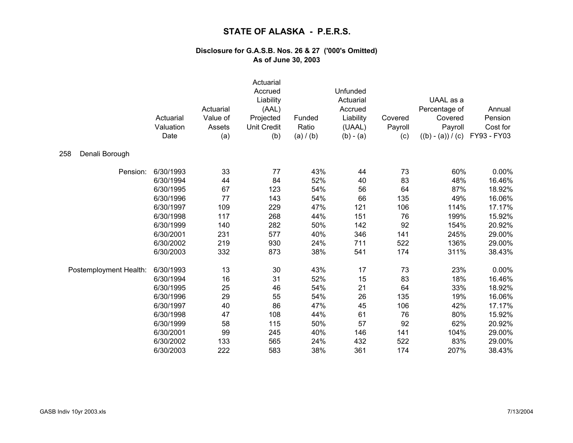|                        | Actuarial<br>Valuation<br>Date | Actuarial<br>Value of<br>Assets<br>(a) | Actuarial<br>Accrued<br>Liability<br>(AAL)<br>Projected<br><b>Unit Credit</b><br>(b) | Funded<br>Ratio<br>(a) / (b) | Unfunded<br>Actuarial<br>Accrued<br>Liability<br>(UAAL)<br>$(b) - (a)$ | Covered<br>Payroll<br>(c) | UAAL as a<br>Percentage of<br>Covered<br>Payroll<br>$((b) - (a)) / (c)$ | Annual<br>Pension<br>Cost for<br>FY93 - FY03 |
|------------------------|--------------------------------|----------------------------------------|--------------------------------------------------------------------------------------|------------------------------|------------------------------------------------------------------------|---------------------------|-------------------------------------------------------------------------|----------------------------------------------|
| Denali Borough<br>258  |                                |                                        |                                                                                      |                              |                                                                        |                           |                                                                         |                                              |
| Pension:               | 6/30/1993                      | 33                                     | 77                                                                                   | 43%                          | 44                                                                     | 73                        | 60%                                                                     | 0.00%                                        |
|                        | 6/30/1994                      | 44                                     | 84                                                                                   | 52%                          | 40                                                                     | 83                        | 48%                                                                     | 16.46%                                       |
|                        | 6/30/1995                      | 67                                     | 123                                                                                  | 54%                          | 56                                                                     | 64                        | 87%                                                                     | 18.92%                                       |
|                        | 6/30/1996                      | 77                                     | 143                                                                                  | 54%                          | 66                                                                     | 135                       | 49%                                                                     | 16.06%                                       |
|                        | 6/30/1997                      | 109                                    | 229                                                                                  | 47%                          | 121                                                                    | 106                       | 114%                                                                    | 17.17%                                       |
|                        | 6/30/1998                      | 117                                    | 268                                                                                  | 44%                          | 151                                                                    | 76                        | 199%                                                                    | 15.92%                                       |
|                        | 6/30/1999                      | 140                                    | 282                                                                                  | 50%                          | 142                                                                    | 92                        | 154%                                                                    | 20.92%                                       |
|                        | 6/30/2001                      | 231                                    | 577                                                                                  | 40%                          | 346                                                                    | 141                       | 245%                                                                    | 29.00%                                       |
|                        | 6/30/2002                      | 219                                    | 930                                                                                  | 24%                          | 711                                                                    | 522                       | 136%                                                                    | 29.00%                                       |
|                        | 6/30/2003                      | 332                                    | 873                                                                                  | 38%                          | 541                                                                    | 174                       | 311%                                                                    | 38.43%                                       |
| Postemployment Health: | 6/30/1993                      | 13                                     | 30                                                                                   | 43%                          | 17                                                                     | 73                        | 23%                                                                     | 0.00%                                        |
|                        | 6/30/1994                      | 16                                     | 31                                                                                   | 52%                          | 15                                                                     | 83                        | 18%                                                                     | 16.46%                                       |
|                        | 6/30/1995                      | 25                                     | 46                                                                                   | 54%                          | 21                                                                     | 64                        | 33%                                                                     | 18.92%                                       |
|                        | 6/30/1996                      | 29                                     | 55                                                                                   | 54%                          | 26                                                                     | 135                       | 19%                                                                     | 16.06%                                       |
|                        | 6/30/1997                      | 40                                     | 86                                                                                   | 47%                          | 45                                                                     | 106                       | 42%                                                                     | 17.17%                                       |
|                        | 6/30/1998                      | 47                                     | 108                                                                                  | 44%                          | 61                                                                     | 76                        | 80%                                                                     | 15.92%                                       |
|                        | 6/30/1999                      | 58                                     | 115                                                                                  | 50%                          | 57                                                                     | 92                        | 62%                                                                     | 20.92%                                       |
|                        | 6/30/2001                      | 99                                     | 245                                                                                  | 40%                          | 146                                                                    | 141                       | 104%                                                                    | 29.00%                                       |
|                        | 6/30/2002                      | 133                                    | 565                                                                                  | 24%                          | 432                                                                    | 522                       | 83%                                                                     | 29.00%                                       |
|                        | 6/30/2003                      | 222                                    | 583                                                                                  | 38%                          | 361                                                                    | 174                       | 207%                                                                    | 38.43%                                       |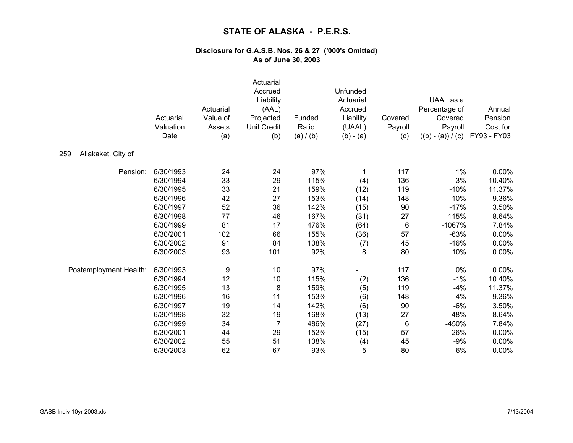|                           | Actuarial<br>Valuation<br>Date | Actuarial<br>Value of<br>Assets<br>(a) | Actuarial<br>Accrued<br>Liability<br>(AAL)<br>Projected<br><b>Unit Credit</b><br>(b) | Funded<br>Ratio<br>(a) / (b) | Unfunded<br>Actuarial<br>Accrued<br>Liability<br>(UAAL)<br>$(b) - (a)$ | Covered<br>Payroll<br>(c) | UAAL as a<br>Percentage of<br>Covered<br>Payroll<br>$((b) - (a)) / (c)$ | Annual<br>Pension<br>Cost for<br>FY93 - FY03 |
|---------------------------|--------------------------------|----------------------------------------|--------------------------------------------------------------------------------------|------------------------------|------------------------------------------------------------------------|---------------------------|-------------------------------------------------------------------------|----------------------------------------------|
| 259<br>Allakaket, City of |                                |                                        |                                                                                      |                              |                                                                        |                           |                                                                         |                                              |
| Pension:                  | 6/30/1993                      | 24                                     | 24                                                                                   | 97%                          | 1                                                                      | 117                       | 1%                                                                      | 0.00%                                        |
|                           | 6/30/1994                      | 33                                     | 29                                                                                   | 115%                         | (4)                                                                    | 136                       | $-3%$                                                                   | 10.40%                                       |
|                           | 6/30/1995                      | 33                                     | 21                                                                                   | 159%                         | (12)                                                                   | 119                       | $-10%$                                                                  | 11.37%                                       |
|                           | 6/30/1996                      | 42                                     | 27                                                                                   | 153%                         | (14)                                                                   | 148                       | $-10%$                                                                  | 9.36%                                        |
|                           | 6/30/1997                      | 52                                     | 36                                                                                   | 142%                         | (15)                                                                   | 90                        | $-17%$                                                                  | 3.50%                                        |
|                           | 6/30/1998                      | 77                                     | 46                                                                                   | 167%                         | (31)                                                                   | 27                        | $-115%$                                                                 | 8.64%                                        |
|                           | 6/30/1999                      | 81                                     | 17                                                                                   | 476%                         | (64)                                                                   | 6                         | $-1067%$                                                                | 7.84%                                        |
|                           | 6/30/2001                      | 102                                    | 66                                                                                   | 155%                         | (36)                                                                   | 57                        | $-63%$                                                                  | 0.00%                                        |
|                           | 6/30/2002                      | 91                                     | 84                                                                                   | 108%                         | (7)                                                                    | 45                        | $-16%$                                                                  | 0.00%                                        |
|                           | 6/30/2003                      | 93                                     | 101                                                                                  | 92%                          | 8                                                                      | 80                        | 10%                                                                     | 0.00%                                        |
| Postemployment Health:    | 6/30/1993                      | 9                                      | 10                                                                                   | 97%                          |                                                                        | 117                       | 0%                                                                      | 0.00%                                        |
|                           | 6/30/1994                      | 12                                     | 10                                                                                   | 115%                         | (2)                                                                    | 136                       | $-1%$                                                                   | 10.40%                                       |
|                           | 6/30/1995                      | 13                                     | 8                                                                                    | 159%                         | (5)                                                                    | 119                       | $-4%$                                                                   | 11.37%                                       |
|                           | 6/30/1996                      | 16                                     | 11                                                                                   | 153%                         | (6)                                                                    | 148                       | $-4%$                                                                   | 9.36%                                        |
|                           | 6/30/1997                      | 19                                     | 14                                                                                   | 142%                         | (6)                                                                    | 90                        | $-6%$                                                                   | 3.50%                                        |
|                           | 6/30/1998                      | 32                                     | 19                                                                                   | 168%                         | (13)                                                                   | 27                        | $-48%$                                                                  | 8.64%                                        |
|                           | 6/30/1999                      | 34                                     | $\overline{7}$                                                                       | 486%                         | (27)                                                                   | 6                         | -450%                                                                   | 7.84%                                        |
|                           | 6/30/2001                      | 44                                     | 29                                                                                   | 152%                         | (15)                                                                   | 57                        | $-26%$                                                                  | 0.00%                                        |
|                           | 6/30/2002                      | 55                                     | 51                                                                                   | 108%                         | (4)                                                                    | 45                        | $-9%$                                                                   | 0.00%                                        |
|                           | 6/30/2003                      | 62                                     | 67                                                                                   | 93%                          | 5                                                                      | 80                        | 6%                                                                      | 0.00%                                        |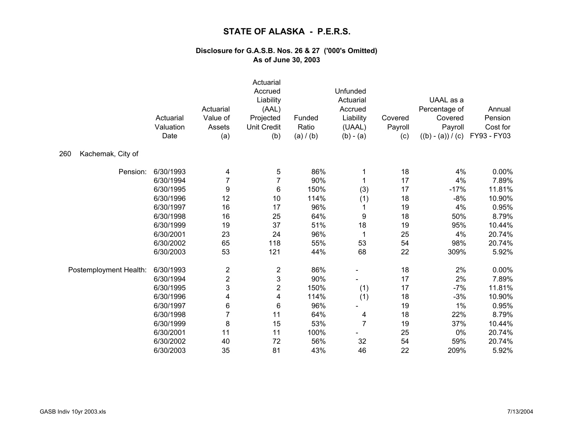|                          | Actuarial<br>Valuation<br>Date | Actuarial<br>Value of<br>Assets<br>(a) | Actuarial<br>Accrued<br>Liability<br>(AAL)<br>Projected<br><b>Unit Credit</b><br>(b) | Funded<br>Ratio<br>(a) / (b) | Unfunded<br>Actuarial<br>Accrued<br>Liability<br>(UAAL)<br>$(b) - (a)$ | Covered<br>Payroll<br>(c) | UAAL as a<br>Percentage of<br>Covered<br>Payroll<br>$((b) - (a)) / (c)$ | Annual<br>Pension<br>Cost for<br>FY93 - FY03 |
|--------------------------|--------------------------------|----------------------------------------|--------------------------------------------------------------------------------------|------------------------------|------------------------------------------------------------------------|---------------------------|-------------------------------------------------------------------------|----------------------------------------------|
| 260<br>Kachemak, City of |                                |                                        |                                                                                      |                              |                                                                        |                           |                                                                         |                                              |
| Pension:                 | 6/30/1993                      | 4                                      | 5                                                                                    | 86%                          | 1                                                                      | 18                        | 4%                                                                      | 0.00%                                        |
|                          | 6/30/1994                      | $\overline{7}$                         | $\overline{7}$                                                                       | 90%                          | 1                                                                      | 17                        | 4%                                                                      | 7.89%                                        |
|                          | 6/30/1995                      | 9                                      | 6                                                                                    | 150%                         | (3)                                                                    | 17                        | $-17%$                                                                  | 11.81%                                       |
|                          | 6/30/1996                      | 12                                     | 10                                                                                   | 114%                         | (1)                                                                    | 18                        | $-8%$                                                                   | 10.90%                                       |
|                          | 6/30/1997                      | 16                                     | 17                                                                                   | 96%                          | 1                                                                      | 19                        | 4%                                                                      | 0.95%                                        |
|                          | 6/30/1998                      | 16                                     | 25                                                                                   | 64%                          | 9                                                                      | 18                        | 50%                                                                     | 8.79%                                        |
|                          | 6/30/1999                      | 19                                     | 37                                                                                   | 51%                          | 18                                                                     | 19                        | 95%                                                                     | 10.44%                                       |
|                          | 6/30/2001                      | 23                                     | 24                                                                                   | 96%                          | 1                                                                      | 25                        | 4%                                                                      | 20.74%                                       |
|                          | 6/30/2002                      | 65                                     | 118                                                                                  | 55%                          | 53                                                                     | 54                        | 98%                                                                     | 20.74%                                       |
|                          | 6/30/2003                      | 53                                     | 121                                                                                  | 44%                          | 68                                                                     | 22                        | 309%                                                                    | 5.92%                                        |
| Postemployment Health:   | 6/30/1993                      | $\overline{\mathbf{c}}$                | $\overline{\mathbf{c}}$                                                              | 86%                          |                                                                        | 18                        | 2%                                                                      | 0.00%                                        |
|                          | 6/30/1994                      | $\mathbf{2}$                           | 3                                                                                    | 90%                          |                                                                        | 17                        | 2%                                                                      | 7.89%                                        |
|                          | 6/30/1995                      | 3                                      | $\overline{2}$                                                                       | 150%                         | (1)                                                                    | 17                        | $-7%$                                                                   | 11.81%                                       |
|                          | 6/30/1996                      | 4                                      | 4                                                                                    | 114%                         | (1)                                                                    | 18                        | $-3%$                                                                   | 10.90%                                       |
|                          | 6/30/1997                      | 6                                      | 6                                                                                    | 96%                          |                                                                        | 19                        | 1%                                                                      | 0.95%                                        |
|                          | 6/30/1998                      |                                        | 11                                                                                   | 64%                          | 4                                                                      | 18                        | 22%                                                                     | 8.79%                                        |
|                          | 6/30/1999                      | 8                                      | 15                                                                                   | 53%                          | $\overline{7}$                                                         | 19                        | 37%                                                                     | 10.44%                                       |
|                          | 6/30/2001                      | 11                                     | 11                                                                                   | 100%                         |                                                                        | 25                        | 0%                                                                      | 20.74%                                       |
|                          | 6/30/2002                      | 40                                     | 72                                                                                   | 56%                          | 32                                                                     | 54                        | 59%                                                                     | 20.74%                                       |
|                          | 6/30/2003                      | 35                                     | 81                                                                                   | 43%                          | 46                                                                     | 22                        | 209%                                                                    | 5.92%                                        |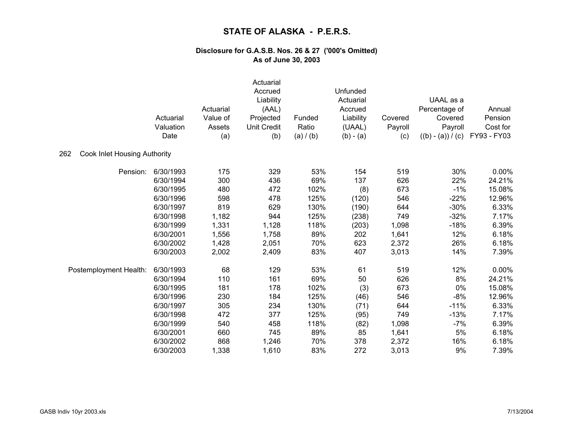|                                     | Actuarial<br>Valuation<br>Date | Actuarial<br>Value of<br>Assets<br>(a) | Actuarial<br>Accrued<br>Liability<br>(AAL)<br>Projected<br><b>Unit Credit</b><br>(b) | Funded<br>Ratio<br>(a) / (b) | Unfunded<br>Actuarial<br>Accrued<br>Liability<br>(UAAL)<br>$(b) - (a)$ | Covered<br>Payroll<br>(c) | UAAL as a<br>Percentage of<br>Covered<br>Payroll<br>$((b) - (a)) / (c)$ | Annual<br>Pension<br>Cost for<br>FY93 - FY03 |
|-------------------------------------|--------------------------------|----------------------------------------|--------------------------------------------------------------------------------------|------------------------------|------------------------------------------------------------------------|---------------------------|-------------------------------------------------------------------------|----------------------------------------------|
| Cook Inlet Housing Authority<br>262 |                                |                                        |                                                                                      |                              |                                                                        |                           |                                                                         |                                              |
| Pension:                            | 6/30/1993                      | 175                                    | 329                                                                                  | 53%                          | 154                                                                    | 519                       | 30%                                                                     | 0.00%                                        |
|                                     | 6/30/1994                      | 300                                    | 436                                                                                  | 69%                          | 137                                                                    | 626                       | 22%                                                                     | 24.21%                                       |
|                                     | 6/30/1995                      | 480                                    | 472                                                                                  | 102%                         | (8)                                                                    | 673                       | $-1%$                                                                   | 15.08%                                       |
|                                     | 6/30/1996                      | 598                                    | 478                                                                                  | 125%                         | (120)                                                                  | 546                       | $-22%$                                                                  | 12.96%                                       |
|                                     | 6/30/1997                      | 819                                    | 629                                                                                  | 130%                         | (190)                                                                  | 644                       | $-30%$                                                                  | 6.33%                                        |
|                                     | 6/30/1998                      | 1,182                                  | 944                                                                                  | 125%                         | (238)                                                                  | 749                       | $-32%$                                                                  | 7.17%                                        |
|                                     | 6/30/1999                      | 1,331                                  | 1,128                                                                                | 118%                         | (203)                                                                  | 1,098                     | $-18%$                                                                  | 6.39%                                        |
|                                     | 6/30/2001                      | 1,556                                  | 1,758                                                                                | 89%                          | 202                                                                    | 1,641                     | 12%                                                                     | 6.18%                                        |
|                                     | 6/30/2002                      | 1,428                                  | 2,051                                                                                | 70%                          | 623                                                                    | 2,372                     | 26%                                                                     | 6.18%                                        |
|                                     | 6/30/2003                      | 2,002                                  | 2,409                                                                                | 83%                          | 407                                                                    | 3,013                     | 14%                                                                     | 7.39%                                        |
| Postemployment Health:              | 6/30/1993                      | 68                                     | 129                                                                                  | 53%                          | 61                                                                     | 519                       | 12%                                                                     | 0.00%                                        |
|                                     | 6/30/1994                      | 110                                    | 161                                                                                  | 69%                          | 50                                                                     | 626                       | 8%                                                                      | 24.21%                                       |
|                                     | 6/30/1995                      | 181                                    | 178                                                                                  | 102%                         | (3)                                                                    | 673                       | 0%                                                                      | 15.08%                                       |
|                                     | 6/30/1996                      | 230                                    | 184                                                                                  | 125%                         | (46)                                                                   | 546                       | $-8%$                                                                   | 12.96%                                       |
|                                     | 6/30/1997                      | 305                                    | 234                                                                                  | 130%                         | (71)                                                                   | 644                       | $-11%$                                                                  | 6.33%                                        |
|                                     | 6/30/1998                      | 472                                    | 377                                                                                  | 125%                         | (95)                                                                   | 749                       | $-13%$                                                                  | 7.17%                                        |
|                                     | 6/30/1999                      | 540                                    | 458                                                                                  | 118%                         | (82)                                                                   | 1,098                     | $-7%$                                                                   | 6.39%                                        |
|                                     | 6/30/2001                      | 660                                    | 745                                                                                  | 89%                          | 85                                                                     | 1,641                     | 5%                                                                      | 6.18%                                        |
|                                     | 6/30/2002                      | 868                                    | 1,246                                                                                | 70%                          | 378                                                                    | 2,372                     | 16%                                                                     | 6.18%                                        |
|                                     | 6/30/2003                      | 1,338                                  | 1,610                                                                                | 83%                          | 272                                                                    | 3,013                     | 9%                                                                      | 7.39%                                        |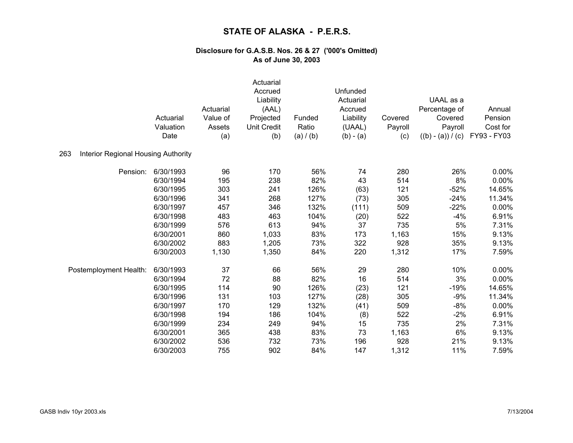|                                                   |           |           | Actuarial          |           |                     |                    |                     |                     |
|---------------------------------------------------|-----------|-----------|--------------------|-----------|---------------------|--------------------|---------------------|---------------------|
|                                                   |           |           | Accrued            |           | Unfunded            |                    |                     |                     |
|                                                   |           |           | Liability          |           | Actuarial           |                    | UAAL as a           |                     |
|                                                   |           | Actuarial | (AAL)              |           | Accrued             |                    | Percentage of       | Annual              |
|                                                   | Actuarial | Value of  | Projected          | Funded    | Liability<br>(UAAL) | Covered<br>Payroll | Covered<br>Payroll  | Pension<br>Cost for |
|                                                   | Valuation | Assets    | <b>Unit Credit</b> | Ratio     |                     |                    |                     |                     |
|                                                   | Date      | (a)       | (b)                | (a) / (b) | $(b) - (a)$         | (c)                | $((b) - (a)) / (c)$ | FY93 - FY03         |
| 263<br><b>Interior Regional Housing Authority</b> |           |           |                    |           |                     |                    |                     |                     |
| Pension:                                          | 6/30/1993 | 96        | 170                | 56%       | 74                  | 280                | 26%                 | $0.00\%$            |
|                                                   | 6/30/1994 | 195       | 238                | 82%       | 43                  | 514                | 8%                  | 0.00%               |
|                                                   | 6/30/1995 | 303       | 241                | 126%      | (63)                | 121                | $-52%$              | 14.65%              |
|                                                   | 6/30/1996 | 341       | 268                | 127%      | (73)                | 305                | $-24%$              | 11.34%              |
|                                                   | 6/30/1997 | 457       | 346                | 132%      | (111)               | 509                | $-22%$              | 0.00%               |
|                                                   | 6/30/1998 | 483       | 463                | 104%      | (20)                | 522                | $-4%$               | 6.91%               |
|                                                   | 6/30/1999 | 576       | 613                | 94%       | 37                  | 735                | 5%                  | 7.31%               |
|                                                   | 6/30/2001 | 860       | 1,033              | 83%       | 173                 | 1,163              | 15%                 | 9.13%               |
|                                                   | 6/30/2002 | 883       | 1,205              | 73%       | 322                 | 928                | 35%                 | 9.13%               |
|                                                   | 6/30/2003 | 1,130     | 1,350              | 84%       | 220                 | 1,312              | 17%                 | 7.59%               |
| Postemployment Health:                            | 6/30/1993 | 37        | 66                 | 56%       | 29                  | 280                | 10%                 | 0.00%               |
|                                                   | 6/30/1994 | 72        | 88                 | 82%       | 16                  | 514                | 3%                  | 0.00%               |
|                                                   | 6/30/1995 | 114       | 90                 | 126%      | (23)                | 121                | $-19%$              | 14.65%              |
|                                                   | 6/30/1996 | 131       | 103                | 127%      | (28)                | 305                | $-9%$               | 11.34%              |
|                                                   | 6/30/1997 | 170       | 129                | 132%      | (41)                | 509                | $-8%$               | 0.00%               |
|                                                   | 6/30/1998 | 194       | 186                | 104%      | (8)                 | 522                | $-2%$               | 6.91%               |
|                                                   | 6/30/1999 | 234       | 249                | 94%       | 15                  | 735                | 2%                  | 7.31%               |
|                                                   | 6/30/2001 | 365       | 438                | 83%       | 73                  | 1,163              | 6%                  | 9.13%               |
|                                                   | 6/30/2002 | 536       | 732                | 73%       | 196                 | 928                | 21%                 | 9.13%               |
|                                                   | 6/30/2003 | 755       | 902                | 84%       | 147                 | 1,312              | 11%                 | 7.59%               |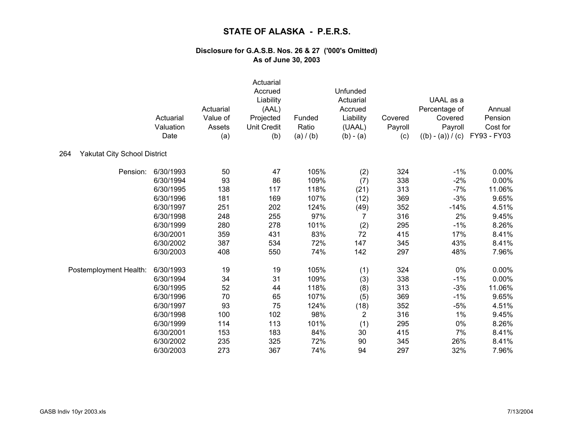|                                            | Actuarial<br>Valuation<br>Date | Actuarial<br>Value of<br>Assets<br>(a) | Actuarial<br>Accrued<br>Liability<br>(AAL)<br>Projected<br><b>Unit Credit</b><br>(b) | Funded<br>Ratio<br>(a) / (b) | Unfunded<br>Actuarial<br>Accrued<br>Liability<br>(UAAL)<br>$(b) - (a)$ | Covered<br>Payroll<br>(c) | UAAL as a<br>Percentage of<br>Covered<br>Payroll<br>$((b) - (a)) / (c)$ | Annual<br>Pension<br>Cost for<br>FY93 - FY03 |
|--------------------------------------------|--------------------------------|----------------------------------------|--------------------------------------------------------------------------------------|------------------------------|------------------------------------------------------------------------|---------------------------|-------------------------------------------------------------------------|----------------------------------------------|
| 264<br><b>Yakutat City School District</b> |                                |                                        |                                                                                      |                              |                                                                        |                           |                                                                         |                                              |
| Pension:                                   | 6/30/1993                      | 50                                     | 47                                                                                   | 105%                         | (2)                                                                    | 324                       | $-1%$                                                                   | 0.00%                                        |
|                                            | 6/30/1994                      | 93                                     | 86                                                                                   | 109%                         | (7)                                                                    | 338                       | $-2%$                                                                   | 0.00%                                        |
|                                            | 6/30/1995                      | 138                                    | 117                                                                                  | 118%                         | (21)                                                                   | 313                       | $-7%$                                                                   | 11.06%                                       |
|                                            | 6/30/1996                      | 181                                    | 169                                                                                  | 107%                         | (12)                                                                   | 369                       | $-3%$                                                                   | 9.65%                                        |
|                                            | 6/30/1997                      | 251                                    | 202                                                                                  | 124%                         | (49)                                                                   | 352                       | $-14%$                                                                  | 4.51%                                        |
|                                            | 6/30/1998                      | 248                                    | 255                                                                                  | 97%                          | 7                                                                      | 316                       | 2%                                                                      | 9.45%                                        |
|                                            | 6/30/1999                      | 280                                    | 278                                                                                  | 101%                         | (2)                                                                    | 295                       | $-1%$                                                                   | 8.26%                                        |
|                                            | 6/30/2001                      | 359                                    | 431                                                                                  | 83%                          | 72                                                                     | 415                       | 17%                                                                     | 8.41%                                        |
|                                            | 6/30/2002                      | 387                                    | 534                                                                                  | 72%                          | 147                                                                    | 345                       | 43%                                                                     | 8.41%                                        |
|                                            | 6/30/2003                      | 408                                    | 550                                                                                  | 74%                          | 142                                                                    | 297                       | 48%                                                                     | 7.96%                                        |
| Postemployment Health:                     | 6/30/1993                      | 19                                     | 19                                                                                   | 105%                         | (1)                                                                    | 324                       | 0%                                                                      | 0.00%                                        |
|                                            | 6/30/1994                      | 34                                     | 31                                                                                   | 109%                         | (3)                                                                    | 338                       | $-1%$                                                                   | 0.00%                                        |
|                                            | 6/30/1995                      | 52                                     | 44                                                                                   | 118%                         | (8)                                                                    | 313                       | $-3%$                                                                   | 11.06%                                       |
|                                            | 6/30/1996                      | 70                                     | 65                                                                                   | 107%                         | (5)                                                                    | 369                       | $-1%$                                                                   | 9.65%                                        |
|                                            | 6/30/1997                      | 93                                     | 75                                                                                   | 124%                         | (18)                                                                   | 352                       | $-5%$                                                                   | 4.51%                                        |
|                                            | 6/30/1998                      | 100                                    | 102                                                                                  | 98%                          | $\overline{2}$                                                         | 316                       | 1%                                                                      | 9.45%                                        |
|                                            | 6/30/1999                      | 114                                    | 113                                                                                  | 101%                         | (1)                                                                    | 295                       | 0%                                                                      | 8.26%                                        |
|                                            | 6/30/2001                      | 153                                    | 183                                                                                  | 84%                          | 30                                                                     | 415                       | 7%                                                                      | 8.41%                                        |
|                                            | 6/30/2002                      | 235                                    | 325                                                                                  | 72%                          | 90                                                                     | 345                       | 26%                                                                     | 8.41%                                        |
|                                            | 6/30/2003                      | 273                                    | 367                                                                                  | 74%                          | 94                                                                     | 297                       | 32%                                                                     | 7.96%                                        |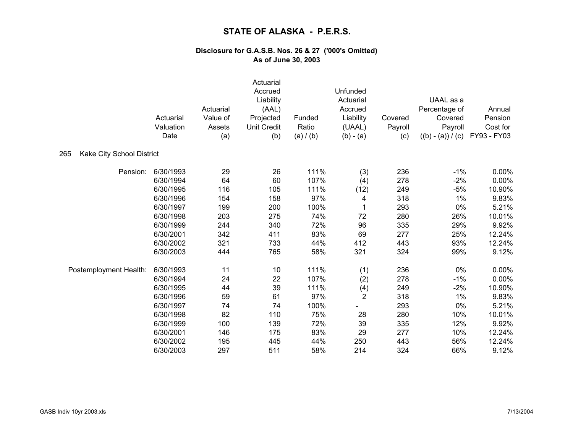|                                  | Actuarial<br>Valuation<br>Date | Actuarial<br>Value of<br>Assets<br>(a) | Actuarial<br>Accrued<br>Liability<br>(AAL)<br>Projected<br><b>Unit Credit</b><br>(b) | Funded<br>Ratio<br>(a) / (b) | Unfunded<br>Actuarial<br>Accrued<br>Liability<br>(UAAL)<br>$(b) - (a)$ | Covered<br>Payroll<br>(c) | UAAL as a<br>Percentage of<br>Covered<br>Payroll<br>$((b) - (a)) / (c)$ | Annual<br>Pension<br>Cost for<br>FY93 - FY03 |
|----------------------------------|--------------------------------|----------------------------------------|--------------------------------------------------------------------------------------|------------------------------|------------------------------------------------------------------------|---------------------------|-------------------------------------------------------------------------|----------------------------------------------|
| Kake City School District<br>265 |                                |                                        |                                                                                      |                              |                                                                        |                           |                                                                         |                                              |
| Pension:                         | 6/30/1993                      | 29                                     | 26                                                                                   | 111%                         | (3)                                                                    | 236                       | $-1%$                                                                   | 0.00%                                        |
|                                  | 6/30/1994                      | 64                                     | 60                                                                                   | 107%                         | (4)                                                                    | 278                       | $-2%$                                                                   | 0.00%                                        |
|                                  | 6/30/1995                      | 116                                    | 105                                                                                  | 111%                         | (12)                                                                   | 249                       | $-5%$                                                                   | 10.90%                                       |
|                                  | 6/30/1996                      | 154                                    | 158                                                                                  | 97%                          | 4                                                                      | 318                       | 1%                                                                      | 9.83%                                        |
|                                  | 6/30/1997                      | 199                                    | 200                                                                                  | 100%                         |                                                                        | 293                       | 0%                                                                      | 5.21%                                        |
|                                  | 6/30/1998                      | 203                                    | 275                                                                                  | 74%                          | 72                                                                     | 280                       | 26%                                                                     | 10.01%                                       |
|                                  | 6/30/1999                      | 244                                    | 340                                                                                  | 72%                          | 96                                                                     | 335                       | 29%                                                                     | 9.92%                                        |
|                                  | 6/30/2001                      | 342                                    | 411                                                                                  | 83%                          | 69                                                                     | 277                       | 25%                                                                     | 12.24%                                       |
|                                  | 6/30/2002                      | 321                                    | 733                                                                                  | 44%                          | 412                                                                    | 443                       | 93%                                                                     | 12.24%                                       |
|                                  | 6/30/2003                      | 444                                    | 765                                                                                  | 58%                          | 321                                                                    | 324                       | 99%                                                                     | 9.12%                                        |
| Postemployment Health:           | 6/30/1993                      | 11                                     | 10                                                                                   | 111%                         | (1)                                                                    | 236                       | 0%                                                                      | 0.00%                                        |
|                                  | 6/30/1994                      | 24                                     | 22                                                                                   | 107%                         | (2)                                                                    | 278                       | $-1%$                                                                   | 0.00%                                        |
|                                  | 6/30/1995                      | 44                                     | 39                                                                                   | 111%                         | (4)                                                                    | 249                       | $-2%$                                                                   | 10.90%                                       |
|                                  | 6/30/1996                      | 59                                     | 61                                                                                   | 97%                          | $\overline{2}$                                                         | 318                       | 1%                                                                      | 9.83%                                        |
|                                  | 6/30/1997                      | 74                                     | 74                                                                                   | 100%                         |                                                                        | 293                       | 0%                                                                      | 5.21%                                        |
|                                  | 6/30/1998                      | 82                                     | 110                                                                                  | 75%                          | 28                                                                     | 280                       | 10%                                                                     | 10.01%                                       |
|                                  | 6/30/1999                      | 100                                    | 139                                                                                  | 72%                          | 39                                                                     | 335                       | 12%                                                                     | 9.92%                                        |
|                                  | 6/30/2001                      | 146                                    | 175                                                                                  | 83%                          | 29                                                                     | 277                       | 10%                                                                     | 12.24%                                       |
|                                  | 6/30/2002                      | 195                                    | 445                                                                                  | 44%                          | 250                                                                    | 443                       | 56%                                                                     | 12.24%                                       |
|                                  | 6/30/2003                      | 297                                    | 511                                                                                  | 58%                          | 214                                                                    | 324                       | 66%                                                                     | 9.12%                                        |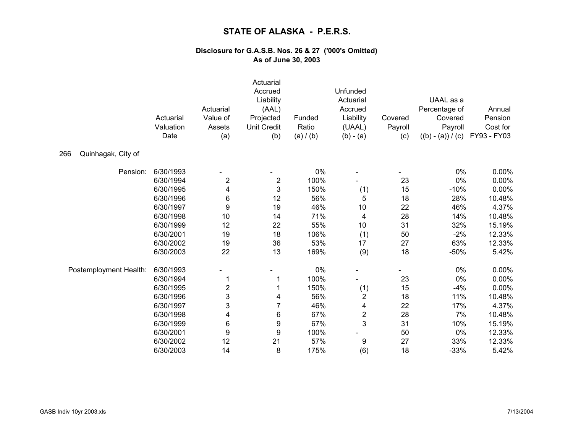|                           |                        | Actuarial               | Actuarial<br>Accrued<br>Liability<br>(AAL) |                 | Unfunded<br>Actuarial<br>Accrued |                | UAAL as a<br>Percentage of | Annual              |
|---------------------------|------------------------|-------------------------|--------------------------------------------|-----------------|----------------------------------|----------------|----------------------------|---------------------|
|                           | Actuarial<br>Valuation | Value of<br>Assets      | Projected<br><b>Unit Credit</b>            | Funded<br>Ratio | Liability                        | Covered        | Covered<br>Payroll         | Pension<br>Cost for |
|                           | Date                   | (a)                     | (b)                                        | (a) / (b)       | (UAAL)<br>$(b) - (a)$            | Payroll<br>(c) | $((b) - (a)) / (c)$        | FY93 - FY03         |
| Quinhagak, City of<br>266 |                        |                         |                                            |                 |                                  |                |                            |                     |
| Pension:                  | 6/30/1993              |                         |                                            | 0%              |                                  |                | 0%                         | 0.00%               |
|                           | 6/30/1994              | $\overline{\mathbf{c}}$ | $\overline{\mathbf{c}}$                    | 100%            |                                  | 23             | 0%                         | 0.00%               |
|                           | 6/30/1995              | 4                       | $\mathbf 3$                                | 150%            | (1)                              | 15             | $-10%$                     | 0.00%               |
|                           | 6/30/1996              | 6                       | 12                                         | 56%             | 5                                | 18             | 28%                        | 10.48%              |
|                           | 6/30/1997              | $\boldsymbol{9}$        | 19                                         | 46%             | 10                               | 22             | 46%                        | 4.37%               |
|                           | 6/30/1998              | 10                      | 14                                         | 71%             | 4                                | 28             | 14%                        | 10.48%              |
|                           | 6/30/1999              | 12                      | 22                                         | 55%             | 10                               | 31             | 32%                        | 15.19%              |
|                           | 6/30/2001              | 19                      | 18                                         | 106%            | (1)                              | 50             | $-2%$                      | 12.33%              |
|                           | 6/30/2002              | 19                      | 36                                         | 53%             | 17                               | 27             | 63%                        | 12.33%              |
|                           | 6/30/2003              | 22                      | 13                                         | 169%            | (9)                              | 18             | $-50%$                     | 5.42%               |
| Postemployment Health:    | 6/30/1993              |                         |                                            | 0%              |                                  |                | $0\%$                      | 0.00%               |
|                           | 6/30/1994              |                         | 1                                          | 100%            |                                  | 23             | 0%                         | 0.00%               |
|                           | 6/30/1995              | $\overline{\mathbf{c}}$ | 1                                          | 150%            | (1)                              | 15             | $-4%$                      | 0.00%               |
|                           | 6/30/1996              | 3                       | 4                                          | 56%             | $\overline{\mathbf{c}}$          | 18             | 11%                        | 10.48%              |
|                           | 6/30/1997              | 3                       | $\overline{7}$                             | 46%             | 4                                | 22             | 17%                        | 4.37%               |
|                           | 6/30/1998              | 4                       | 6                                          | 67%             | $\overline{\mathbf{c}}$          | 28             | 7%                         | 10.48%              |
|                           | 6/30/1999              | 6                       | 9                                          | 67%             | 3                                | 31             | 10%                        | 15.19%              |
|                           | 6/30/2001              | 9                       | 9                                          | 100%            |                                  | 50             | 0%                         | 12.33%              |
|                           | 6/30/2002              | 12                      | 21                                         | 57%             | 9                                | 27             | 33%                        | 12.33%              |
|                           | 6/30/2003              | 14                      | 8                                          | 175%            | (6)                              | 18             | $-33%$                     | 5.42%               |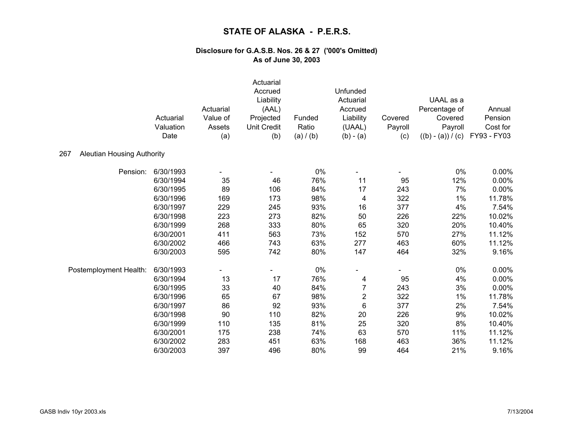|                                          | Actuarial<br>Valuation<br>Date | Actuarial<br>Value of<br>Assets<br>(a) | Actuarial<br>Accrued<br>Liability<br>(AAL)<br>Projected<br><b>Unit Credit</b><br>(b) | Funded<br>Ratio<br>(a) / (b) | Unfunded<br>Actuarial<br>Accrued<br>Liability<br>(UAAL)<br>$(b) - (a)$ | Covered<br>Payroll<br>(c) | UAAL as a<br>Percentage of<br>Covered<br>Payroll<br>$((b) - (a)) / (c)$ | Annual<br>Pension<br>Cost for<br>FY93 - FY03 |
|------------------------------------------|--------------------------------|----------------------------------------|--------------------------------------------------------------------------------------|------------------------------|------------------------------------------------------------------------|---------------------------|-------------------------------------------------------------------------|----------------------------------------------|
| 267<br><b>Aleutian Housing Authority</b> |                                |                                        |                                                                                      |                              |                                                                        |                           |                                                                         |                                              |
| Pension:                                 | 6/30/1993                      |                                        |                                                                                      | 0%                           |                                                                        |                           | 0%                                                                      | 0.00%                                        |
|                                          | 6/30/1994                      | 35                                     | 46                                                                                   | 76%                          | 11                                                                     | 95                        | 12%                                                                     | 0.00%                                        |
|                                          | 6/30/1995                      | 89                                     | 106                                                                                  | 84%                          | 17                                                                     | 243                       | 7%                                                                      | 0.00%                                        |
|                                          | 6/30/1996                      | 169                                    | 173                                                                                  | 98%                          | 4                                                                      | 322                       | 1%                                                                      | 11.78%                                       |
|                                          | 6/30/1997                      | 229                                    | 245                                                                                  | 93%                          | 16                                                                     | 377                       | 4%                                                                      | 7.54%                                        |
|                                          | 6/30/1998                      | 223                                    | 273                                                                                  | 82%                          | 50                                                                     | 226                       | 22%                                                                     | 10.02%                                       |
|                                          | 6/30/1999                      | 268                                    | 333                                                                                  | 80%                          | 65                                                                     | 320                       | 20%                                                                     | 10.40%                                       |
|                                          | 6/30/2001                      | 411                                    | 563                                                                                  | 73%                          | 152                                                                    | 570                       | 27%                                                                     | 11.12%                                       |
|                                          | 6/30/2002                      | 466                                    | 743                                                                                  | 63%                          | 277                                                                    | 463                       | 60%                                                                     | 11.12%                                       |
|                                          | 6/30/2003                      | 595                                    | 742                                                                                  | 80%                          | 147                                                                    | 464                       | 32%                                                                     | 9.16%                                        |
| Postemployment Health:                   | 6/30/1993                      |                                        |                                                                                      | 0%                           |                                                                        |                           | 0%                                                                      | 0.00%                                        |
|                                          | 6/30/1994                      | 13                                     | 17                                                                                   | 76%                          | 4                                                                      | 95                        | 4%                                                                      | 0.00%                                        |
|                                          | 6/30/1995                      | 33                                     | 40                                                                                   | 84%                          | $\overline{7}$                                                         | 243                       | 3%                                                                      | 0.00%                                        |
|                                          | 6/30/1996                      | 65                                     | 67                                                                                   | 98%                          | $\overline{c}$                                                         | 322                       | 1%                                                                      | 11.78%                                       |
|                                          | 6/30/1997                      | 86                                     | 92                                                                                   | 93%                          | 6                                                                      | 377                       | 2%                                                                      | 7.54%                                        |
|                                          | 6/30/1998                      | 90                                     | 110                                                                                  | 82%                          | 20                                                                     | 226                       | 9%                                                                      | 10.02%                                       |
|                                          | 6/30/1999                      | 110                                    | 135                                                                                  | 81%                          | 25                                                                     | 320                       | 8%                                                                      | 10.40%                                       |
|                                          | 6/30/2001                      | 175                                    | 238                                                                                  | 74%                          | 63                                                                     | 570                       | 11%                                                                     | 11.12%                                       |
|                                          | 6/30/2002                      | 283                                    | 451                                                                                  | 63%                          | 168                                                                    | 463                       | 36%                                                                     | 11.12%                                       |
|                                          | 6/30/2003                      | 397                                    | 496                                                                                  | 80%                          | 99                                                                     | 464                       | 21%                                                                     | 9.16%                                        |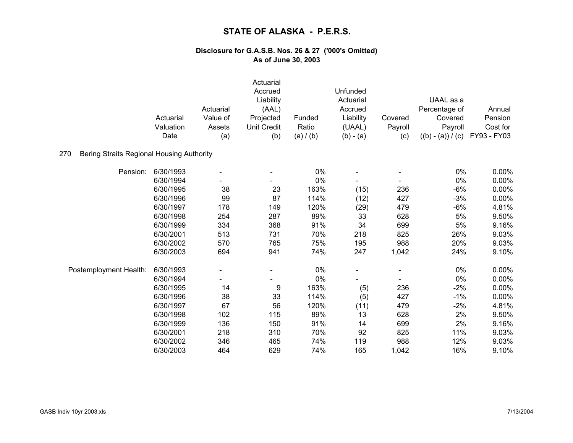|                                                  | Actuarial<br>Valuation<br>Date | Actuarial<br>Value of<br>Assets<br>(a) | Actuarial<br>Accrued<br>Liability<br>(AAL)<br>Projected<br><b>Unit Credit</b><br>(b) | Funded<br>Ratio<br>(a) / (b) | Unfunded<br>Actuarial<br>Accrued<br>Liability<br>(UAAL)<br>$(b) - (a)$ | Covered<br>Payroll<br>(c) | UAAL as a<br>Percentage of<br>Covered<br>Payroll<br>$((b) - (a)) / (c)$ | Annual<br>Pension<br>Cost for<br>FY93 - FY03 |
|--------------------------------------------------|--------------------------------|----------------------------------------|--------------------------------------------------------------------------------------|------------------------------|------------------------------------------------------------------------|---------------------------|-------------------------------------------------------------------------|----------------------------------------------|
| 270<br>Bering Straits Regional Housing Authority |                                |                                        |                                                                                      |                              |                                                                        |                           |                                                                         |                                              |
| Pension:                                         | 6/30/1993                      |                                        |                                                                                      | 0%                           |                                                                        |                           | 0%                                                                      | 0.00%                                        |
|                                                  | 6/30/1994                      |                                        |                                                                                      | 0%                           |                                                                        |                           | $0\%$                                                                   | 0.00%                                        |
|                                                  | 6/30/1995                      | 38                                     | 23                                                                                   | 163%                         | (15)                                                                   | 236                       | $-6%$                                                                   | 0.00%                                        |
|                                                  | 6/30/1996                      | 99                                     | 87                                                                                   | 114%                         | (12)                                                                   | 427                       | $-3%$                                                                   | 0.00%                                        |
|                                                  | 6/30/1997                      | 178                                    | 149                                                                                  | 120%                         | (29)                                                                   | 479                       | $-6%$                                                                   | 4.81%                                        |
|                                                  | 6/30/1998                      | 254                                    | 287                                                                                  | 89%                          | 33                                                                     | 628                       | 5%                                                                      | 9.50%                                        |
|                                                  | 6/30/1999                      | 334                                    | 368                                                                                  | 91%                          | 34                                                                     | 699                       | 5%                                                                      | 9.16%                                        |
|                                                  | 6/30/2001                      | 513                                    | 731                                                                                  | 70%                          | 218                                                                    | 825                       | 26%                                                                     | 9.03%                                        |
|                                                  | 6/30/2002                      | 570                                    | 765                                                                                  | 75%                          | 195                                                                    | 988                       | 20%                                                                     | 9.03%                                        |
|                                                  | 6/30/2003                      | 694                                    | 941                                                                                  | 74%                          | 247                                                                    | 1,042                     | 24%                                                                     | 9.10%                                        |
| Postemployment Health:                           | 6/30/1993                      |                                        |                                                                                      | $0\%$                        |                                                                        |                           | 0%                                                                      | $0.00\%$                                     |
|                                                  | 6/30/1994                      |                                        |                                                                                      | 0%                           |                                                                        |                           | 0%                                                                      | 0.00%                                        |
|                                                  | 6/30/1995                      | 14                                     | 9                                                                                    | 163%                         | (5)                                                                    | 236                       | $-2%$                                                                   | 0.00%                                        |
|                                                  | 6/30/1996                      | 38                                     | 33                                                                                   | 114%                         | (5)                                                                    | 427                       | $-1%$                                                                   | 0.00%                                        |
|                                                  | 6/30/1997                      | 67                                     | 56                                                                                   | 120%                         | (11)                                                                   | 479                       | $-2%$                                                                   | 4.81%                                        |
|                                                  | 6/30/1998                      | 102                                    | 115                                                                                  | 89%                          | 13                                                                     | 628                       | 2%                                                                      | 9.50%                                        |
|                                                  | 6/30/1999                      | 136                                    | 150                                                                                  | 91%                          | 14                                                                     | 699                       | 2%                                                                      | 9.16%                                        |
|                                                  | 6/30/2001                      | 218                                    | 310                                                                                  | 70%                          | 92                                                                     | 825                       | 11%                                                                     | 9.03%                                        |
|                                                  | 6/30/2002                      | 346                                    | 465                                                                                  | 74%                          | 119                                                                    | 988                       | 12%                                                                     | 9.03%                                        |
|                                                  | 6/30/2003                      | 464                                    | 629                                                                                  | 74%                          | 165                                                                    | 1,042                     | 16%                                                                     | 9.10%                                        |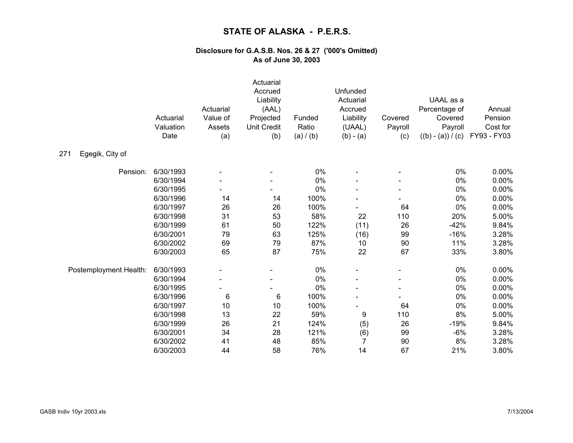|                        | Actuarial<br>Valuation<br>Date | Actuarial<br>Value of<br>Assets<br>(a) | Actuarial<br>Accrued<br>Liability<br>(AAL)<br>Projected<br><b>Unit Credit</b><br>(b) | Funded<br>Ratio<br>(a) / (b) | Unfunded<br>Actuarial<br>Accrued<br>Liability<br>(UAAL)<br>$(b) - (a)$ | Covered<br>Payroll<br>(c) | UAAL as a<br>Percentage of<br>Covered<br>Payroll<br>$((b) - (a)) / (c)$ | Annual<br>Pension<br>Cost for<br>FY93 - FY03 |
|------------------------|--------------------------------|----------------------------------------|--------------------------------------------------------------------------------------|------------------------------|------------------------------------------------------------------------|---------------------------|-------------------------------------------------------------------------|----------------------------------------------|
| Egegik, City of<br>271 |                                |                                        |                                                                                      |                              |                                                                        |                           |                                                                         |                                              |
| Pension:               | 6/30/1993                      |                                        |                                                                                      | $0\%$                        |                                                                        |                           | 0%                                                                      | 0.00%                                        |
|                        | 6/30/1994                      |                                        |                                                                                      | $0\%$                        |                                                                        |                           | $0\%$                                                                   | 0.00%                                        |
|                        | 6/30/1995                      |                                        |                                                                                      | 0%                           |                                                                        |                           | 0%                                                                      | 0.00%                                        |
|                        | 6/30/1996                      | 14                                     | 14                                                                                   | 100%                         |                                                                        |                           | 0%                                                                      | 0.00%                                        |
|                        | 6/30/1997                      | 26                                     | 26                                                                                   | 100%                         |                                                                        | 64                        | 0%                                                                      | 0.00%                                        |
|                        | 6/30/1998                      | 31                                     | 53                                                                                   | 58%                          | 22                                                                     | 110                       | 20%                                                                     | 5.00%                                        |
|                        | 6/30/1999                      | 61                                     | 50                                                                                   | 122%                         | (11)                                                                   | 26                        | $-42%$                                                                  | 9.84%                                        |
|                        | 6/30/2001                      | 79                                     | 63                                                                                   | 125%                         | (16)                                                                   | 99                        | $-16%$                                                                  | 3.28%                                        |
|                        | 6/30/2002                      | 69                                     | 79                                                                                   | 87%                          | 10                                                                     | 90                        | 11%                                                                     | 3.28%                                        |
|                        | 6/30/2003                      | 65                                     | 87                                                                                   | 75%                          | 22                                                                     | 67                        | 33%                                                                     | 3.80%                                        |
| Postemployment Health: | 6/30/1993                      |                                        |                                                                                      | $0\%$                        |                                                                        |                           | 0%                                                                      | 0.00%                                        |
|                        | 6/30/1994                      |                                        |                                                                                      | 0%                           |                                                                        |                           | 0%                                                                      | 0.00%                                        |
|                        | 6/30/1995                      |                                        |                                                                                      | 0%                           |                                                                        |                           | 0%                                                                      | 0.00%                                        |
|                        | 6/30/1996                      | 6                                      | 6                                                                                    | 100%                         |                                                                        |                           | 0%                                                                      | 0.00%                                        |
|                        | 6/30/1997                      | 10                                     | 10                                                                                   | 100%                         |                                                                        | 64                        | 0%                                                                      | 0.00%                                        |
|                        | 6/30/1998                      | 13                                     | 22                                                                                   | 59%                          | 9                                                                      | 110                       | 8%                                                                      | 5.00%                                        |
|                        | 6/30/1999                      | 26                                     | 21                                                                                   | 124%                         | (5)                                                                    | 26                        | $-19%$                                                                  | 9.84%                                        |
|                        | 6/30/2001                      | 34                                     | 28                                                                                   | 121%                         | (6)                                                                    | 99                        | $-6%$                                                                   | 3.28%                                        |
|                        | 6/30/2002                      | 41                                     | 48                                                                                   | 85%                          | $\overline{7}$                                                         | 90                        | 8%                                                                      | 3.28%                                        |
|                        | 6/30/2003                      | 44                                     | 58                                                                                   | 76%                          | 14                                                                     | 67                        | 21%                                                                     | 3.80%                                        |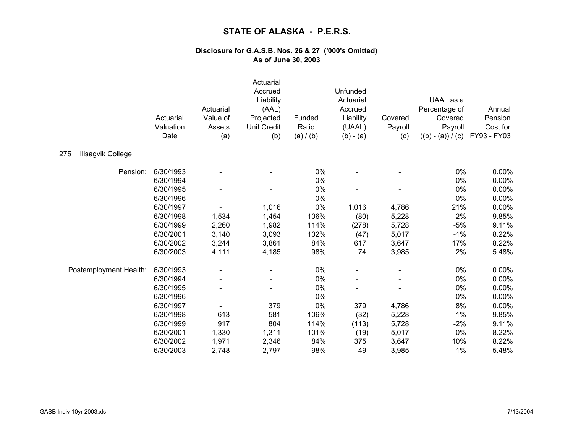|                          | Actuarial<br>Valuation<br>Date | Actuarial<br>Value of<br>Assets<br>(a) | Actuarial<br>Accrued<br>Liability<br>(AAL)<br>Projected<br><b>Unit Credit</b><br>(b) | Funded<br>Ratio<br>(a) / (b) | Unfunded<br>Actuarial<br>Accrued<br>Liability<br>(UAAL)<br>$(b) - (a)$ | Covered<br>Payroll<br>(c) | UAAL as a<br>Percentage of<br>Covered<br>Payroll<br>$((b) - (a)) / (c)$ | Annual<br>Pension<br>Cost for<br>FY93 - FY03 |
|--------------------------|--------------------------------|----------------------------------------|--------------------------------------------------------------------------------------|------------------------------|------------------------------------------------------------------------|---------------------------|-------------------------------------------------------------------------|----------------------------------------------|
| 275<br>Ilisagvik College |                                |                                        |                                                                                      |                              |                                                                        |                           |                                                                         |                                              |
| Pension:                 | 6/30/1993                      |                                        |                                                                                      | 0%                           |                                                                        |                           | 0%                                                                      | 0.00%                                        |
|                          | 6/30/1994                      |                                        |                                                                                      | 0%                           |                                                                        |                           | $0\%$                                                                   | 0.00%                                        |
|                          | 6/30/1995                      |                                        |                                                                                      | 0%                           |                                                                        |                           | $0\%$                                                                   | 0.00%                                        |
|                          | 6/30/1996                      |                                        |                                                                                      | 0%                           |                                                                        |                           | 0%                                                                      | 0.00%                                        |
|                          | 6/30/1997                      |                                        | 1,016                                                                                | 0%                           | 1,016                                                                  | 4,786                     | 21%                                                                     | 0.00%                                        |
|                          | 6/30/1998                      | 1,534                                  | 1,454                                                                                | 106%                         | (80)                                                                   | 5,228                     | $-2%$                                                                   | 9.85%                                        |
|                          | 6/30/1999                      | 2,260                                  | 1,982                                                                                | 114%                         | (278)                                                                  | 5,728                     | $-5%$                                                                   | 9.11%                                        |
|                          | 6/30/2001                      | 3,140                                  | 3,093                                                                                | 102%                         | (47)                                                                   | 5,017                     | $-1%$                                                                   | 8.22%                                        |
|                          | 6/30/2002                      | 3,244                                  | 3,861                                                                                | 84%                          | 617                                                                    | 3,647                     | 17%                                                                     | 8.22%                                        |
|                          | 6/30/2003                      | 4,111                                  | 4,185                                                                                | 98%                          | 74                                                                     | 3,985                     | 2%                                                                      | 5.48%                                        |
| Postemployment Health:   | 6/30/1993                      |                                        |                                                                                      | 0%                           |                                                                        |                           | 0%                                                                      | 0.00%                                        |
|                          | 6/30/1994                      |                                        |                                                                                      | 0%                           |                                                                        |                           | 0%                                                                      | 0.00%                                        |
|                          | 6/30/1995                      |                                        |                                                                                      | 0%                           |                                                                        |                           | 0%                                                                      | 0.00%                                        |
|                          | 6/30/1996                      |                                        |                                                                                      | 0%                           |                                                                        |                           | 0%                                                                      | 0.00%                                        |
|                          | 6/30/1997                      |                                        | 379                                                                                  | 0%                           | 379                                                                    | 4,786                     | 8%                                                                      | 0.00%                                        |
|                          | 6/30/1998                      | 613                                    | 581                                                                                  | 106%                         | (32)                                                                   | 5,228                     | $-1%$                                                                   | 9.85%                                        |
|                          | 6/30/1999                      | 917                                    | 804                                                                                  | 114%                         | (113)                                                                  | 5,728                     | $-2%$                                                                   | 9.11%                                        |
|                          | 6/30/2001                      | 1,330                                  | 1,311                                                                                | 101%                         | (19)                                                                   | 5,017                     | 0%                                                                      | 8.22%                                        |
|                          | 6/30/2002                      | 1,971                                  | 2,346                                                                                | 84%                          | 375                                                                    | 3,647                     | 10%                                                                     | 8.22%                                        |
|                          | 6/30/2003                      | 2,748                                  | 2,797                                                                                | 98%                          | 49                                                                     | 3,985                     | 1%                                                                      | 5.48%                                        |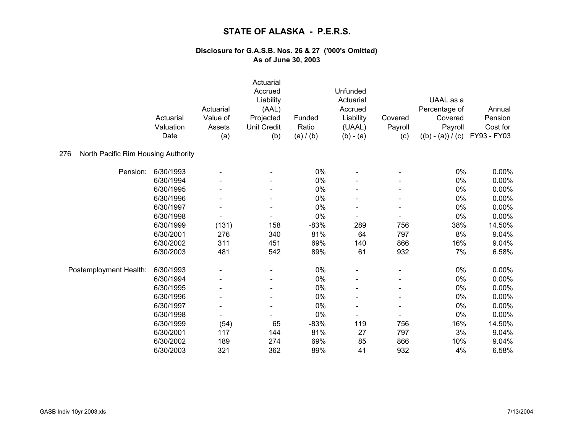|                                            | Actuarial<br>Valuation<br>Date | Actuarial<br>Value of<br>Assets<br>(a) | Actuarial<br>Accrued<br>Liability<br>(AAL)<br>Projected<br><b>Unit Credit</b><br>(b) | Funded<br>Ratio<br>(a) / (b) | Unfunded<br>Actuarial<br>Accrued<br>Liability<br>(UAAL)<br>$(b) - (a)$ | Covered<br>Payroll<br>(c) | UAAL as a<br>Percentage of<br>Covered<br>Payroll<br>$((b) - (a)) / (c)$ | Annual<br>Pension<br>Cost for<br>FY93 - FY03 |
|--------------------------------------------|--------------------------------|----------------------------------------|--------------------------------------------------------------------------------------|------------------------------|------------------------------------------------------------------------|---------------------------|-------------------------------------------------------------------------|----------------------------------------------|
| 276<br>North Pacific Rim Housing Authority |                                |                                        |                                                                                      |                              |                                                                        |                           |                                                                         |                                              |
| Pension:                                   | 6/30/1993                      |                                        |                                                                                      | 0%                           |                                                                        |                           | 0%                                                                      | 0.00%                                        |
|                                            | 6/30/1994                      |                                        |                                                                                      | 0%                           |                                                                        |                           | $0\%$                                                                   | 0.00%                                        |
|                                            | 6/30/1995                      |                                        |                                                                                      | 0%                           |                                                                        |                           | 0%                                                                      | 0.00%                                        |
|                                            | 6/30/1996                      |                                        |                                                                                      | 0%                           |                                                                        |                           | 0%                                                                      | 0.00%                                        |
|                                            | 6/30/1997                      |                                        |                                                                                      | 0%                           |                                                                        |                           | 0%                                                                      | 0.00%                                        |
|                                            | 6/30/1998                      |                                        |                                                                                      | 0%                           |                                                                        |                           | 0%                                                                      | 0.00%                                        |
|                                            | 6/30/1999                      | (131)                                  | 158                                                                                  | $-83%$                       | 289                                                                    | 756                       | 38%                                                                     | 14.50%                                       |
|                                            | 6/30/2001                      | 276                                    | 340                                                                                  | 81%                          | 64                                                                     | 797                       | 8%                                                                      | 9.04%                                        |
|                                            | 6/30/2002                      | 311                                    | 451                                                                                  | 69%                          | 140                                                                    | 866                       | 16%                                                                     | 9.04%                                        |
|                                            | 6/30/2003                      | 481                                    | 542                                                                                  | 89%                          | 61                                                                     | 932                       | 7%                                                                      | 6.58%                                        |
| Postemployment Health:                     | 6/30/1993                      |                                        |                                                                                      | 0%                           |                                                                        |                           | $0\%$                                                                   | 0.00%                                        |
|                                            | 6/30/1994                      |                                        |                                                                                      | 0%                           |                                                                        |                           | 0%                                                                      | 0.00%                                        |
|                                            | 6/30/1995                      |                                        |                                                                                      | 0%                           |                                                                        |                           | $0\%$                                                                   | 0.00%                                        |
|                                            | 6/30/1996                      |                                        |                                                                                      | 0%                           |                                                                        |                           | $0\%$                                                                   | 0.00%                                        |
|                                            | 6/30/1997                      |                                        |                                                                                      | 0%                           |                                                                        |                           | $0\%$                                                                   | 0.00%                                        |
|                                            | 6/30/1998                      |                                        |                                                                                      | 0%                           |                                                                        |                           | 0%                                                                      | 0.00%                                        |
|                                            | 6/30/1999                      | (54)                                   | 65                                                                                   | $-83%$                       | 119                                                                    | 756                       | 16%                                                                     | 14.50%                                       |
|                                            | 6/30/2001                      | 117                                    | 144                                                                                  | 81%                          | 27                                                                     | 797                       | 3%                                                                      | 9.04%                                        |
|                                            | 6/30/2002                      | 189                                    | 274                                                                                  | 69%                          | 85                                                                     | 866                       | 10%                                                                     | 9.04%                                        |
|                                            | 6/30/2003                      | 321                                    | 362                                                                                  | 89%                          | 41                                                                     | 932                       | 4%                                                                      | 6.58%                                        |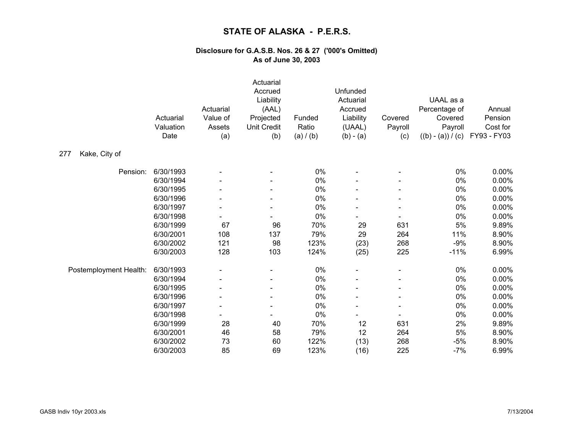|                        | Actuarial<br>Valuation<br>Date | Actuarial<br>Value of<br>Assets<br>(a) | Actuarial<br>Accrued<br>Liability<br>(AAL)<br>Projected<br><b>Unit Credit</b><br>(b) | Funded<br>Ratio<br>(a) / (b) | Unfunded<br>Actuarial<br>Accrued<br>Liability<br>(UAAL)<br>$(b) - (a)$ | Covered<br>Payroll<br>(c) | UAAL as a<br>Percentage of<br>Covered<br>Payroll<br>$((b) - (a)) / (c)$ | Annual<br>Pension<br>Cost for<br>FY93 - FY03 |
|------------------------|--------------------------------|----------------------------------------|--------------------------------------------------------------------------------------|------------------------------|------------------------------------------------------------------------|---------------------------|-------------------------------------------------------------------------|----------------------------------------------|
| Kake, City of<br>277   |                                |                                        |                                                                                      |                              |                                                                        |                           |                                                                         |                                              |
| Pension:               | 6/30/1993                      |                                        |                                                                                      | $0\%$                        |                                                                        |                           | $0\%$                                                                   | 0.00%                                        |
|                        | 6/30/1994                      |                                        |                                                                                      | 0%                           |                                                                        |                           | 0%                                                                      | 0.00%                                        |
|                        | 6/30/1995                      |                                        |                                                                                      | 0%                           |                                                                        |                           | 0%                                                                      | 0.00%                                        |
|                        | 6/30/1996                      |                                        |                                                                                      | 0%                           |                                                                        |                           | 0%                                                                      | 0.00%                                        |
|                        | 6/30/1997                      |                                        |                                                                                      | 0%                           |                                                                        |                           | $0\%$                                                                   | 0.00%                                        |
|                        | 6/30/1998                      |                                        |                                                                                      | 0%                           |                                                                        |                           | 0%                                                                      | 0.00%                                        |
|                        | 6/30/1999                      | 67                                     | 96                                                                                   | 70%                          | 29                                                                     | 631                       | $5\%$                                                                   | 9.89%                                        |
|                        | 6/30/2001                      | 108                                    | 137                                                                                  | 79%                          | 29                                                                     | 264                       | 11%                                                                     | 8.90%                                        |
|                        | 6/30/2002                      | 121                                    | 98                                                                                   | 123%                         | (23)                                                                   | 268                       | $-9%$                                                                   | 8.90%                                        |
|                        | 6/30/2003                      | 128                                    | 103                                                                                  | 124%                         | (25)                                                                   | 225                       | $-11%$                                                                  | 6.99%                                        |
| Postemployment Health: | 6/30/1993                      |                                        |                                                                                      | $0\%$                        |                                                                        |                           | 0%                                                                      | 0.00%                                        |
|                        | 6/30/1994                      |                                        |                                                                                      | $0\%$                        |                                                                        |                           | 0%                                                                      | 0.00%                                        |
|                        | 6/30/1995                      |                                        |                                                                                      | $0\%$                        |                                                                        |                           | $0\%$                                                                   | 0.00%                                        |
|                        | 6/30/1996                      |                                        |                                                                                      | 0%                           |                                                                        |                           | $0\%$                                                                   | 0.00%                                        |
|                        | 6/30/1997                      |                                        |                                                                                      | $0\%$                        |                                                                        |                           | 0%                                                                      | 0.00%                                        |
|                        | 6/30/1998                      |                                        |                                                                                      | 0%                           |                                                                        |                           | $0\%$                                                                   | 0.00%                                        |
|                        | 6/30/1999                      | 28                                     | 40                                                                                   | 70%                          | 12                                                                     | 631                       | 2%                                                                      | 9.89%                                        |
|                        | 6/30/2001                      | 46                                     | 58                                                                                   | 79%                          | 12                                                                     | 264                       | 5%                                                                      | 8.90%                                        |
|                        | 6/30/2002                      | 73                                     | 60                                                                                   | 122%                         | (13)                                                                   | 268                       | $-5%$                                                                   | 8.90%                                        |
|                        | 6/30/2003                      | 85                                     | 69                                                                                   | 123%                         | (16)                                                                   | 225                       | $-7%$                                                                   | 6.99%                                        |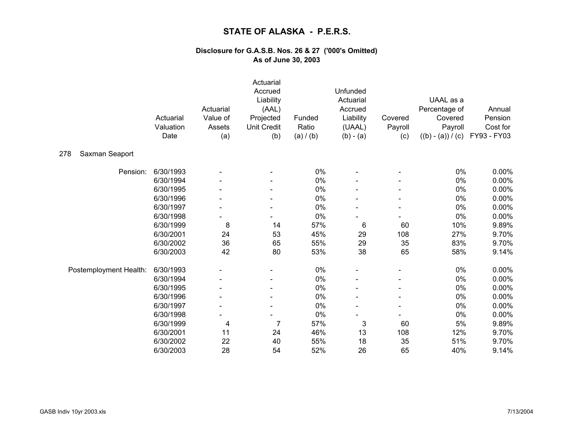|                        | Actuarial<br>Valuation<br>Date | Actuarial<br>Value of<br>Assets<br>(a) | Actuarial<br>Accrued<br>Liability<br>(AAL)<br>Projected<br><b>Unit Credit</b><br>(b) | Funded<br>Ratio<br>(a) / (b) | Unfunded<br>Actuarial<br>Accrued<br>Liability<br>(UAAL)<br>$(b) - (a)$ | Covered<br>Payroll<br>(c) | UAAL as a<br>Percentage of<br>Covered<br>Payroll<br>$((b) - (a)) / (c)$ | Annual<br>Pension<br>Cost for<br>FY93 - FY03 |
|------------------------|--------------------------------|----------------------------------------|--------------------------------------------------------------------------------------|------------------------------|------------------------------------------------------------------------|---------------------------|-------------------------------------------------------------------------|----------------------------------------------|
| 278<br>Saxman Seaport  |                                |                                        |                                                                                      |                              |                                                                        |                           |                                                                         |                                              |
| Pension:               | 6/30/1993                      |                                        |                                                                                      | 0%                           |                                                                        |                           | 0%                                                                      | 0.00%                                        |
|                        | 6/30/1994                      |                                        |                                                                                      | $0\%$                        |                                                                        |                           | $0\%$                                                                   | 0.00%                                        |
|                        | 6/30/1995                      |                                        |                                                                                      | 0%                           |                                                                        |                           | 0%                                                                      | 0.00%                                        |
|                        | 6/30/1996                      |                                        |                                                                                      | $0\%$                        |                                                                        |                           | $0\%$                                                                   | 0.00%                                        |
|                        | 6/30/1997                      |                                        |                                                                                      | 0%                           |                                                                        |                           | 0%                                                                      | 0.00%                                        |
|                        | 6/30/1998                      |                                        |                                                                                      | 0%                           |                                                                        |                           | 0%                                                                      | 0.00%                                        |
|                        | 6/30/1999                      | 8                                      | 14                                                                                   | 57%                          | 6                                                                      | 60                        | 10%                                                                     | 9.89%                                        |
|                        | 6/30/2001                      | 24                                     | 53                                                                                   | 45%                          | 29                                                                     | 108                       | 27%                                                                     | 9.70%                                        |
|                        | 6/30/2002                      | 36                                     | 65                                                                                   | 55%                          | 29                                                                     | 35                        | 83%                                                                     | 9.70%                                        |
|                        | 6/30/2003                      | 42                                     | 80                                                                                   | 53%                          | 38                                                                     | 65                        | 58%                                                                     | 9.14%                                        |
| Postemployment Health: | 6/30/1993                      |                                        |                                                                                      | 0%                           |                                                                        |                           | 0%                                                                      | 0.00%                                        |
|                        | 6/30/1994                      |                                        |                                                                                      | 0%                           |                                                                        |                           | 0%                                                                      | 0.00%                                        |
|                        | 6/30/1995                      |                                        |                                                                                      | 0%                           |                                                                        |                           | 0%                                                                      | 0.00%                                        |
|                        | 6/30/1996                      |                                        |                                                                                      | 0%                           |                                                                        |                           | $0\%$                                                                   | 0.00%                                        |
|                        | 6/30/1997                      |                                        |                                                                                      | $0\%$                        |                                                                        |                           | $0\%$                                                                   | 0.00%                                        |
|                        | 6/30/1998                      |                                        |                                                                                      | 0%                           |                                                                        |                           | 0%                                                                      | 0.00%                                        |
|                        | 6/30/1999                      | 4                                      | $\overline{7}$                                                                       | 57%                          | 3                                                                      | 60                        | $5\%$                                                                   | 9.89%                                        |
|                        | 6/30/2001                      | 11                                     | 24                                                                                   | 46%                          | 13                                                                     | 108                       | 12%                                                                     | 9.70%                                        |
|                        | 6/30/2002                      | 22                                     | 40                                                                                   | 55%                          | 18                                                                     | 35                        | 51%                                                                     | 9.70%                                        |
|                        | 6/30/2003                      | 28                                     | 54                                                                                   | 52%                          | 26                                                                     | 65                        | 40%                                                                     | 9.14%                                        |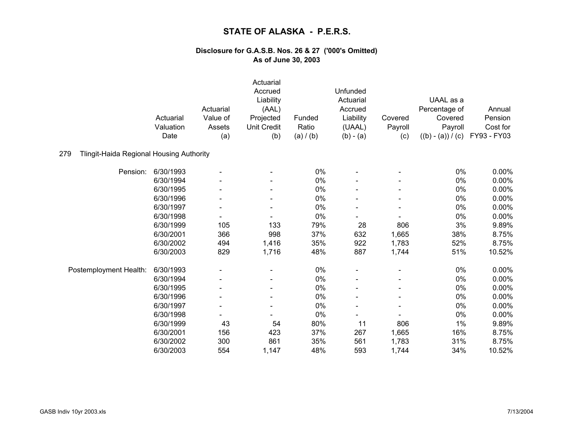|                                                 | Actuarial<br>Valuation<br>Date | Actuarial<br>Value of<br>Assets<br>(a) | Actuarial<br>Accrued<br>Liability<br>(AAL)<br>Projected<br><b>Unit Credit</b><br>(b) | Funded<br>Ratio<br>(a) / (b) | Unfunded<br>Actuarial<br>Accrued<br>Liability<br>(UAAL)<br>$(b) - (a)$ | Covered<br>Payroll<br>(c) | UAAL as a<br>Percentage of<br>Covered<br>Payroll<br>$((b) - (a)) / (c)$ | Annual<br>Pension<br>Cost for<br>FY93 - FY03 |
|-------------------------------------------------|--------------------------------|----------------------------------------|--------------------------------------------------------------------------------------|------------------------------|------------------------------------------------------------------------|---------------------------|-------------------------------------------------------------------------|----------------------------------------------|
| 279<br>Tlingit-Haida Regional Housing Authority |                                |                                        |                                                                                      |                              |                                                                        |                           |                                                                         |                                              |
| Pension:                                        | 6/30/1993                      |                                        |                                                                                      | 0%                           |                                                                        |                           | 0%                                                                      | 0.00%                                        |
|                                                 | 6/30/1994                      |                                        |                                                                                      | 0%                           |                                                                        |                           | 0%                                                                      | 0.00%                                        |
|                                                 | 6/30/1995                      |                                        |                                                                                      | 0%                           |                                                                        |                           | 0%                                                                      | 0.00%                                        |
|                                                 | 6/30/1996                      |                                        |                                                                                      | 0%                           |                                                                        |                           | 0%                                                                      | 0.00%                                        |
|                                                 | 6/30/1997                      |                                        |                                                                                      | 0%                           |                                                                        |                           | 0%                                                                      | 0.00%                                        |
|                                                 | 6/30/1998                      |                                        |                                                                                      | 0%                           |                                                                        |                           | 0%                                                                      | 0.00%                                        |
|                                                 | 6/30/1999                      | 105                                    | 133                                                                                  | 79%                          | 28                                                                     | 806                       | 3%                                                                      | 9.89%                                        |
|                                                 | 6/30/2001                      | 366                                    | 998                                                                                  | 37%                          | 632                                                                    | 1,665                     | 38%                                                                     | 8.75%                                        |
|                                                 | 6/30/2002                      | 494                                    | 1,416                                                                                | 35%                          | 922                                                                    | 1,783                     | 52%                                                                     | 8.75%                                        |
|                                                 | 6/30/2003                      | 829                                    | 1,716                                                                                | 48%                          | 887                                                                    | 1,744                     | 51%                                                                     | 10.52%                                       |
| Postemployment Health:                          | 6/30/1993                      |                                        |                                                                                      | 0%                           |                                                                        |                           | 0%                                                                      | 0.00%                                        |
|                                                 | 6/30/1994                      |                                        |                                                                                      | 0%                           |                                                                        |                           | 0%                                                                      | 0.00%                                        |
|                                                 | 6/30/1995                      |                                        |                                                                                      | 0%                           |                                                                        |                           | 0%                                                                      | 0.00%                                        |
|                                                 | 6/30/1996                      |                                        |                                                                                      | 0%                           |                                                                        |                           | 0%                                                                      | 0.00%                                        |
|                                                 | 6/30/1997                      |                                        |                                                                                      | 0%                           |                                                                        |                           | 0%                                                                      | 0.00%                                        |
|                                                 | 6/30/1998                      |                                        |                                                                                      | 0%                           |                                                                        |                           | 0%                                                                      | 0.00%                                        |
|                                                 | 6/30/1999                      | 43                                     | 54                                                                                   | 80%                          | 11                                                                     | 806                       | 1%                                                                      | 9.89%                                        |
|                                                 | 6/30/2001                      | 156                                    | 423                                                                                  | 37%                          | 267                                                                    | 1,665                     | 16%                                                                     | 8.75%                                        |
|                                                 | 6/30/2002                      | 300                                    | 861                                                                                  | 35%                          | 561                                                                    | 1,783                     | 31%                                                                     | 8.75%                                        |
|                                                 | 6/30/2003                      | 554                                    | 1,147                                                                                | 48%                          | 593                                                                    | 1,744                     | 34%                                                                     | 10.52%                                       |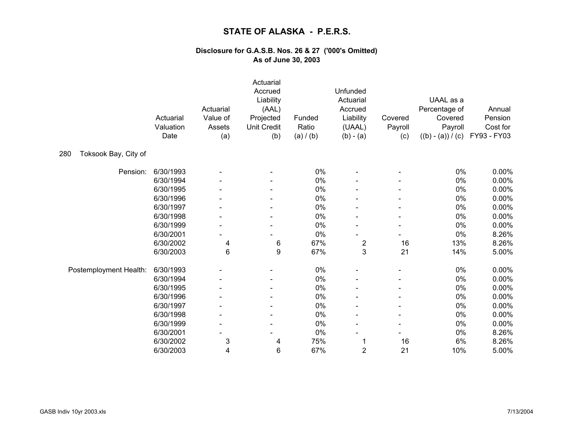|                             | Actuarial<br>Valuation<br>Date | Actuarial<br>Value of<br>Assets<br>(a) | Actuarial<br>Accrued<br>Liability<br>(AAL)<br>Projected<br><b>Unit Credit</b><br>(b) | Funded<br>Ratio<br>(a) / (b) | Unfunded<br>Actuarial<br>Accrued<br>Liability<br>(UAAL)<br>$(b) - (a)$ | Covered<br>Payroll<br>(c) | UAAL as a<br>Percentage of<br>Covered<br>Payroll<br>$((b) - (a)) / (c)$ | Annual<br>Pension<br>Cost for<br>FY93 - FY03 |
|-----------------------------|--------------------------------|----------------------------------------|--------------------------------------------------------------------------------------|------------------------------|------------------------------------------------------------------------|---------------------------|-------------------------------------------------------------------------|----------------------------------------------|
| Toksook Bay, City of<br>280 |                                |                                        |                                                                                      |                              |                                                                        |                           |                                                                         |                                              |
| Pension:                    | 6/30/1993                      |                                        |                                                                                      | 0%                           |                                                                        |                           | 0%                                                                      | 0.00%                                        |
|                             | 6/30/1994                      |                                        |                                                                                      | 0%                           |                                                                        |                           | $0\%$                                                                   | 0.00%                                        |
|                             | 6/30/1995                      |                                        | $\blacksquare$                                                                       | 0%                           |                                                                        |                           | $0\%$                                                                   | 0.00%                                        |
|                             | 6/30/1996                      |                                        |                                                                                      | 0%                           |                                                                        |                           | 0%                                                                      | 0.00%                                        |
|                             | 6/30/1997                      |                                        |                                                                                      | 0%                           |                                                                        |                           | $0\%$                                                                   | 0.00%                                        |
|                             | 6/30/1998                      |                                        |                                                                                      | 0%                           |                                                                        |                           | 0%                                                                      | 0.00%                                        |
|                             | 6/30/1999                      |                                        |                                                                                      | 0%                           |                                                                        |                           | 0%                                                                      | 0.00%                                        |
|                             | 6/30/2001                      |                                        |                                                                                      | 0%                           |                                                                        |                           | 0%                                                                      | 8.26%                                        |
|                             | 6/30/2002                      | 4                                      | 6                                                                                    | 67%                          | $\overline{\mathbf{c}}$                                                | 16                        | 13%                                                                     | 8.26%                                        |
|                             | 6/30/2003                      | 6                                      | 9                                                                                    | 67%                          | 3                                                                      | 21                        | 14%                                                                     | 5.00%                                        |
| Postemployment Health:      | 6/30/1993                      |                                        |                                                                                      | 0%                           |                                                                        |                           | 0%                                                                      | 0.00%                                        |
|                             | 6/30/1994                      |                                        |                                                                                      | 0%                           |                                                                        |                           | 0%                                                                      | 0.00%                                        |
|                             | 6/30/1995                      |                                        |                                                                                      | 0%                           |                                                                        |                           | $0\%$                                                                   | 0.00%                                        |
|                             | 6/30/1996                      |                                        |                                                                                      | 0%                           |                                                                        |                           | 0%                                                                      | 0.00%                                        |
|                             | 6/30/1997                      |                                        |                                                                                      | 0%                           |                                                                        |                           | 0%                                                                      | 0.00%                                        |
|                             | 6/30/1998                      |                                        | -                                                                                    | 0%                           |                                                                        |                           | $0\%$                                                                   | 0.00%                                        |
|                             | 6/30/1999                      |                                        | $\blacksquare$                                                                       | 0%                           |                                                                        |                           | 0%                                                                      | 0.00%                                        |
|                             | 6/30/2001                      |                                        |                                                                                      | 0%                           |                                                                        |                           | 0%                                                                      | 8.26%                                        |
|                             | 6/30/2002                      | 3                                      | 4                                                                                    | 75%                          | 1                                                                      | 16                        | 6%                                                                      | 8.26%                                        |
|                             | 6/30/2003                      | 4                                      | 6                                                                                    | 67%                          | $\mathbf 2$                                                            | 21                        | 10%                                                                     | 5.00%                                        |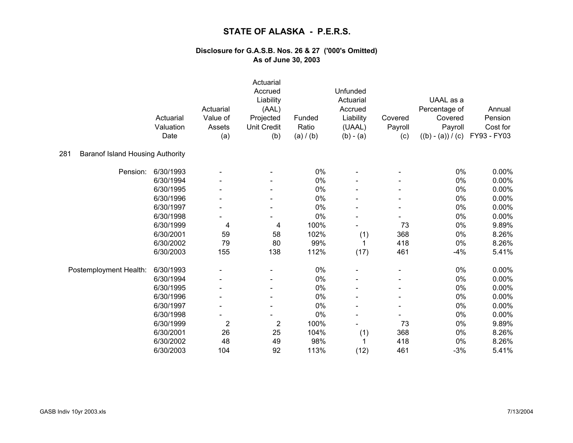|                                                | Actuarial         | Actuarial<br>Value of    | Actuarial<br>Accrued<br>Liability<br>(AAL)<br>Projected | Funded             | Unfunded<br>Actuarial<br>Accrued<br>Liability | Covered                  | UAAL as a<br>Percentage of<br>Covered | Annual<br>Pension       |
|------------------------------------------------|-------------------|--------------------------|---------------------------------------------------------|--------------------|-----------------------------------------------|--------------------------|---------------------------------------|-------------------------|
|                                                | Valuation<br>Date | Assets<br>(a)            | <b>Unit Credit</b><br>(b)                               | Ratio<br>(a) / (b) | (UAAL)<br>$(b) - (a)$                         | Payroll<br>(c)           | Payroll<br>$((b) - (a)) / (c)$        | Cost for<br>FY93 - FY03 |
|                                                |                   |                          |                                                         |                    |                                               |                          |                                       |                         |
| 281<br><b>Baranof Island Housing Authority</b> |                   |                          |                                                         |                    |                                               |                          |                                       |                         |
| Pension:                                       | 6/30/1993         |                          |                                                         | 0%                 |                                               |                          | 0%                                    | 0.00%                   |
|                                                | 6/30/1994         |                          |                                                         | 0%                 |                                               |                          | 0%                                    | 0.00%                   |
|                                                | 6/30/1995         |                          |                                                         | 0%                 |                                               |                          | 0%                                    | 0.00%                   |
|                                                | 6/30/1996         |                          | -                                                       | 0%                 |                                               | -                        | 0%                                    | 0.00%                   |
|                                                | 6/30/1997         |                          |                                                         | 0%                 |                                               | $\blacksquare$           | $0\%$                                 | $0.00\%$                |
|                                                | 6/30/1998         |                          |                                                         | 0%                 |                                               |                          | 0%                                    | 0.00%                   |
|                                                | 6/30/1999         | 4                        | 4                                                       | 100%               |                                               | 73                       | 0%                                    | 9.89%                   |
|                                                | 6/30/2001         | 59                       | 58                                                      | 102%               | (1)                                           | 368                      | 0%                                    | 8.26%                   |
|                                                | 6/30/2002         | 79                       | 80                                                      | 99%                | 1                                             | 418                      | 0%                                    | 8.26%                   |
|                                                | 6/30/2003         | 155                      | 138                                                     | 112%               | (17)                                          | 461                      | $-4%$                                 | 5.41%                   |
| Postemployment Health:                         | 6/30/1993         |                          |                                                         | 0%                 |                                               |                          | 0%                                    | 0.00%                   |
|                                                | 6/30/1994         |                          | -                                                       | 0%                 |                                               |                          | 0%                                    | 0.00%                   |
|                                                | 6/30/1995         |                          | $\blacksquare$                                          | 0%                 |                                               |                          | 0%                                    | 0.00%                   |
|                                                | 6/30/1996         |                          |                                                         | 0%                 |                                               |                          | 0%                                    | 0.00%                   |
|                                                | 6/30/1997         | $\overline{\phantom{a}}$ | -                                                       | 0%                 |                                               | $\overline{\phantom{a}}$ | 0%                                    | 0.00%                   |
|                                                | 6/30/1998         |                          |                                                         | $0\%$              | L                                             |                          | $0\%$                                 | 0.00%                   |
|                                                | 6/30/1999         | $\overline{\mathbf{c}}$  | $\overline{2}$                                          | 100%               |                                               | 73                       | 0%                                    | 9.89%                   |
|                                                | 6/30/2001         | 26                       | 25                                                      | 104%               | (1)                                           | 368                      | 0%                                    | 8.26%                   |
|                                                | 6/30/2002         | 48                       | 49                                                      | 98%                | 1                                             | 418                      | 0%                                    | 8.26%                   |
|                                                | 6/30/2003         | 104                      | 92                                                      | 113%               | (12)                                          | 461                      | $-3%$                                 | 5.41%                   |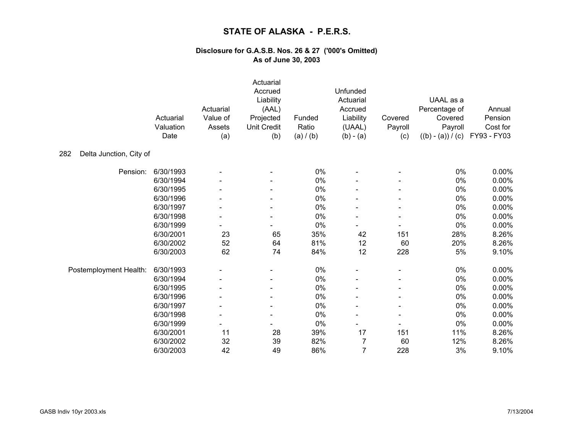|                                | Actuarial<br>Valuation<br>Date | Actuarial<br>Value of<br>Assets<br>(a) | Actuarial<br>Accrued<br>Liability<br>(AAL)<br>Projected<br><b>Unit Credit</b><br>(b) | Funded<br>Ratio<br>(a) / (b) | Unfunded<br>Actuarial<br>Accrued<br>Liability<br>(UAAL)<br>$(b) - (a)$ | Covered<br>Payroll<br>(c) | UAAL as a<br>Percentage of<br>Covered<br>Payroll<br>$((b) - (a)) / (c)$ | Annual<br>Pension<br>Cost for<br>FY93 - FY03 |
|--------------------------------|--------------------------------|----------------------------------------|--------------------------------------------------------------------------------------|------------------------------|------------------------------------------------------------------------|---------------------------|-------------------------------------------------------------------------|----------------------------------------------|
| Delta Junction, City of<br>282 |                                |                                        |                                                                                      |                              |                                                                        |                           |                                                                         |                                              |
| Pension:                       | 6/30/1993                      |                                        |                                                                                      | 0%                           |                                                                        |                           | 0%                                                                      | 0.00%                                        |
|                                | 6/30/1994                      |                                        |                                                                                      | $0\%$                        |                                                                        |                           | $0\%$                                                                   | 0.00%                                        |
|                                | 6/30/1995                      |                                        |                                                                                      | 0%                           |                                                                        |                           | $0\%$                                                                   | 0.00%                                        |
|                                | 6/30/1996                      |                                        |                                                                                      | $0\%$                        |                                                                        |                           | 0%                                                                      | 0.00%                                        |
|                                | 6/30/1997                      |                                        |                                                                                      | 0%                           |                                                                        |                           | $0\%$                                                                   | 0.00%                                        |
|                                | 6/30/1998                      |                                        |                                                                                      | 0%                           |                                                                        |                           | 0%                                                                      | 0.00%                                        |
|                                | 6/30/1999                      |                                        |                                                                                      | $0\%$                        |                                                                        |                           | $0\%$                                                                   | 0.00%                                        |
|                                | 6/30/2001                      | 23                                     | 65                                                                                   | 35%                          | 42                                                                     | 151                       | 28%                                                                     | 8.26%                                        |
|                                | 6/30/2002                      | 52                                     | 64                                                                                   | 81%                          | 12                                                                     | 60                        | 20%                                                                     | 8.26%                                        |
|                                | 6/30/2003                      | 62                                     | 74                                                                                   | 84%                          | 12                                                                     | 228                       | 5%                                                                      | 9.10%                                        |
| Postemployment Health:         | 6/30/1993                      |                                        |                                                                                      | $0\%$                        |                                                                        |                           | 0%                                                                      | 0.00%                                        |
|                                | 6/30/1994                      |                                        |                                                                                      | 0%                           |                                                                        |                           | 0%                                                                      | 0.00%                                        |
|                                | 6/30/1995                      |                                        |                                                                                      | $0\%$                        |                                                                        |                           | $0\%$                                                                   | 0.00%                                        |
|                                | 6/30/1996                      |                                        |                                                                                      | 0%                           |                                                                        |                           | $0\%$                                                                   | 0.00%                                        |
|                                | 6/30/1997                      |                                        |                                                                                      | $0\%$                        |                                                                        |                           | 0%                                                                      | 0.00%                                        |
|                                | 6/30/1998                      |                                        |                                                                                      | 0%                           |                                                                        |                           | 0%                                                                      | 0.00%                                        |
|                                | 6/30/1999                      |                                        |                                                                                      | $0\%$                        |                                                                        |                           | 0%                                                                      | 0.00%                                        |
|                                | 6/30/2001                      | 11                                     | 28                                                                                   | 39%                          | 17                                                                     | 151                       | 11%                                                                     | 8.26%                                        |
|                                | 6/30/2002                      | 32                                     | 39                                                                                   | 82%                          | 7                                                                      | 60                        | 12%                                                                     | 8.26%                                        |
|                                | 6/30/2003                      | 42                                     | 49                                                                                   | 86%                          | $\overline{7}$                                                         | 228                       | 3%                                                                      | 9.10%                                        |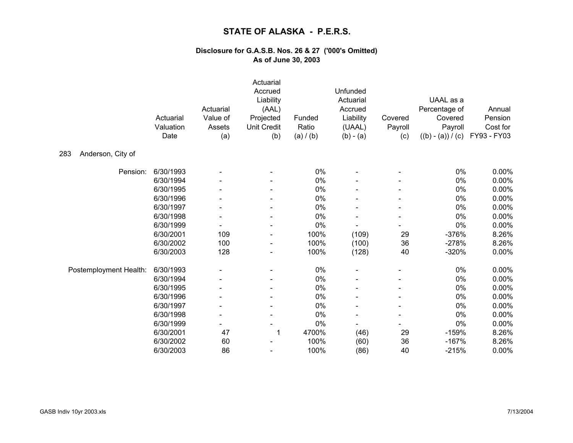|                          | Actuarial<br>Valuation<br>Date | Actuarial<br>Value of<br>Assets<br>(a) | Actuarial<br>Accrued<br>Liability<br>(AAL)<br>Projected<br><b>Unit Credit</b><br>(b) | Funded<br>Ratio<br>(a) / (b) | Unfunded<br>Actuarial<br>Accrued<br>Liability<br>(UAAL)<br>$(b) - (a)$ | Covered<br>Payroll<br>(c) | UAAL as a<br>Percentage of<br>Covered<br>Payroll<br>$((b) - (a)) / (c)$ | Annual<br>Pension<br>Cost for<br>FY93 - FY03 |
|--------------------------|--------------------------------|----------------------------------------|--------------------------------------------------------------------------------------|------------------------------|------------------------------------------------------------------------|---------------------------|-------------------------------------------------------------------------|----------------------------------------------|
| Anderson, City of<br>283 |                                |                                        |                                                                                      |                              |                                                                        |                           |                                                                         |                                              |
| Pension:                 | 6/30/1993                      |                                        |                                                                                      | 0%                           |                                                                        |                           | 0%                                                                      | 0.00%                                        |
|                          | 6/30/1994                      |                                        |                                                                                      | 0%                           |                                                                        |                           | 0%                                                                      | 0.00%                                        |
|                          | 6/30/1995                      |                                        |                                                                                      | 0%                           |                                                                        |                           | 0%                                                                      | 0.00%                                        |
|                          | 6/30/1996                      |                                        |                                                                                      | 0%                           |                                                                        |                           | 0%                                                                      | 0.00%                                        |
|                          | 6/30/1997                      |                                        |                                                                                      | 0%                           |                                                                        |                           | 0%                                                                      | 0.00%                                        |
|                          | 6/30/1998                      |                                        |                                                                                      | 0%                           |                                                                        |                           | 0%                                                                      | 0.00%                                        |
|                          | 6/30/1999                      |                                        |                                                                                      | 0%                           |                                                                        |                           | 0%                                                                      | 0.00%                                        |
|                          | 6/30/2001                      | 109                                    | $\blacksquare$                                                                       | 100%                         | (109)                                                                  | 29                        | $-376%$                                                                 | 8.26%                                        |
|                          | 6/30/2002                      | 100                                    |                                                                                      | 100%                         | (100)                                                                  | 36                        | $-278%$                                                                 | 8.26%                                        |
|                          | 6/30/2003                      | 128                                    |                                                                                      | 100%                         | (128)                                                                  | 40                        | $-320%$                                                                 | 0.00%                                        |
| Postemployment Health:   | 6/30/1993                      |                                        |                                                                                      | $0\%$                        |                                                                        |                           | 0%                                                                      | 0.00%                                        |
|                          | 6/30/1994                      |                                        |                                                                                      | 0%                           |                                                                        |                           | 0%                                                                      | 0.00%                                        |
|                          | 6/30/1995                      |                                        |                                                                                      | 0%                           |                                                                        |                           | 0%                                                                      | 0.00%                                        |
|                          | 6/30/1996                      |                                        |                                                                                      | 0%                           |                                                                        |                           | 0%                                                                      | 0.00%                                        |
|                          | 6/30/1997                      |                                        |                                                                                      | 0%                           |                                                                        |                           | 0%                                                                      | 0.00%                                        |
|                          | 6/30/1998                      |                                        |                                                                                      | 0%                           |                                                                        |                           | 0%                                                                      | 0.00%                                        |
|                          | 6/30/1999                      |                                        |                                                                                      | 0%                           | $\blacksquare$                                                         |                           | 0%                                                                      | 0.00%                                        |
|                          | 6/30/2001                      | 47                                     | 1                                                                                    | 4700%                        | (46)                                                                   | 29                        | $-159%$                                                                 | 8.26%                                        |
|                          | 6/30/2002                      | 60                                     |                                                                                      | 100%                         | (60)                                                                   | 36                        | $-167%$                                                                 | 8.26%                                        |
|                          | 6/30/2003                      | 86                                     |                                                                                      | 100%                         | (86)                                                                   | 40                        | $-215%$                                                                 | 0.00%                                        |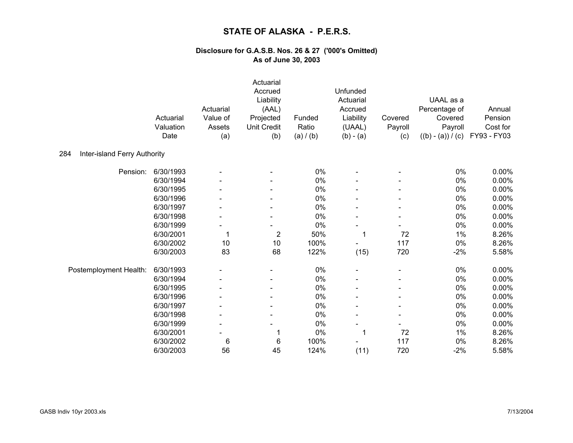|                                     | Actuarial<br>Valuation<br>Date | Actuarial<br>Value of<br>Assets<br>(a) | Actuarial<br>Accrued<br>Liability<br>(AAL)<br>Projected<br><b>Unit Credit</b><br>(b) | Funded<br>Ratio<br>(a) / (b) | Unfunded<br>Actuarial<br>Accrued<br>Liability<br>(UAAL)<br>$(b) - (a)$ | Covered<br>Payroll<br>(c) | UAAL as a<br>Percentage of<br>Covered<br>Payroll<br>$((b) - (a)) / (c)$ | Annual<br>Pension<br>Cost for<br>FY93 - FY03 |
|-------------------------------------|--------------------------------|----------------------------------------|--------------------------------------------------------------------------------------|------------------------------|------------------------------------------------------------------------|---------------------------|-------------------------------------------------------------------------|----------------------------------------------|
| 284<br>Inter-island Ferry Authority |                                |                                        |                                                                                      |                              |                                                                        |                           |                                                                         |                                              |
| Pension:                            | 6/30/1993                      |                                        |                                                                                      | $0\%$                        |                                                                        |                           | $0\%$                                                                   | 0.00%                                        |
|                                     | 6/30/1994                      |                                        |                                                                                      | 0%                           |                                                                        |                           | 0%                                                                      | 0.00%                                        |
|                                     | 6/30/1995                      |                                        |                                                                                      | 0%                           |                                                                        |                           | $0\%$                                                                   | 0.00%                                        |
|                                     | 6/30/1996                      |                                        |                                                                                      | 0%                           |                                                                        |                           | 0%                                                                      | 0.00%                                        |
|                                     | 6/30/1997                      |                                        |                                                                                      | 0%                           |                                                                        |                           | 0%                                                                      | 0.00%                                        |
|                                     | 6/30/1998                      |                                        |                                                                                      | 0%                           |                                                                        |                           | 0%                                                                      | 0.00%                                        |
|                                     | 6/30/1999                      |                                        |                                                                                      | $0\%$                        |                                                                        |                           | $0\%$                                                                   | 0.00%                                        |
|                                     | 6/30/2001                      |                                        | $\overline{2}$                                                                       | 50%                          | 1                                                                      | 72                        | 1%                                                                      | 8.26%                                        |
|                                     | 6/30/2002                      | 10                                     | 10                                                                                   | 100%                         |                                                                        | 117                       | 0%                                                                      | 8.26%                                        |
|                                     | 6/30/2003                      | 83                                     | 68                                                                                   | 122%                         | (15)                                                                   | 720                       | $-2%$                                                                   | 5.58%                                        |
| Postemployment Health:              | 6/30/1993                      |                                        |                                                                                      | $0\%$                        |                                                                        |                           | 0%                                                                      | 0.00%                                        |
|                                     | 6/30/1994                      |                                        |                                                                                      | $0\%$                        |                                                                        |                           | $0\%$                                                                   | 0.00%                                        |
|                                     | 6/30/1995                      |                                        |                                                                                      | $0\%$                        |                                                                        |                           | $0\%$                                                                   | 0.00%                                        |
|                                     | 6/30/1996                      |                                        |                                                                                      | 0%                           |                                                                        |                           | 0%                                                                      | 0.00%                                        |
|                                     | 6/30/1997                      |                                        |                                                                                      | $0\%$                        |                                                                        |                           | $0\%$                                                                   | 0.00%                                        |
|                                     | 6/30/1998                      |                                        |                                                                                      | 0%                           |                                                                        |                           | 0%                                                                      | 0.00%                                        |
|                                     | 6/30/1999                      |                                        |                                                                                      | $0\%$                        | $\overline{\phantom{a}}$                                               |                           | 0%                                                                      | 0.00%                                        |
|                                     | 6/30/2001                      |                                        | 1                                                                                    | $0\%$                        | 1                                                                      | 72                        | $1\%$                                                                   | 8.26%                                        |
|                                     | 6/30/2002                      | 6                                      | 6                                                                                    | 100%                         | $\overline{\phantom{a}}$                                               | 117                       | $0\%$                                                                   | 8.26%                                        |
|                                     | 6/30/2003                      | 56                                     | 45                                                                                   | 124%                         | (11)                                                                   | 720                       | $-2%$                                                                   | 5.58%                                        |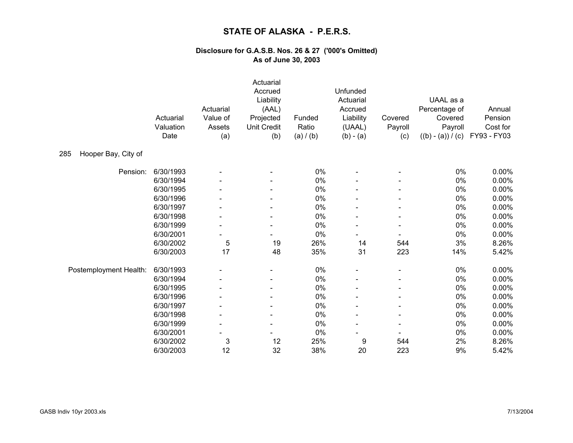|                            | Actuarial<br>Valuation<br>Date | Actuarial<br>Value of<br>Assets<br>(a) | Actuarial<br>Accrued<br>Liability<br>(AAL)<br>Projected<br><b>Unit Credit</b><br>(b) | Funded<br>Ratio<br>(a) / (b) | Unfunded<br>Actuarial<br>Accrued<br>Liability<br>(UAAL)<br>$(b) - (a)$ | Covered<br>Payroll<br>(c) | UAAL as a<br>Percentage of<br>Covered<br>Payroll<br>$((b) - (a)) / (c)$ | Annual<br>Pension<br>Cost for<br>FY93 - FY03 |
|----------------------------|--------------------------------|----------------------------------------|--------------------------------------------------------------------------------------|------------------------------|------------------------------------------------------------------------|---------------------------|-------------------------------------------------------------------------|----------------------------------------------|
| Hooper Bay, City of<br>285 |                                |                                        |                                                                                      |                              |                                                                        |                           |                                                                         |                                              |
| Pension:                   | 6/30/1993                      |                                        |                                                                                      | 0%                           |                                                                        |                           | 0%                                                                      | 0.00%                                        |
|                            | 6/30/1994                      |                                        |                                                                                      | $0\%$                        |                                                                        |                           | $0\%$                                                                   | 0.00%                                        |
|                            | 6/30/1995                      |                                        |                                                                                      | 0%                           |                                                                        |                           | 0%                                                                      | 0.00%                                        |
|                            | 6/30/1996                      |                                        |                                                                                      | 0%                           |                                                                        |                           | $0\%$                                                                   | 0.00%                                        |
|                            | 6/30/1997                      |                                        |                                                                                      | 0%                           |                                                                        |                           | 0%                                                                      | 0.00%                                        |
|                            | 6/30/1998                      |                                        |                                                                                      | 0%                           |                                                                        |                           | $0\%$                                                                   | 0.00%                                        |
|                            | 6/30/1999                      |                                        |                                                                                      | 0%                           |                                                                        |                           | 0%                                                                      | 0.00%                                        |
|                            | 6/30/2001                      |                                        |                                                                                      | 0%                           |                                                                        |                           | 0%                                                                      | 0.00%                                        |
|                            | 6/30/2002                      | 5                                      | 19                                                                                   | 26%                          | 14                                                                     | 544                       | 3%                                                                      | 8.26%                                        |
|                            | 6/30/2003                      | 17                                     | 48                                                                                   | 35%                          | 31                                                                     | 223                       | 14%                                                                     | 5.42%                                        |
| Postemployment Health:     | 6/30/1993                      |                                        |                                                                                      | $0\%$                        |                                                                        |                           | $0\%$                                                                   | 0.00%                                        |
|                            | 6/30/1994                      |                                        |                                                                                      | 0%                           |                                                                        |                           | 0%                                                                      | 0.00%                                        |
|                            | 6/30/1995                      |                                        |                                                                                      | 0%                           |                                                                        |                           | $0\%$                                                                   | 0.00%                                        |
|                            | 6/30/1996                      |                                        |                                                                                      | $0\%$                        |                                                                        |                           | $0\%$                                                                   | 0.00%                                        |
|                            | 6/30/1997                      |                                        |                                                                                      | 0%                           |                                                                        |                           | $0\%$                                                                   | 0.00%                                        |
|                            | 6/30/1998                      |                                        |                                                                                      | 0%                           |                                                                        |                           | 0%                                                                      | 0.00%                                        |
|                            | 6/30/1999                      |                                        |                                                                                      | $0\%$                        |                                                                        |                           | $0\%$                                                                   | 0.00%                                        |
|                            | 6/30/2001                      |                                        |                                                                                      | $0\%$                        |                                                                        |                           | $0\%$                                                                   | 0.00%                                        |
|                            | 6/30/2002                      | 3                                      | 12                                                                                   | 25%                          | 9                                                                      | 544                       | 2%                                                                      | 8.26%                                        |
|                            | 6/30/2003                      | 12                                     | 32                                                                                   | 38%                          | 20                                                                     | 223                       | 9%                                                                      | 5.42%                                        |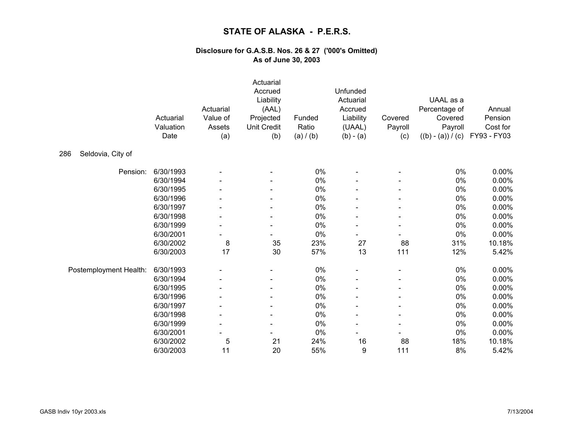|                          | Actuarial<br>Valuation<br>Date | Actuarial<br>Value of<br>Assets<br>(a) | Actuarial<br>Accrued<br>Liability<br>(AAL)<br>Projected<br><b>Unit Credit</b><br>(b) | Funded<br>Ratio<br>(a) / (b) | Unfunded<br>Actuarial<br>Accrued<br>Liability<br>(UAAL)<br>$(b) - (a)$ | Covered<br>Payroll<br>(c) | UAAL as a<br>Percentage of<br>Covered<br>Payroll<br>$((b) - (a)) / (c)$ | Annual<br>Pension<br>Cost for<br>FY93 - FY03 |
|--------------------------|--------------------------------|----------------------------------------|--------------------------------------------------------------------------------------|------------------------------|------------------------------------------------------------------------|---------------------------|-------------------------------------------------------------------------|----------------------------------------------|
| Seldovia, City of<br>286 |                                |                                        |                                                                                      |                              |                                                                        |                           |                                                                         |                                              |
| Pension:                 | 6/30/1993                      |                                        |                                                                                      | 0%                           |                                                                        |                           | 0%                                                                      | 0.00%                                        |
|                          | 6/30/1994                      |                                        |                                                                                      | $0\%$                        |                                                                        |                           | $0\%$                                                                   | 0.00%                                        |
|                          | 6/30/1995                      |                                        |                                                                                      | 0%                           |                                                                        |                           | 0%                                                                      | 0.00%                                        |
|                          | 6/30/1996                      |                                        |                                                                                      | $0\%$                        |                                                                        |                           | $0\%$                                                                   | 0.00%                                        |
|                          | 6/30/1997                      |                                        |                                                                                      | 0%                           |                                                                        |                           | 0%                                                                      | 0.00%                                        |
|                          | 6/30/1998                      |                                        |                                                                                      | $0\%$                        |                                                                        |                           | $0\%$                                                                   | 0.00%                                        |
|                          | 6/30/1999                      |                                        |                                                                                      | 0%                           |                                                                        |                           | $0\%$                                                                   | 0.00%                                        |
|                          | 6/30/2001                      |                                        |                                                                                      | 0%                           |                                                                        |                           | 0%                                                                      | 0.00%                                        |
|                          | 6/30/2002                      | 8                                      | 35                                                                                   | 23%                          | 27                                                                     | 88                        | 31%                                                                     | 10.18%                                       |
|                          | 6/30/2003                      | 17                                     | 30                                                                                   | 57%                          | 13                                                                     | 111                       | 12%                                                                     | 5.42%                                        |
| Postemployment Health:   | 6/30/1993                      |                                        |                                                                                      | 0%                           |                                                                        |                           | 0%                                                                      | 0.00%                                        |
|                          | 6/30/1994                      |                                        |                                                                                      | 0%                           |                                                                        |                           | 0%                                                                      | 0.00%                                        |
|                          | 6/30/1995                      |                                        |                                                                                      | 0%                           |                                                                        |                           | 0%                                                                      | 0.00%                                        |
|                          | 6/30/1996                      |                                        |                                                                                      | 0%                           |                                                                        |                           | 0%                                                                      | 0.00%                                        |
|                          | 6/30/1997                      |                                        |                                                                                      | 0%                           |                                                                        |                           | 0%                                                                      | 0.00%                                        |
|                          | 6/30/1998                      |                                        |                                                                                      | 0%                           |                                                                        |                           | 0%                                                                      | 0.00%                                        |
|                          | 6/30/1999                      |                                        |                                                                                      | $0\%$                        |                                                                        |                           | $0\%$                                                                   | 0.00%                                        |
|                          | 6/30/2001                      |                                        |                                                                                      | 0%                           |                                                                        |                           | $0\%$                                                                   | 0.00%                                        |
|                          | 6/30/2002                      | 5                                      | 21                                                                                   | 24%                          | 16                                                                     | 88                        | 18%                                                                     | 10.18%                                       |
|                          | 6/30/2003                      | 11                                     | 20                                                                                   | 55%                          | 9                                                                      | 111                       | 8%                                                                      | 5.42%                                        |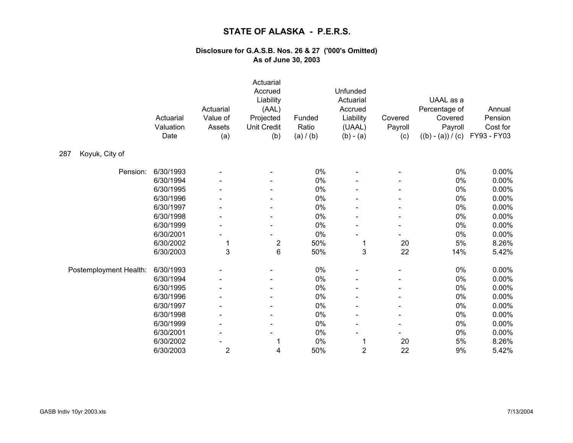|                        | Actuarial<br>Valuation<br>Date | Actuarial<br>Value of<br>Assets<br>(a) | Actuarial<br>Accrued<br>Liability<br>(AAL)<br>Projected<br><b>Unit Credit</b><br>(b) | Funded<br>Ratio<br>(a) / (b) | Unfunded<br>Actuarial<br>Accrued<br>Liability<br>(UAAL)<br>$(b) - (a)$ | Covered<br>Payroll<br>(c) | UAAL as a<br>Percentage of<br>Covered<br>Payroll<br>$((b) - (a)) / (c)$ | Annual<br>Pension<br>Cost for<br>FY93 - FY03 |
|------------------------|--------------------------------|----------------------------------------|--------------------------------------------------------------------------------------|------------------------------|------------------------------------------------------------------------|---------------------------|-------------------------------------------------------------------------|----------------------------------------------|
| Koyuk, City of<br>287  |                                |                                        |                                                                                      |                              |                                                                        |                           |                                                                         |                                              |
| Pension:               | 6/30/1993                      |                                        |                                                                                      | 0%                           |                                                                        |                           | 0%                                                                      | 0.00%                                        |
|                        | 6/30/1994                      |                                        |                                                                                      | $0\%$                        |                                                                        |                           | $0\%$                                                                   | 0.00%                                        |
|                        | 6/30/1995                      |                                        |                                                                                      | 0%                           |                                                                        |                           | $0\%$                                                                   | 0.00%                                        |
|                        | 6/30/1996                      |                                        |                                                                                      | $0\%$                        |                                                                        |                           | $0\%$                                                                   | 0.00%                                        |
|                        | 6/30/1997                      |                                        |                                                                                      | 0%                           |                                                                        |                           | $0\%$                                                                   | 0.00%                                        |
|                        | 6/30/1998                      |                                        |                                                                                      | 0%                           |                                                                        |                           | 0%                                                                      | 0.00%                                        |
|                        | 6/30/1999                      |                                        |                                                                                      | $0\%$                        |                                                                        |                           | $0\%$                                                                   | 0.00%                                        |
|                        | 6/30/2001                      |                                        |                                                                                      | 0%                           |                                                                        |                           | $0\%$                                                                   | 0.00%                                        |
|                        | 6/30/2002                      | 1                                      | $\overline{\mathbf{c}}$                                                              | 50%                          | 1                                                                      | 20                        | $5\%$                                                                   | 8.26%                                        |
|                        | 6/30/2003                      | 3                                      | 6                                                                                    | 50%                          | 3                                                                      | 22                        | 14%                                                                     | 5.42%                                        |
| Postemployment Health: | 6/30/1993                      |                                        |                                                                                      | $0\%$                        |                                                                        |                           | $0\%$                                                                   | 0.00%                                        |
|                        | 6/30/1994                      |                                        |                                                                                      | 0%                           |                                                                        |                           | 0%                                                                      | 0.00%                                        |
|                        | 6/30/1995                      |                                        |                                                                                      | $0\%$                        |                                                                        |                           | $0\%$                                                                   | 0.00%                                        |
|                        | 6/30/1996                      |                                        |                                                                                      | 0%                           |                                                                        |                           | $0\%$                                                                   | 0.00%                                        |
|                        | 6/30/1997                      |                                        |                                                                                      | 0%                           |                                                                        |                           | $0\%$                                                                   | 0.00%                                        |
|                        | 6/30/1998                      |                                        |                                                                                      | 0%                           |                                                                        |                           | 0%                                                                      | 0.00%                                        |
|                        | 6/30/1999                      |                                        |                                                                                      | 0%                           |                                                                        |                           | 0%                                                                      | 0.00%                                        |
|                        | 6/30/2001                      |                                        |                                                                                      | 0%                           |                                                                        |                           | 0%                                                                      | 0.00%                                        |
|                        | 6/30/2002                      |                                        | 1                                                                                    | $0\%$                        | 1                                                                      | 20                        | 5%                                                                      | 8.26%                                        |
|                        | 6/30/2003                      | $\overline{2}$                         | 4                                                                                    | 50%                          | $\overline{2}$                                                         | 22                        | 9%                                                                      | 5.42%                                        |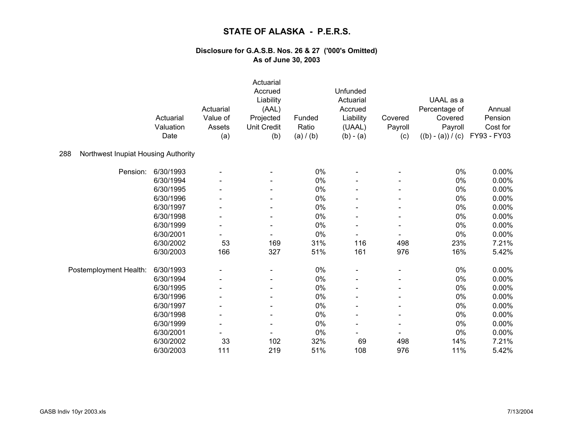|                                            | Actuarial<br>Valuation<br>Date | Actuarial<br>Value of<br>Assets<br>(a) | Actuarial<br>Accrued<br>Liability<br>(AAL)<br>Projected<br><b>Unit Credit</b><br>(b) | Funded<br>Ratio<br>(a) / (b) | Unfunded<br>Actuarial<br>Accrued<br>Liability<br>(UAAL)<br>$(b) - (a)$ | Covered<br>Payroll<br>(c) | UAAL as a<br>Percentage of<br>Covered<br>Payroll<br>$((b) - (a)) / (c)$ | Annual<br>Pension<br>Cost for<br>FY93 - FY03 |
|--------------------------------------------|--------------------------------|----------------------------------------|--------------------------------------------------------------------------------------|------------------------------|------------------------------------------------------------------------|---------------------------|-------------------------------------------------------------------------|----------------------------------------------|
| Northwest Inupiat Housing Authority<br>288 |                                |                                        |                                                                                      |                              |                                                                        |                           |                                                                         |                                              |
| Pension:                                   | 6/30/1993                      |                                        |                                                                                      | 0%                           |                                                                        |                           | 0%                                                                      | 0.00%                                        |
|                                            | 6/30/1994                      |                                        |                                                                                      | 0%                           |                                                                        |                           | $0\%$                                                                   | 0.00%                                        |
|                                            | 6/30/1995                      |                                        |                                                                                      | 0%                           |                                                                        |                           | 0%                                                                      | 0.00%                                        |
|                                            | 6/30/1996                      |                                        |                                                                                      | 0%                           |                                                                        |                           | 0%                                                                      | 0.00%                                        |
|                                            | 6/30/1997                      |                                        |                                                                                      | 0%                           |                                                                        |                           | 0%                                                                      | 0.00%                                        |
|                                            | 6/30/1998                      |                                        |                                                                                      | $0\%$                        |                                                                        |                           | 0%                                                                      | 0.00%                                        |
|                                            | 6/30/1999                      |                                        |                                                                                      | 0%                           |                                                                        |                           | 0%                                                                      | 0.00%                                        |
|                                            | 6/30/2001                      |                                        |                                                                                      | 0%                           | $\overline{\phantom{a}}$                                               |                           | 0%                                                                      | 0.00%                                        |
|                                            | 6/30/2002                      | 53                                     | 169                                                                                  | 31%                          | 116                                                                    | 498                       | 23%                                                                     | 7.21%                                        |
|                                            | 6/30/2003                      | 166                                    | 327                                                                                  | 51%                          | 161                                                                    | 976                       | 16%                                                                     | 5.42%                                        |
| Postemployment Health:                     | 6/30/1993                      |                                        |                                                                                      | 0%                           |                                                                        |                           | 0%                                                                      | 0.00%                                        |
|                                            | 6/30/1994                      |                                        |                                                                                      | 0%                           |                                                                        |                           | $0\%$                                                                   | 0.00%                                        |
|                                            | 6/30/1995                      |                                        |                                                                                      | 0%                           |                                                                        |                           | 0%                                                                      | 0.00%                                        |
|                                            | 6/30/1996                      |                                        |                                                                                      | 0%                           |                                                                        |                           | 0%                                                                      | 0.00%                                        |
|                                            | 6/30/1997                      |                                        |                                                                                      | 0%                           |                                                                        |                           | 0%                                                                      | 0.00%                                        |
|                                            | 6/30/1998                      |                                        |                                                                                      | 0%                           | $\blacksquare$                                                         |                           | 0%                                                                      | 0.00%                                        |
|                                            | 6/30/1999                      |                                        |                                                                                      | 0%                           |                                                                        |                           | 0%                                                                      | 0.00%                                        |
|                                            | 6/30/2001                      |                                        |                                                                                      | 0%                           |                                                                        |                           | 0%                                                                      | 0.00%                                        |
|                                            | 6/30/2002                      | 33                                     | 102                                                                                  | 32%                          | 69                                                                     | 498                       | 14%                                                                     | 7.21%                                        |
|                                            | 6/30/2003                      | 111                                    | 219                                                                                  | 51%                          | 108                                                                    | 976                       | 11%                                                                     | 5.42%                                        |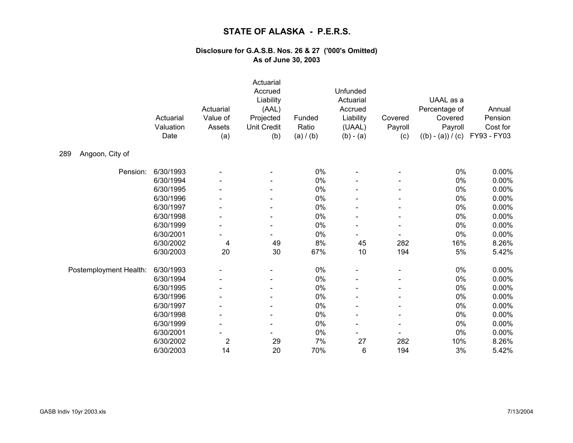|                        | Actuarial<br>Valuation<br>Date | Actuarial<br>Value of<br>Assets<br>(a) | Actuarial<br>Accrued<br>Liability<br>(AAL)<br>Projected<br><b>Unit Credit</b><br>(b) | Funded<br>Ratio<br>(a) / (b) | Unfunded<br>Actuarial<br>Accrued<br>Liability<br>(UAAL)<br>$(b) - (a)$ | Covered<br>Payroll<br>(c) | UAAL as a<br>Percentage of<br>Covered<br>Payroll<br>$((b) - (a)) / (c)$ | Annual<br>Pension<br>Cost for<br>FY93 - FY03 |
|------------------------|--------------------------------|----------------------------------------|--------------------------------------------------------------------------------------|------------------------------|------------------------------------------------------------------------|---------------------------|-------------------------------------------------------------------------|----------------------------------------------|
| Angoon, City of<br>289 |                                |                                        |                                                                                      |                              |                                                                        |                           |                                                                         |                                              |
| Pension:               | 6/30/1993                      |                                        |                                                                                      | 0%                           |                                                                        |                           | $0\%$                                                                   | 0.00%                                        |
|                        | 6/30/1994                      |                                        |                                                                                      | 0%                           |                                                                        |                           | $0\%$                                                                   | 0.00%                                        |
|                        | 6/30/1995                      |                                        |                                                                                      | 0%                           |                                                                        |                           | $0\%$                                                                   | 0.00%                                        |
|                        | 6/30/1996                      |                                        |                                                                                      | $0\%$                        |                                                                        |                           | $0\%$                                                                   | 0.00%                                        |
|                        | 6/30/1997                      |                                        |                                                                                      | 0%                           |                                                                        |                           | $0\%$                                                                   | 0.00%                                        |
|                        | 6/30/1998                      |                                        |                                                                                      | $0\%$                        |                                                                        |                           | $0\%$                                                                   | 0.00%                                        |
|                        | 6/30/1999                      |                                        |                                                                                      | 0%                           |                                                                        |                           | $0\%$                                                                   | 0.00%                                        |
|                        | 6/30/2001                      |                                        |                                                                                      | 0%                           |                                                                        |                           | 0%                                                                      | 0.00%                                        |
|                        | 6/30/2002                      | 4                                      | 49                                                                                   | 8%                           | 45                                                                     | 282                       | 16%                                                                     | 8.26%                                        |
|                        | 6/30/2003                      | 20                                     | 30                                                                                   | 67%                          | 10                                                                     | 194                       | 5%                                                                      | 5.42%                                        |
| Postemployment Health: | 6/30/1993                      |                                        |                                                                                      | 0%                           |                                                                        |                           | 0%                                                                      | 0.00%                                        |
|                        | 6/30/1994                      |                                        |                                                                                      | 0%                           |                                                                        |                           | $0\%$                                                                   | 0.00%                                        |
|                        | 6/30/1995                      |                                        |                                                                                      | 0%                           |                                                                        |                           | $0\%$                                                                   | 0.00%                                        |
|                        | 6/30/1996                      |                                        |                                                                                      | 0%                           |                                                                        |                           | 0%                                                                      | 0.00%                                        |
|                        | 6/30/1997                      |                                        |                                                                                      | $0\%$                        |                                                                        |                           | 0%                                                                      | 0.00%                                        |
|                        | 6/30/1998                      |                                        | -                                                                                    | 0%                           |                                                                        |                           | 0%                                                                      | 0.00%                                        |
|                        | 6/30/1999                      |                                        |                                                                                      | 0%                           |                                                                        |                           | $0\%$                                                                   | 0.00%                                        |
|                        | 6/30/2001                      |                                        |                                                                                      | 0%                           |                                                                        |                           | 0%                                                                      | 0.00%                                        |
|                        | 6/30/2002                      | $\overline{2}$                         | 29                                                                                   | 7%                           | 27                                                                     | 282                       | 10%                                                                     | 8.26%                                        |
|                        | 6/30/2003                      | 14                                     | 20                                                                                   | 70%                          | 6                                                                      | 194                       | 3%                                                                      | 5.42%                                        |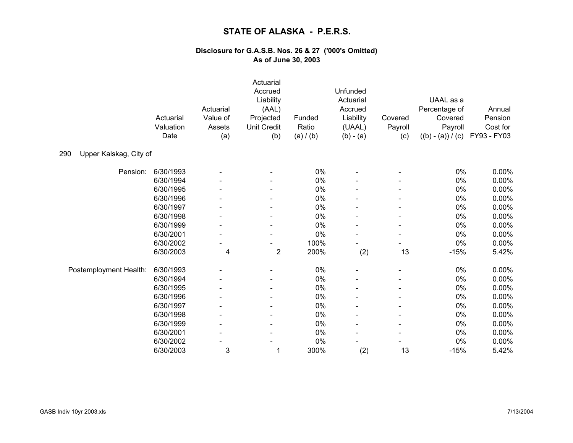|                               | Actuarial<br>Valuation<br>Date | Actuarial<br>Value of<br>Assets<br>(a) | Actuarial<br>Accrued<br>Liability<br>(AAL)<br>Projected<br><b>Unit Credit</b><br>(b) | Funded<br>Ratio<br>(a) / (b) | Unfunded<br>Actuarial<br>Accrued<br>Liability<br>(UAAL)<br>$(b) - (a)$ | Covered<br>Payroll<br>(c) | UAAL as a<br>Percentage of<br>Covered<br>Payroll<br>$((b) - (a)) / (c)$ | Annual<br>Pension<br>Cost for<br>FY93 - FY03 |
|-------------------------------|--------------------------------|----------------------------------------|--------------------------------------------------------------------------------------|------------------------------|------------------------------------------------------------------------|---------------------------|-------------------------------------------------------------------------|----------------------------------------------|
| Upper Kalskag, City of<br>290 |                                |                                        |                                                                                      |                              |                                                                        |                           |                                                                         |                                              |
| Pension:                      | 6/30/1993                      |                                        |                                                                                      | $0\%$                        |                                                                        |                           | $0\%$                                                                   | 0.00%                                        |
|                               | 6/30/1994                      |                                        |                                                                                      | 0%                           |                                                                        |                           | 0%                                                                      | 0.00%                                        |
|                               | 6/30/1995                      |                                        |                                                                                      | 0%                           |                                                                        |                           | 0%                                                                      | 0.00%                                        |
|                               | 6/30/1996                      |                                        |                                                                                      | $0\%$                        |                                                                        |                           | $0\%$                                                                   | 0.00%                                        |
|                               | 6/30/1997                      |                                        |                                                                                      | $0\%$                        |                                                                        |                           | $0\%$                                                                   | 0.00%                                        |
|                               | 6/30/1998                      |                                        |                                                                                      | 0%                           |                                                                        |                           | $0\%$                                                                   | 0.00%                                        |
|                               | 6/30/1999                      |                                        |                                                                                      | $0\%$                        |                                                                        |                           | $0\%$                                                                   | 0.00%                                        |
|                               | 6/30/2001                      |                                        |                                                                                      | 0%                           |                                                                        |                           | $0\%$                                                                   | 0.00%                                        |
|                               | 6/30/2002                      |                                        |                                                                                      | 100%                         |                                                                        |                           | $0\%$                                                                   | 0.00%                                        |
|                               | 6/30/2003                      | $\overline{\mathbf{4}}$                | $\boldsymbol{2}$                                                                     | 200%                         | (2)                                                                    | 13                        | $-15%$                                                                  | 5.42%                                        |
| Postemployment Health:        | 6/30/1993                      |                                        |                                                                                      | $0\%$                        |                                                                        |                           | $0\%$                                                                   | 0.00%                                        |
|                               | 6/30/1994                      |                                        |                                                                                      | $0\%$                        |                                                                        |                           | $0\%$                                                                   | 0.00%                                        |
|                               | 6/30/1995                      |                                        |                                                                                      | $0\%$                        |                                                                        |                           | $0\%$                                                                   | 0.00%                                        |
|                               | 6/30/1996                      |                                        |                                                                                      | 0%                           |                                                                        |                           | $0\%$                                                                   | 0.00%                                        |
|                               | 6/30/1997                      |                                        |                                                                                      | $0\%$                        |                                                                        |                           | $0\%$                                                                   | 0.00%                                        |
|                               | 6/30/1998                      |                                        |                                                                                      | 0%                           |                                                                        |                           | $0\%$                                                                   | 0.00%                                        |
|                               | 6/30/1999                      |                                        |                                                                                      | $0\%$                        |                                                                        |                           | 0%                                                                      | 0.00%                                        |
|                               | 6/30/2001                      |                                        |                                                                                      | $0\%$                        |                                                                        |                           | $0\%$                                                                   | 0.00%                                        |
|                               | 6/30/2002                      |                                        |                                                                                      | 0%                           |                                                                        |                           | 0%                                                                      | 0.00%                                        |
|                               | 6/30/2003                      | 3                                      | 1                                                                                    | 300%                         | (2)                                                                    | 13                        | $-15%$                                                                  | 5.42%                                        |